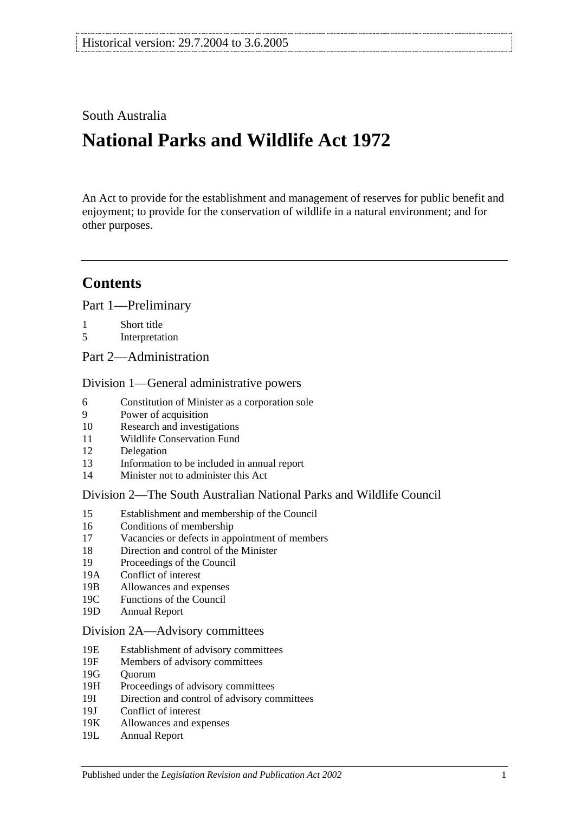# South Australia

# **National Parks and Wildlife Act 1972**

An Act to provide for the establishment and management of reserves for public benefit and enjoyment; to provide for the conservation of wildlife in a natural environment; and for other purposes.

# **Contents**

[Part 1—Preliminary](#page-6-0)

- 1 [Short title](#page-6-1)
- 5 [Interpretation](#page-6-2)
- [Part 2—Administration](#page-10-0)

#### [Division 1—General administrative powers](#page-10-1)

- 6 [Constitution of Minister as a corporation sole](#page-10-2)
- 9 [Power of acquisition](#page-10-3)
- 10 [Research and investigations](#page-10-4)
- 11 [Wildlife Conservation Fund](#page-10-5)
- 12 [Delegation](#page-11-0)
- 13 [Information to be included in annual report](#page-11-1)
- 14 [Minister not to administer this Act](#page-12-0)

#### [Division 2—The South Australian National Parks and Wildlife Council](#page-12-1)

- 15 [Establishment and membership of the Council](#page-12-2)
- 16 [Conditions of membership](#page-13-0)
- 17 [Vacancies or defects in appointment of members](#page-13-1)
- 18 [Direction and control of the Minister](#page-13-2)
- 19 [Proceedings of the Council](#page-13-3)
- 19A [Conflict of interest](#page-14-0)
- 19B [Allowances and expenses](#page-14-1)
- 19C [Functions of the Council](#page-14-2)
- 19D [Annual Report](#page-15-0)

#### [Division 2A—Advisory committees](#page-15-1)

- 19E [Establishment of advisory committees](#page-15-2)
- 19F [Members of advisory committees](#page-16-0)
- 19G [Quorum](#page-16-1)
- 19H [Proceedings of advisory committees](#page-16-2)
- 19I [Direction and control of advisory committees](#page-16-3)
- 19J [Conflict of interest](#page-17-0)
- 19K [Allowances and expenses](#page-17-1)
- 19L [Annual Report](#page-17-2)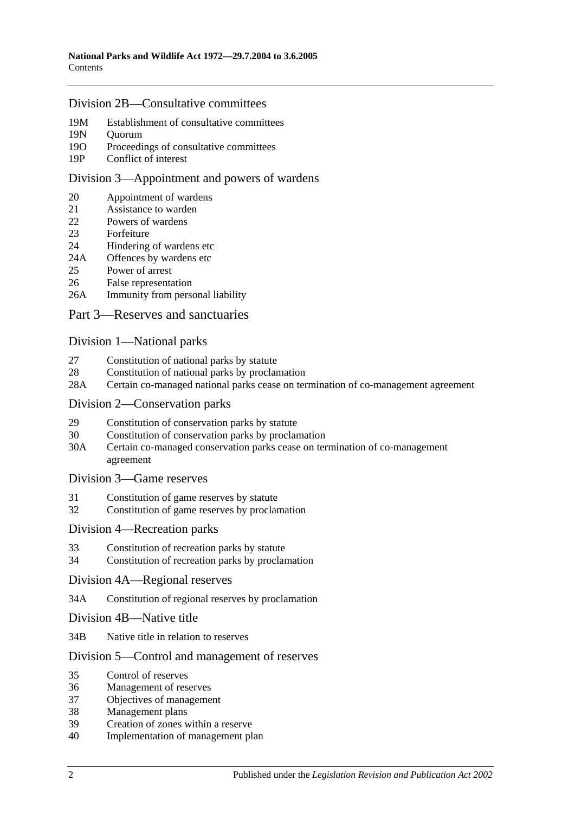#### [Division 2B—Consultative committees](#page-17-3)

- 19M [Establishment of consultative committees](#page-17-4)
- 19N [Quorum](#page-17-5)
- 19O Proceedings of [consultative committees](#page-17-6)
- 19P [Conflict of interest](#page-18-0)

#### [Division 3—Appointment and powers of wardens](#page-18-1)

- 20 [Appointment of wardens](#page-18-2)
- 21 [Assistance to warden](#page-18-3)<br>22 Powers of wardens
- [Powers of wardens](#page-19-0)
- 23 [Forfeiture](#page-20-0)
- 24 [Hindering of wardens etc](#page-21-0)
- 24A [Offences by wardens etc](#page-22-0)<br>25 Power of arrest
- [Power of arrest](#page-22-1)
- 26 [False representation](#page-22-2)
- 26A [Immunity from personal liability](#page-22-3)

#### [Part 3—Reserves and sanctuaries](#page-24-0)

#### [Division 1—National parks](#page-24-1)

- 27 [Constitution of national parks by statute](#page-24-2)
- 28 [Constitution of national parks by proclamation](#page-24-3)
- 28A [Certain co-managed national parks cease on termination of co-management agreement](#page-25-0)

#### [Division 2—Conservation parks](#page-25-1)

- 29 [Constitution of conservation parks by statute](#page-25-2)
- 30 [Constitution of conservation parks by proclamation](#page-25-3)
- 30A [Certain co-managed conservation parks cease on termination of co-management](#page-26-0)  [agreement](#page-26-0)

#### [Division 3—Game reserves](#page-26-1)

- 31 [Constitution of game reserves by statute](#page-26-2)
- 32 [Constitution of game reserves by proclamation](#page-27-0)

#### [Division 4—Recreation parks](#page-27-1)

- 33 [Constitution of recreation parks by statute](#page-27-2)
- 34 [Constitution of recreation parks by proclamation](#page-27-3)

#### [Division 4A—Regional reserves](#page-28-0)

- 34A [Constitution of regional reserves by proclamation](#page-28-1)
- [Division 4B—Native title](#page-28-2)
- 34B [Native title in relation to reserves](#page-28-3)

#### Division [5—Control and management of reserves](#page-29-0)

- 35 [Control of reserves](#page-29-1)
- 36 [Management of reserves](#page-30-0)
- 37 [Objectives of management](#page-30-1)
- 38 [Management plans](#page-31-0)
- 39 [Creation of zones within a reserve](#page-33-0)
- 40 [Implementation of management plan](#page-33-1)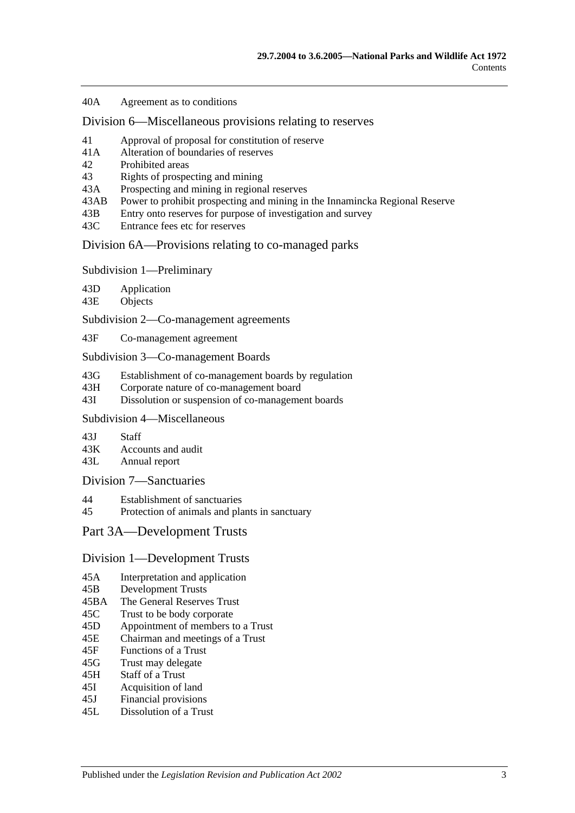40A [Agreement as to conditions](#page-33-2)

[Division 6—Miscellaneous provisions relating to reserves](#page-33-3)

- 41 [Approval of proposal for constitution of reserve](#page-33-4)
- 41A [Alteration of boundaries of reserves](#page-34-0)
- 42 [Prohibited areas](#page-34-1)
- 43 [Rights of prospecting and mining](#page-35-0)
- 43A [Prospecting and mining in regional reserves](#page-36-0)
- 43AB [Power to prohibit prospecting and mining in the Innamincka Regional Reserve](#page-36-1)
- 43B [Entry onto reserves for purpose of investigation and survey](#page-37-0)
- 43C [Entrance fees etc for reserves](#page-37-1)

[Division 6A—Provisions relating to co-managed parks](#page-37-2)

[Subdivision 1—Preliminary](#page-37-3)

43D [Application](#page-37-4)

43E [Objects](#page-37-5)

[Subdivision 2—Co-management agreements](#page-38-0)

43F [Co-management agreement](#page-38-1)

[Subdivision 3—Co-management Boards](#page-39-0)

43G [Establishment of co-management boards by regulation](#page-39-1)

- 43H [Corporate nature of co-management board](#page-40-0)
- 43I [Dissolution or suspension of co-management boards](#page-40-1)

## [Subdivision 4—Miscellaneous](#page-41-0)

43J [Staff](#page-41-1)<br>43K Accor

[Accounts and audit](#page-41-2)

43L [Annual report](#page-41-3)

#### [Division 7—Sanctuaries](#page-42-0)

- 44 [Establishment of sanctuaries](#page-42-1)
- 45 [Protection of animals and plants in sanctuary](#page-42-2)

#### [Part 3A—Development Trusts](#page-44-0)

#### [Division 1—Development Trusts](#page-44-1)

- 45A [Interpretation and application](#page-44-2)
- 45B [Development Trusts](#page-44-3)
- 45BA [The General Reserves Trust](#page-44-4)
- 45C [Trust to be body corporate](#page-45-0)
- 45D [Appointment of members to a Trust](#page-45-1)
- 45E [Chairman and meetings of a Trust](#page-45-2)
- 45F [Functions of a Trust](#page-46-0)
- 45G [Trust may delegate](#page-47-0)
- 45H [Staff of a Trust](#page-47-1)
- 45I [Acquisition of land](#page-47-2)
- 45J [Financial provisions](#page-47-3)
- 45L [Dissolution of a Trust](#page-48-0)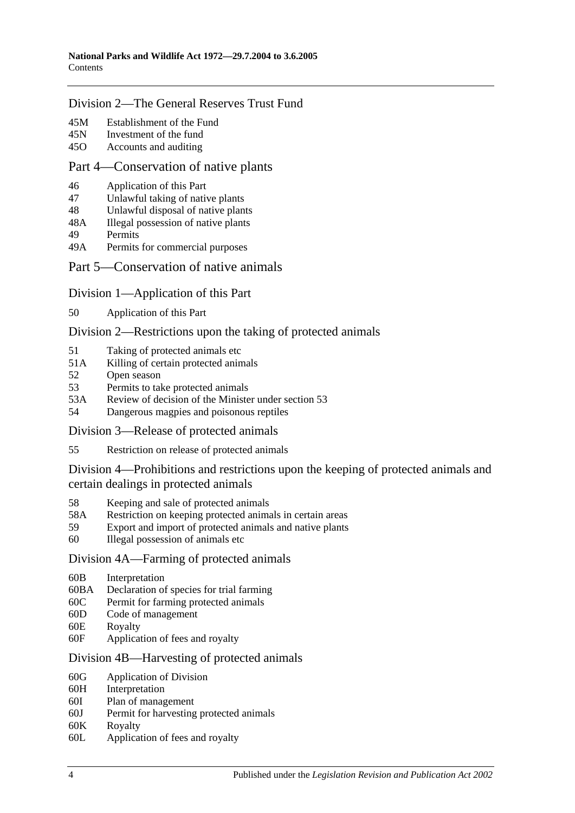### [Division 2—The General Reserves Trust Fund](#page-48-1)

- 45M [Establishment of the Fund](#page-48-2)
- 45N [Investment of the fund](#page-48-3)
- 45O [Accounts and auditing](#page-49-0)

#### [Part 4—Conservation of native plants](#page-50-0)

- 46 [Application of this Part](#page-50-1)
- 47 [Unlawful taking of native plants](#page-50-2)
- 48 [Unlawful disposal of native plants](#page-51-0)
- 48A [Illegal possession of native plants](#page-51-1)
- 49 [Permits](#page-51-2)
- 49A [Permits for commercial purposes](#page-52-0)

#### [Part 5—Conservation of native animals](#page-54-0)

#### [Division 1—Application of this Part](#page-54-1)

50 [Application of this Part](#page-54-2)

#### [Division 2—Restrictions upon the taking of protected animals](#page-54-3)

- 51 [Taking of protected animals etc](#page-54-4)
- 51A [Killing of certain protected animals](#page-54-5)
- 52 [Open season](#page-55-0)
- 53 [Permits to take protected animals](#page-56-0)
- 53A [Review of decision of the Minister under section](#page-57-0) 53
- 54 [Dangerous magpies and poisonous reptiles](#page-57-1)

[Division 3—Release of protected animals](#page-57-2)

55 [Restriction on release of protected animals](#page-57-3)

#### [Division 4—Prohibitions and restrictions upon the keeping of protected animals and](#page-58-0)  [certain dealings in protected animals](#page-58-0)

- 58 [Keeping and sale of protected animals](#page-58-1)
- 58A [Restriction on keeping protected animals in certain areas](#page-59-0)
- 59 [Export and import of protected animals and native plants](#page-59-1)
- 60 [Illegal possession of animals etc](#page-59-2)

#### [Division 4A—Farming of protected animals](#page-60-0)

- 60B [Interpretation](#page-60-1)
- 60BA [Declaration of species for trial farming](#page-60-2)
- 60C [Permit for farming protected animals](#page-61-0)
- 60D [Code of management](#page-62-0)
- 60E [Royalty](#page-63-0)
- 60F [Application of fees and royalty](#page-63-1)

#### [Division 4B—Harvesting of protected animals](#page-64-0)

- 60G [Application of Division](#page-64-1)
- 60H [Interpretation](#page-64-2)
- 60I [Plan of management](#page-64-3)<br>60J Permit for harvesting
- [Permit for harvesting protected animals](#page-65-0)
- 60K [Royalty](#page-66-0)
- 60L [Application of fees and royalty](#page-66-1)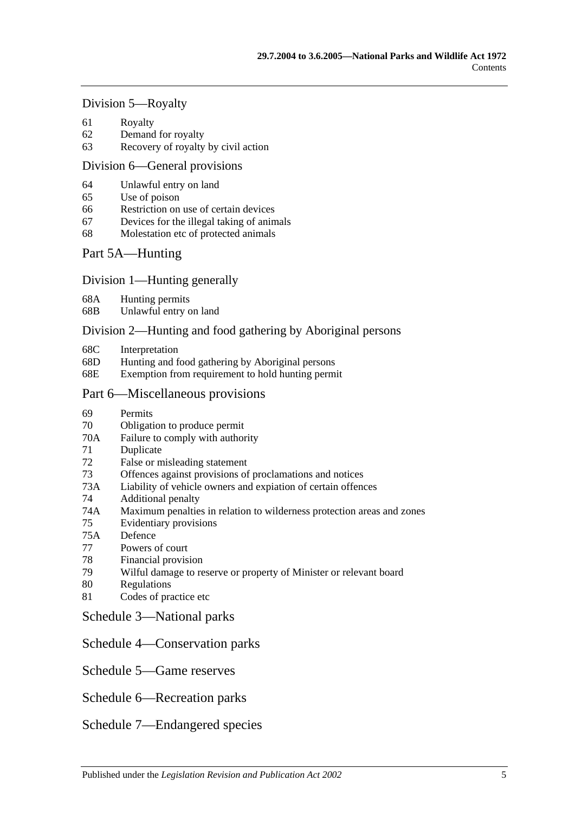#### [Division 5—Royalty](#page-67-0)

- 61 [Royalty](#page-67-1)
- 62 [Demand for royalty](#page-67-2)
- 63 [Recovery of royalty by civil action](#page-67-3)

#### [Division 6—General provisions](#page-68-0)

- 64 [Unlawful entry on land](#page-68-1)
- 65 [Use of poison](#page-68-2)
- 66 [Restriction on use of certain devices](#page-69-0)
- 67 [Devices for the illegal taking of animals](#page-69-1)
- 68 [Molestation etc of protected animals](#page-69-2)

## [Part 5A—Hunting](#page-72-0)

#### [Division 1—Hunting generally](#page-72-1)

- 68A [Hunting permits](#page-72-2)
- 68B [Unlawful entry on land](#page-72-3)

#### [Division 2—Hunting and food gathering by Aboriginal persons](#page-73-0)

- 68C [Interpretation](#page-73-1)
- 68D [Hunting and food gathering by Aboriginal persons](#page-73-2)
- 68E [Exemption from requirement to hold hunting permit](#page-74-0)

#### [Part 6—Miscellaneous provisions](#page-76-0)

- 69 [Permits](#page-76-1)
- 70 [Obligation to produce permit](#page-78-0)
- 70A [Failure to comply with authority](#page-78-1)
- 71 [Duplicate](#page-78-2)
- 72 [False or misleading statement](#page-78-3)
- 73 [Offences against provisions of proclamations and notices](#page-79-0)
- 73A [Liability of vehicle owners and expiation of certain offences](#page-79-1)
- 74 [Additional penalty](#page-81-0)
- 74A [Maximum penalties in relation to wilderness protection areas and zones](#page-82-0)
- 75 [Evidentiary provisions](#page-82-1)
- 75A [Defence](#page-82-2)
- 77 [Powers of court](#page-82-3)
- 78 [Financial provision](#page-83-0)
- 79 [Wilful damage to reserve or property of Minister or relevant board](#page-83-1)
- 80 [Regulations](#page-83-2)
- 81 [Codes of practice etc](#page-85-0)
- [Schedule 3—National parks](#page-86-0)
- [Schedule 4—Conservation parks](#page-86-1)
- [Schedule 5—Game reserves](#page-91-0)
- [Schedule 6—Recreation parks](#page-92-0)
- [Schedule 7—Endangered species](#page-93-0)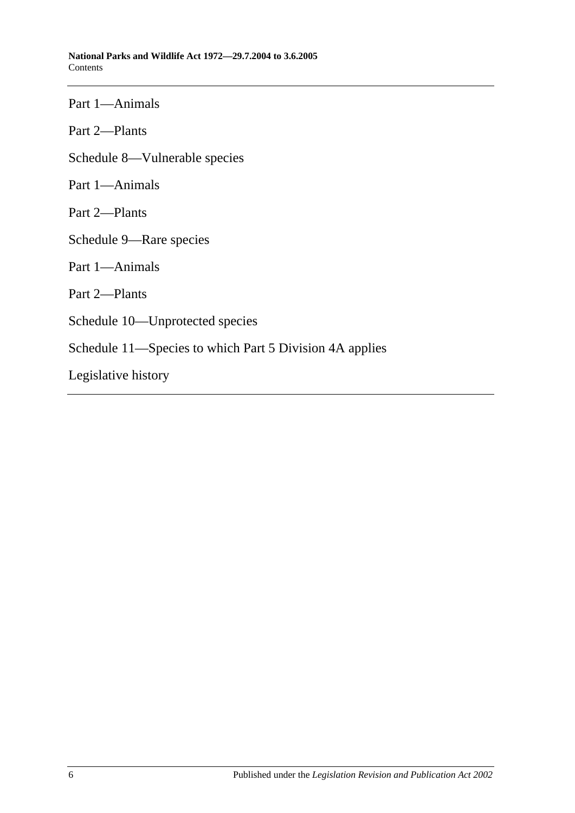Part 1—Animals

Part 2—Plants

[Schedule 8—Vulnerable species](#page-101-0)

Part 1—Animals

Part 2—Plants

[Schedule 9—Rare species](#page-111-0)

Part 1—Animals

Part 2—Plants

[Schedule 10—Unprotected species](#page-130-0)

[Schedule 11—Species to which Part 5 Division 4A](#page-130-1) applies

[Legislative history](#page-132-0)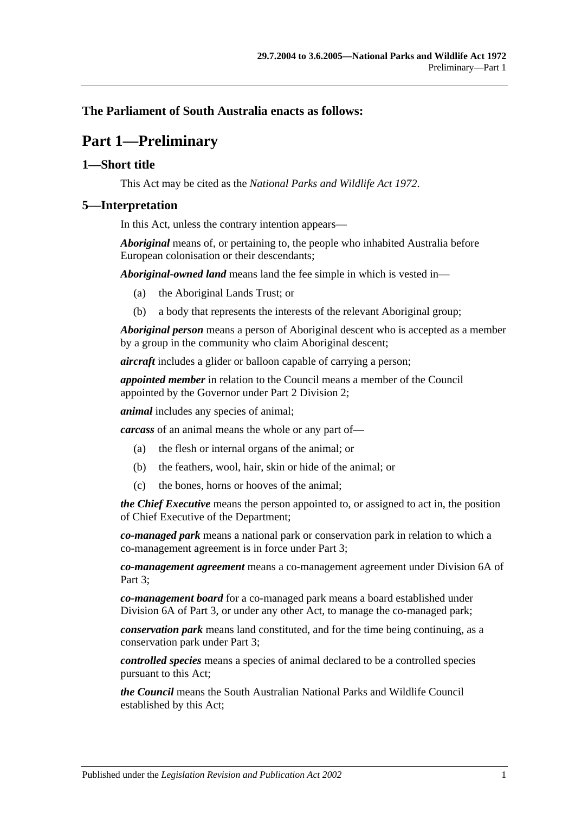## <span id="page-6-0"></span>**The Parliament of South Australia enacts as follows:**

# **Part 1—Preliminary**

## <span id="page-6-1"></span>**1—Short title**

This Act may be cited as the *National Parks and Wildlife Act 1972*.

## <span id="page-6-2"></span>**5—Interpretation**

In this Act, unless the contrary intention appears—

*Aboriginal* means of, or pertaining to, the people who inhabited Australia before European colonisation or their descendants;

*Aboriginal-owned land* means land the fee simple in which is vested in—

- (a) the Aboriginal Lands Trust; or
- (b) a body that represents the interests of the relevant Aboriginal group;

*Aboriginal person* means a person of Aboriginal descent who is accepted as a member by a group in the community who claim Aboriginal descent;

*aircraft* includes a glider or balloon capable of carrying a person;

*appointed member* in relation to the Council means a member of the Council appointed by the Governor under [Part 2 Division 2;](#page-12-1)

*animal* includes any species of animal;

*carcass* of an animal means the whole or any part of—

- (a) the flesh or internal organs of the animal; or
- (b) the feathers, wool, hair, skin or hide of the animal; or
- (c) the bones, horns or hooves of the animal;

*the Chief Executive* means the person appointed to, or assigned to act in, the position of Chief Executive of the Department;

*co-managed park* means a national park or conservation park in relation to which a co-management agreement is in force under [Part 3;](#page-24-0)

*co-management agreement* means a co-management agreement under [Division 6A](#page-37-2) of [Part 3;](#page-24-0)

*co-management board* for a co-managed park means a board established under [Division 6A](#page-37-2) of [Part 3,](#page-24-0) or under any other Act, to manage the co-managed park;

*conservation park* means land constituted, and for the time being continuing, as a conservation park under [Part 3;](#page-24-0)

*controlled species* means a species of animal declared to be a controlled species pursuant to this Act;

*the Council* means the South Australian National Parks and Wildlife Council established by this Act;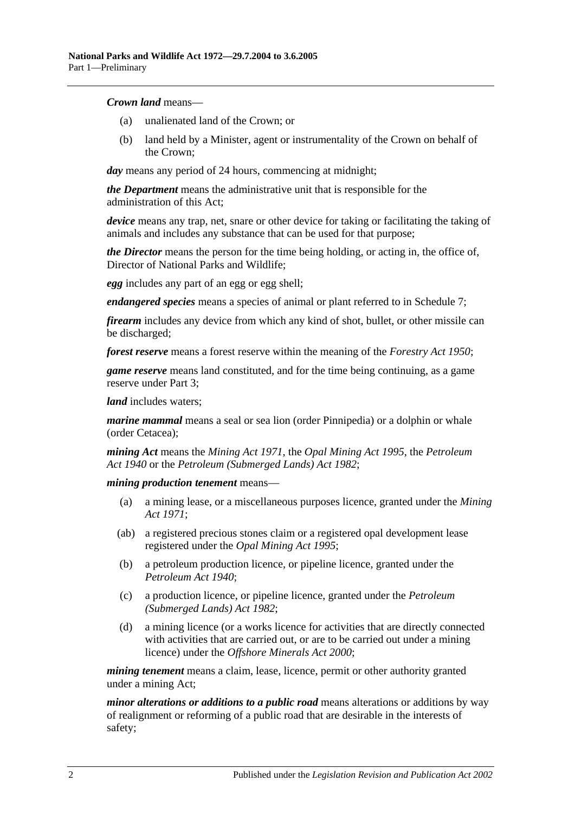#### *Crown land* means—

- (a) unalienated land of the Crown; or
- (b) land held by a Minister, agent or instrumentality of the Crown on behalf of the Crown;

*day* means any period of 24 hours, commencing at midnight;

*the Department* means the administrative unit that is responsible for the administration of this Act;

*device* means any trap, net, snare or other device for taking or facilitating the taking of animals and includes any substance that can be used for that purpose;

*the Director* means the person for the time being holding, or acting in, the office of, Director of National Parks and Wildlife;

*egg* includes any part of an egg or egg shell;

*endangered species* means a species of animal or plant referred to in [Schedule 7;](#page-93-0)

*firearm* includes any device from which any kind of shot, bullet, or other missile can be discharged;

*forest reserve* means a forest reserve within the meaning of the *[Forestry Act](http://www.legislation.sa.gov.au/index.aspx?action=legref&type=act&legtitle=Forestry%20Act%201950) 1950*;

*game reserve* means land constituted, and for the time being continuing, as a game reserve under [Part 3;](#page-24-0)

*land* includes waters:

*marine mammal* means a seal or sea lion (order Pinnipedia) or a dolphin or whale (order Cetacea);

*mining Act* means the *[Mining Act](http://www.legislation.sa.gov.au/index.aspx?action=legref&type=act&legtitle=Mining%20Act%201971) 1971*, the *[Opal Mining Act](http://www.legislation.sa.gov.au/index.aspx?action=legref&type=act&legtitle=Opal%20Mining%20Act%201995) 1995*, the *[Petroleum](http://www.legislation.sa.gov.au/index.aspx?action=legref&type=act&legtitle=Petroleum%20Act%201940)  Act [1940](http://www.legislation.sa.gov.au/index.aspx?action=legref&type=act&legtitle=Petroleum%20Act%201940)* or the *[Petroleum \(Submerged Lands\) Act](http://www.legislation.sa.gov.au/index.aspx?action=legref&type=act&legtitle=Petroleum%20(Submerged%20Lands)%20Act%201982) 1982*;

*mining production tenement* means—

- (a) a mining lease, or a miscellaneous purposes licence, granted under the *[Mining](http://www.legislation.sa.gov.au/index.aspx?action=legref&type=act&legtitle=Mining%20Act%201971)  Act [1971](http://www.legislation.sa.gov.au/index.aspx?action=legref&type=act&legtitle=Mining%20Act%201971)*;
- (ab) a registered precious stones claim or a registered opal development lease registered under the *[Opal Mining Act](http://www.legislation.sa.gov.au/index.aspx?action=legref&type=act&legtitle=Opal%20Mining%20Act%201995) 1995*;
- (b) a petroleum production licence, or pipeline licence, granted under the *[Petroleum Act](http://www.legislation.sa.gov.au/index.aspx?action=legref&type=act&legtitle=Petroleum%20Act%201940) 1940*;
- (c) a production licence, or pipeline licence, granted under the *[Petroleum](http://www.legislation.sa.gov.au/index.aspx?action=legref&type=act&legtitle=Petroleum%20(Submerged%20Lands)%20Act%201982)  [\(Submerged Lands\) Act](http://www.legislation.sa.gov.au/index.aspx?action=legref&type=act&legtitle=Petroleum%20(Submerged%20Lands)%20Act%201982) 1982*;
- (d) a mining licence (or a works licence for activities that are directly connected with activities that are carried out, or are to be carried out under a mining licence) under the *[Offshore Minerals Act](http://www.legislation.sa.gov.au/index.aspx?action=legref&type=act&legtitle=Offshore%20Minerals%20Act%202000) 2000*;

*mining tenement* means a claim, lease, licence, permit or other authority granted under a mining Act;

*minor alterations or additions to a public road* means alterations or additions by way of realignment or reforming of a public road that are desirable in the interests of safety;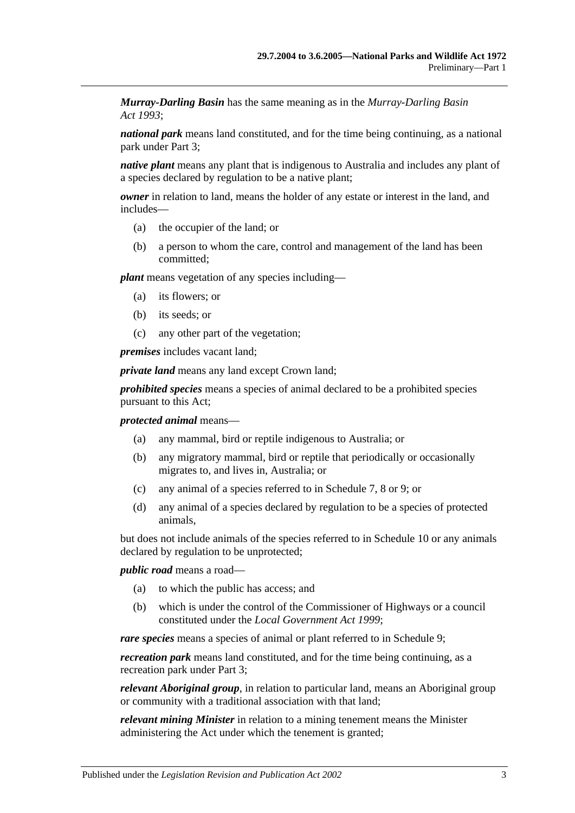*Murray-Darling Basin* has the same meaning as in the *[Murray-Darling Basin](http://www.legislation.sa.gov.au/index.aspx?action=legref&type=act&legtitle=Murray%E2%80%91Darling%20Basin%20Act%201993)  Act [1993](http://www.legislation.sa.gov.au/index.aspx?action=legref&type=act&legtitle=Murray%E2%80%91Darling%20Basin%20Act%201993)*;

*national park* means land constituted, and for the time being continuing, as a national park under [Part 3;](#page-24-0)

*native plant* means any plant that is indigenous to Australia and includes any plant of a species declared by regulation to be a native plant;

*owner* in relation to land, means the holder of any estate or interest in the land, and includes—

- (a) the occupier of the land; or
- (b) a person to whom the care, control and management of the land has been committed;

*plant* means vegetation of any species including—

- (a) its flowers; or
- (b) its seeds; or
- (c) any other part of the vegetation;

*premises* includes vacant land;

*private land* means any land except Crown land;

*prohibited species* means a species of animal declared to be a prohibited species pursuant to this Act;

#### *protected animal* means—

- (a) any mammal, bird or reptile indigenous to Australia; or
- (b) any migratory mammal, bird or reptile that periodically or occasionally migrates to, and lives in, Australia; or
- (c) any animal of a species referred to in [Schedule 7,](#page-93-0) [8](#page-101-0) or [9;](#page-111-0) or
- (d) any animal of a species declared by regulation to be a species of protected animals,

but does not include animals of the species referred to in [Schedule 10](#page-130-0) or any animals declared by regulation to be unprotected;

*public road* means a road—

- (a) to which the public has access; and
- (b) which is under the control of the Commissioner of Highways or a council constituted under the *[Local Government Act](http://www.legislation.sa.gov.au/index.aspx?action=legref&type=act&legtitle=Local%20Government%20Act%201999) 1999*;

*rare species* means a species of animal or plant referred to in [Schedule 9;](#page-111-0)

*recreation park* means land constituted, and for the time being continuing, as a recreation park under [Part 3;](#page-24-0)

*relevant Aboriginal group*, in relation to particular land, means an Aboriginal group or community with a traditional association with that land;

*relevant mining Minister* in relation to a mining tenement means the Minister administering the Act under which the tenement is granted;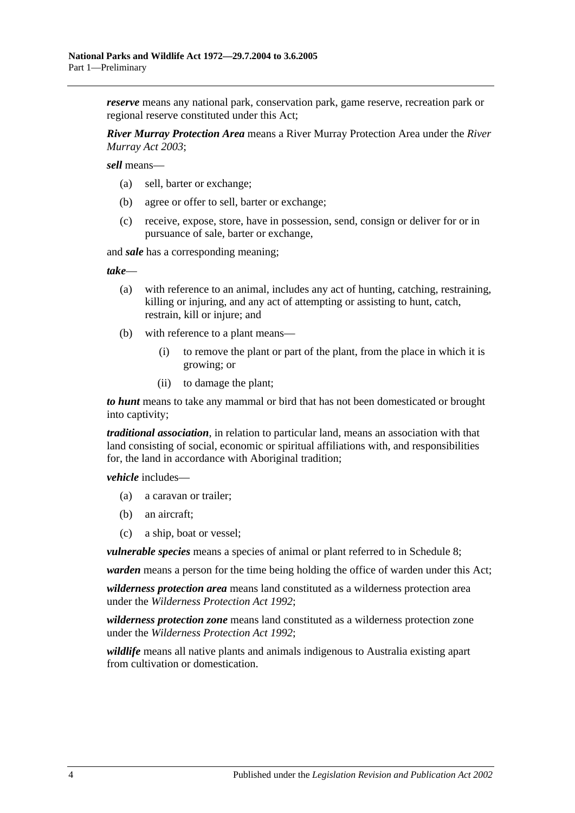*reserve* means any national park, conservation park, game reserve, recreation park or regional reserve constituted under this Act;

*River Murray Protection Area* means a River Murray Protection Area under the *[River](http://www.legislation.sa.gov.au/index.aspx?action=legref&type=act&legtitle=River%20Murray%20Act%202003)  [Murray Act](http://www.legislation.sa.gov.au/index.aspx?action=legref&type=act&legtitle=River%20Murray%20Act%202003) 2003*;

*sell* means—

- (a) sell, barter or exchange;
- (b) agree or offer to sell, barter or exchange;
- (c) receive, expose, store, have in possession, send, consign or deliver for or in pursuance of sale, barter or exchange,

and *sale* has a corresponding meaning;

*take*—

- (a) with reference to an animal, includes any act of hunting, catching, restraining, killing or injuring, and any act of attempting or assisting to hunt, catch, restrain, kill or injure; and
- (b) with reference to a plant means—
	- (i) to remove the plant or part of the plant, from the place in which it is growing; or
	- (ii) to damage the plant;

*to hunt* means to take any mammal or bird that has not been domesticated or brought into captivity;

*traditional association*, in relation to particular land, means an association with that land consisting of social, economic or spiritual affiliations with, and responsibilities for, the land in accordance with Aboriginal tradition;

*vehicle* includes—

- (a) a caravan or trailer;
- (b) an aircraft;
- (c) a ship, boat or vessel;

*vulnerable species* means a species of animal or plant referred to in [Schedule 8;](#page-101-0)

*warden* means a person for the time being holding the office of warden under this Act;

*wilderness protection area* means land constituted as a wilderness protection area under the *[Wilderness Protection Act](http://www.legislation.sa.gov.au/index.aspx?action=legref&type=act&legtitle=Wilderness%20Protection%20Act%201992) 1992*;

*wilderness protection zone* means land constituted as a wilderness protection zone under the *[Wilderness Protection Act](http://www.legislation.sa.gov.au/index.aspx?action=legref&type=act&legtitle=Wilderness%20Protection%20Act%201992) 1992*;

*wildlife* means all native plants and animals indigenous to Australia existing apart from cultivation or domestication.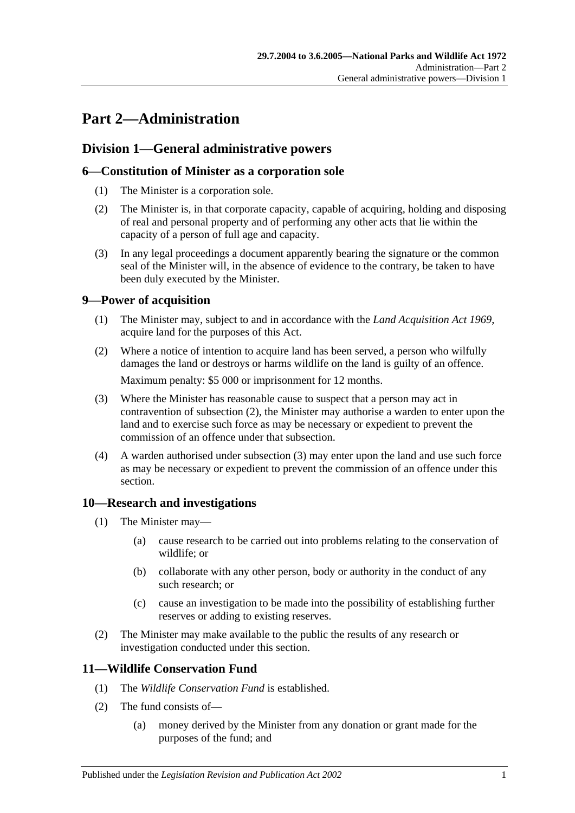# <span id="page-10-0"></span>**Part 2—Administration**

## <span id="page-10-1"></span>**Division 1—General administrative powers**

## <span id="page-10-2"></span>**6—Constitution of Minister as a corporation sole**

- (1) The Minister is a corporation sole.
- (2) The Minister is, in that corporate capacity, capable of acquiring, holding and disposing of real and personal property and of performing any other acts that lie within the capacity of a person of full age and capacity.
- (3) In any legal proceedings a document apparently bearing the signature or the common seal of the Minister will, in the absence of evidence to the contrary, be taken to have been duly executed by the Minister.

## <span id="page-10-3"></span>**9—Power of acquisition**

- (1) The Minister may, subject to and in accordance with the *[Land Acquisition Act](http://www.legislation.sa.gov.au/index.aspx?action=legref&type=act&legtitle=Land%20Acquisition%20Act%201969) 1969*, acquire land for the purposes of this Act.
- <span id="page-10-6"></span>(2) Where a notice of intention to acquire land has been served, a person who wilfully damages the land or destroys or harms wildlife on the land is guilty of an offence. Maximum penalty: \$5 000 or imprisonment for 12 months.
- <span id="page-10-7"></span>(3) Where the Minister has reasonable cause to suspect that a person may act in contravention of [subsection](#page-10-6) (2), the Minister may authorise a warden to enter upon the land and to exercise such force as may be necessary or expedient to prevent the commission of an offence under that subsection.
- (4) A warden authorised under [subsection](#page-10-7) (3) may enter upon the land and use such force as may be necessary or expedient to prevent the commission of an offence under this section.

## <span id="page-10-4"></span>**10—Research and investigations**

- (1) The Minister may—
	- (a) cause research to be carried out into problems relating to the conservation of wildlife; or
	- (b) collaborate with any other person, body or authority in the conduct of any such research; or
	- (c) cause an investigation to be made into the possibility of establishing further reserves or adding to existing reserves.
- (2) The Minister may make available to the public the results of any research or investigation conducted under this section.

## <span id="page-10-5"></span>**11—Wildlife Conservation Fund**

- (1) The *Wildlife Conservation Fund* is established.
- (2) The fund consists of—
	- (a) money derived by the Minister from any donation or grant made for the purposes of the fund; and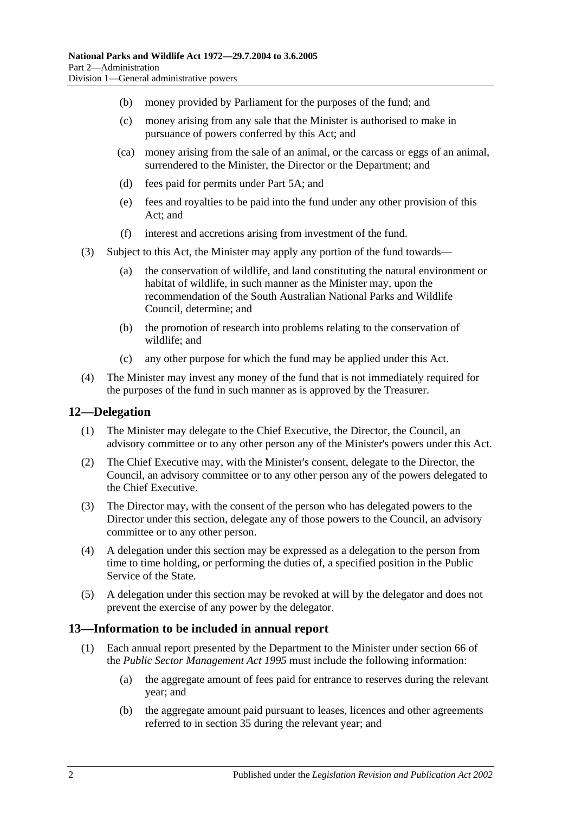- (b) money provided by Parliament for the purposes of the fund; and
- (c) money arising from any sale that the Minister is authorised to make in pursuance of powers conferred by this Act; and
- (ca) money arising from the sale of an animal, or the carcass or eggs of an animal, surrendered to the Minister, the Director or the Department; and
- (d) fees paid for permits under [Part 5A;](#page-72-0) and
- (e) fees and royalties to be paid into the fund under any other provision of this Act; and
- (f) interest and accretions arising from investment of the fund.
- (3) Subject to this Act, the Minister may apply any portion of the fund towards—
	- (a) the conservation of wildlife, and land constituting the natural environment or habitat of wildlife, in such manner as the Minister may, upon the recommendation of the South Australian National Parks and Wildlife Council, determine; and
	- (b) the promotion of research into problems relating to the conservation of wildlife; and
	- (c) any other purpose for which the fund may be applied under this Act.
- (4) The Minister may invest any money of the fund that is not immediately required for the purposes of the fund in such manner as is approved by the Treasurer.

## <span id="page-11-0"></span>**12—Delegation**

- (1) The Minister may delegate to the Chief Executive, the Director, the Council, an advisory committee or to any other person any of the Minister's powers under this Act.
- (2) The Chief Executive may, with the Minister's consent, delegate to the Director, the Council, an advisory committee or to any other person any of the powers delegated to the Chief Executive.
- (3) The Director may, with the consent of the person who has delegated powers to the Director under this section, delegate any of those powers to the Council, an advisory committee or to any other person.
- (4) A delegation under this section may be expressed as a delegation to the person from time to time holding, or performing the duties of, a specified position in the Public Service of the State.
- (5) A delegation under this section may be revoked at will by the delegator and does not prevent the exercise of any power by the delegator.

## <span id="page-11-2"></span><span id="page-11-1"></span>**13—Information to be included in annual report**

- (1) Each annual report presented by the Department to the Minister under section 66 of the *[Public Sector Management Act](http://www.legislation.sa.gov.au/index.aspx?action=legref&type=act&legtitle=Public%20Sector%20Management%20Act%201995) 1995* must include the following information:
	- (a) the aggregate amount of fees paid for entrance to reserves during the relevant year; and
	- (b) the aggregate amount paid pursuant to leases, licences and other agreements referred to in [section](#page-29-1) 35 during the relevant year; and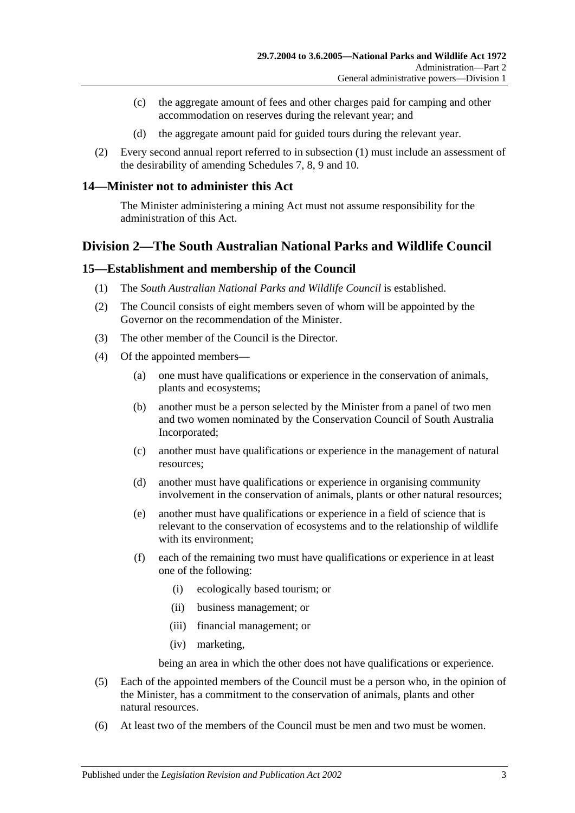- (c) the aggregate amount of fees and other charges paid for camping and other accommodation on reserves during the relevant year; and
- (d) the aggregate amount paid for guided tours during the relevant year.
- (2) Every second annual report referred to in [subsection](#page-11-2) (1) must include an assessment of the desirability of amending [Schedules 7,](#page-93-0) [8,](#page-101-0) [9](#page-111-0) and [10.](#page-130-0)

#### <span id="page-12-0"></span>**14—Minister not to administer this Act**

The Minister administering a mining Act must not assume responsibility for the administration of this Act.

## <span id="page-12-1"></span>**Division 2—The South Australian National Parks and Wildlife Council**

#### <span id="page-12-2"></span>**15—Establishment and membership of the Council**

- (1) The *South Australian National Parks and Wildlife Council* is established.
- (2) The Council consists of eight members seven of whom will be appointed by the Governor on the recommendation of the Minister.
- (3) The other member of the Council is the Director.
- (4) Of the appointed members—
	- (a) one must have qualifications or experience in the conservation of animals, plants and ecosystems;
	- (b) another must be a person selected by the Minister from a panel of two men and two women nominated by the Conservation Council of South Australia Incorporated;
	- (c) another must have qualifications or experience in the management of natural resources;
	- (d) another must have qualifications or experience in organising community involvement in the conservation of animals, plants or other natural resources;
	- (e) another must have qualifications or experience in a field of science that is relevant to the conservation of ecosystems and to the relationship of wildlife with its environment;
	- (f) each of the remaining two must have qualifications or experience in at least one of the following:
		- (i) ecologically based tourism; or
		- (ii) business management; or
		- (iii) financial management; or
		- (iv) marketing,

being an area in which the other does not have qualifications or experience.

- (5) Each of the appointed members of the Council must be a person who, in the opinion of the Minister, has a commitment to the conservation of animals, plants and other natural resources.
- (6) At least two of the members of the Council must be men and two must be women.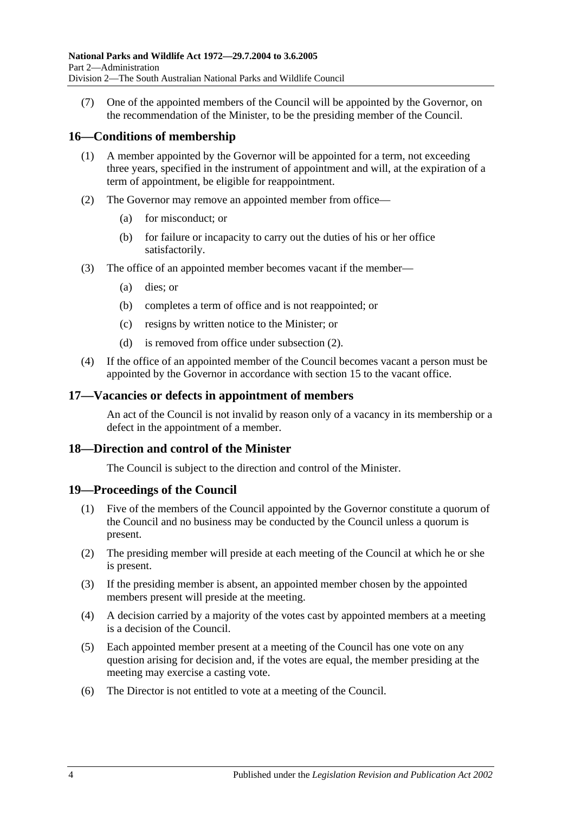(7) One of the appointed members of the Council will be appointed by the Governor, on the recommendation of the Minister, to be the presiding member of the Council.

## <span id="page-13-0"></span>**16—Conditions of membership**

- (1) A member appointed by the Governor will be appointed for a term, not exceeding three years, specified in the instrument of appointment and will, at the expiration of a term of appointment, be eligible for reappointment.
- <span id="page-13-4"></span>(2) The Governor may remove an appointed member from office—
	- (a) for misconduct; or
	- (b) for failure or incapacity to carry out the duties of his or her office satisfactorily.
- (3) The office of an appointed member becomes vacant if the member—
	- (a) dies; or
	- (b) completes a term of office and is not reappointed; or
	- (c) resigns by written notice to the Minister; or
	- (d) is removed from office under [subsection](#page-13-4) (2).
- (4) If the office of an appointed member of the Council becomes vacant a person must be appointed by the Governor in accordance with [section](#page-12-2) 15 to the vacant office.

#### <span id="page-13-1"></span>**17—Vacancies or defects in appointment of members**

An act of the Council is not invalid by reason only of a vacancy in its membership or a defect in the appointment of a member.

#### <span id="page-13-2"></span>**18—Direction and control of the Minister**

The Council is subject to the direction and control of the Minister.

#### <span id="page-13-3"></span>**19—Proceedings of the Council**

- (1) Five of the members of the Council appointed by the Governor constitute a quorum of the Council and no business may be conducted by the Council unless a quorum is present.
- (2) The presiding member will preside at each meeting of the Council at which he or she is present.
- (3) If the presiding member is absent, an appointed member chosen by the appointed members present will preside at the meeting.
- (4) A decision carried by a majority of the votes cast by appointed members at a meeting is a decision of the Council.
- (5) Each appointed member present at a meeting of the Council has one vote on any question arising for decision and, if the votes are equal, the member presiding at the meeting may exercise a casting vote.
- (6) The Director is not entitled to vote at a meeting of the Council.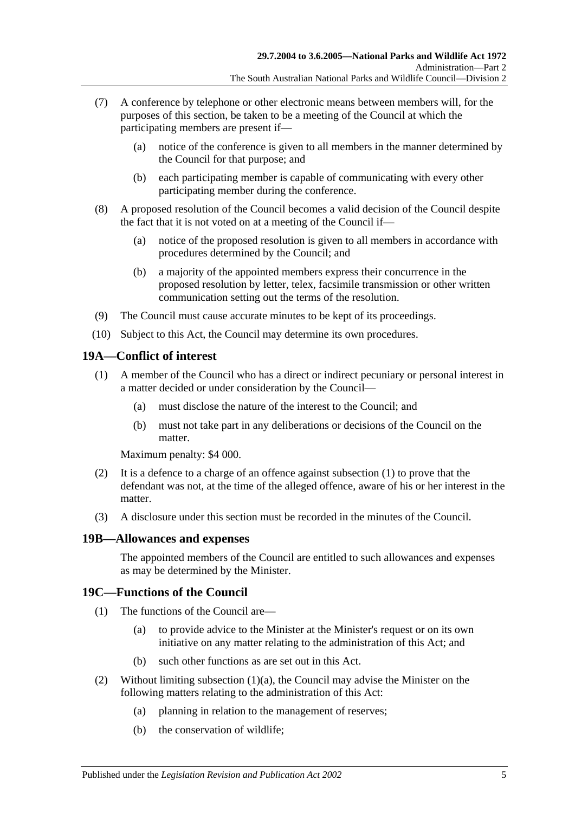- (7) A conference by telephone or other electronic means between members will, for the purposes of this section, be taken to be a meeting of the Council at which the participating members are present if—
	- (a) notice of the conference is given to all members in the manner determined by the Council for that purpose; and
	- (b) each participating member is capable of communicating with every other participating member during the conference.
- (8) A proposed resolution of the Council becomes a valid decision of the Council despite the fact that it is not voted on at a meeting of the Council if—
	- (a) notice of the proposed resolution is given to all members in accordance with procedures determined by the Council; and
	- (b) a majority of the appointed members express their concurrence in the proposed resolution by letter, telex, facsimile transmission or other written communication setting out the terms of the resolution.
- (9) The Council must cause accurate minutes to be kept of its proceedings.
- (10) Subject to this Act, the Council may determine its own procedures.

#### <span id="page-14-3"></span><span id="page-14-0"></span>**19A—Conflict of interest**

- (1) A member of the Council who has a direct or indirect pecuniary or personal interest in a matter decided or under consideration by the Council—
	- (a) must disclose the nature of the interest to the Council; and
	- (b) must not take part in any deliberations or decisions of the Council on the matter.

Maximum penalty: \$4 000.

- (2) It is a defence to a charge of an offence against [subsection](#page-14-3)  $(1)$  to prove that the defendant was not, at the time of the alleged offence, aware of his or her interest in the matter.
- (3) A disclosure under this section must be recorded in the minutes of the Council.

#### <span id="page-14-1"></span>**19B—Allowances and expenses**

The appointed members of the Council are entitled to such allowances and expenses as may be determined by the Minister.

## <span id="page-14-2"></span>**19C—Functions of the Council**

- <span id="page-14-4"></span>(1) The functions of the Council are—
	- (a) to provide advice to the Minister at the Minister's request or on its own initiative on any matter relating to the administration of this Act; and
	- (b) such other functions as are set out in this Act.
- (2) Without limiting [subsection](#page-14-4)  $(1)(a)$ , the Council may advise the Minister on the following matters relating to the administration of this Act:
	- (a) planning in relation to the management of reserves;
	- (b) the conservation of wildlife;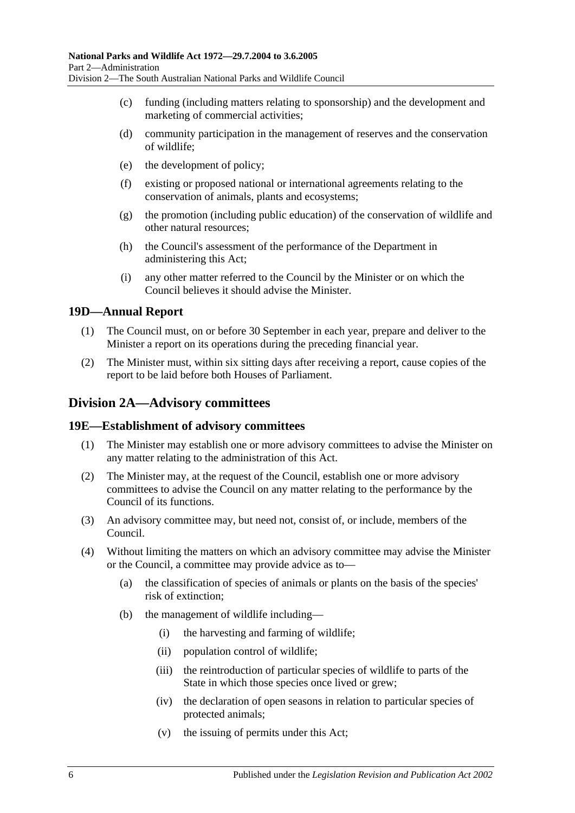- (c) funding (including matters relating to sponsorship) and the development and marketing of commercial activities;
- (d) community participation in the management of reserves and the conservation of wildlife;
- (e) the development of policy;
- (f) existing or proposed national or international agreements relating to the conservation of animals, plants and ecosystems;
- (g) the promotion (including public education) of the conservation of wildlife and other natural resources;
- (h) the Council's assessment of the performance of the Department in administering this Act;
- (i) any other matter referred to the Council by the Minister or on which the Council believes it should advise the Minister.

#### <span id="page-15-0"></span>**19D—Annual Report**

- (1) The Council must, on or before 30 September in each year, prepare and deliver to the Minister a report on its operations during the preceding financial year.
- (2) The Minister must, within six sitting days after receiving a report, cause copies of the report to be laid before both Houses of Parliament.

## <span id="page-15-1"></span>**Division 2A—Advisory committees**

#### <span id="page-15-2"></span>**19E—Establishment of advisory committees**

- (1) The Minister may establish one or more advisory committees to advise the Minister on any matter relating to the administration of this Act.
- (2) The Minister may, at the request of the Council, establish one or more advisory committees to advise the Council on any matter relating to the performance by the Council of its functions.
- (3) An advisory committee may, but need not, consist of, or include, members of the Council.
- (4) Without limiting the matters on which an advisory committee may advise the Minister or the Council, a committee may provide advice as to—
	- (a) the classification of species of animals or plants on the basis of the species' risk of extinction;
	- (b) the management of wildlife including—
		- (i) the harvesting and farming of wildlife;
		- (ii) population control of wildlife;
		- (iii) the reintroduction of particular species of wildlife to parts of the State in which those species once lived or grew;
		- (iv) the declaration of open seasons in relation to particular species of protected animals;
		- (v) the issuing of permits under this Act;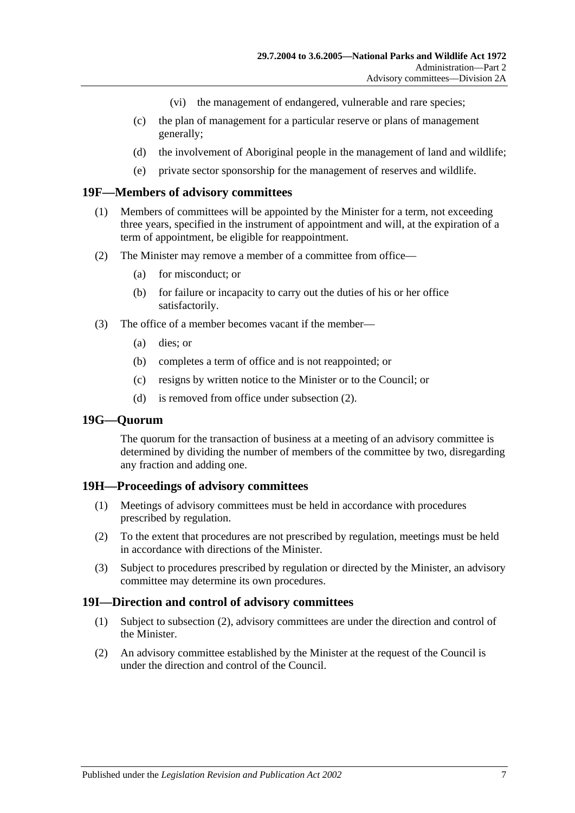- (vi) the management of endangered, vulnerable and rare species;
- (c) the plan of management for a particular reserve or plans of management generally;
- (d) the involvement of Aboriginal people in the management of land and wildlife;
- (e) private sector sponsorship for the management of reserves and wildlife.

#### <span id="page-16-0"></span>**19F—Members of advisory committees**

- (1) Members of committees will be appointed by the Minister for a term, not exceeding three years, specified in the instrument of appointment and will, at the expiration of a term of appointment, be eligible for reappointment.
- <span id="page-16-4"></span>(2) The Minister may remove a member of a committee from office—
	- (a) for misconduct; or
	- (b) for failure or incapacity to carry out the duties of his or her office satisfactorily.
- (3) The office of a member becomes vacant if the member—
	- (a) dies; or
	- (b) completes a term of office and is not reappointed; or
	- (c) resigns by written notice to the Minister or to the Council; or
	- (d) is removed from office under [subsection](#page-16-4) (2).

#### <span id="page-16-1"></span>**19G—Quorum**

The quorum for the transaction of business at a meeting of an advisory committee is determined by dividing the number of members of the committee by two, disregarding any fraction and adding one.

## <span id="page-16-2"></span>**19H—Proceedings of advisory committees**

- (1) Meetings of advisory committees must be held in accordance with procedures prescribed by regulation.
- (2) To the extent that procedures are not prescribed by regulation, meetings must be held in accordance with directions of the Minister.
- (3) Subject to procedures prescribed by regulation or directed by the Minister, an advisory committee may determine its own procedures.

#### <span id="page-16-3"></span>**19I—Direction and control of advisory committees**

- (1) Subject to [subsection](#page-16-5) (2), advisory committees are under the direction and control of the Minister.
- <span id="page-16-5"></span>(2) An advisory committee established by the Minister at the request of the Council is under the direction and control of the Council.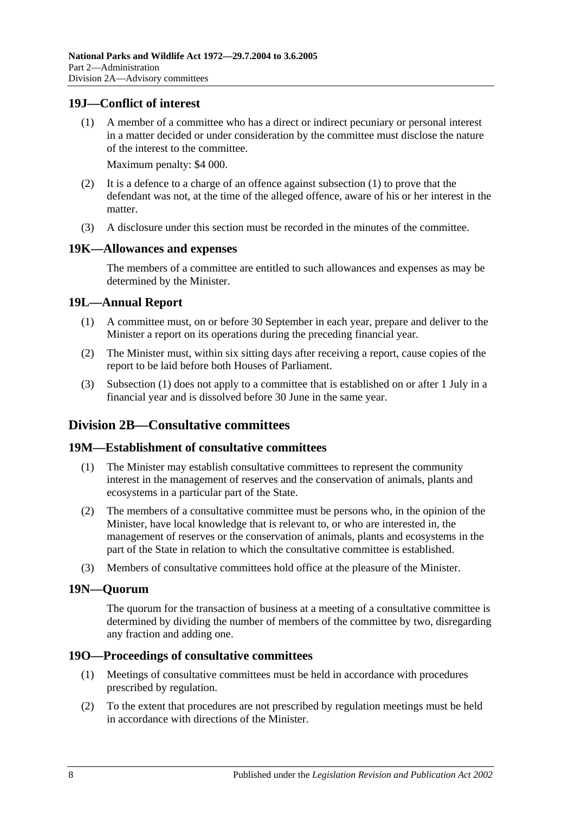## <span id="page-17-7"></span><span id="page-17-0"></span>**19J—Conflict of interest**

(1) A member of a committee who has a direct or indirect pecuniary or personal interest in a matter decided or under consideration by the committee must disclose the nature of the interest to the committee.

Maximum penalty: \$4 000.

- (2) It is a defence to a charge of an offence against [subsection](#page-17-7) (1) to prove that the defendant was not, at the time of the alleged offence, aware of his or her interest in the matter.
- (3) A disclosure under this section must be recorded in the minutes of the committee.

#### <span id="page-17-1"></span>**19K—Allowances and expenses**

The members of a committee are entitled to such allowances and expenses as may be determined by the Minister.

#### <span id="page-17-8"></span><span id="page-17-2"></span>**19L—Annual Report**

- (1) A committee must, on or before 30 September in each year, prepare and deliver to the Minister a report on its operations during the preceding financial year.
- (2) The Minister must, within six sitting days after receiving a report, cause copies of the report to be laid before both Houses of Parliament.
- (3) [Subsection](#page-17-8) (1) does not apply to a committee that is established on or after 1 July in a financial year and is dissolved before 30 June in the same year.

## <span id="page-17-3"></span>**Division 2B—Consultative committees**

#### <span id="page-17-4"></span>**19M—Establishment of consultative committees**

- (1) The Minister may establish consultative committees to represent the community interest in the management of reserves and the conservation of animals, plants and ecosystems in a particular part of the State.
- (2) The members of a consultative committee must be persons who, in the opinion of the Minister, have local knowledge that is relevant to, or who are interested in, the management of reserves or the conservation of animals, plants and ecosystems in the part of the State in relation to which the consultative committee is established.
- (3) Members of consultative committees hold office at the pleasure of the Minister.

#### <span id="page-17-5"></span>**19N—Quorum**

The quorum for the transaction of business at a meeting of a consultative committee is determined by dividing the number of members of the committee by two, disregarding any fraction and adding one.

#### <span id="page-17-6"></span>**19O—Proceedings of consultative committees**

- (1) Meetings of consultative committees must be held in accordance with procedures prescribed by regulation.
- (2) To the extent that procedures are not prescribed by regulation meetings must be held in accordance with directions of the Minister.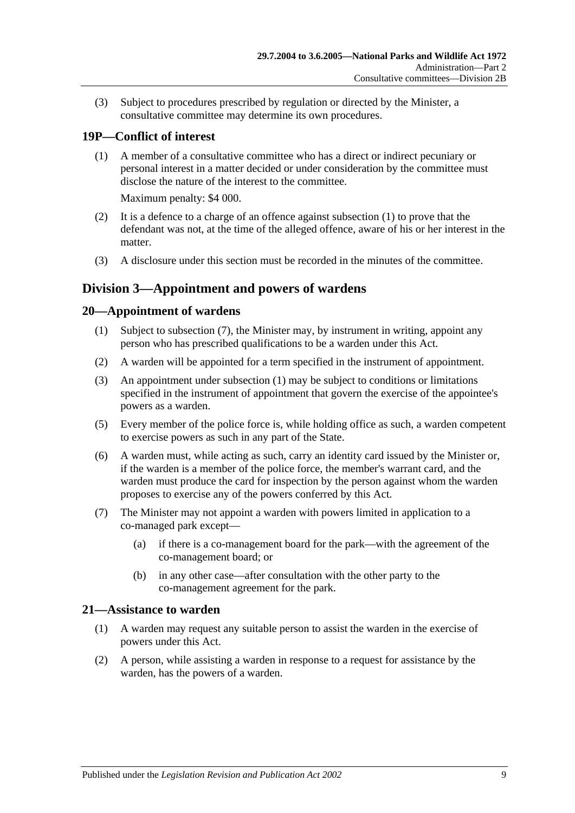(3) Subject to procedures prescribed by regulation or directed by the Minister, a consultative committee may determine its own procedures.

# <span id="page-18-4"></span><span id="page-18-0"></span>**19P—Conflict of interest**

(1) A member of a consultative committee who has a direct or indirect pecuniary or personal interest in a matter decided or under consideration by the committee must disclose the nature of the interest to the committee.

Maximum penalty: \$4 000.

- (2) It is a defence to a charge of an offence against [subsection](#page-18-4) (1) to prove that the defendant was not, at the time of the alleged offence, aware of his or her interest in the matter.
- (3) A disclosure under this section must be recorded in the minutes of the committee.

## <span id="page-18-1"></span>**Division 3—Appointment and powers of wardens**

## <span id="page-18-6"></span><span id="page-18-2"></span>**20—Appointment of wardens**

- (1) Subject to [subsection](#page-18-5) (7), the Minister may, by instrument in writing, appoint any person who has prescribed qualifications to be a warden under this Act.
- (2) A warden will be appointed for a term specified in the instrument of appointment.
- (3) An appointment under [subsection](#page-18-6) (1) may be subject to conditions or limitations specified in the instrument of appointment that govern the exercise of the appointee's powers as a warden.
- (5) Every member of the police force is, while holding office as such, a warden competent to exercise powers as such in any part of the State.
- (6) A warden must, while acting as such, carry an identity card issued by the Minister or, if the warden is a member of the police force, the member's warrant card, and the warden must produce the card for inspection by the person against whom the warden proposes to exercise any of the powers conferred by this Act.
- <span id="page-18-5"></span>(7) The Minister may not appoint a warden with powers limited in application to a co-managed park except—
	- (a) if there is a co-management board for the park—with the agreement of the co-management board; or
	- (b) in any other case—after consultation with the other party to the co-management agreement for the park.

## <span id="page-18-3"></span>**21—Assistance to warden**

- (1) A warden may request any suitable person to assist the warden in the exercise of powers under this Act.
- (2) A person, while assisting a warden in response to a request for assistance by the warden, has the powers of a warden.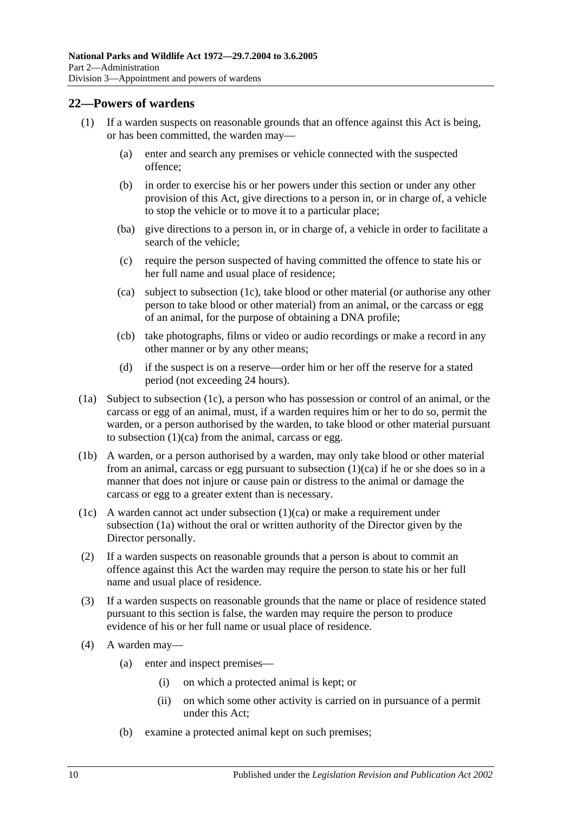### <span id="page-19-0"></span>**22—Powers of wardens**

- (1) If a warden suspects on reasonable grounds that an offence against this Act is being, or has been committed, the warden may—
	- (a) enter and search any premises or vehicle connected with the suspected offence;
	- (b) in order to exercise his or her powers under this section or under any other provision of this Act, give directions to a person in, or in charge of, a vehicle to stop the vehicle or to move it to a particular place;
	- (ba) give directions to a person in, or in charge of, a vehicle in order to facilitate a search of the vehicle;
	- (c) require the person suspected of having committed the offence to state his or her full name and usual place of residence;
	- (ca) subject to [subsection](#page-19-1) (1c), take blood or other material (or authorise any other person to take blood or other material) from an animal, or the carcass or egg of an animal, for the purpose of obtaining a DNA profile;
	- (cb) take photographs, films or video or audio recordings or make a record in any other manner or by any other means;
	- (d) if the suspect is on a reserve—order him or her off the reserve for a stated period (not exceeding 24 hours).
- <span id="page-19-3"></span><span id="page-19-2"></span>(1a) Subject to [subsection](#page-19-1) (1c), a person who has possession or control of an animal, or the carcass or egg of an animal, must, if a warden requires him or her to do so, permit the warden, or a person authorised by the warden, to take blood or other material pursuant to [subsection](#page-19-2)  $(1)(ca)$  from the animal, carcass or egg.
- (1b) A warden, or a person authorised by a warden, may only take blood or other material from an animal, carcass or egg pursuant to [subsection](#page-19-2) (1)(ca) if he or she does so in a manner that does not injure or cause pain or distress to the animal or damage the carcass or egg to a greater extent than is necessary.
- <span id="page-19-1"></span>(1c) A warden cannot act under [subsection](#page-19-2) (1)(ca) or make a requirement under [subsection](#page-19-3) (1a) without the oral or written authority of the Director given by the Director personally.
- (2) If a warden suspects on reasonable grounds that a person is about to commit an offence against this Act the warden may require the person to state his or her full name and usual place of residence.
- (3) If a warden suspects on reasonable grounds that the name or place of residence stated pursuant to this section is false, the warden may require the person to produce evidence of his or her full name or usual place of residence.
- (4) A warden may—
	- (a) enter and inspect premises—
		- (i) on which a protected animal is kept; or
		- (ii) on which some other activity is carried on in pursuance of a permit under this Act;
	- (b) examine a protected animal kept on such premises;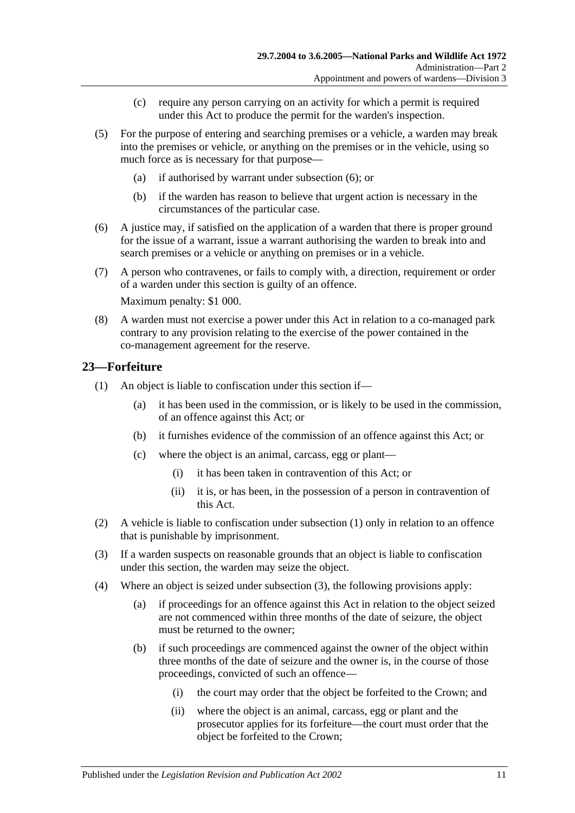- (c) require any person carrying on an activity for which a permit is required under this Act to produce the permit for the warden's inspection.
- (5) For the purpose of entering and searching premises or a vehicle, a warden may break into the premises or vehicle, or anything on the premises or in the vehicle, using so much force as is necessary for that purpose—
	- (a) if authorised by warrant under [subsection](#page-20-1) (6); or
	- (b) if the warden has reason to believe that urgent action is necessary in the circumstances of the particular case.
- <span id="page-20-1"></span>(6) A justice may, if satisfied on the application of a warden that there is proper ground for the issue of a warrant, issue a warrant authorising the warden to break into and search premises or a vehicle or anything on premises or in a vehicle.
- (7) A person who contravenes, or fails to comply with, a direction, requirement or order of a warden under this section is guilty of an offence.

Maximum penalty: \$1 000.

(8) A warden must not exercise a power under this Act in relation to a co-managed park contrary to any provision relating to the exercise of the power contained in the co-management agreement for the reserve.

## <span id="page-20-2"></span><span id="page-20-0"></span>**23—Forfeiture**

- <span id="page-20-6"></span>(1) An object is liable to confiscation under this section if—
	- (a) it has been used in the commission, or is likely to be used in the commission, of an offence against this Act; or
	- (b) it furnishes evidence of the commission of an offence against this Act; or
	- (c) where the object is an animal, carcass, egg or plant—
		- (i) it has been taken in contravention of this Act; or
		- (ii) it is, or has been, in the possession of a person in contravention of this Act.
- (2) A vehicle is liable to confiscation under [subsection](#page-20-2) (1) only in relation to an offence that is punishable by imprisonment.
- <span id="page-20-3"></span>(3) If a warden suspects on reasonable grounds that an object is liable to confiscation under this section, the warden may seize the object.
- <span id="page-20-5"></span><span id="page-20-4"></span>(4) Where an object is seized under [subsection](#page-20-3) (3), the following provisions apply:
	- (a) if proceedings for an offence against this Act in relation to the object seized are not commenced within three months of the date of seizure, the object must be returned to the owner;
	- (b) if such proceedings are commenced against the owner of the object within three months of the date of seizure and the owner is, in the course of those proceedings, convicted of such an offence—
		- (i) the court may order that the object be forfeited to the Crown; and
		- (ii) where the object is an animal, carcass, egg or plant and the prosecutor applies for its forfeiture—the court must order that the object be forfeited to the Crown;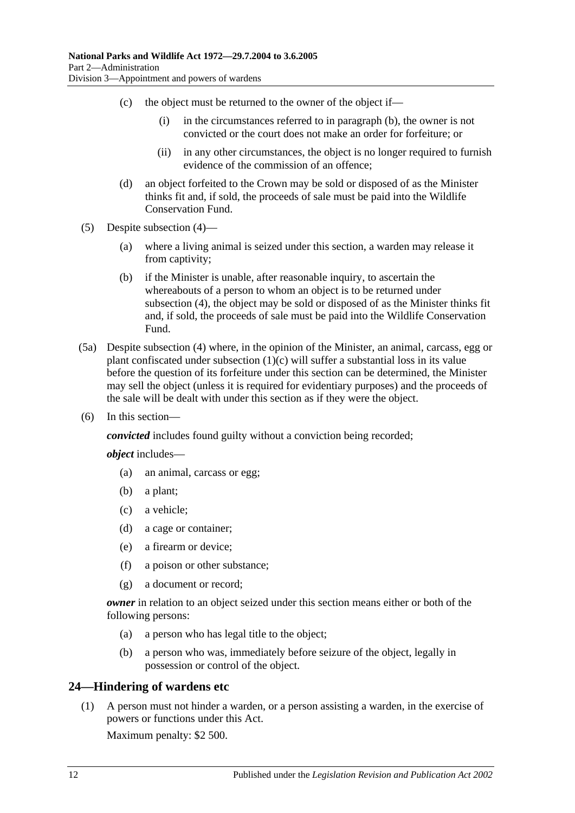- (c) the object must be returned to the owner of the object if—
	- (i) in the circumstances referred to in [paragraph](#page-20-4) (b), the owner is not convicted or the court does not make an order for forfeiture; or
	- (ii) in any other circumstances, the object is no longer required to furnish evidence of the commission of an offence;
- (d) an object forfeited to the Crown may be sold or disposed of as the Minister thinks fit and, if sold, the proceeds of sale must be paid into the Wildlife Conservation Fund.
- (5) Despite [subsection](#page-20-5) (4)—
	- (a) where a living animal is seized under this section, a warden may release it from captivity;
	- (b) if the Minister is unable, after reasonable inquiry, to ascertain the whereabouts of a person to whom an object is to be returned under [subsection](#page-20-5) (4), the object may be sold or disposed of as the Minister thinks fit and, if sold, the proceeds of sale must be paid into the Wildlife Conservation Fund.
- (5a) Despite [subsection](#page-20-5) (4) where, in the opinion of the Minister, an animal, carcass, egg or plant confiscated under [subsection](#page-20-6) (1)(c) will suffer a substantial loss in its value before the question of its forfeiture under this section can be determined, the Minister may sell the object (unless it is required for evidentiary purposes) and the proceeds of the sale will be dealt with under this section as if they were the object.
- (6) In this section—

*convicted* includes found guilty without a conviction being recorded;

*object* includes—

- (a) an animal, carcass or egg;
- (b) a plant;
- (c) a vehicle;
- (d) a cage or container;
- (e) a firearm or device;
- (f) a poison or other substance;
- (g) a document or record;

*owner* in relation to an object seized under this section means either or both of the following persons:

- (a) a person who has legal title to the object;
- (b) a person who was, immediately before seizure of the object, legally in possession or control of the object.

## <span id="page-21-0"></span>**24—Hindering of wardens etc**

(1) A person must not hinder a warden, or a person assisting a warden, in the exercise of powers or functions under this Act.

Maximum penalty: \$2 500.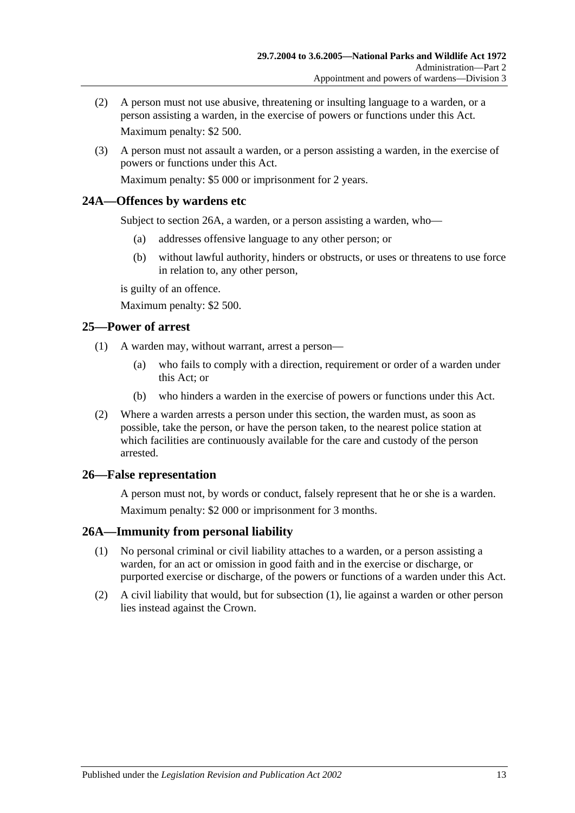- (2) A person must not use abusive, threatening or insulting language to a warden, or a person assisting a warden, in the exercise of powers or functions under this Act. Maximum penalty: \$2 500.
- (3) A person must not assault a warden, or a person assisting a warden, in the exercise of powers or functions under this Act.

Maximum penalty: \$5 000 or imprisonment for 2 years.

## <span id="page-22-0"></span>**24A—Offences by wardens etc**

Subject to [section](#page-22-3) 26A, a warden, or a person assisting a warden, who—

- (a) addresses offensive language to any other person; or
- (b) without lawful authority, hinders or obstructs, or uses or threatens to use force in relation to, any other person,

is guilty of an offence.

Maximum penalty: \$2 500.

## <span id="page-22-1"></span>**25—Power of arrest**

- (1) A warden may, without warrant, arrest a person—
	- (a) who fails to comply with a direction, requirement or order of a warden under this Act; or
	- (b) who hinders a warden in the exercise of powers or functions under this Act.
- (2) Where a warden arrests a person under this section, the warden must, as soon as possible, take the person, or have the person taken, to the nearest police station at which facilities are continuously available for the care and custody of the person arrested.

## <span id="page-22-2"></span>**26—False representation**

A person must not, by words or conduct, falsely represent that he or she is a warden. Maximum penalty: \$2 000 or imprisonment for 3 months.

## <span id="page-22-4"></span><span id="page-22-3"></span>**26A—Immunity from personal liability**

- (1) No personal criminal or civil liability attaches to a warden, or a person assisting a warden, for an act or omission in good faith and in the exercise or discharge, or purported exercise or discharge, of the powers or functions of a warden under this Act.
- (2) A civil liability that would, but for [subsection](#page-22-4) (1), lie against a warden or other person lies instead against the Crown.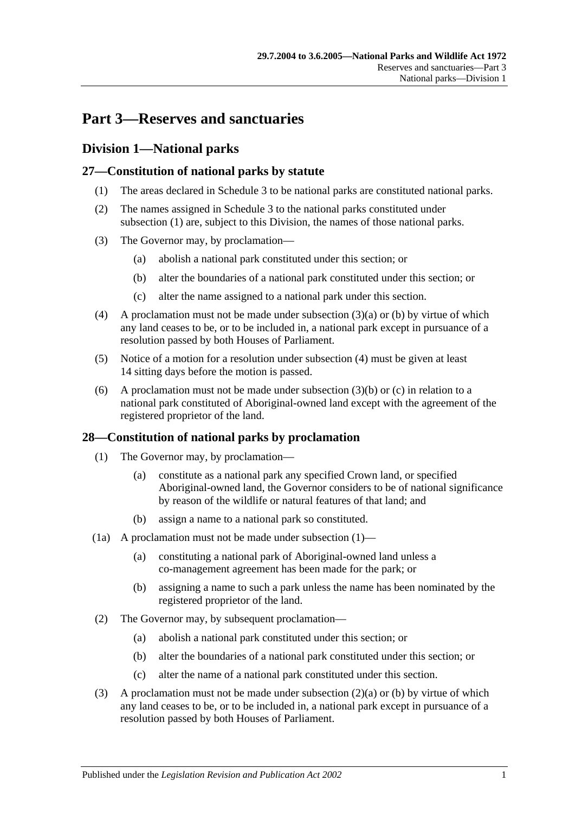# <span id="page-24-0"></span>**Part 3—Reserves and sanctuaries**

## <span id="page-24-1"></span>**Division 1—National parks**

## <span id="page-24-4"></span><span id="page-24-2"></span>**27—Constitution of national parks by statute**

- (1) The areas declared in [Schedule 3](#page-86-0) to be national parks are constituted national parks.
- (2) The names assigned in [Schedule 3](#page-86-0) to the national parks constituted under [subsection](#page-24-4) (1) are, subject to this Division, the names of those national parks.
- <span id="page-24-6"></span><span id="page-24-5"></span>(3) The Governor may, by proclamation—
	- (a) abolish a national park constituted under this section; or
	- (b) alter the boundaries of a national park constituted under this section; or
	- (c) alter the name assigned to a national park under this section.
- <span id="page-24-8"></span><span id="page-24-7"></span>(4) A proclamation must not be made under [subsection](#page-24-5)  $(3)(a)$  or [\(b\)](#page-24-6) by virtue of which any land ceases to be, or to be included in, a national park except in pursuance of a resolution passed by both Houses of Parliament.
- (5) Notice of a motion for a resolution under [subsection](#page-24-7) (4) must be given at least 14 sitting days before the motion is passed.
- (6) A proclamation must not be made under [subsection](#page-24-6)  $(3)(b)$  or  $(c)$  in relation to a national park constituted of Aboriginal-owned land except with the agreement of the registered proprietor of the land.

## <span id="page-24-9"></span><span id="page-24-3"></span>**28—Constitution of national parks by proclamation**

- (1) The Governor may, by proclamation—
	- (a) constitute as a national park any specified Crown land, or specified Aboriginal-owned land, the Governor considers to be of national significance by reason of the wildlife or natural features of that land; and
	- (b) assign a name to a national park so constituted.
- (1a) A proclamation must not be made under [subsection](#page-24-9)  $(1)$ 
	- (a) constituting a national park of Aboriginal-owned land unless a co-management agreement has been made for the park; or
	- (b) assigning a name to such a park unless the name has been nominated by the registered proprietor of the land.
- <span id="page-24-11"></span><span id="page-24-10"></span>(2) The Governor may, by subsequent proclamation—
	- (a) abolish a national park constituted under this section; or
	- (b) alter the boundaries of a national park constituted under this section; or
	- (c) alter the name of a national park constituted under this section.
- <span id="page-24-13"></span><span id="page-24-12"></span>(3) A proclamation must not be made under [subsection](#page-24-10)  $(2)(a)$  or [\(b\)](#page-24-11) by virtue of which any land ceases to be, or to be included in, a national park except in pursuance of a resolution passed by both Houses of Parliament.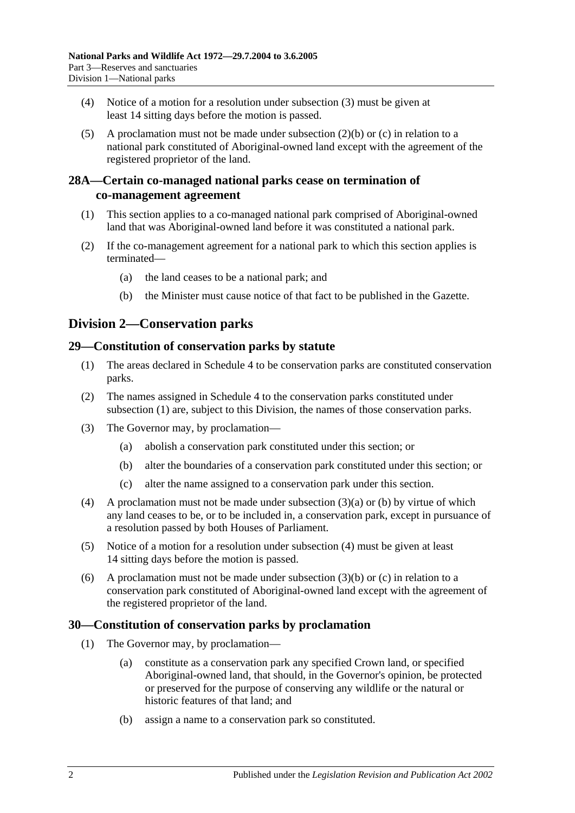- (4) Notice of a motion for a resolution under [subsection](#page-24-12) (3) must be given at least 14 sitting days before the motion is passed.
- (5) A proclamation must not be made under [subsection](#page-24-11) (2)(b) or [\(c\)](#page-24-13) in relation to a national park constituted of Aboriginal-owned land except with the agreement of the registered proprietor of the land.

## <span id="page-25-0"></span>**28A—Certain co-managed national parks cease on termination of co-management agreement**

- (1) This section applies to a co-managed national park comprised of Aboriginal-owned land that was Aboriginal-owned land before it was constituted a national park.
- (2) If the co-management agreement for a national park to which this section applies is terminated—
	- (a) the land ceases to be a national park; and
	- (b) the Minister must cause notice of that fact to be published in the Gazette.

# <span id="page-25-1"></span>**Division 2—Conservation parks**

## <span id="page-25-4"></span><span id="page-25-2"></span>**29—Constitution of conservation parks by statute**

- (1) The areas declared in [Schedule 4](#page-86-1) to be conservation parks are constituted conservation parks.
- (2) The names assigned in [Schedule 4](#page-86-1) to the conservation parks constituted under [subsection](#page-25-4) (1) are, subject to this Division, the names of those conservation parks.
- <span id="page-25-6"></span><span id="page-25-5"></span>(3) The Governor may, by proclamation—
	- (a) abolish a conservation park constituted under this section; or
	- (b) alter the boundaries of a conservation park constituted under this section; or
	- (c) alter the name assigned to a conservation park under this section.
- <span id="page-25-8"></span><span id="page-25-7"></span>(4) A proclamation must not be made under [subsection](#page-25-5) (3)(a) or [\(b\)](#page-25-6) by virtue of which any land ceases to be, or to be included in, a conservation park, except in pursuance of a resolution passed by both Houses of Parliament.
- (5) Notice of a motion for a resolution under [subsection](#page-25-7) (4) must be given at least 14 sitting days before the motion is passed.
- (6) A proclamation must not be made under [subsection](#page-25-6)  $(3)(b)$  or [\(c\)](#page-25-8) in relation to a conservation park constituted of Aboriginal-owned land except with the agreement of the registered proprietor of the land.

## <span id="page-25-9"></span><span id="page-25-3"></span>**30—Constitution of conservation parks by proclamation**

- (1) The Governor may, by proclamation—
	- (a) constitute as a conservation park any specified Crown land, or specified Aboriginal-owned land, that should, in the Governor's opinion, be protected or preserved for the purpose of conserving any wildlife or the natural or historic features of that land; and
	- (b) assign a name to a conservation park so constituted.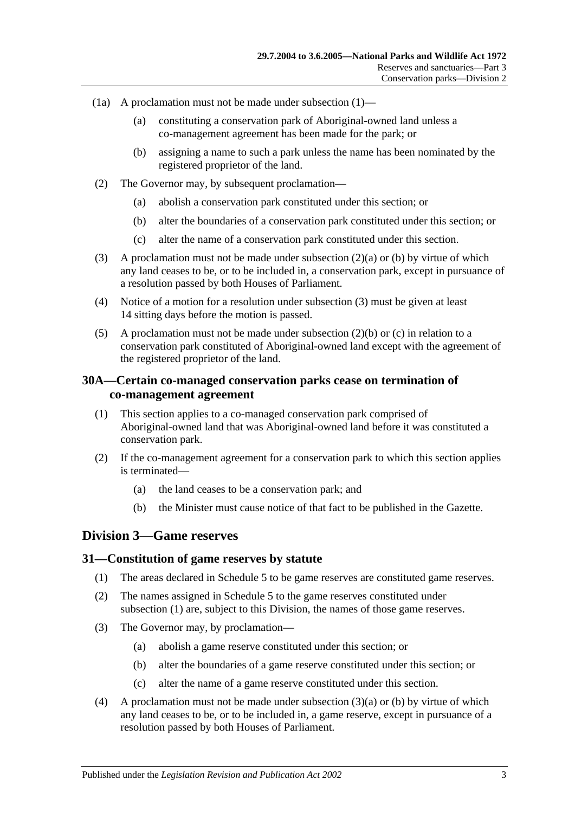- (1a) A proclamation must not be made under [subsection](#page-25-9)  $(1)$ 
	- (a) constituting a conservation park of Aboriginal-owned land unless a co-management agreement has been made for the park; or
	- (b) assigning a name to such a park unless the name has been nominated by the registered proprietor of the land.
- <span id="page-26-4"></span><span id="page-26-3"></span>(2) The Governor may, by subsequent proclamation—
	- (a) abolish a conservation park constituted under this section; or
	- (b) alter the boundaries of a conservation park constituted under this section; or
	- (c) alter the name of a conservation park constituted under this section.
- <span id="page-26-6"></span><span id="page-26-5"></span>(3) A proclamation must not be made under [subsection](#page-26-3) (2)(a) or [\(b\)](#page-26-4) by virtue of which any land ceases to be, or to be included in, a conservation park, except in pursuance of a resolution passed by both Houses of Parliament.
- (4) Notice of a motion for a resolution under [subsection](#page-26-5) (3) must be given at least 14 sitting days before the motion is passed.
- (5) A proclamation must not be made under [subsection](#page-26-4) (2)(b) or [\(c\)](#page-26-6) in relation to a conservation park constituted of Aboriginal-owned land except with the agreement of the registered proprietor of the land.

## <span id="page-26-0"></span>**30A—Certain co-managed conservation parks cease on termination of co-management agreement**

- (1) This section applies to a co-managed conservation park comprised of Aboriginal-owned land that was Aboriginal-owned land before it was constituted a conservation park.
- (2) If the co-management agreement for a conservation park to which this section applies is terminated—
	- (a) the land ceases to be a conservation park; and
	- (b) the Minister must cause notice of that fact to be published in the Gazette.

## <span id="page-26-1"></span>**Division 3—Game reserves**

#### <span id="page-26-7"></span><span id="page-26-2"></span>**31—Constitution of game reserves by statute**

- (1) The areas declared in [Schedule 5](#page-91-0) to be game reserves are constituted game reserves.
- (2) The names assigned in [Schedule 5](#page-91-0) to the game reserves constituted under [subsection](#page-26-7) (1) are, subject to this Division, the names of those game reserves.
- <span id="page-26-9"></span><span id="page-26-8"></span>(3) The Governor may, by proclamation—
	- (a) abolish a game reserve constituted under this section; or
	- (b) alter the boundaries of a game reserve constituted under this section; or
	- (c) alter the name of a game reserve constituted under this section.
- <span id="page-26-10"></span>(4) A proclamation must not be made under [subsection](#page-26-8) (3)(a) or [\(b\)](#page-26-9) by virtue of which any land ceases to be, or to be included in, a game reserve, except in pursuance of a resolution passed by both Houses of Parliament.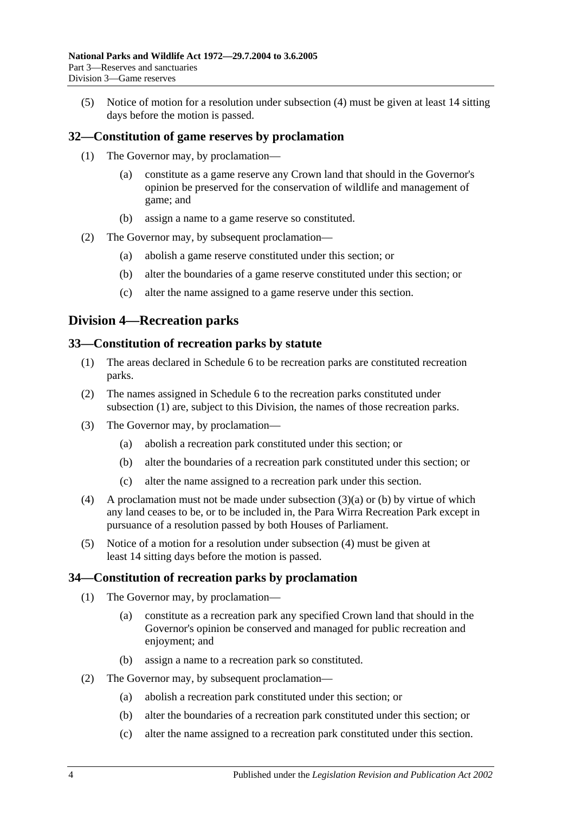(5) Notice of motion for a resolution under [subsection](#page-26-10) (4) must be given at least 14 sitting days before the motion is passed.

## <span id="page-27-0"></span>**32—Constitution of game reserves by proclamation**

- (1) The Governor may, by proclamation—
	- (a) constitute as a game reserve any Crown land that should in the Governor's opinion be preserved for the conservation of wildlife and management of game; and
	- (b) assign a name to a game reserve so constituted.
- (2) The Governor may, by subsequent proclamation—
	- (a) abolish a game reserve constituted under this section; or
	- (b) alter the boundaries of a game reserve constituted under this section; or
	- (c) alter the name assigned to a game reserve under this section.

## <span id="page-27-1"></span>**Division 4—Recreation parks**

#### <span id="page-27-4"></span><span id="page-27-2"></span>**33—Constitution of recreation parks by statute**

- (1) The areas declared in [Schedule 6](#page-92-0) to be recreation parks are constituted recreation parks.
- (2) The names assigned in [Schedule 6](#page-92-0) to the recreation parks constituted under [subsection](#page-27-4) (1) are, subject to this Division, the names of those recreation parks.
- <span id="page-27-6"></span><span id="page-27-5"></span>(3) The Governor may, by proclamation—
	- (a) abolish a recreation park constituted under this section; or
	- (b) alter the boundaries of a recreation park constituted under this section; or
	- (c) alter the name assigned to a recreation park under this section.
- <span id="page-27-7"></span>(4) A proclamation must not be made under [subsection](#page-27-5) (3)(a) or [\(b\)](#page-27-6) by virtue of which any land ceases to be, or to be included in, the Para Wirra Recreation Park except in pursuance of a resolution passed by both Houses of Parliament.
- (5) Notice of a motion for a resolution under [subsection](#page-27-7) (4) must be given at least 14 sitting days before the motion is passed.

#### <span id="page-27-3"></span>**34—Constitution of recreation parks by proclamation**

- (1) The Governor may, by proclamation—
	- (a) constitute as a recreation park any specified Crown land that should in the Governor's opinion be conserved and managed for public recreation and enjoyment; and
	- (b) assign a name to a recreation park so constituted.
- (2) The Governor may, by subsequent proclamation—
	- (a) abolish a recreation park constituted under this section; or
	- (b) alter the boundaries of a recreation park constituted under this section; or
	- (c) alter the name assigned to a recreation park constituted under this section.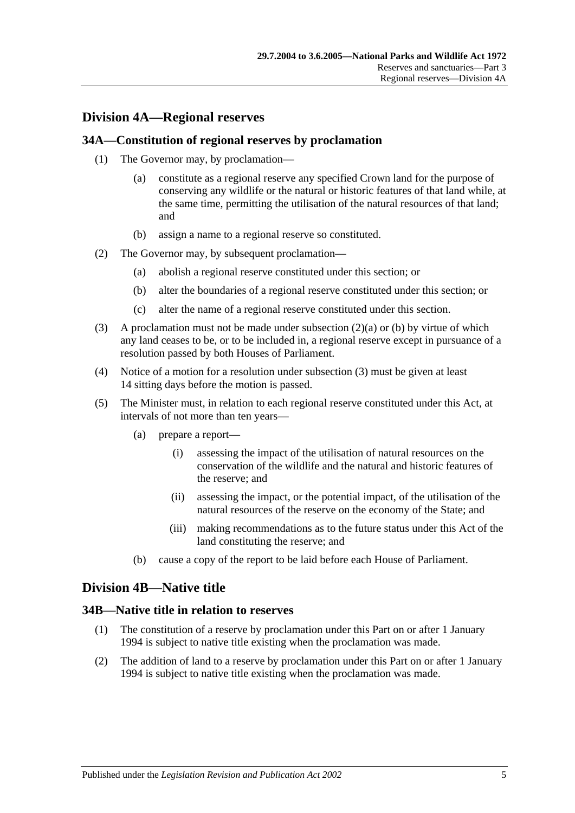# <span id="page-28-0"></span>**Division 4A—Regional reserves**

#### <span id="page-28-1"></span>**34A—Constitution of regional reserves by proclamation**

- (1) The Governor may, by proclamation—
	- (a) constitute as a regional reserve any specified Crown land for the purpose of conserving any wildlife or the natural or historic features of that land while, at the same time, permitting the utilisation of the natural resources of that land; and
	- (b) assign a name to a regional reserve so constituted.
- <span id="page-28-5"></span><span id="page-28-4"></span>(2) The Governor may, by subsequent proclamation—
	- (a) abolish a regional reserve constituted under this section; or
	- (b) alter the boundaries of a regional reserve constituted under this section; or
	- (c) alter the name of a regional reserve constituted under this section.
- <span id="page-28-6"></span>(3) A proclamation must not be made under [subsection](#page-28-4)  $(2)(a)$  or [\(b\)](#page-28-5) by virtue of which any land ceases to be, or to be included in, a regional reserve except in pursuance of a resolution passed by both Houses of Parliament.
- (4) Notice of a motion for a resolution under [subsection](#page-28-6) (3) must be given at least 14 sitting days before the motion is passed.
- (5) The Minister must, in relation to each regional reserve constituted under this Act, at intervals of not more than ten years—
	- (a) prepare a report—
		- (i) assessing the impact of the utilisation of natural resources on the conservation of the wildlife and the natural and historic features of the reserve; and
		- (ii) assessing the impact, or the potential impact, of the utilisation of the natural resources of the reserve on the economy of the State; and
		- (iii) making recommendations as to the future status under this Act of the land constituting the reserve; and
	- (b) cause a copy of the report to be laid before each House of Parliament.

## <span id="page-28-2"></span>**Division 4B—Native title**

#### <span id="page-28-3"></span>**34B—Native title in relation to reserves**

- (1) The constitution of a reserve by proclamation under this Part on or after 1 January 1994 is subject to native title existing when the proclamation was made.
- (2) The addition of land to a reserve by proclamation under this Part on or after 1 January 1994 is subject to native title existing when the proclamation was made.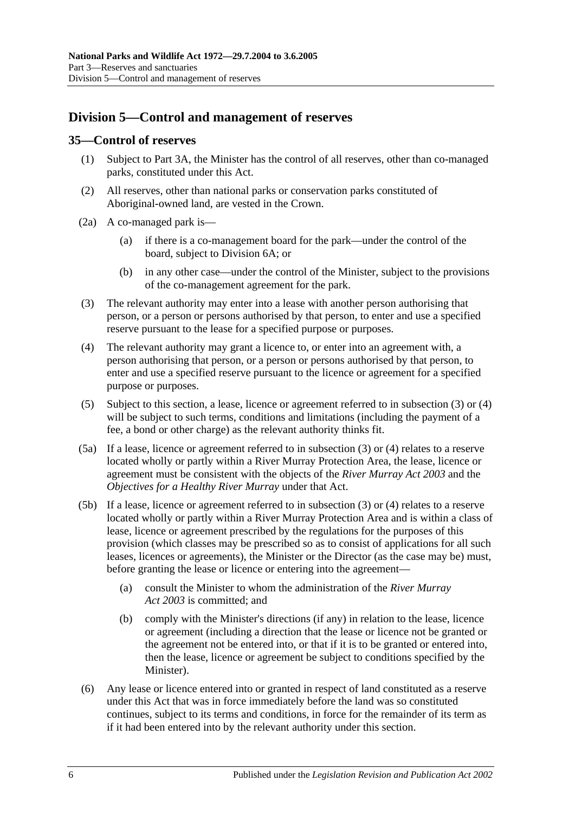# <span id="page-29-0"></span>**Division 5—Control and management of reserves**

### <span id="page-29-1"></span>**35—Control of reserves**

- (1) Subject to [Part 3A,](#page-44-0) the Minister has the control of all reserves, other than co-managed parks, constituted under this Act.
- (2) All reserves, other than national parks or conservation parks constituted of Aboriginal-owned land, are vested in the Crown.
- (2a) A co-managed park is—
	- (a) if there is a co-management board for the park—under the control of the board, subject to [Division 6A;](#page-37-2) or
	- (b) in any other case—under the control of the Minister, subject to the provisions of the co-management agreement for the park.
- <span id="page-29-2"></span>(3) The relevant authority may enter into a lease with another person authorising that person, or a person or persons authorised by that person, to enter and use a specified reserve pursuant to the lease for a specified purpose or purposes.
- <span id="page-29-3"></span>(4) The relevant authority may grant a licence to, or enter into an agreement with, a person authorising that person, or a person or persons authorised by that person, to enter and use a specified reserve pursuant to the licence or agreement for a specified purpose or purposes.
- <span id="page-29-4"></span>(5) Subject to this section, a lease, licence or agreement referred to in [subsection](#page-29-2) (3) or [\(4\)](#page-29-3) will be subject to such terms, conditions and limitations (including the payment of a fee, a bond or other charge) as the relevant authority thinks fit.
- (5a) If a lease, licence or agreement referred to in [subsection](#page-29-2) (3) or [\(4\)](#page-29-3) relates to a reserve located wholly or partly within a River Murray Protection Area, the lease, licence or agreement must be consistent with the objects of the *[River Murray Act](http://www.legislation.sa.gov.au/index.aspx?action=legref&type=act&legtitle=River%20Murray%20Act%202003) 2003* and the *Objectives for a Healthy River Murray* under that Act.
- (5b) If a lease, licence or agreement referred to in [subsection](#page-29-2) (3) or [\(4\)](#page-29-3) relates to a reserve located wholly or partly within a River Murray Protection Area and is within a class of lease, licence or agreement prescribed by the regulations for the purposes of this provision (which classes may be prescribed so as to consist of applications for all such leases, licences or agreements), the Minister or the Director (as the case may be) must, before granting the lease or licence or entering into the agreement—
	- (a) consult the Minister to whom the administration of the *[River Murray](http://www.legislation.sa.gov.au/index.aspx?action=legref&type=act&legtitle=River%20Murray%20Act%202003)  Act [2003](http://www.legislation.sa.gov.au/index.aspx?action=legref&type=act&legtitle=River%20Murray%20Act%202003)* is committed; and
	- (b) comply with the Minister's directions (if any) in relation to the lease, licence or agreement (including a direction that the lease or licence not be granted or the agreement not be entered into, or that if it is to be granted or entered into, then the lease, licence or agreement be subject to conditions specified by the Minister).
- <span id="page-29-5"></span>(6) Any lease or licence entered into or granted in respect of land constituted as a reserve under this Act that was in force immediately before the land was so constituted continues, subject to its terms and conditions, in force for the remainder of its term as if it had been entered into by the relevant authority under this section.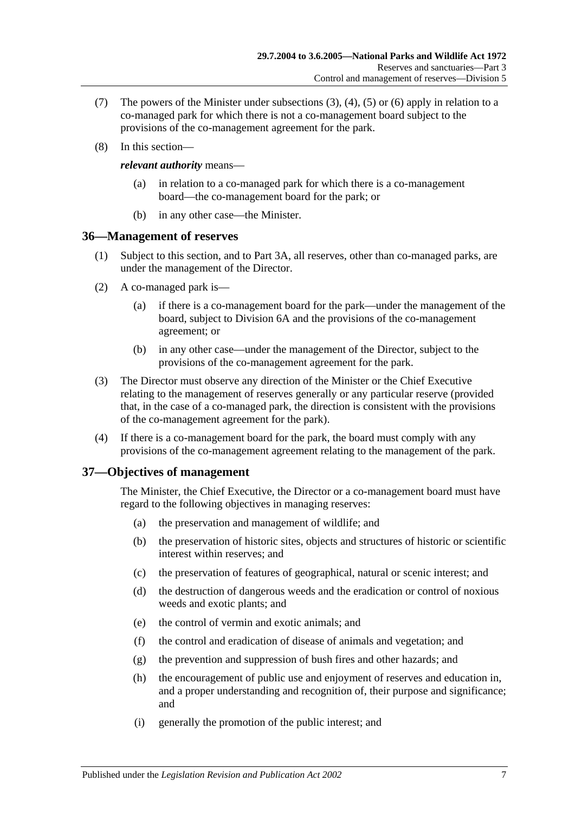- (7) The powers of the Minister under [subsections](#page-29-2) (3), [\(4\),](#page-29-3) [\(5\)](#page-29-4) or [\(6\)](#page-29-5) apply in relation to a co-managed park for which there is not a co-management board subject to the provisions of the co-management agreement for the park.
- (8) In this section—

#### *relevant authority* means—

- (a) in relation to a co-managed park for which there is a co-management board—the co-management board for the park; or
- (b) in any other case—the Minister.

#### <span id="page-30-0"></span>**36—Management of reserves**

- (1) Subject to this section, and to [Part 3A,](#page-44-0) all reserves, other than co-managed parks, are under the management of the Director.
- (2) A co-managed park is—
	- (a) if there is a co-management board for the park—under the management of the board, subject to [Division 6A](#page-37-2) and the provisions of the co-management agreement; or
	- (b) in any other case—under the management of the Director, subject to the provisions of the co-management agreement for the park.
- (3) The Director must observe any direction of the Minister or the Chief Executive relating to the management of reserves generally or any particular reserve (provided that, in the case of a co-managed park, the direction is consistent with the provisions of the co-management agreement for the park).
- (4) If there is a co-management board for the park, the board must comply with any provisions of the co-management agreement relating to the management of the park.

## <span id="page-30-1"></span>**37—Objectives of management**

The Minister, the Chief Executive, the Director or a co-management board must have regard to the following objectives in managing reserves:

- (a) the preservation and management of wildlife; and
- (b) the preservation of historic sites, objects and structures of historic or scientific interest within reserves; and
- (c) the preservation of features of geographical, natural or scenic interest; and
- (d) the destruction of dangerous weeds and the eradication or control of noxious weeds and exotic plants; and
- (e) the control of vermin and exotic animals; and
- (f) the control and eradication of disease of animals and vegetation; and
- (g) the prevention and suppression of bush fires and other hazards; and
- (h) the encouragement of public use and enjoyment of reserves and education in, and a proper understanding and recognition of, their purpose and significance; and
- (i) generally the promotion of the public interest; and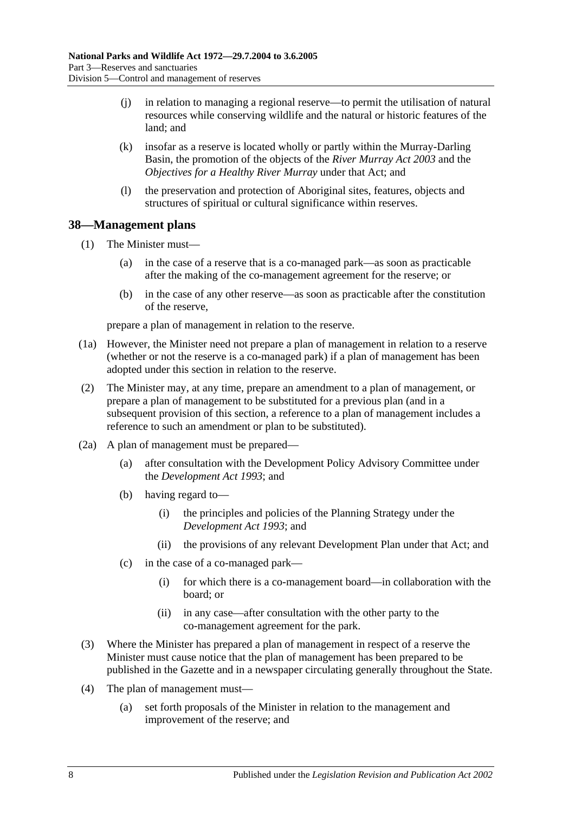- (j) in relation to managing a regional reserve—to permit the utilisation of natural resources while conserving wildlife and the natural or historic features of the land; and
- (k) insofar as a reserve is located wholly or partly within the Murray-Darling Basin, the promotion of the objects of the *[River Murray Act](http://www.legislation.sa.gov.au/index.aspx?action=legref&type=act&legtitle=River%20Murray%20Act%202003) 2003* and the *Objectives for a Healthy River Murray* under that Act; and
- (l) the preservation and protection of Aboriginal sites, features, objects and structures of spiritual or cultural significance within reserves.

## <span id="page-31-0"></span>**38—Management plans**

- (1) The Minister must—
	- (a) in the case of a reserve that is a co-managed park—as soon as practicable after the making of the co-management agreement for the reserve; or
	- (b) in the case of any other reserve—as soon as practicable after the constitution of the reserve,

prepare a plan of management in relation to the reserve.

- (1a) However, the Minister need not prepare a plan of management in relation to a reserve (whether or not the reserve is a co-managed park) if a plan of management has been adopted under this section in relation to the reserve.
- (2) The Minister may, at any time, prepare an amendment to a plan of management, or prepare a plan of management to be substituted for a previous plan (and in a subsequent provision of this section, a reference to a plan of management includes a reference to such an amendment or plan to be substituted).
- (2a) A plan of management must be prepared—
	- (a) after consultation with the Development Policy Advisory Committee under the *[Development Act](http://www.legislation.sa.gov.au/index.aspx?action=legref&type=act&legtitle=Development%20Act%201993) 1993*; and
	- (b) having regard to—
		- (i) the principles and policies of the Planning Strategy under the *[Development Act](http://www.legislation.sa.gov.au/index.aspx?action=legref&type=act&legtitle=Development%20Act%201993) 1993*; and
		- (ii) the provisions of any relevant Development Plan under that Act; and
	- (c) in the case of a co-managed park—
		- (i) for which there is a co-management board—in collaboration with the board; or
		- (ii) in any case—after consultation with the other party to the co-management agreement for the park.
- (3) Where the Minister has prepared a plan of management in respect of a reserve the Minister must cause notice that the plan of management has been prepared to be published in the Gazette and in a newspaper circulating generally throughout the State.
- (4) The plan of management must—
	- (a) set forth proposals of the Minister in relation to the management and improvement of the reserve; and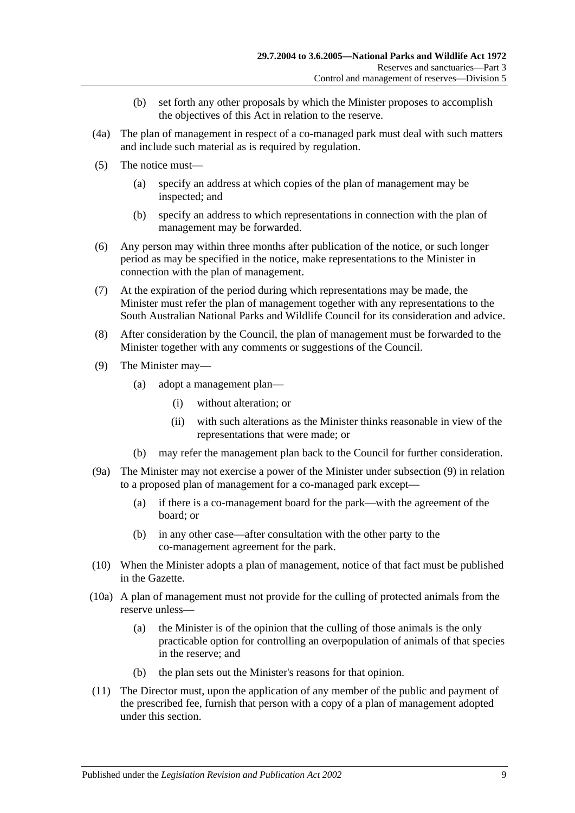- (b) set forth any other proposals by which the Minister proposes to accomplish the objectives of this Act in relation to the reserve.
- (4a) The plan of management in respect of a co-managed park must deal with such matters and include such material as is required by regulation.
- (5) The notice must—
	- (a) specify an address at which copies of the plan of management may be inspected; and
	- (b) specify an address to which representations in connection with the plan of management may be forwarded.
- (6) Any person may within three months after publication of the notice, or such longer period as may be specified in the notice, make representations to the Minister in connection with the plan of management.
- (7) At the expiration of the period during which representations may be made, the Minister must refer the plan of management together with any representations to the South Australian National Parks and Wildlife Council for its consideration and advice.
- (8) After consideration by the Council, the plan of management must be forwarded to the Minister together with any comments or suggestions of the Council.
- <span id="page-32-0"></span>(9) The Minister may—
	- (a) adopt a management plan—
		- (i) without alteration; or
		- (ii) with such alterations as the Minister thinks reasonable in view of the representations that were made; or
	- (b) may refer the management plan back to the Council for further consideration.
- (9a) The Minister may not exercise a power of the Minister under [subsection](#page-32-0) (9) in relation to a proposed plan of management for a co-managed park except—
	- (a) if there is a co-management board for the park—with the agreement of the board; or
	- (b) in any other case—after consultation with the other party to the co-management agreement for the park.
- (10) When the Minister adopts a plan of management, notice of that fact must be published in the Gazette.
- (10a) A plan of management must not provide for the culling of protected animals from the reserve unless—
	- (a) the Minister is of the opinion that the culling of those animals is the only practicable option for controlling an overpopulation of animals of that species in the reserve; and
	- (b) the plan sets out the Minister's reasons for that opinion.
- (11) The Director must, upon the application of any member of the public and payment of the prescribed fee, furnish that person with a copy of a plan of management adopted under this section.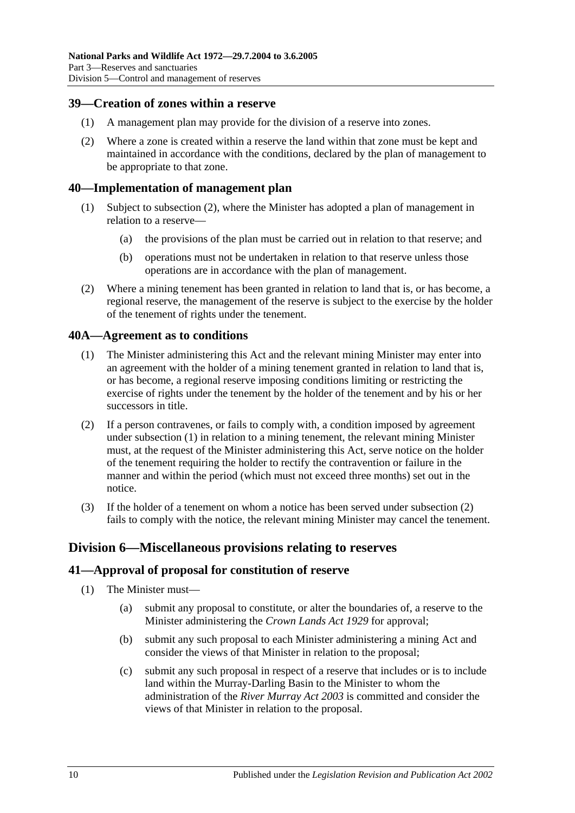#### <span id="page-33-0"></span>**39—Creation of zones within a reserve**

- (1) A management plan may provide for the division of a reserve into zones.
- (2) Where a zone is created within a reserve the land within that zone must be kept and maintained in accordance with the conditions, declared by the plan of management to be appropriate to that zone.

#### <span id="page-33-1"></span>**40—Implementation of management plan**

- (1) Subject to [subsection](#page-33-5) (2), where the Minister has adopted a plan of management in relation to a reserve—
	- (a) the provisions of the plan must be carried out in relation to that reserve; and
	- (b) operations must not be undertaken in relation to that reserve unless those operations are in accordance with the plan of management.
- <span id="page-33-5"></span>(2) Where a mining tenement has been granted in relation to land that is, or has become, a regional reserve, the management of the reserve is subject to the exercise by the holder of the tenement of rights under the tenement.

## <span id="page-33-6"></span><span id="page-33-2"></span>**40A—Agreement as to conditions**

- (1) The Minister administering this Act and the relevant mining Minister may enter into an agreement with the holder of a mining tenement granted in relation to land that is, or has become, a regional reserve imposing conditions limiting or restricting the exercise of rights under the tenement by the holder of the tenement and by his or her successors in title.
- <span id="page-33-7"></span>(2) If a person contravenes, or fails to comply with, a condition imposed by agreement under [subsection](#page-33-6) (1) in relation to a mining tenement, the relevant mining Minister must, at the request of the Minister administering this Act, serve notice on the holder of the tenement requiring the holder to rectify the contravention or failure in the manner and within the period (which must not exceed three months) set out in the notice.
- (3) If the holder of a tenement on whom a notice has been served under [subsection](#page-33-7) (2) fails to comply with the notice, the relevant mining Minister may cancel the tenement.

## <span id="page-33-3"></span>**Division 6—Miscellaneous provisions relating to reserves**

#### <span id="page-33-4"></span>**41—Approval of proposal for constitution of reserve**

- (1) The Minister must—
	- (a) submit any proposal to constitute, or alter the boundaries of, a reserve to the Minister administering the *[Crown Lands Act](http://www.legislation.sa.gov.au/index.aspx?action=legref&type=act&legtitle=Crown%20Lands%20Act%201929) 1929* for approval;
	- (b) submit any such proposal to each Minister administering a mining Act and consider the views of that Minister in relation to the proposal;
	- (c) submit any such proposal in respect of a reserve that includes or is to include land within the Murray-Darling Basin to the Minister to whom the administration of the *[River Murray Act](http://www.legislation.sa.gov.au/index.aspx?action=legref&type=act&legtitle=River%20Murray%20Act%202003) 2003* is committed and consider the views of that Minister in relation to the proposal.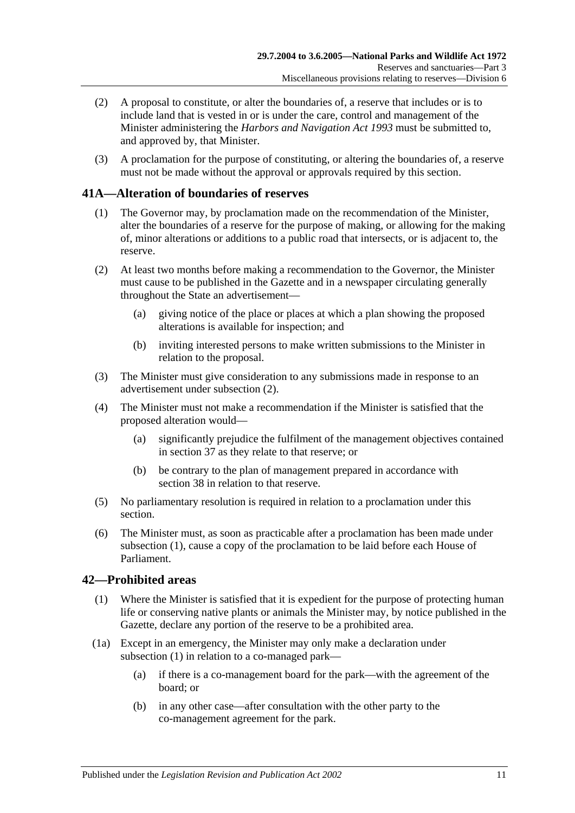- (2) A proposal to constitute, or alter the boundaries of, a reserve that includes or is to include land that is vested in or is under the care, control and management of the Minister administering the *[Harbors and Navigation Act](http://www.legislation.sa.gov.au/index.aspx?action=legref&type=act&legtitle=Harbors%20and%20Navigation%20Act%201993) 1993* must be submitted to, and approved by, that Minister.
- (3) A proclamation for the purpose of constituting, or altering the boundaries of, a reserve must not be made without the approval or approvals required by this section.

## <span id="page-34-3"></span><span id="page-34-0"></span>**41A—Alteration of boundaries of reserves**

- (1) The Governor may, by proclamation made on the recommendation of the Minister, alter the boundaries of a reserve for the purpose of making, or allowing for the making of, minor alterations or additions to a public road that intersects, or is adjacent to, the reserve.
- <span id="page-34-2"></span>(2) At least two months before making a recommendation to the Governor, the Minister must cause to be published in the Gazette and in a newspaper circulating generally throughout the State an advertisement—
	- (a) giving notice of the place or places at which a plan showing the proposed alterations is available for inspection; and
	- (b) inviting interested persons to make written submissions to the Minister in relation to the proposal.
- (3) The Minister must give consideration to any submissions made in response to an advertisement under [subsection](#page-34-2) (2).
- (4) The Minister must not make a recommendation if the Minister is satisfied that the proposed alteration would—
	- (a) significantly prejudice the fulfilment of the management objectives contained in [section](#page-30-1) 37 as they relate to that reserve; or
	- (b) be contrary to the plan of management prepared in accordance with [section](#page-31-0) 38 in relation to that reserve.
- (5) No parliamentary resolution is required in relation to a proclamation under this section.
- (6) The Minister must, as soon as practicable after a proclamation has been made under [subsection](#page-34-3) (1), cause a copy of the proclamation to be laid before each House of Parliament.

## <span id="page-34-4"></span><span id="page-34-1"></span>**42—Prohibited areas**

- (1) Where the Minister is satisfied that it is expedient for the purpose of protecting human life or conserving native plants or animals the Minister may, by notice published in the Gazette, declare any portion of the reserve to be a prohibited area.
- (1a) Except in an emergency, the Minister may only make a declaration under [subsection](#page-34-4) (1) in relation to a co-managed park—
	- (a) if there is a co-management board for the park—with the agreement of the board; or
	- (b) in any other case—after consultation with the other party to the co-management agreement for the park.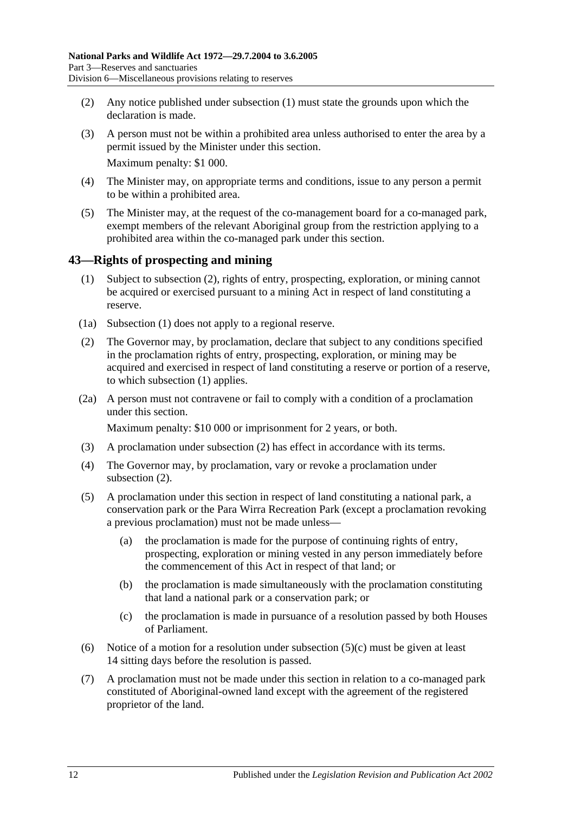- (2) Any notice published under [subsection](#page-34-4) (1) must state the grounds upon which the declaration is made.
- (3) A person must not be within a prohibited area unless authorised to enter the area by a permit issued by the Minister under this section. Maximum penalty: \$1 000.
- (4) The Minister may, on appropriate terms and conditions, issue to any person a permit to be within a prohibited area.
- (5) The Minister may, at the request of the co-management board for a co-managed park, exempt members of the relevant Aboriginal group from the restriction applying to a prohibited area within the co-managed park under this section.

## <span id="page-35-2"></span><span id="page-35-0"></span>**43—Rights of prospecting and mining**

- (1) Subject to [subsection](#page-35-1) (2), rights of entry, prospecting, exploration, or mining cannot be acquired or exercised pursuant to a mining Act in respect of land constituting a reserve.
- (1a) [Subsection](#page-35-2) (1) does not apply to a regional reserve.
- <span id="page-35-1"></span>(2) The Governor may, by proclamation, declare that subject to any conditions specified in the proclamation rights of entry, prospecting, exploration, or mining may be acquired and exercised in respect of land constituting a reserve or portion of a reserve, to which [subsection](#page-35-2) (1) applies.
- (2a) A person must not contravene or fail to comply with a condition of a proclamation under this section.

Maximum penalty: \$10 000 or imprisonment for 2 years, or both.

- (3) A proclamation under [subsection](#page-35-1) (2) has effect in accordance with its terms.
- (4) The Governor may, by proclamation, vary or revoke a proclamation under [subsection](#page-35-1) (2).
- (5) A proclamation under this section in respect of land constituting a national park, a conservation park or the Para Wirra Recreation Park (except a proclamation revoking a previous proclamation) must not be made unless—
	- (a) the proclamation is made for the purpose of continuing rights of entry, prospecting, exploration or mining vested in any person immediately before the commencement of this Act in respect of that land; or
	- (b) the proclamation is made simultaneously with the proclamation constituting that land a national park or a conservation park; or
	- (c) the proclamation is made in pursuance of a resolution passed by both Houses of Parliament.
- <span id="page-35-3"></span>(6) Notice of a motion for a resolution under [subsection](#page-35-3)  $(5)(c)$  must be given at least 14 sitting days before the resolution is passed.
- (7) A proclamation must not be made under this section in relation to a co-managed park constituted of Aboriginal-owned land except with the agreement of the registered proprietor of the land.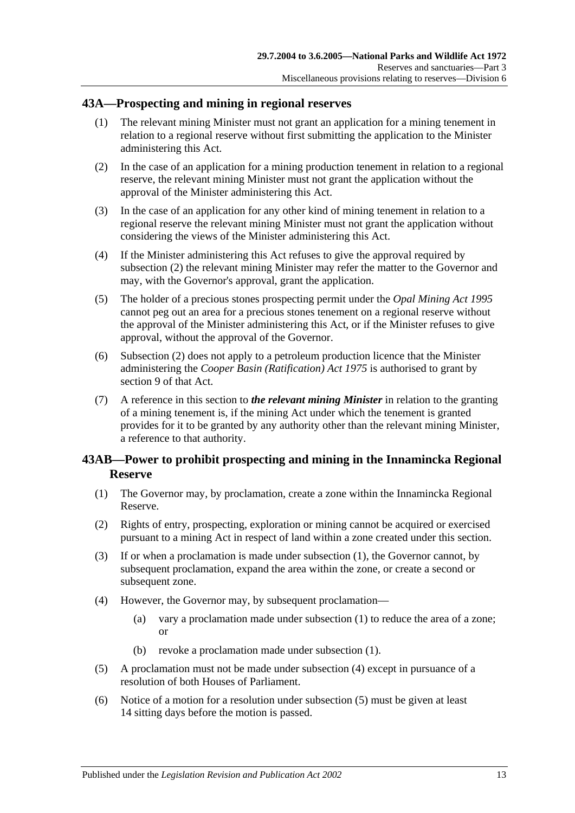#### **43A—Prospecting and mining in regional reserves**

- (1) The relevant mining Minister must not grant an application for a mining tenement in relation to a regional reserve without first submitting the application to the Minister administering this Act.
- <span id="page-36-0"></span>(2) In the case of an application for a mining production tenement in relation to a regional reserve, the relevant mining Minister must not grant the application without the approval of the Minister administering this Act.
- (3) In the case of an application for any other kind of mining tenement in relation to a regional reserve the relevant mining Minister must not grant the application without considering the views of the Minister administering this Act.
- (4) If the Minister administering this Act refuses to give the approval required by [subsection](#page-36-0) (2) the relevant mining Minister may refer the matter to the Governor and may, with the Governor's approval, grant the application.
- (5) The holder of a precious stones prospecting permit under the *[Opal Mining Act](http://www.legislation.sa.gov.au/index.aspx?action=legref&type=act&legtitle=Opal%20Mining%20Act%201995) 1995* cannot peg out an area for a precious stones tenement on a regional reserve without the approval of the Minister administering this Act, or if the Minister refuses to give approval, without the approval of the Governor.
- (6) [Subsection](#page-36-0) (2) does not apply to a petroleum production licence that the Minister administering the *[Cooper Basin \(Ratification\) Act](http://www.legislation.sa.gov.au/index.aspx?action=legref&type=act&legtitle=Cooper%20Basin%20(Ratification)%20Act%201975) 1975* is authorised to grant by section 9 of that Act.
- (7) A reference in this section to *the relevant mining Minister* in relation to the granting of a mining tenement is, if the mining Act under which the tenement is granted provides for it to be granted by any authority other than the relevant mining Minister, a reference to that authority.

### <span id="page-36-4"></span>**43AB—Power to prohibit prospecting and mining in the Innamincka Regional Reserve**

- <span id="page-36-1"></span>(1) The Governor may, by proclamation, create a zone within the Innamincka Regional Reserve.
- (2) Rights of entry, prospecting, exploration or mining cannot be acquired or exercised pursuant to a mining Act in respect of land within a zone created under this section.
- (3) If or when a proclamation is made under [subsection](#page-36-1) (1), the Governor cannot, by subsequent proclamation, expand the area within the zone, or create a second or subsequent zone.
- <span id="page-36-2"></span>(4) However, the Governor may, by subsequent proclamation—
	- (a) vary a proclamation made under [subsection](#page-36-1) (1) to reduce the area of a zone; or
	- (b) revoke a proclamation made under [subsection](#page-36-1) (1).
- <span id="page-36-3"></span>(5) A proclamation must not be made under [subsection](#page-36-2) (4) except in pursuance of a resolution of both Houses of Parliament.
- (6) Notice of a motion for a resolution under [subsection](#page-36-3) (5) must be given at least 14 sitting days before the motion is passed.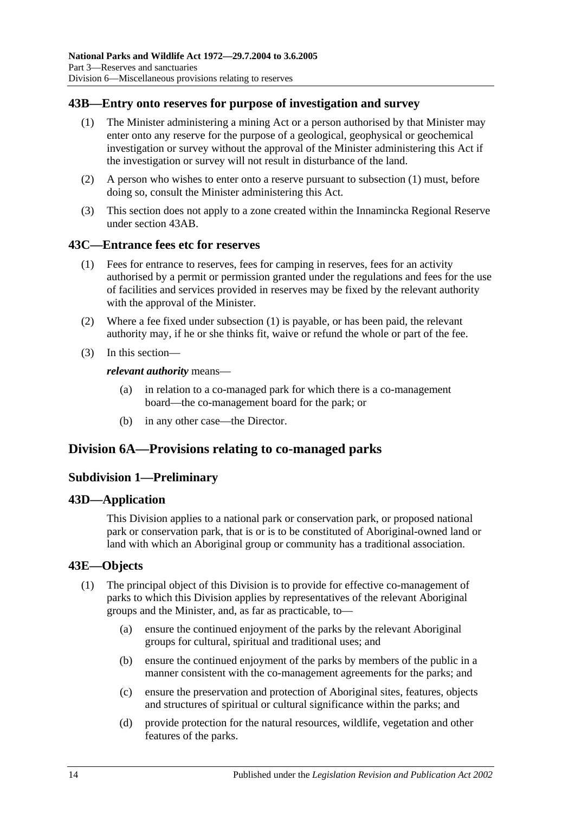### <span id="page-37-0"></span>**43B—Entry onto reserves for purpose of investigation and survey**

- (1) The Minister administering a mining Act or a person authorised by that Minister may enter onto any reserve for the purpose of a geological, geophysical or geochemical investigation or survey without the approval of the Minister administering this Act if the investigation or survey will not result in disturbance of the land.
- (2) A person who wishes to enter onto a reserve pursuant to [subsection](#page-37-0) (1) must, before doing so, consult the Minister administering this Act.
- (3) This section does not apply to a zone created within the Innamincka Regional Reserve under [section](#page-36-4) 43AB.

#### <span id="page-37-1"></span>**43C—Entrance fees etc for reserves**

- (1) Fees for entrance to reserves, fees for camping in reserves, fees for an activity authorised by a permit or permission granted under the regulations and fees for the use of facilities and services provided in reserves may be fixed by the relevant authority with the approval of the Minister.
- (2) Where a fee fixed under [subsection](#page-37-1) (1) is payable, or has been paid, the relevant authority may, if he or she thinks fit, waive or refund the whole or part of the fee.
- (3) In this section—

#### *relevant authority* means—

- (a) in relation to a co-managed park for which there is a co-management board—the co-management board for the park; or
- (b) in any other case—the Director.

### **Division 6A—Provisions relating to co-managed parks**

#### **Subdivision 1—Preliminary**

#### **43D—Application**

This Division applies to a national park or conservation park, or proposed national park or conservation park, that is or is to be constituted of Aboriginal-owned land or land with which an Aboriginal group or community has a traditional association.

#### **43E—Objects**

- (1) The principal object of this Division is to provide for effective co-management of parks to which this Division applies by representatives of the relevant Aboriginal groups and the Minister, and, as far as practicable, to—
	- (a) ensure the continued enjoyment of the parks by the relevant Aboriginal groups for cultural, spiritual and traditional uses; and
	- (b) ensure the continued enjoyment of the parks by members of the public in a manner consistent with the co-management agreements for the parks; and
	- (c) ensure the preservation and protection of Aboriginal sites, features, objects and structures of spiritual or cultural significance within the parks; and
	- (d) provide protection for the natural resources, wildlife, vegetation and other features of the parks.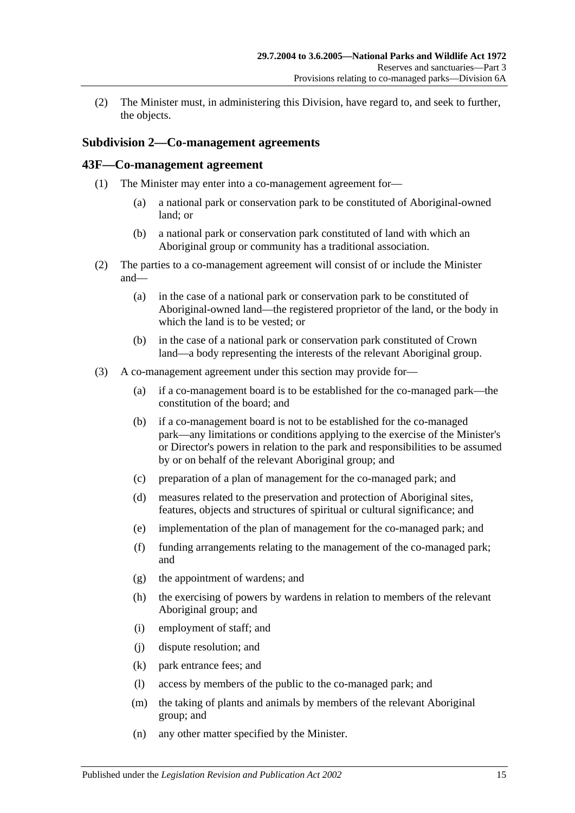(2) The Minister must, in administering this Division, have regard to, and seek to further, the objects.

#### **Subdivision 2—Co-management agreements**

#### **43F—Co-management agreement**

- (1) The Minister may enter into a co-management agreement for—
	- (a) a national park or conservation park to be constituted of Aboriginal-owned land; or
	- (b) a national park or conservation park constituted of land with which an Aboriginal group or community has a traditional association.
- (2) The parties to a co-management agreement will consist of or include the Minister and—
	- (a) in the case of a national park or conservation park to be constituted of Aboriginal-owned land—the registered proprietor of the land, or the body in which the land is to be vested; or
	- (b) in the case of a national park or conservation park constituted of Crown land—a body representing the interests of the relevant Aboriginal group.
- (3) A co-management agreement under this section may provide for—
	- (a) if a co-management board is to be established for the co-managed park—the constitution of the board; and
	- (b) if a co-management board is not to be established for the co-managed park—any limitations or conditions applying to the exercise of the Minister's or Director's powers in relation to the park and responsibilities to be assumed by or on behalf of the relevant Aboriginal group; and
	- (c) preparation of a plan of management for the co-managed park; and
	- (d) measures related to the preservation and protection of Aboriginal sites, features, objects and structures of spiritual or cultural significance; and
	- (e) implementation of the plan of management for the co-managed park; and
	- (f) funding arrangements relating to the management of the co-managed park; and
	- (g) the appointment of wardens; and
	- (h) the exercising of powers by wardens in relation to members of the relevant Aboriginal group; and
	- (i) employment of staff; and
	- (j) dispute resolution; and
	- (k) park entrance fees; and
	- (l) access by members of the public to the co-managed park; and
	- (m) the taking of plants and animals by members of the relevant Aboriginal group; and
	- (n) any other matter specified by the Minister.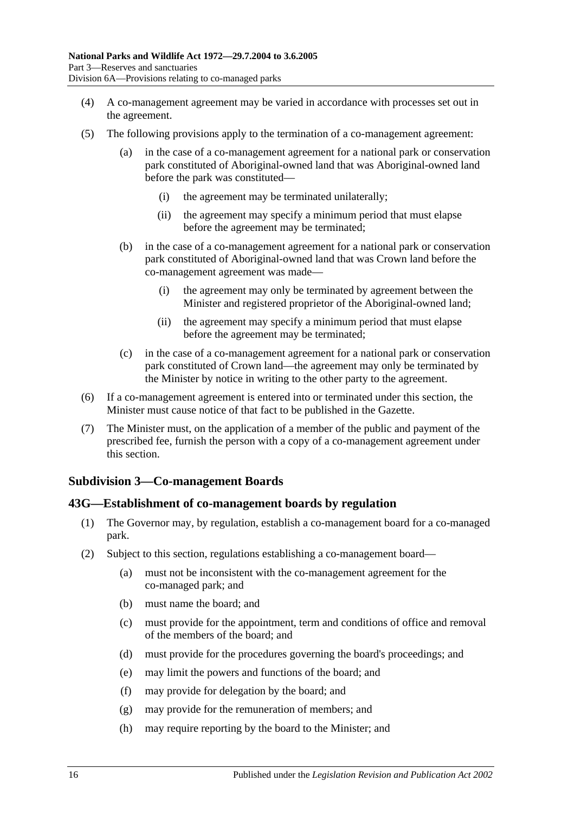- (4) A co-management agreement may be varied in accordance with processes set out in the agreement.
- (5) The following provisions apply to the termination of a co-management agreement:
	- (a) in the case of a co-management agreement for a national park or conservation park constituted of Aboriginal-owned land that was Aboriginal-owned land before the park was constituted—
		- (i) the agreement may be terminated unilaterally;
		- (ii) the agreement may specify a minimum period that must elapse before the agreement may be terminated;
	- (b) in the case of a co-management agreement for a national park or conservation park constituted of Aboriginal-owned land that was Crown land before the co-management agreement was made—
		- (i) the agreement may only be terminated by agreement between the Minister and registered proprietor of the Aboriginal-owned land;
		- (ii) the agreement may specify a minimum period that must elapse before the agreement may be terminated;
	- (c) in the case of a co-management agreement for a national park or conservation park constituted of Crown land—the agreement may only be terminated by the Minister by notice in writing to the other party to the agreement.
- (6) If a co-management agreement is entered into or terminated under this section, the Minister must cause notice of that fact to be published in the Gazette.
- (7) The Minister must, on the application of a member of the public and payment of the prescribed fee, furnish the person with a copy of a co-management agreement under this section.

### **Subdivision 3—Co-management Boards**

#### **43G—Establishment of co-management boards by regulation**

- (1) The Governor may, by regulation, establish a co-management board for a co-managed park.
- <span id="page-39-0"></span>(2) Subject to this section, regulations establishing a co-management board—
	- (a) must not be inconsistent with the co-management agreement for the co-managed park; and
	- (b) must name the board; and
	- (c) must provide for the appointment, term and conditions of office and removal of the members of the board; and
	- (d) must provide for the procedures governing the board's proceedings; and
	- (e) may limit the powers and functions of the board; and
	- (f) may provide for delegation by the board; and
	- (g) may provide for the remuneration of members; and
	- (h) may require reporting by the board to the Minister; and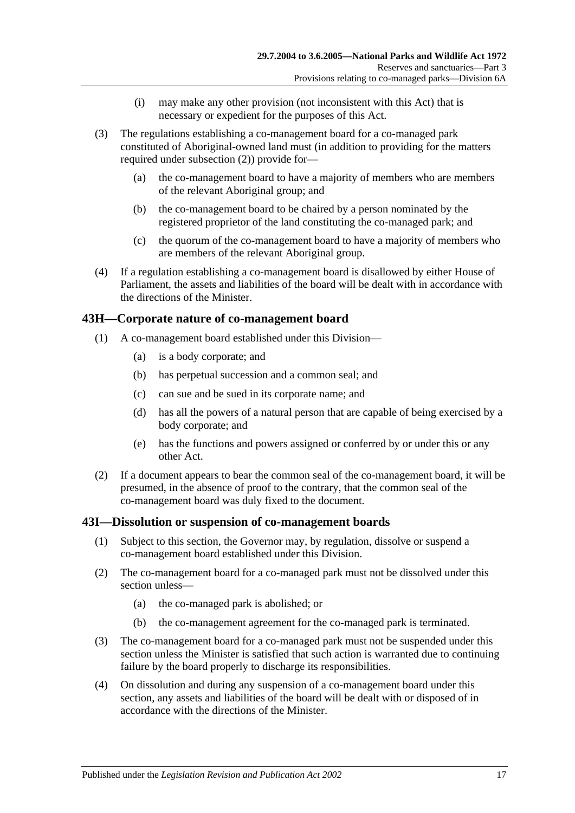- (i) may make any other provision (not inconsistent with this Act) that is necessary or expedient for the purposes of this Act.
- (3) The regulations establishing a co-management board for a co-managed park constituted of Aboriginal-owned land must (in addition to providing for the matters required under [subsection](#page-39-0) (2)) provide for—
	- (a) the co-management board to have a majority of members who are members of the relevant Aboriginal group; and
	- (b) the co-management board to be chaired by a person nominated by the registered proprietor of the land constituting the co-managed park; and
	- (c) the quorum of the co-management board to have a majority of members who are members of the relevant Aboriginal group.
- (4) If a regulation establishing a co-management board is disallowed by either House of Parliament, the assets and liabilities of the board will be dealt with in accordance with the directions of the Minister.

#### **43H—Corporate nature of co-management board**

- (1) A co-management board established under this Division—
	- (a) is a body corporate; and
	- (b) has perpetual succession and a common seal; and
	- (c) can sue and be sued in its corporate name; and
	- (d) has all the powers of a natural person that are capable of being exercised by a body corporate; and
	- (e) has the functions and powers assigned or conferred by or under this or any other Act.
- (2) If a document appears to bear the common seal of the co-management board, it will be presumed, in the absence of proof to the contrary, that the common seal of the co-management board was duly fixed to the document.

#### **43I—Dissolution or suspension of co-management boards**

- (1) Subject to this section, the Governor may, by regulation, dissolve or suspend a co-management board established under this Division.
- (2) The co-management board for a co-managed park must not be dissolved under this section unless—
	- (a) the co-managed park is abolished; or
	- (b) the co-management agreement for the co-managed park is terminated.
- (3) The co-management board for a co-managed park must not be suspended under this section unless the Minister is satisfied that such action is warranted due to continuing failure by the board properly to discharge its responsibilities.
- (4) On dissolution and during any suspension of a co-management board under this section, any assets and liabilities of the board will be dealt with or disposed of in accordance with the directions of the Minister.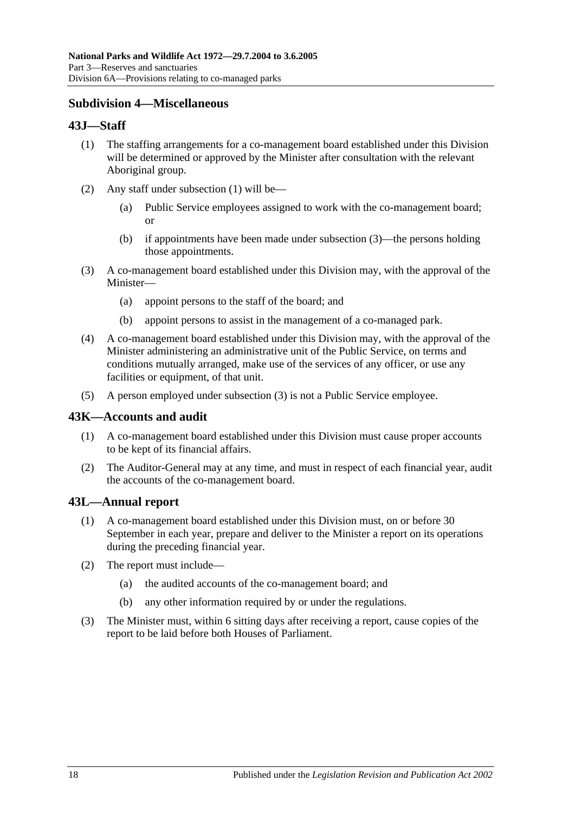### **Subdivision 4—Miscellaneous**

#### <span id="page-41-0"></span>**43J—Staff**

- (1) The staffing arrangements for a co-management board established under this Division will be determined or approved by the Minister after consultation with the relevant Aboriginal group.
- (2) Any staff under [subsection](#page-41-0) (1) will be—
	- (a) Public Service employees assigned to work with the co-management board; or
	- (b) if appointments have been made under [subsection](#page-41-1) (3)—the persons holding those appointments.
- <span id="page-41-1"></span>(3) A co-management board established under this Division may, with the approval of the Minister—
	- (a) appoint persons to the staff of the board; and
	- (b) appoint persons to assist in the management of a co-managed park.
- (4) A co-management board established under this Division may, with the approval of the Minister administering an administrative unit of the Public Service, on terms and conditions mutually arranged, make use of the services of any officer, or use any facilities or equipment, of that unit.
- (5) A person employed under [subsection](#page-41-1) (3) is not a Public Service employee.

#### **43K—Accounts and audit**

- (1) A co-management board established under this Division must cause proper accounts to be kept of its financial affairs.
- (2) The Auditor-General may at any time, and must in respect of each financial year, audit the accounts of the co-management board.

#### **43L—Annual report**

- (1) A co-management board established under this Division must, on or before 30 September in each year, prepare and deliver to the Minister a report on its operations during the preceding financial year.
- (2) The report must include—
	- (a) the audited accounts of the co-management board; and
	- (b) any other information required by or under the regulations.
- (3) The Minister must, within 6 sitting days after receiving a report, cause copies of the report to be laid before both Houses of Parliament.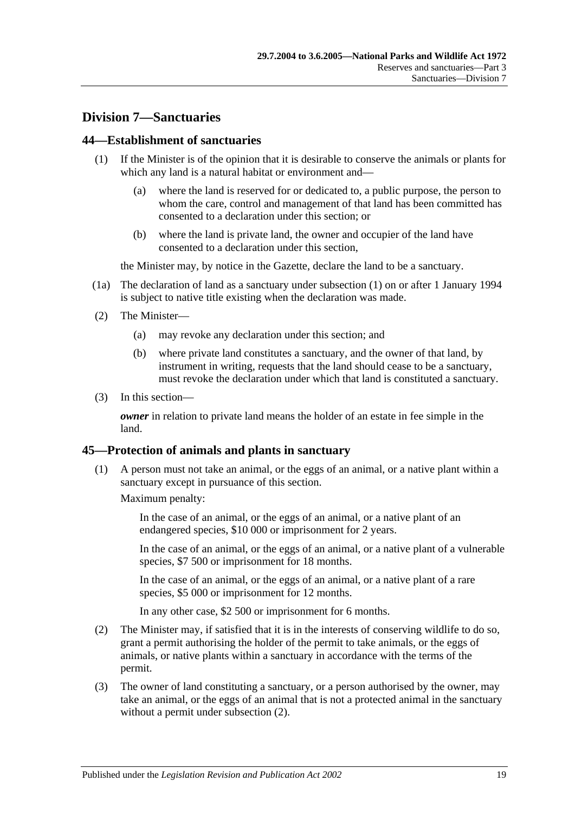## **Division 7—Sanctuaries**

#### <span id="page-42-0"></span>**44—Establishment of sanctuaries**

- (1) If the Minister is of the opinion that it is desirable to conserve the animals or plants for which any land is a natural habitat or environment and—
	- (a) where the land is reserved for or dedicated to, a public purpose, the person to whom the care, control and management of that land has been committed has consented to a declaration under this section; or
	- (b) where the land is private land, the owner and occupier of the land have consented to a declaration under this section,

the Minister may, by notice in the Gazette, declare the land to be a sanctuary.

- (1a) The declaration of land as a sanctuary under [subsection](#page-42-0) (1) on or after 1 January 1994 is subject to native title existing when the declaration was made.
- (2) The Minister—
	- (a) may revoke any declaration under this section; and
	- (b) where private land constitutes a sanctuary, and the owner of that land, by instrument in writing, requests that the land should cease to be a sanctuary, must revoke the declaration under which that land is constituted a sanctuary.
- (3) In this section—

*owner* in relation to private land means the holder of an estate in fee simple in the land.

#### **45—Protection of animals and plants in sanctuary**

(1) A person must not take an animal, or the eggs of an animal, or a native plant within a sanctuary except in pursuance of this section.

Maximum penalty:

In the case of an animal, or the eggs of an animal, or a native plant of an endangered species, \$10 000 or imprisonment for 2 years.

In the case of an animal, or the eggs of an animal, or a native plant of a vulnerable species, \$7 500 or imprisonment for 18 months.

In the case of an animal, or the eggs of an animal, or a native plant of a rare species, \$5 000 or imprisonment for 12 months.

In any other case, \$2 500 or imprisonment for 6 months.

- <span id="page-42-1"></span>(2) The Minister may, if satisfied that it is in the interests of conserving wildlife to do so, grant a permit authorising the holder of the permit to take animals, or the eggs of animals, or native plants within a sanctuary in accordance with the terms of the permit.
- (3) The owner of land constituting a sanctuary, or a person authorised by the owner, may take an animal, or the eggs of an animal that is not a protected animal in the sanctuary without a permit under [subsection](#page-42-1) (2).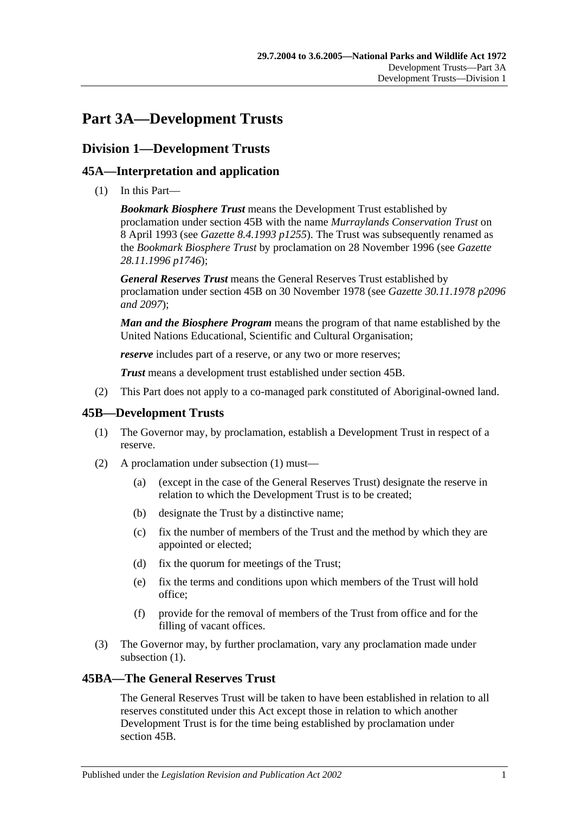# **Part 3A—Development Trusts**

## **Division 1—Development Trusts**

### **45A—Interpretation and application**

(1) In this Part—

*Bookmark Biosphere Trust* means the Development Trust established by proclamation under [section](#page-44-0) 45B with the name *Murraylands Conservation Trust* on 8 April 1993 (see *Gazette 8.4.1993 p1255*). The Trust was subsequently renamed as the *Bookmark Biosphere Trust* by proclamation on 28 November 1996 (see *Gazette 28.11.1996 p1746*);

*General Reserves Trust* means the General Reserves Trust established by proclamation under [section](#page-44-0) 45B on 30 November 1978 (see *Gazette 30.11.1978 p2096 and 2097*);

*Man and the Biosphere Program* means the program of that name established by the United Nations Educational, Scientific and Cultural Organisation;

*reserve* includes part of a reserve, or any two or more reserves;

*Trust* means a development trust established under [section](#page-44-0) 45B.

(2) This Part does not apply to a co-managed park constituted of Aboriginal-owned land.

### <span id="page-44-1"></span><span id="page-44-0"></span>**45B—Development Trusts**

- (1) The Governor may, by proclamation, establish a Development Trust in respect of a reserve.
- (2) A proclamation under [subsection](#page-44-1) (1) must—
	- (a) (except in the case of the General Reserves Trust) designate the reserve in relation to which the Development Trust is to be created;
	- (b) designate the Trust by a distinctive name;
	- (c) fix the number of members of the Trust and the method by which they are appointed or elected;
	- (d) fix the quorum for meetings of the Trust;
	- (e) fix the terms and conditions upon which members of the Trust will hold office;
	- (f) provide for the removal of members of the Trust from office and for the filling of vacant offices.
- (3) The Governor may, by further proclamation, vary any proclamation made under [subsection](#page-44-1) (1).

#### **45BA—The General Reserves Trust**

The General Reserves Trust will be taken to have been established in relation to all reserves constituted under this Act except those in relation to which another Development Trust is for the time being established by proclamation under [section](#page-44-0) 45B.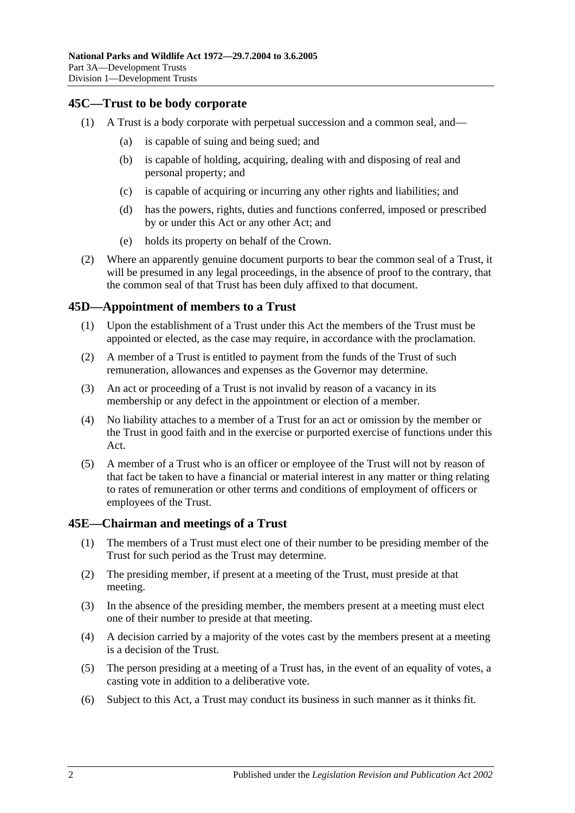### **45C—Trust to be body corporate**

- (1) A Trust is a body corporate with perpetual succession and a common seal, and—
	- (a) is capable of suing and being sued; and
	- (b) is capable of holding, acquiring, dealing with and disposing of real and personal property; and
	- (c) is capable of acquiring or incurring any other rights and liabilities; and
	- (d) has the powers, rights, duties and functions conferred, imposed or prescribed by or under this Act or any other Act; and
	- (e) holds its property on behalf of the Crown.
- (2) Where an apparently genuine document purports to bear the common seal of a Trust, it will be presumed in any legal proceedings, in the absence of proof to the contrary, that the common seal of that Trust has been duly affixed to that document.

#### **45D—Appointment of members to a Trust**

- (1) Upon the establishment of a Trust under this Act the members of the Trust must be appointed or elected, as the case may require, in accordance with the proclamation.
- (2) A member of a Trust is entitled to payment from the funds of the Trust of such remuneration, allowances and expenses as the Governor may determine.
- (3) An act or proceeding of a Trust is not invalid by reason of a vacancy in its membership or any defect in the appointment or election of a member.
- (4) No liability attaches to a member of a Trust for an act or omission by the member or the Trust in good faith and in the exercise or purported exercise of functions under this Act.
- (5) A member of a Trust who is an officer or employee of the Trust will not by reason of that fact be taken to have a financial or material interest in any matter or thing relating to rates of remuneration or other terms and conditions of employment of officers or employees of the Trust.

#### **45E—Chairman and meetings of a Trust**

- (1) The members of a Trust must elect one of their number to be presiding member of the Trust for such period as the Trust may determine.
- (2) The presiding member, if present at a meeting of the Trust, must preside at that meeting.
- (3) In the absence of the presiding member, the members present at a meeting must elect one of their number to preside at that meeting.
- (4) A decision carried by a majority of the votes cast by the members present at a meeting is a decision of the Trust.
- (5) The person presiding at a meeting of a Trust has, in the event of an equality of votes, a casting vote in addition to a deliberative vote.
- (6) Subject to this Act, a Trust may conduct its business in such manner as it thinks fit.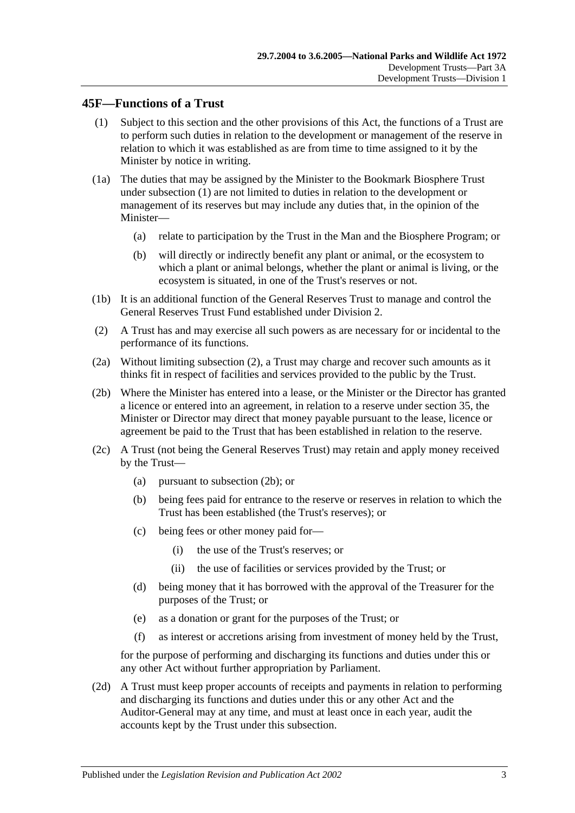#### <span id="page-46-0"></span>**45F—Functions of a Trust**

- (1) Subject to this section and the other provisions of this Act, the functions of a Trust are to perform such duties in relation to the development or management of the reserve in relation to which it was established as are from time to time assigned to it by the Minister by notice in writing.
- (1a) The duties that may be assigned by the Minister to the Bookmark Biosphere Trust under [subsection](#page-46-0) (1) are not limited to duties in relation to the development or management of its reserves but may include any duties that, in the opinion of the Minister—
	- (a) relate to participation by the Trust in the Man and the Biosphere Program; or
	- (b) will directly or indirectly benefit any plant or animal, or the ecosystem to which a plant or animal belongs, whether the plant or animal is living, or the ecosystem is situated, in one of the Trust's reserves or not.
- (1b) It is an additional function of the General Reserves Trust to manage and control the General Reserves Trust Fund established under [Division 2.](#page-48-0)
- <span id="page-46-1"></span>(2) A Trust has and may exercise all such powers as are necessary for or incidental to the performance of its functions.
- (2a) Without limiting [subsection](#page-46-1) (2), a Trust may charge and recover such amounts as it thinks fit in respect of facilities and services provided to the public by the Trust.
- <span id="page-46-2"></span>(2b) Where the Minister has entered into a lease, or the Minister or the Director has granted a licence or entered into an agreement, in relation to a reserve under [section](#page-29-0) 35, the Minister or Director may direct that money payable pursuant to the lease, licence or agreement be paid to the Trust that has been established in relation to the reserve.
- (2c) A Trust (not being the General Reserves Trust) may retain and apply money received by the Trust—
	- (a) pursuant to [subsection](#page-46-2) (2b); or
	- (b) being fees paid for entrance to the reserve or reserves in relation to which the Trust has been established (the Trust's reserves); or
	- (c) being fees or other money paid for—
		- (i) the use of the Trust's reserves; or
		- (ii) the use of facilities or services provided by the Trust; or
	- (d) being money that it has borrowed with the approval of the Treasurer for the purposes of the Trust; or
	- (e) as a donation or grant for the purposes of the Trust; or
	- (f) as interest or accretions arising from investment of money held by the Trust,

for the purpose of performing and discharging its functions and duties under this or any other Act without further appropriation by Parliament.

(2d) A Trust must keep proper accounts of receipts and payments in relation to performing and discharging its functions and duties under this or any other Act and the Auditor-General may at any time, and must at least once in each year, audit the accounts kept by the Trust under this subsection.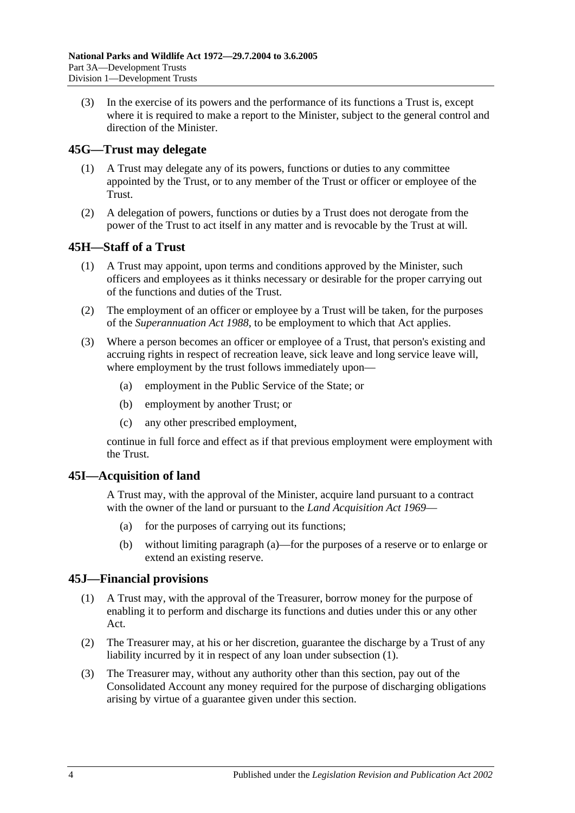(3) In the exercise of its powers and the performance of its functions a Trust is, except where it is required to make a report to the Minister, subject to the general control and direction of the Minister.

#### **45G—Trust may delegate**

- (1) A Trust may delegate any of its powers, functions or duties to any committee appointed by the Trust, or to any member of the Trust or officer or employee of the Trust.
- (2) A delegation of powers, functions or duties by a Trust does not derogate from the power of the Trust to act itself in any matter and is revocable by the Trust at will.

### **45H—Staff of a Trust**

- (1) A Trust may appoint, upon terms and conditions approved by the Minister, such officers and employees as it thinks necessary or desirable for the proper carrying out of the functions and duties of the Trust.
- (2) The employment of an officer or employee by a Trust will be taken, for the purposes of the *[Superannuation Act](http://www.legislation.sa.gov.au/index.aspx?action=legref&type=act&legtitle=Superannuation%20Act%201988) 1988*, to be employment to which that Act applies.
- (3) Where a person becomes an officer or employee of a Trust, that person's existing and accruing rights in respect of recreation leave, sick leave and long service leave will, where employment by the trust follows immediately upon—
	- (a) employment in the Public Service of the State; or
	- (b) employment by another Trust; or
	- (c) any other prescribed employment,

continue in full force and effect as if that previous employment were employment with the Trust.

#### <span id="page-47-0"></span>**45I—Acquisition of land**

A Trust may, with the approval of the Minister, acquire land pursuant to a contract with the owner of the land or pursuant to the *[Land Acquisition Act](http://www.legislation.sa.gov.au/index.aspx?action=legref&type=act&legtitle=Land%20Acquisition%20Act%201969) 1969*—

- (a) for the purposes of carrying out its functions;
- (b) without limiting [paragraph](#page-47-0) (a)—for the purposes of a reserve or to enlarge or extend an existing reserve.

#### <span id="page-47-1"></span>**45J—Financial provisions**

- (1) A Trust may, with the approval of the Treasurer, borrow money for the purpose of enabling it to perform and discharge its functions and duties under this or any other Act.
- (2) The Treasurer may, at his or her discretion, guarantee the discharge by a Trust of any liability incurred by it in respect of any loan under [subsection](#page-47-1) (1).
- (3) The Treasurer may, without any authority other than this section, pay out of the Consolidated Account any money required for the purpose of discharging obligations arising by virtue of a guarantee given under this section.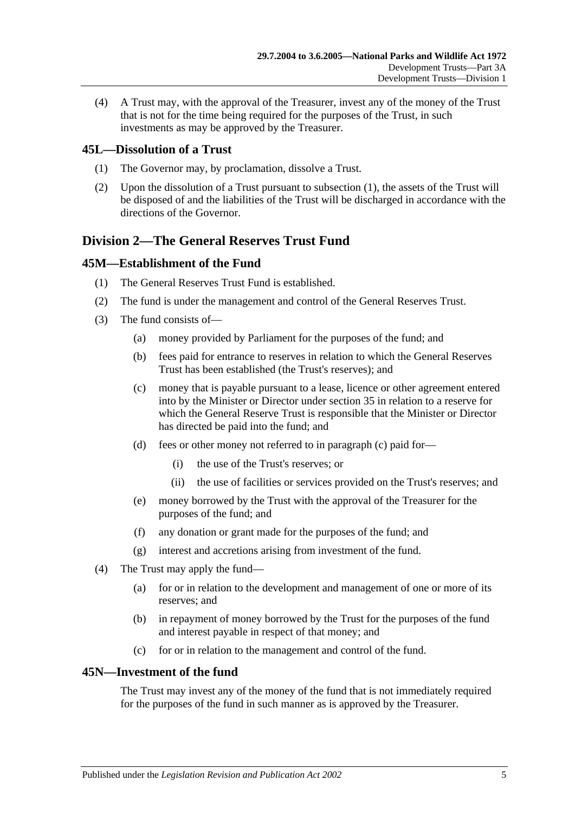(4) A Trust may, with the approval of the Treasurer, invest any of the money of the Trust that is not for the time being required for the purposes of the Trust, in such investments as may be approved by the Treasurer.

### <span id="page-48-1"></span>**45L—Dissolution of a Trust**

- (1) The Governor may, by proclamation, dissolve a Trust.
- (2) Upon the dissolution of a Trust pursuant to [subsection](#page-48-1) (1), the assets of the Trust will be disposed of and the liabilities of the Trust will be discharged in accordance with the directions of the Governor.

# <span id="page-48-0"></span>**Division 2—The General Reserves Trust Fund**

#### **45M—Establishment of the Fund**

- (1) The General Reserves Trust Fund is established.
- (2) The fund is under the management and control of the General Reserves Trust.
- <span id="page-48-2"></span>(3) The fund consists of—
	- (a) money provided by Parliament for the purposes of the fund; and
	- (b) fees paid for entrance to reserves in relation to which the General Reserves Trust has been established (the Trust's reserves); and
	- (c) money that is payable pursuant to a lease, licence or other agreement entered into by the Minister or Director under [section](#page-29-0) 35 in relation to a reserve for which the General Reserve Trust is responsible that the Minister or Director has directed be paid into the fund; and
	- (d) fees or other money not referred to in [paragraph](#page-48-2) (c) paid for—
		- (i) the use of the Trust's reserves; or
		- (ii) the use of facilities or services provided on the Trust's reserves; and
	- (e) money borrowed by the Trust with the approval of the Treasurer for the purposes of the fund; and
	- (f) any donation or grant made for the purposes of the fund; and
	- (g) interest and accretions arising from investment of the fund.
- (4) The Trust may apply the fund—
	- (a) for or in relation to the development and management of one or more of its reserves; and
	- (b) in repayment of money borrowed by the Trust for the purposes of the fund and interest payable in respect of that money; and
	- (c) for or in relation to the management and control of the fund.

### **45N—Investment of the fund**

The Trust may invest any of the money of the fund that is not immediately required for the purposes of the fund in such manner as is approved by the Treasurer.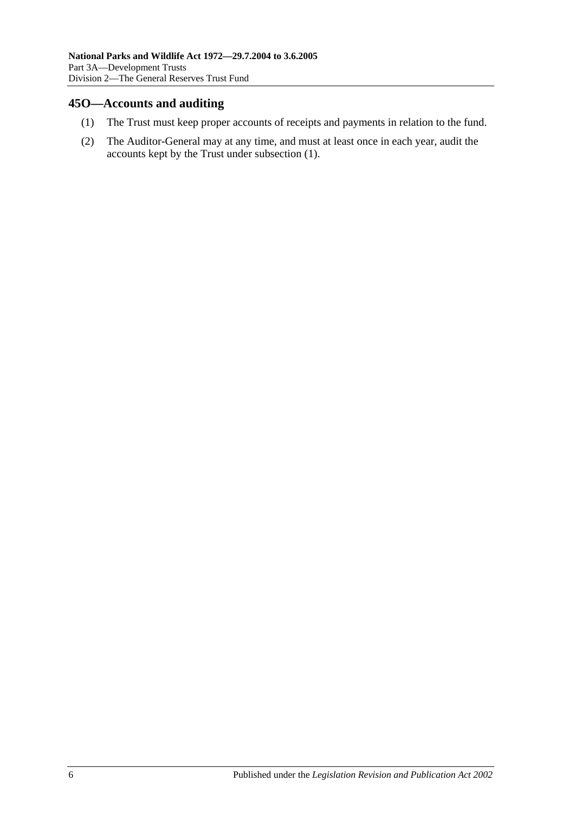### <span id="page-49-0"></span>**45O—Accounts and auditing**

- (1) The Trust must keep proper accounts of receipts and payments in relation to the fund.
- (2) The Auditor-General may at any time, and must at least once in each year, audit the accounts kept by the Trust under [subsection](#page-49-0) (1).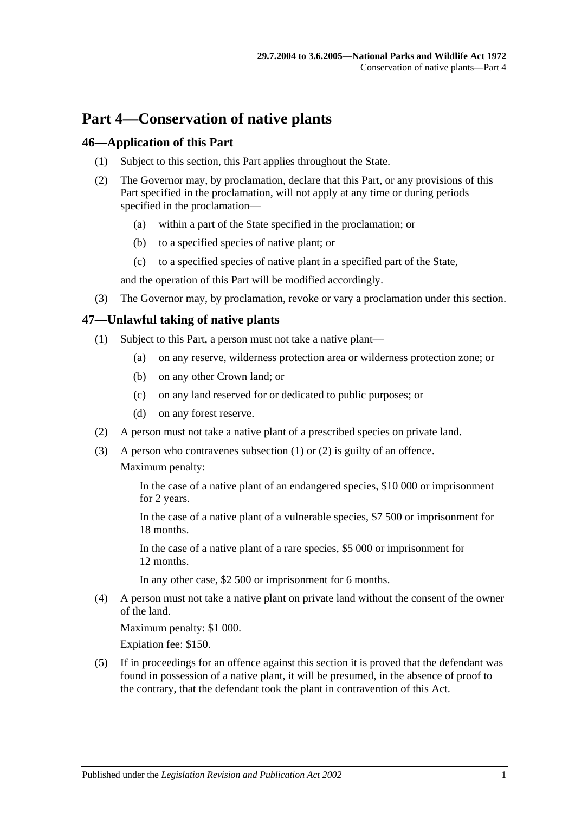# **Part 4—Conservation of native plants**

#### **46—Application of this Part**

- (1) Subject to this section, this Part applies throughout the State.
- (2) The Governor may, by proclamation, declare that this Part, or any provisions of this Part specified in the proclamation, will not apply at any time or during periods specified in the proclamation—
	- (a) within a part of the State specified in the proclamation; or
	- (b) to a specified species of native plant; or
	- (c) to a specified species of native plant in a specified part of the State,

and the operation of this Part will be modified accordingly.

(3) The Governor may, by proclamation, revoke or vary a proclamation under this section.

### <span id="page-50-0"></span>**47—Unlawful taking of native plants**

- (1) Subject to this Part, a person must not take a native plant—
	- (a) on any reserve, wilderness protection area or wilderness protection zone; or
	- (b) on any other Crown land; or
	- (c) on any land reserved for or dedicated to public purposes; or
	- (d) on any forest reserve.
- <span id="page-50-1"></span>(2) A person must not take a native plant of a prescribed species on private land.
- (3) A person who contravenes [subsection](#page-50-0) (1) or [\(2\)](#page-50-1) is guilty of an offence. Maximum penalty:

In the case of a native plant of an endangered species, \$10 000 or imprisonment for 2 years.

In the case of a native plant of a vulnerable species, \$7 500 or imprisonment for 18 months.

In the case of a native plant of a rare species, \$5 000 or imprisonment for 12 months.

In any other case, \$2 500 or imprisonment for 6 months.

(4) A person must not take a native plant on private land without the consent of the owner of the land.

Maximum penalty: \$1 000.

Expiation fee: \$150.

(5) If in proceedings for an offence against this section it is proved that the defendant was found in possession of a native plant, it will be presumed, in the absence of proof to the contrary, that the defendant took the plant in contravention of this Act.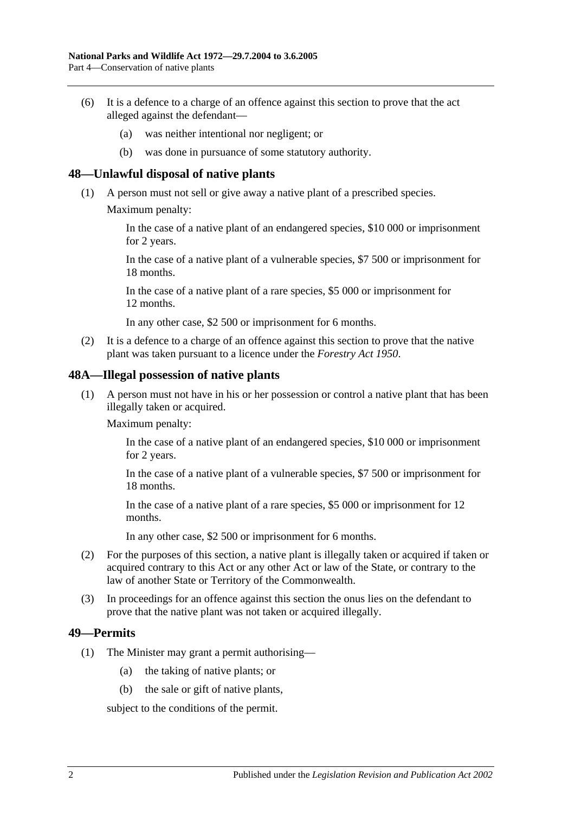- (6) It is a defence to a charge of an offence against this section to prove that the act alleged against the defendant—
	- (a) was neither intentional nor negligent; or
	- (b) was done in pursuance of some statutory authority.

#### **48—Unlawful disposal of native plants**

- (1) A person must not sell or give away a native plant of a prescribed species.
	- Maximum penalty:

In the case of a native plant of an endangered species, \$10 000 or imprisonment for 2 years.

In the case of a native plant of a vulnerable species, \$7 500 or imprisonment for 18 months.

In the case of a native plant of a rare species, \$5 000 or imprisonment for 12 months.

In any other case, \$2 500 or imprisonment for 6 months.

(2) It is a defence to a charge of an offence against this section to prove that the native plant was taken pursuant to a licence under the *[Forestry Act](http://www.legislation.sa.gov.au/index.aspx?action=legref&type=act&legtitle=Forestry%20Act%201950) 1950*.

#### **48A—Illegal possession of native plants**

(1) A person must not have in his or her possession or control a native plant that has been illegally taken or acquired.

Maximum penalty:

In the case of a native plant of an endangered species, \$10 000 or imprisonment for 2 years.

In the case of a native plant of a vulnerable species, \$7 500 or imprisonment for 18 months.

In the case of a native plant of a rare species, \$5 000 or imprisonment for 12 months.

In any other case, \$2 500 or imprisonment for 6 months.

- (2) For the purposes of this section, a native plant is illegally taken or acquired if taken or acquired contrary to this Act or any other Act or law of the State, or contrary to the law of another State or Territory of the Commonwealth.
- (3) In proceedings for an offence against this section the onus lies on the defendant to prove that the native plant was not taken or acquired illegally.

#### <span id="page-51-0"></span>**49—Permits**

- (1) The Minister may grant a permit authorising—
	- (a) the taking of native plants; or
	- (b) the sale or gift of native plants,

subject to the conditions of the permit.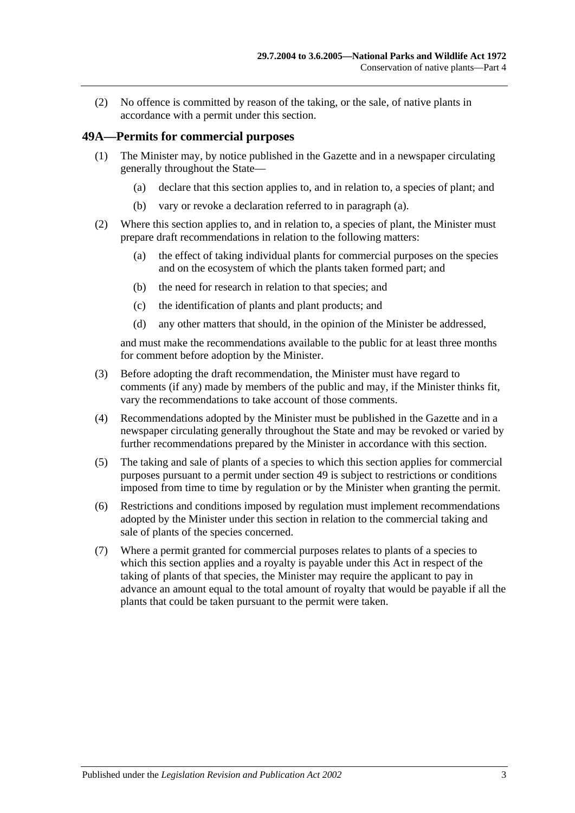(2) No offence is committed by reason of the taking, or the sale, of native plants in accordance with a permit under this section.

#### **49A—Permits for commercial purposes**

- <span id="page-52-0"></span>(1) The Minister may, by notice published in the Gazette and in a newspaper circulating generally throughout the State—
	- (a) declare that this section applies to, and in relation to, a species of plant; and
	- (b) vary or revoke a declaration referred to in [paragraph](#page-52-0) (a).
- (2) Where this section applies to, and in relation to, a species of plant, the Minister must prepare draft recommendations in relation to the following matters:
	- (a) the effect of taking individual plants for commercial purposes on the species and on the ecosystem of which the plants taken formed part; and
	- (b) the need for research in relation to that species; and
	- (c) the identification of plants and plant products; and
	- (d) any other matters that should, in the opinion of the Minister be addressed,

and must make the recommendations available to the public for at least three months for comment before adoption by the Minister.

- (3) Before adopting the draft recommendation, the Minister must have regard to comments (if any) made by members of the public and may, if the Minister thinks fit, vary the recommendations to take account of those comments.
- (4) Recommendations adopted by the Minister must be published in the Gazette and in a newspaper circulating generally throughout the State and may be revoked or varied by further recommendations prepared by the Minister in accordance with this section.
- (5) The taking and sale of plants of a species to which this section applies for commercial purposes pursuant to a permit under [section](#page-51-0) 49 is subject to restrictions or conditions imposed from time to time by regulation or by the Minister when granting the permit.
- (6) Restrictions and conditions imposed by regulation must implement recommendations adopted by the Minister under this section in relation to the commercial taking and sale of plants of the species concerned.
- (7) Where a permit granted for commercial purposes relates to plants of a species to which this section applies and a royalty is payable under this Act in respect of the taking of plants of that species, the Minister may require the applicant to pay in advance an amount equal to the total amount of royalty that would be payable if all the plants that could be taken pursuant to the permit were taken.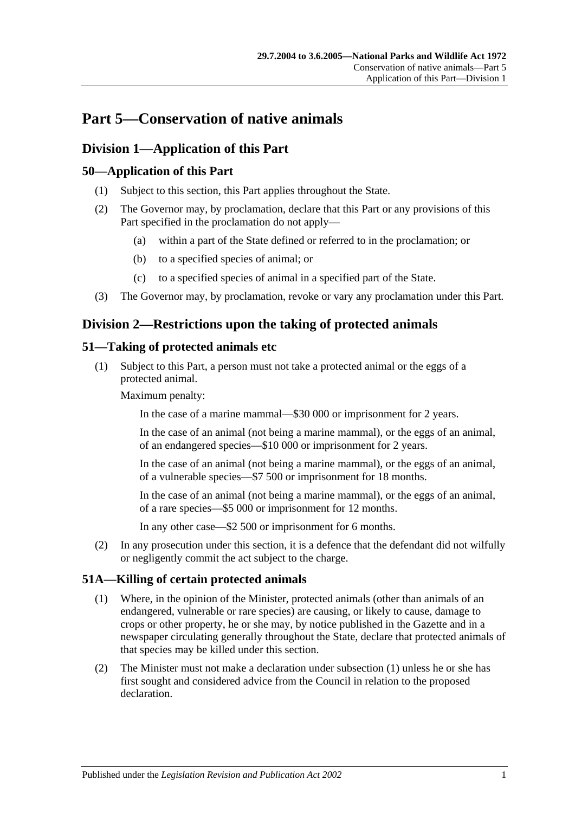# **Part 5—Conservation of native animals**

# **Division 1—Application of this Part**

### **50—Application of this Part**

- (1) Subject to this section, this Part applies throughout the State.
- (2) The Governor may, by proclamation, declare that this Part or any provisions of this Part specified in the proclamation do not apply—
	- (a) within a part of the State defined or referred to in the proclamation; or
	- (b) to a specified species of animal; or
	- (c) to a specified species of animal in a specified part of the State.
- (3) The Governor may, by proclamation, revoke or vary any proclamation under this Part.

# **Division 2—Restrictions upon the taking of protected animals**

### **51—Taking of protected animals etc**

(1) Subject to this Part, a person must not take a protected animal or the eggs of a protected animal.

Maximum penalty:

In the case of a marine mammal—\$30 000 or imprisonment for 2 years.

In the case of an animal (not being a marine mammal), or the eggs of an animal, of an endangered species—\$10 000 or imprisonment for 2 years.

In the case of an animal (not being a marine mammal), or the eggs of an animal, of a vulnerable species—\$7 500 or imprisonment for 18 months.

In the case of an animal (not being a marine mammal), or the eggs of an animal, of a rare species—\$5 000 or imprisonment for 12 months.

In any other case—\$2 500 or imprisonment for 6 months.

(2) In any prosecution under this section, it is a defence that the defendant did not wilfully or negligently commit the act subject to the charge.

### <span id="page-54-0"></span>**51A—Killing of certain protected animals**

- (1) Where, in the opinion of the Minister, protected animals (other than animals of an endangered, vulnerable or rare species) are causing, or likely to cause, damage to crops or other property, he or she may, by notice published in the Gazette and in a newspaper circulating generally throughout the State, declare that protected animals of that species may be killed under this section.
- (2) The Minister must not make a declaration under [subsection](#page-54-0) (1) unless he or she has first sought and considered advice from the Council in relation to the proposed declaration.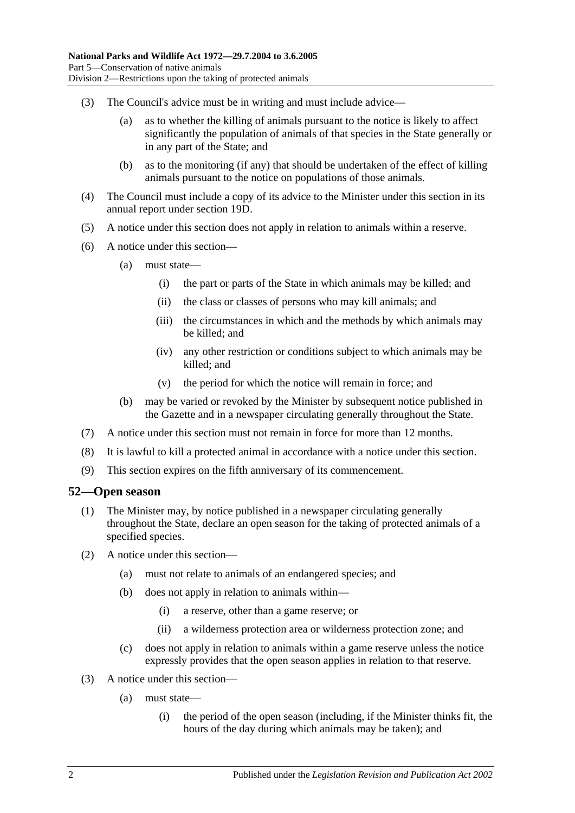- (3) The Council's advice must be in writing and must include advice—
	- (a) as to whether the killing of animals pursuant to the notice is likely to affect significantly the population of animals of that species in the State generally or in any part of the State; and
	- (b) as to the monitoring (if any) that should be undertaken of the effect of killing animals pursuant to the notice on populations of those animals.
- (4) The Council must include a copy of its advice to the Minister under this section in its annual report under [section](#page-15-0) 19D.
- (5) A notice under this section does not apply in relation to animals within a reserve.
- (6) A notice under this section—
	- (a) must state—
		- (i) the part or parts of the State in which animals may be killed; and
		- (ii) the class or classes of persons who may kill animals; and
		- (iii) the circumstances in which and the methods by which animals may be killed; and
		- (iv) any other restriction or conditions subject to which animals may be killed; and
		- (v) the period for which the notice will remain in force; and
	- (b) may be varied or revoked by the Minister by subsequent notice published in the Gazette and in a newspaper circulating generally throughout the State.
- (7) A notice under this section must not remain in force for more than 12 months.
- (8) It is lawful to kill a protected animal in accordance with a notice under this section.
- (9) This section expires on the fifth anniversary of its commencement.

#### **52—Open season**

- (1) The Minister may, by notice published in a newspaper circulating generally throughout the State, declare an open season for the taking of protected animals of a specified species.
- (2) A notice under this section—
	- (a) must not relate to animals of an endangered species; and
	- (b) does not apply in relation to animals within—
		- (i) a reserve, other than a game reserve; or
		- (ii) a wilderness protection area or wilderness protection zone; and
	- (c) does not apply in relation to animals within a game reserve unless the notice expressly provides that the open season applies in relation to that reserve.
- (3) A notice under this section—
	- (a) must state—
		- (i) the period of the open season (including, if the Minister thinks fit, the hours of the day during which animals may be taken); and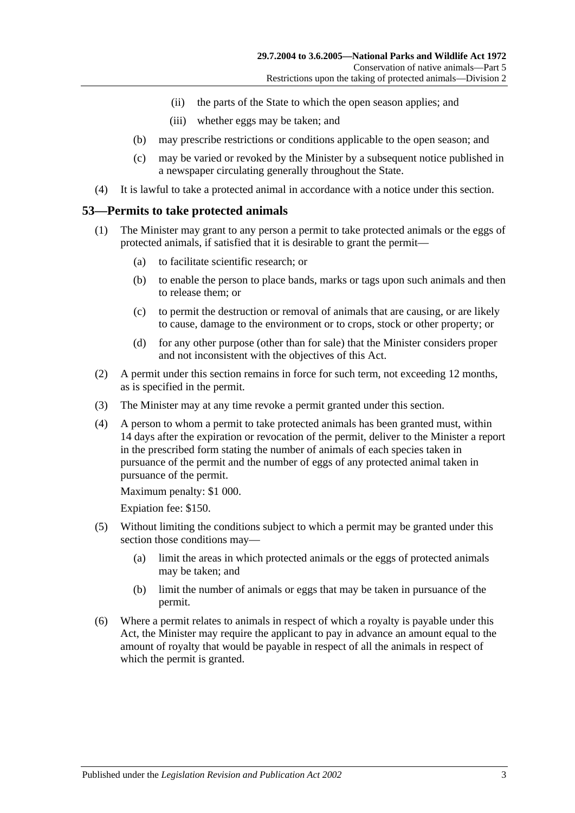- (ii) the parts of the State to which the open season applies; and
- (iii) whether eggs may be taken; and
- (b) may prescribe restrictions or conditions applicable to the open season; and
- (c) may be varied or revoked by the Minister by a subsequent notice published in a newspaper circulating generally throughout the State.
- (4) It is lawful to take a protected animal in accordance with a notice under this section.

#### <span id="page-56-0"></span>**53—Permits to take protected animals**

- (1) The Minister may grant to any person a permit to take protected animals or the eggs of protected animals, if satisfied that it is desirable to grant the permit—
	- (a) to facilitate scientific research; or
	- (b) to enable the person to place bands, marks or tags upon such animals and then to release them; or
	- (c) to permit the destruction or removal of animals that are causing, or are likely to cause, damage to the environment or to crops, stock or other property; or
	- (d) for any other purpose (other than for sale) that the Minister considers proper and not inconsistent with the objectives of this Act.
- (2) A permit under this section remains in force for such term, not exceeding 12 months, as is specified in the permit.
- (3) The Minister may at any time revoke a permit granted under this section.
- (4) A person to whom a permit to take protected animals has been granted must, within 14 days after the expiration or revocation of the permit, deliver to the Minister a report in the prescribed form stating the number of animals of each species taken in pursuance of the permit and the number of eggs of any protected animal taken in pursuance of the permit.

Maximum penalty: \$1 000.

Expiation fee: \$150.

- (5) Without limiting the conditions subject to which a permit may be granted under this section those conditions may—
	- (a) limit the areas in which protected animals or the eggs of protected animals may be taken; and
	- (b) limit the number of animals or eggs that may be taken in pursuance of the permit.
- (6) Where a permit relates to animals in respect of which a royalty is payable under this Act, the Minister may require the applicant to pay in advance an amount equal to the amount of royalty that would be payable in respect of all the animals in respect of which the permit is granted.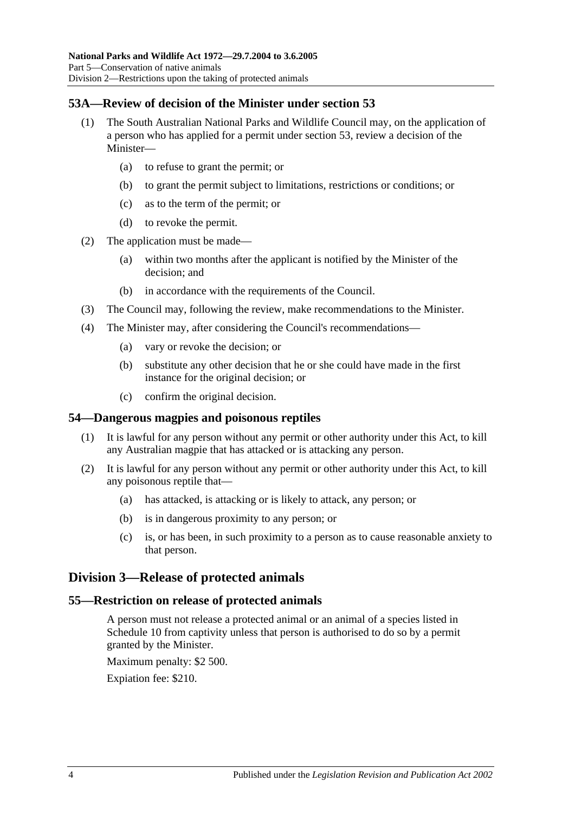### **53A—Review of decision of the Minister under [section](#page-56-0) 53**

- (1) The South Australian National Parks and Wildlife Council may, on the application of a person who has applied for a permit under [section](#page-56-0) 53, review a decision of the Minister—
	- (a) to refuse to grant the permit; or
	- (b) to grant the permit subject to limitations, restrictions or conditions; or
	- (c) as to the term of the permit; or
	- (d) to revoke the permit.
- (2) The application must be made—
	- (a) within two months after the applicant is notified by the Minister of the decision; and
	- (b) in accordance with the requirements of the Council.
- (3) The Council may, following the review, make recommendations to the Minister.
- (4) The Minister may, after considering the Council's recommendations—
	- (a) vary or revoke the decision; or
	- (b) substitute any other decision that he or she could have made in the first instance for the original decision; or
	- (c) confirm the original decision.

#### **54—Dangerous magpies and poisonous reptiles**

- (1) It is lawful for any person without any permit or other authority under this Act, to kill any Australian magpie that has attacked or is attacking any person.
- (2) It is lawful for any person without any permit or other authority under this Act, to kill any poisonous reptile that—
	- (a) has attacked, is attacking or is likely to attack, any person; or
	- (b) is in dangerous proximity to any person; or
	- (c) is, or has been, in such proximity to a person as to cause reasonable anxiety to that person.

### **Division 3—Release of protected animals**

#### **55—Restriction on release of protected animals**

A person must not release a protected animal or an animal of a species listed in [Schedule 10](#page-130-0) from captivity unless that person is authorised to do so by a permit granted by the Minister.

Maximum penalty: \$2 500.

Expiation fee: \$210.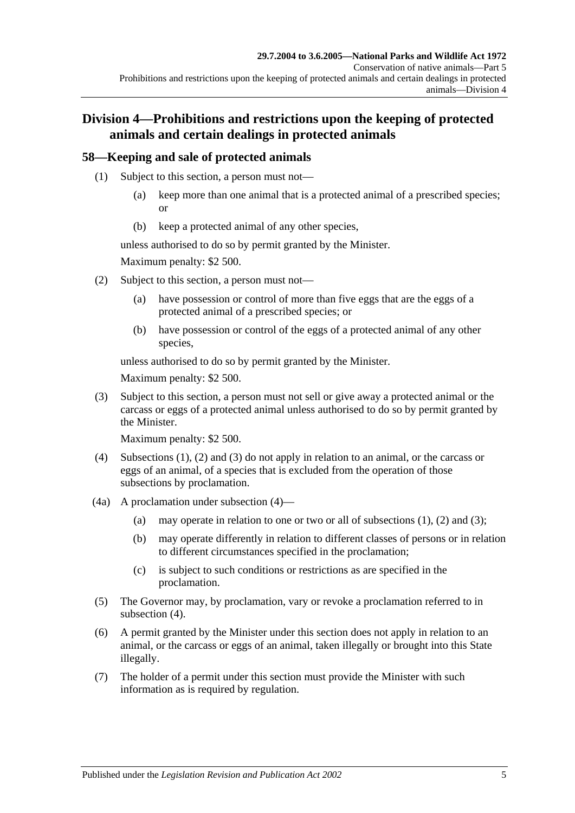# **Division 4—Prohibitions and restrictions upon the keeping of protected animals and certain dealings in protected animals**

### <span id="page-58-0"></span>**58—Keeping and sale of protected animals**

- (1) Subject to this section, a person must not—
	- (a) keep more than one animal that is a protected animal of a prescribed species; or
	- (b) keep a protected animal of any other species,

unless authorised to do so by permit granted by the Minister.

Maximum penalty: \$2 500.

- <span id="page-58-1"></span>(2) Subject to this section, a person must not—
	- (a) have possession or control of more than five eggs that are the eggs of a protected animal of a prescribed species; or
	- (b) have possession or control of the eggs of a protected animal of any other species,

unless authorised to do so by permit granted by the Minister.

Maximum penalty: \$2 500.

<span id="page-58-2"></span>(3) Subject to this section, a person must not sell or give away a protected animal or the carcass or eggs of a protected animal unless authorised to do so by permit granted by the Minister.

Maximum penalty: \$2 500.

- <span id="page-58-3"></span>(4) [Subsections](#page-58-0) (1), [\(2\)](#page-58-1) and [\(3\)](#page-58-2) do not apply in relation to an animal, or the carcass or eggs of an animal, of a species that is excluded from the operation of those subsections by proclamation.
- (4a) A proclamation under [subsection](#page-58-3) (4)
	- (a) may operate in relation to one or two or all of [subsections](#page-58-0)  $(1)$ ,  $(2)$  and  $(3)$ ;
	- (b) may operate differently in relation to different classes of persons or in relation to different circumstances specified in the proclamation;
	- (c) is subject to such conditions or restrictions as are specified in the proclamation.
- (5) The Governor may, by proclamation, vary or revoke a proclamation referred to in [subsection](#page-58-3) (4).
- (6) A permit granted by the Minister under this section does not apply in relation to an animal, or the carcass or eggs of an animal, taken illegally or brought into this State illegally.
- (7) The holder of a permit under this section must provide the Minister with such information as is required by regulation.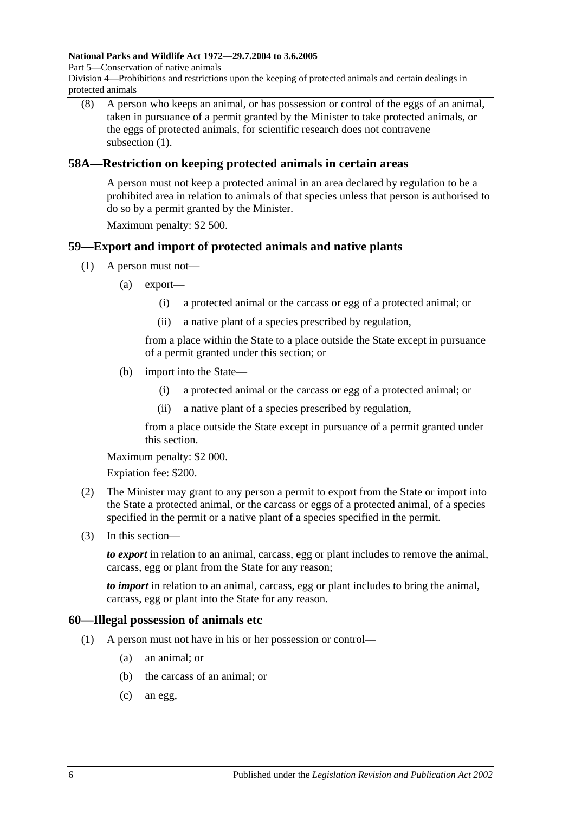#### **National Parks and Wildlife Act 1972—29.7.2004 to 3.6.2005**

Part 5—Conservation of native animals

Division 4—Prohibitions and restrictions upon the keeping of protected animals and certain dealings in protected animals

(8) A person who keeps an animal, or has possession or control of the eggs of an animal, taken in pursuance of a permit granted by the Minister to take protected animals, or the eggs of protected animals, for scientific research does not contravene [subsection](#page-58-0) (1).

#### **58A—Restriction on keeping protected animals in certain areas**

A person must not keep a protected animal in an area declared by regulation to be a prohibited area in relation to animals of that species unless that person is authorised to do so by a permit granted by the Minister.

Maximum penalty: \$2 500.

### **59—Export and import of protected animals and native plants**

- (1) A person must not—
	- (a) export—
		- (i) a protected animal or the carcass or egg of a protected animal; or
		- (ii) a native plant of a species prescribed by regulation,

from a place within the State to a place outside the State except in pursuance of a permit granted under this section; or

- (b) import into the State—
	- (i) a protected animal or the carcass or egg of a protected animal; or
	- (ii) a native plant of a species prescribed by regulation,

from a place outside the State except in pursuance of a permit granted under this section.

Maximum penalty: \$2 000.

Expiation fee: \$200.

- (2) The Minister may grant to any person a permit to export from the State or import into the State a protected animal, or the carcass or eggs of a protected animal, of a species specified in the permit or a native plant of a species specified in the permit.
- (3) In this section—

*to export* in relation to an animal, carcass, egg or plant includes to remove the animal, carcass, egg or plant from the State for any reason;

*to import* in relation to an animal, carcass, egg or plant includes to bring the animal, carcass, egg or plant into the State for any reason.

#### **60—Illegal possession of animals etc**

- (1) A person must not have in his or her possession or control—
	- (a) an animal; or
	- (b) the carcass of an animal; or
	- (c) an egg,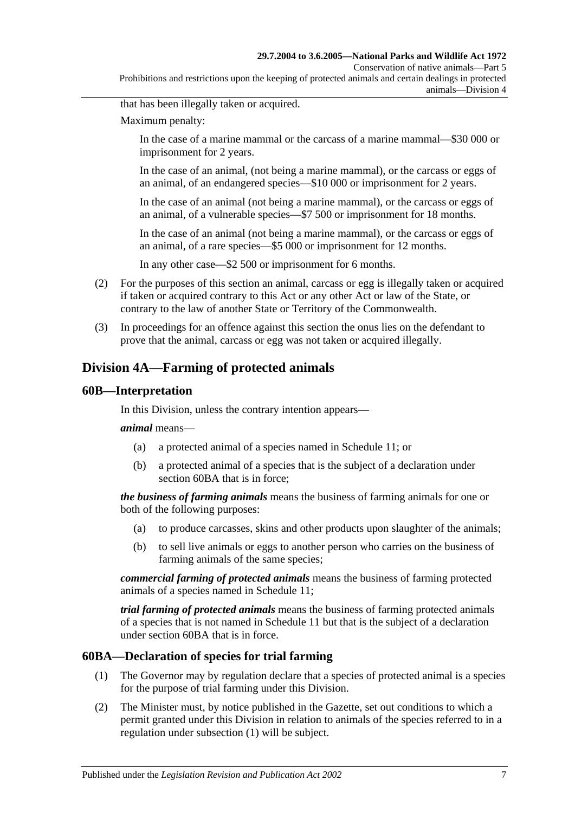#### **29.7.2004 to 3.6.2005—National Parks and Wildlife Act 1972**

Conservation of native animals—Part 5

Prohibitions and restrictions upon the keeping of protected animals and certain dealings in protected animals—Division 4

that has been illegally taken or acquired.

Maximum penalty:

In the case of a marine mammal or the carcass of a marine mammal—\$30 000 or imprisonment for 2 years.

In the case of an animal, (not being a marine mammal), or the carcass or eggs of an animal, of an endangered species—\$10 000 or imprisonment for 2 years.

In the case of an animal (not being a marine mammal), or the carcass or eggs of an animal, of a vulnerable species—\$7 500 or imprisonment for 18 months.

In the case of an animal (not being a marine mammal), or the carcass or eggs of an animal, of a rare species—\$5 000 or imprisonment for 12 months.

In any other case—\$2 500 or imprisonment for 6 months.

- (2) For the purposes of this section an animal, carcass or egg is illegally taken or acquired if taken or acquired contrary to this Act or any other Act or law of the State, or contrary to the law of another State or Territory of the Commonwealth.
- (3) In proceedings for an offence against this section the onus lies on the defendant to prove that the animal, carcass or egg was not taken or acquired illegally.

### **Division 4A—Farming of protected animals**

#### **60B—Interpretation**

In this Division, unless the contrary intention appears—

#### *animal* means—

- (a) a protected animal of a species named in [Schedule](#page-130-1) 11; or
- (b) a protected animal of a species that is the subject of a declaration under [section](#page-60-0) 60BA that is in force;

*the business of farming animals* means the business of farming animals for one or both of the following purposes:

- (a) to produce carcasses, skins and other products upon slaughter of the animals;
- (b) to sell live animals or eggs to another person who carries on the business of farming animals of the same species;

*commercial farming of protected animals* means the business of farming protected animals of a species named in [Schedule 11;](#page-130-1)

*trial farming of protected animals* means the business of farming protected animals of a species that is not named in [Schedule 11](#page-130-1) but that is the subject of a declaration under [section](#page-60-0) 60BA that is in force.

#### <span id="page-60-1"></span><span id="page-60-0"></span>**60BA—Declaration of species for trial farming**

- (1) The Governor may by regulation declare that a species of protected animal is a species for the purpose of trial farming under this Division.
- <span id="page-60-2"></span>(2) The Minister must, by notice published in the Gazette, set out conditions to which a permit granted under this Division in relation to animals of the species referred to in a regulation under [subsection](#page-60-1) (1) will be subject.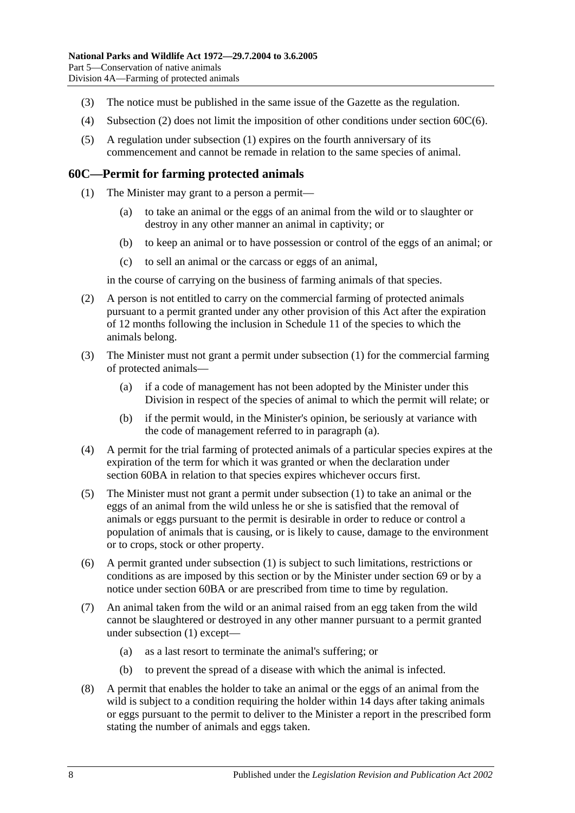- (3) The notice must be published in the same issue of the Gazette as the regulation.
- (4) [Subsection](#page-60-2) (2) does not limit the imposition of other conditions under [section](#page-61-0) 60C(6).
- (5) A regulation under [subsection](#page-60-1) (1) expires on the fourth anniversary of its commencement and cannot be remade in relation to the same species of animal.

#### <span id="page-61-1"></span>**60C—Permit for farming protected animals**

- (1) The Minister may grant to a person a permit—
	- (a) to take an animal or the eggs of an animal from the wild or to slaughter or destroy in any other manner an animal in captivity; or
	- (b) to keep an animal or to have possession or control of the eggs of an animal; or
	- (c) to sell an animal or the carcass or eggs of an animal,

in the course of carrying on the business of farming animals of that species.

- (2) A person is not entitled to carry on the commercial farming of protected animals pursuant to a permit granted under any other provision of this Act after the expiration of 12 months following the inclusion in [Schedule 11](#page-130-1) of the species to which the animals belong.
- <span id="page-61-2"></span>(3) The Minister must not grant a permit under [subsection](#page-61-1) (1) for the commercial farming of protected animals—
	- (a) if a code of management has not been adopted by the Minister under this Division in respect of the species of animal to which the permit will relate; or
	- (b) if the permit would, in the Minister's opinion, be seriously at variance with the code of management referred to in [paragraph](#page-61-2) (a).
- (4) A permit for the trial farming of protected animals of a particular species expires at the expiration of the term for which it was granted or when the declaration under [section](#page-60-0) 60BA in relation to that species expires whichever occurs first.
- (5) The Minister must not grant a permit under [subsection](#page-61-1) (1) to take an animal or the eggs of an animal from the wild unless he or she is satisfied that the removal of animals or eggs pursuant to the permit is desirable in order to reduce or control a population of animals that is causing, or is likely to cause, damage to the environment or to crops, stock or other property.
- <span id="page-61-0"></span>(6) A permit granted under [subsection](#page-61-1) (1) is subject to such limitations, restrictions or conditions as are imposed by this section or by the Minister under [section](#page-76-0) 69 or by a notice under [section](#page-60-0) 60BA or are prescribed from time to time by regulation.
- (7) An animal taken from the wild or an animal raised from an egg taken from the wild cannot be slaughtered or destroyed in any other manner pursuant to a permit granted under [subsection](#page-61-1) (1) except—
	- (a) as a last resort to terminate the animal's suffering; or
	- (b) to prevent the spread of a disease with which the animal is infected.
- (8) A permit that enables the holder to take an animal or the eggs of an animal from the wild is subject to a condition requiring the holder within 14 days after taking animals or eggs pursuant to the permit to deliver to the Minister a report in the prescribed form stating the number of animals and eggs taken.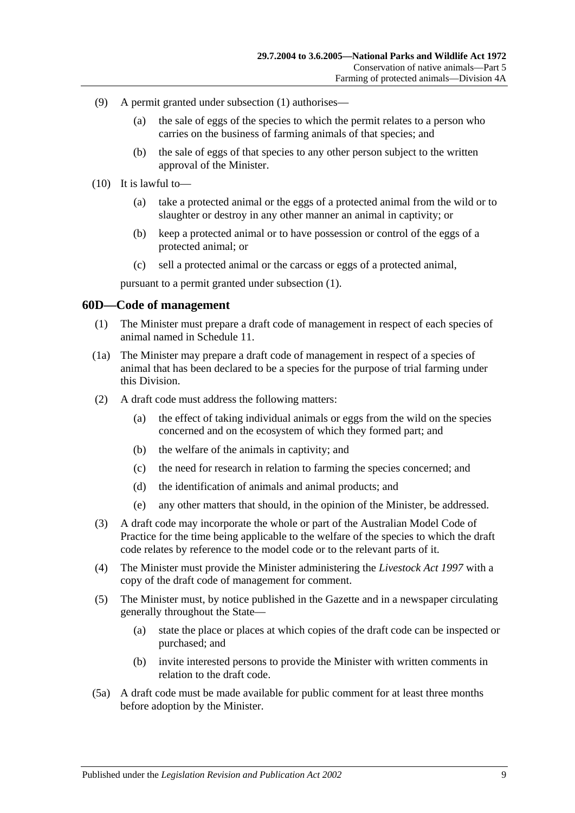- (9) A permit granted under [subsection](#page-61-1) (1) authorises—
	- (a) the sale of eggs of the species to which the permit relates to a person who carries on the business of farming animals of that species; and
	- (b) the sale of eggs of that species to any other person subject to the written approval of the Minister.
- (10) It is lawful to—
	- (a) take a protected animal or the eggs of a protected animal from the wild or to slaughter or destroy in any other manner an animal in captivity; or
	- (b) keep a protected animal or to have possession or control of the eggs of a protected animal; or
	- (c) sell a protected animal or the carcass or eggs of a protected animal,

pursuant to a permit granted under [subsection](#page-61-1) (1).

#### **60D—Code of management**

- (1) The Minister must prepare a draft code of management in respect of each species of animal named in [Schedule 11.](#page-130-1)
- <span id="page-62-0"></span>(1a) The Minister may prepare a draft code of management in respect of a species of animal that has been declared to be a species for the purpose of trial farming under this Division.
- (2) A draft code must address the following matters:
	- (a) the effect of taking individual animals or eggs from the wild on the species concerned and on the ecosystem of which they formed part; and
	- (b) the welfare of the animals in captivity; and
	- (c) the need for research in relation to farming the species concerned; and
	- (d) the identification of animals and animal products; and
	- (e) any other matters that should, in the opinion of the Minister, be addressed.
- (3) A draft code may incorporate the whole or part of the Australian Model Code of Practice for the time being applicable to the welfare of the species to which the draft code relates by reference to the model code or to the relevant parts of it.
- (4) The Minister must provide the Minister administering the *[Livestock Act](http://www.legislation.sa.gov.au/index.aspx?action=legref&type=act&legtitle=Livestock%20Act%201997) 1997* with a copy of the draft code of management for comment.
- (5) The Minister must, by notice published in the Gazette and in a newspaper circulating generally throughout the State—
	- (a) state the place or places at which copies of the draft code can be inspected or purchased; and
	- (b) invite interested persons to provide the Minister with written comments in relation to the draft code.
- (5a) A draft code must be made available for public comment for at least three months before adoption by the Minister.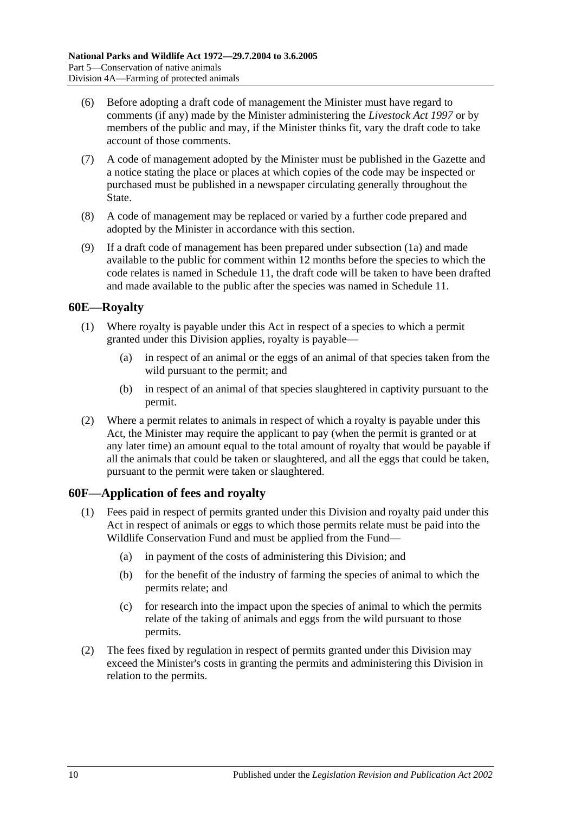- (6) Before adopting a draft code of management the Minister must have regard to comments (if any) made by the Minister administering the *[Livestock Act](http://www.legislation.sa.gov.au/index.aspx?action=legref&type=act&legtitle=Livestock%20Act%201997) 1997* or by members of the public and may, if the Minister thinks fit, vary the draft code to take account of those comments.
- (7) A code of management adopted by the Minister must be published in the Gazette and a notice stating the place or places at which copies of the code may be inspected or purchased must be published in a newspaper circulating generally throughout the State.
- (8) A code of management may be replaced or varied by a further code prepared and adopted by the Minister in accordance with this section.
- (9) If a draft code of management has been prepared under [subsection](#page-62-0) (1a) and made available to the public for comment within 12 months before the species to which the code relates is named in [Schedule 11,](#page-130-1) the draft code will be taken to have been drafted and made available to the public after the species was named in [Schedule 11.](#page-130-1)

#### **60E—Royalty**

- (1) Where royalty is payable under this Act in respect of a species to which a permit granted under this Division applies, royalty is payable—
	- (a) in respect of an animal or the eggs of an animal of that species taken from the wild pursuant to the permit; and
	- (b) in respect of an animal of that species slaughtered in captivity pursuant to the permit.
- (2) Where a permit relates to animals in respect of which a royalty is payable under this Act, the Minister may require the applicant to pay (when the permit is granted or at any later time) an amount equal to the total amount of royalty that would be payable if all the animals that could be taken or slaughtered, and all the eggs that could be taken, pursuant to the permit were taken or slaughtered.

#### **60F—Application of fees and royalty**

- (1) Fees paid in respect of permits granted under this Division and royalty paid under this Act in respect of animals or eggs to which those permits relate must be paid into the Wildlife Conservation Fund and must be applied from the Fund—
	- (a) in payment of the costs of administering this Division; and
	- (b) for the benefit of the industry of farming the species of animal to which the permits relate; and
	- (c) for research into the impact upon the species of animal to which the permits relate of the taking of animals and eggs from the wild pursuant to those permits.
- (2) The fees fixed by regulation in respect of permits granted under this Division may exceed the Minister's costs in granting the permits and administering this Division in relation to the permits.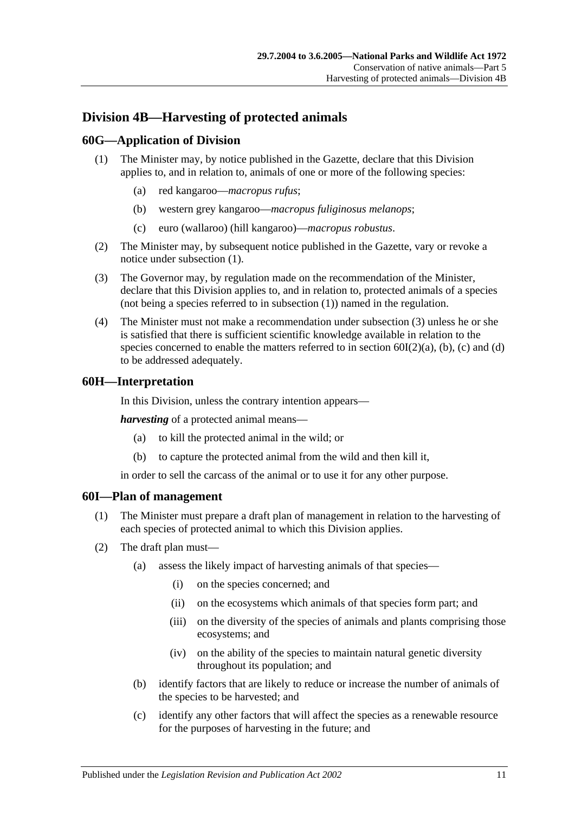# **Division 4B—Harvesting of protected animals**

### <span id="page-64-0"></span>**60G—Application of Division**

- (1) The Minister may, by notice published in the Gazette, declare that this Division applies to, and in relation to, animals of one or more of the following species:
	- (a) red kangaroo—*macropus rufus*;
	- (b) western grey kangaroo—*macropus fuliginosus melanops*;
	- (c) euro (wallaroo) (hill kangaroo)—*macropus robustus*.
- (2) The Minister may, by subsequent notice published in the Gazette, vary or revoke a notice under [subsection](#page-64-0) (1).
- <span id="page-64-1"></span>(3) The Governor may, by regulation made on the recommendation of the Minister, declare that this Division applies to, and in relation to, protected animals of a species (not being a species referred to in [subsection](#page-64-0) (1)) named in the regulation.
- (4) The Minister must not make a recommendation under [subsection](#page-64-1) (3) unless he or she is satisfied that there is sufficient scientific knowledge available in relation to the species concerned to enable the matters referred to in section  $60I(2)(a)$ , [\(b\),](#page-64-3) [\(c\)](#page-64-4) and [\(d\)](#page-65-0) to be addressed adequately.

#### **60H—Interpretation**

In this Division, unless the contrary intention appears—

*harvesting* of a protected animal means—

- (a) to kill the protected animal in the wild; or
- (b) to capture the protected animal from the wild and then kill it,

in order to sell the carcass of the animal or to use it for any other purpose.

#### **60I—Plan of management**

- (1) The Minister must prepare a draft plan of management in relation to the harvesting of each species of protected animal to which this Division applies.
- <span id="page-64-4"></span><span id="page-64-3"></span><span id="page-64-2"></span>(2) The draft plan must—
	- (a) assess the likely impact of harvesting animals of that species—
		- (i) on the species concerned; and
		- (ii) on the ecosystems which animals of that species form part; and
		- (iii) on the diversity of the species of animals and plants comprising those ecosystems; and
		- (iv) on the ability of the species to maintain natural genetic diversity throughout its population; and
	- (b) identify factors that are likely to reduce or increase the number of animals of the species to be harvested; and
	- (c) identify any other factors that will affect the species as a renewable resource for the purposes of harvesting in the future; and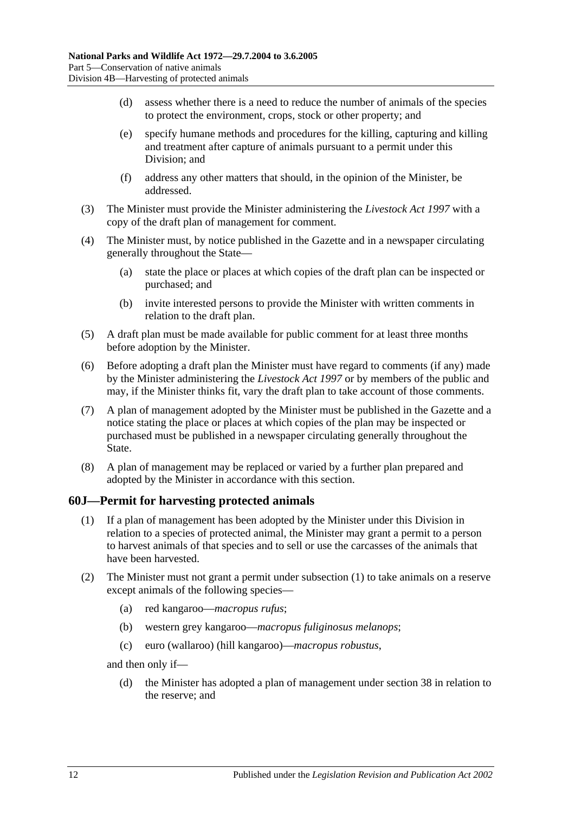- <span id="page-65-0"></span>(d) assess whether there is a need to reduce the number of animals of the species to protect the environment, crops, stock or other property; and
- (e) specify humane methods and procedures for the killing, capturing and killing and treatment after capture of animals pursuant to a permit under this Division; and
- (f) address any other matters that should, in the opinion of the Minister, be addressed.
- (3) The Minister must provide the Minister administering the *[Livestock Act](http://www.legislation.sa.gov.au/index.aspx?action=legref&type=act&legtitle=Livestock%20Act%201997) 1997* with a copy of the draft plan of management for comment.
- (4) The Minister must, by notice published in the Gazette and in a newspaper circulating generally throughout the State—
	- (a) state the place or places at which copies of the draft plan can be inspected or purchased; and
	- (b) invite interested persons to provide the Minister with written comments in relation to the draft plan.
- (5) A draft plan must be made available for public comment for at least three months before adoption by the Minister.
- (6) Before adopting a draft plan the Minister must have regard to comments (if any) made by the Minister administering the *[Livestock Act](http://www.legislation.sa.gov.au/index.aspx?action=legref&type=act&legtitle=Livestock%20Act%201997) 1997* or by members of the public and may, if the Minister thinks fit, vary the draft plan to take account of those comments.
- (7) A plan of management adopted by the Minister must be published in the Gazette and a notice stating the place or places at which copies of the plan may be inspected or purchased must be published in a newspaper circulating generally throughout the State.
- (8) A plan of management may be replaced or varied by a further plan prepared and adopted by the Minister in accordance with this section.

#### <span id="page-65-1"></span>**60J—Permit for harvesting protected animals**

- (1) If a plan of management has been adopted by the Minister under this Division in relation to a species of protected animal, the Minister may grant a permit to a person to harvest animals of that species and to sell or use the carcasses of the animals that have been harvested.
- (2) The Minister must not grant a permit under [subsection](#page-65-1) (1) to take animals on a reserve except animals of the following species—
	- (a) red kangaroo—*macropus rufus*;
	- (b) western grey kangaroo—*macropus fuliginosus melanops*;
	- (c) euro (wallaroo) (hill kangaroo)—*macropus robustus*,

and then only if—

(d) the Minister has adopted a plan of management under [section](#page-31-0) 38 in relation to the reserve; and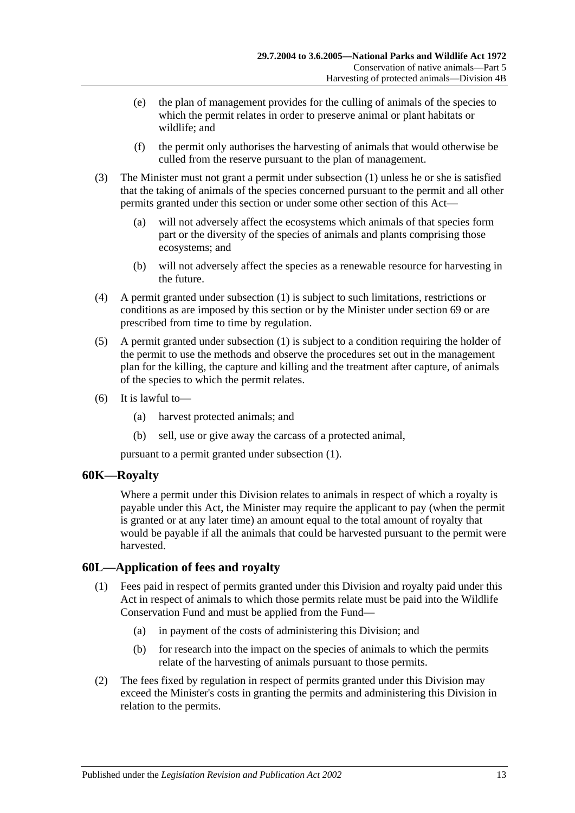- (e) the plan of management provides for the culling of animals of the species to which the permit relates in order to preserve animal or plant habitats or wildlife; and
- (f) the permit only authorises the harvesting of animals that would otherwise be culled from the reserve pursuant to the plan of management.
- (3) The Minister must not grant a permit under [subsection](#page-65-1) (1) unless he or she is satisfied that the taking of animals of the species concerned pursuant to the permit and all other permits granted under this section or under some other section of this Act—
	- (a) will not adversely affect the ecosystems which animals of that species form part or the diversity of the species of animals and plants comprising those ecosystems; and
	- (b) will not adversely affect the species as a renewable resource for harvesting in the future.
- (4) A permit granted under [subsection](#page-65-1) (1) is subject to such limitations, restrictions or conditions as are imposed by this section or by the Minister under [section](#page-76-0) 69 or are prescribed from time to time by regulation.
- (5) A permit granted under [subsection](#page-65-1) (1) is subject to a condition requiring the holder of the permit to use the methods and observe the procedures set out in the management plan for the killing, the capture and killing and the treatment after capture, of animals of the species to which the permit relates.
- (6) It is lawful to—
	- (a) harvest protected animals; and
	- (b) sell, use or give away the carcass of a protected animal,

pursuant to a permit granted under [subsection](#page-65-1) (1).

#### **60K—Royalty**

Where a permit under this Division relates to animals in respect of which a royalty is payable under this Act, the Minister may require the applicant to pay (when the permit is granted or at any later time) an amount equal to the total amount of royalty that would be payable if all the animals that could be harvested pursuant to the permit were harvested.

### **60L—Application of fees and royalty**

- (1) Fees paid in respect of permits granted under this Division and royalty paid under this Act in respect of animals to which those permits relate must be paid into the Wildlife Conservation Fund and must be applied from the Fund—
	- (a) in payment of the costs of administering this Division; and
	- (b) for research into the impact on the species of animals to which the permits relate of the harvesting of animals pursuant to those permits.
- (2) The fees fixed by regulation in respect of permits granted under this Division may exceed the Minister's costs in granting the permits and administering this Division in relation to the permits.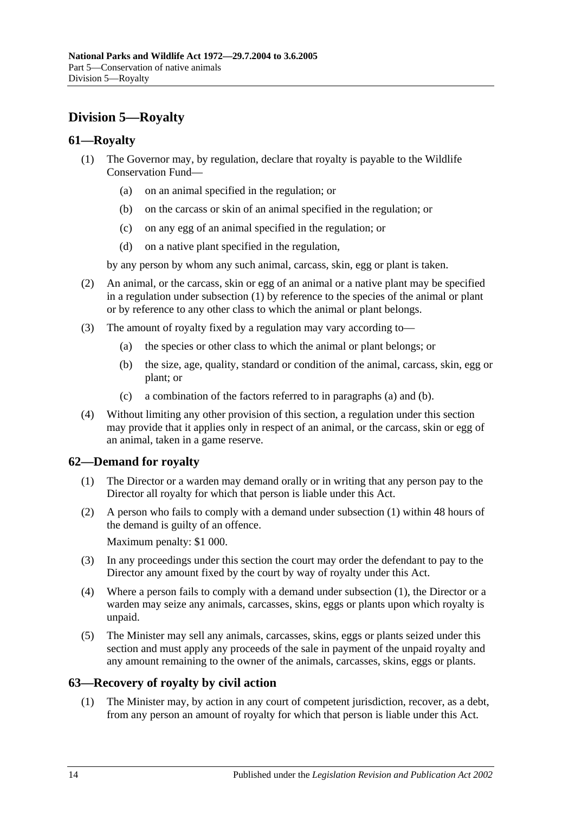# **Division 5—Royalty**

### <span id="page-67-0"></span>**61—Royalty**

- (1) The Governor may, by regulation, declare that royalty is payable to the Wildlife Conservation Fund—
	- (a) on an animal specified in the regulation; or
	- (b) on the carcass or skin of an animal specified in the regulation; or
	- (c) on any egg of an animal specified in the regulation; or
	- (d) on a native plant specified in the regulation,

by any person by whom any such animal, carcass, skin, egg or plant is taken.

- (2) An animal, or the carcass, skin or egg of an animal or a native plant may be specified in a regulation under [subsection](#page-67-0) (1) by reference to the species of the animal or plant or by reference to any other class to which the animal or plant belongs.
- <span id="page-67-2"></span><span id="page-67-1"></span>(3) The amount of royalty fixed by a regulation may vary according to—
	- (a) the species or other class to which the animal or plant belongs; or
	- (b) the size, age, quality, standard or condition of the animal, carcass, skin, egg or plant; or
	- (c) a combination of the factors referred to in [paragraphs](#page-67-1) (a) and [\(b\).](#page-67-2)
- (4) Without limiting any other provision of this section, a regulation under this section may provide that it applies only in respect of an animal, or the carcass, skin or egg of an animal, taken in a game reserve.

### <span id="page-67-3"></span>**62—Demand for royalty**

- (1) The Director or a warden may demand orally or in writing that any person pay to the Director all royalty for which that person is liable under this Act.
- (2) A person who fails to comply with a demand under [subsection](#page-67-3) (1) within 48 hours of the demand is guilty of an offence.

Maximum penalty: \$1 000.

- (3) In any proceedings under this section the court may order the defendant to pay to the Director any amount fixed by the court by way of royalty under this Act.
- (4) Where a person fails to comply with a demand under [subsection](#page-67-3) (1), the Director or a warden may seize any animals, carcasses, skins, eggs or plants upon which royalty is unpaid.
- (5) The Minister may sell any animals, carcasses, skins, eggs or plants seized under this section and must apply any proceeds of the sale in payment of the unpaid royalty and any amount remaining to the owner of the animals, carcasses, skins, eggs or plants.

### **63—Recovery of royalty by civil action**

(1) The Minister may, by action in any court of competent jurisdiction, recover, as a debt, from any person an amount of royalty for which that person is liable under this Act.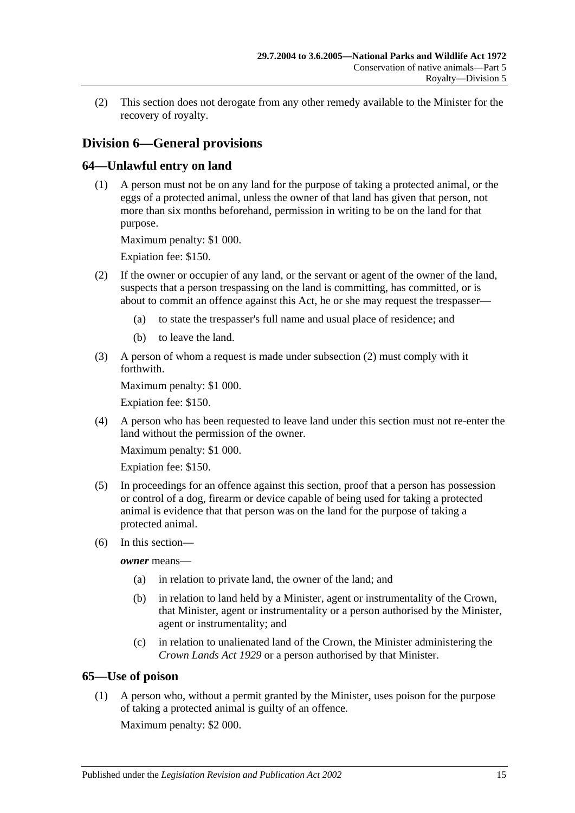(2) This section does not derogate from any other remedy available to the Minister for the recovery of royalty.

# **Division 6—General provisions**

### **64—Unlawful entry on land**

(1) A person must not be on any land for the purpose of taking a protected animal, or the eggs of a protected animal, unless the owner of that land has given that person, not more than six months beforehand, permission in writing to be on the land for that purpose.

Maximum penalty: \$1 000.

Expiation fee: \$150.

- <span id="page-68-0"></span>(2) If the owner or occupier of any land, or the servant or agent of the owner of the land, suspects that a person trespassing on the land is committing, has committed, or is about to commit an offence against this Act, he or she may request the trespasser—
	- (a) to state the trespasser's full name and usual place of residence; and
	- (b) to leave the land.
- (3) A person of whom a request is made under [subsection](#page-68-0) (2) must comply with it forthwith.

Maximum penalty: \$1 000.

Expiation fee: \$150.

(4) A person who has been requested to leave land under this section must not re-enter the land without the permission of the owner.

Maximum penalty: \$1 000.

Expiation fee: \$150.

- (5) In proceedings for an offence against this section, proof that a person has possession or control of a dog, firearm or device capable of being used for taking a protected animal is evidence that that person was on the land for the purpose of taking a protected animal.
- (6) In this section—

*owner* means—

- (a) in relation to private land, the owner of the land; and
- (b) in relation to land held by a Minister, agent or instrumentality of the Crown, that Minister, agent or instrumentality or a person authorised by the Minister, agent or instrumentality; and
- (c) in relation to unalienated land of the Crown, the Minister administering the *[Crown Lands Act](http://www.legislation.sa.gov.au/index.aspx?action=legref&type=act&legtitle=Crown%20Lands%20Act%201929) 1929* or a person authorised by that Minister.

#### **65—Use of poison**

(1) A person who, without a permit granted by the Minister, uses poison for the purpose of taking a protected animal is guilty of an offence.

Maximum penalty: \$2 000.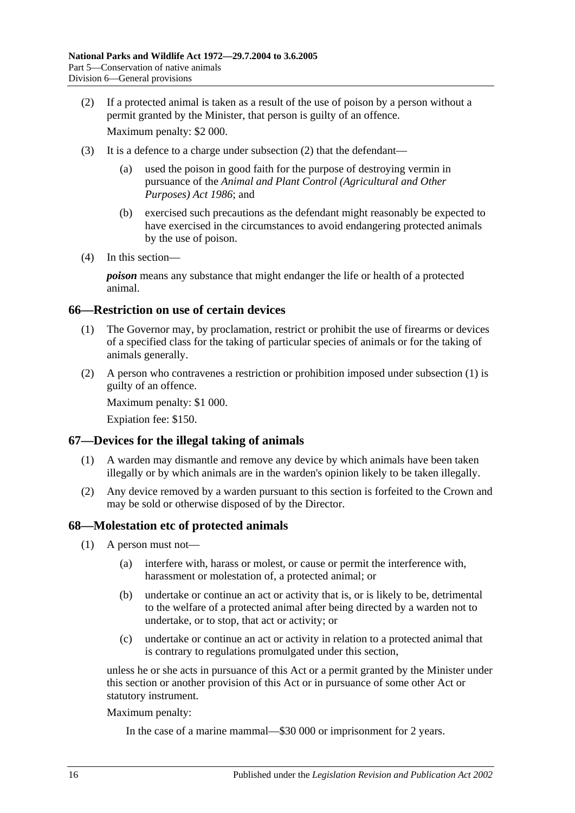<span id="page-69-0"></span>(2) If a protected animal is taken as a result of the use of poison by a person without a permit granted by the Minister, that person is guilty of an offence.

Maximum penalty: \$2 000.

- (3) It is a defence to a charge under [subsection](#page-69-0) (2) that the defendant—
	- (a) used the poison in good faith for the purpose of destroying vermin in pursuance of the *[Animal and Plant Control \(Agricultural and Other](http://www.legislation.sa.gov.au/index.aspx?action=legref&type=act&legtitle=Animal%20and%20Plant%20Control%20(Agricultural%20and%20Other%20Purposes)%20Act%201986)  [Purposes\) Act](http://www.legislation.sa.gov.au/index.aspx?action=legref&type=act&legtitle=Animal%20and%20Plant%20Control%20(Agricultural%20and%20Other%20Purposes)%20Act%201986) 1986*; and
	- (b) exercised such precautions as the defendant might reasonably be expected to have exercised in the circumstances to avoid endangering protected animals by the use of poison.
- (4) In this section—

*poison* means any substance that might endanger the life or health of a protected animal.

#### <span id="page-69-1"></span>**66—Restriction on use of certain devices**

- (1) The Governor may, by proclamation, restrict or prohibit the use of firearms or devices of a specified class for the taking of particular species of animals or for the taking of animals generally.
- (2) A person who contravenes a restriction or prohibition imposed under [subsection](#page-69-1) (1) is guilty of an offence.

Maximum penalty: \$1 000.

Expiation fee: \$150.

#### **67—Devices for the illegal taking of animals**

- (1) A warden may dismantle and remove any device by which animals have been taken illegally or by which animals are in the warden's opinion likely to be taken illegally.
- (2) Any device removed by a warden pursuant to this section is forfeited to the Crown and may be sold or otherwise disposed of by the Director.

#### <span id="page-69-5"></span>**68—Molestation etc of protected animals**

- <span id="page-69-3"></span><span id="page-69-2"></span>(1) A person must not—
	- (a) interfere with, harass or molest, or cause or permit the interference with, harassment or molestation of, a protected animal; or
	- (b) undertake or continue an act or activity that is, or is likely to be, detrimental to the welfare of a protected animal after being directed by a warden not to undertake, or to stop, that act or activity; or
	- (c) undertake or continue an act or activity in relation to a protected animal that is contrary to regulations promulgated under this section,

<span id="page-69-4"></span>unless he or she acts in pursuance of this Act or a permit granted by the Minister under this section or another provision of this Act or in pursuance of some other Act or statutory instrument.

Maximum penalty:

In the case of a marine mammal—\$30 000 or imprisonment for 2 years.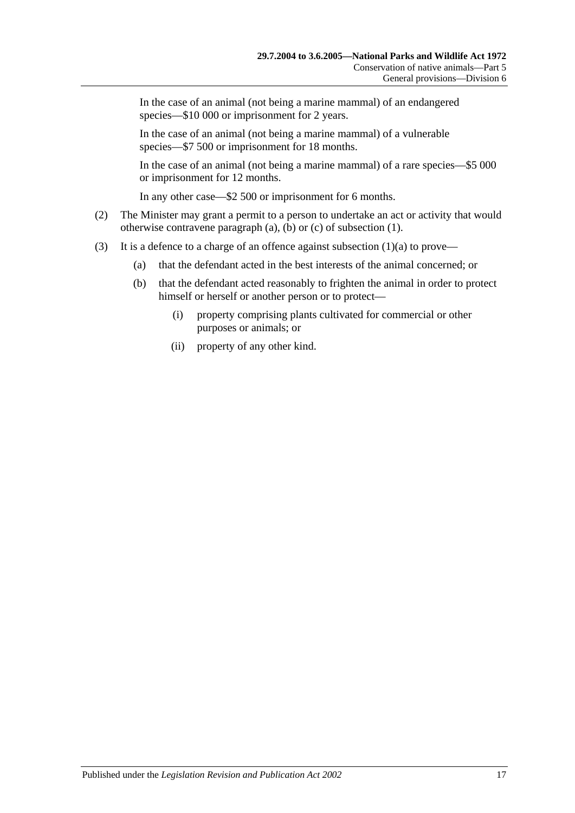In the case of an animal (not being a marine mammal) of an endangered species—\$10 000 or imprisonment for 2 years.

In the case of an animal (not being a marine mammal) of a vulnerable species—\$7 500 or imprisonment for 18 months.

In the case of an animal (not being a marine mammal) of a rare species—\$5 000 or imprisonment for 12 months.

In any other case—\$2 500 or imprisonment for 6 months.

- (2) The Minister may grant a permit to a person to undertake an act or activity that would otherwise contravene [paragraph](#page-69-2) (a), [\(b\)](#page-69-3) or [\(c\)](#page-69-4) of [subsection](#page-69-5) (1).
- (3) It is a defence to a charge of an offence against [subsection](#page-69-2)  $(1)(a)$  to prove—
	- (a) that the defendant acted in the best interests of the animal concerned; or
	- (b) that the defendant acted reasonably to frighten the animal in order to protect himself or herself or another person or to protect—
		- (i) property comprising plants cultivated for commercial or other purposes or animals; or
		- (ii) property of any other kind.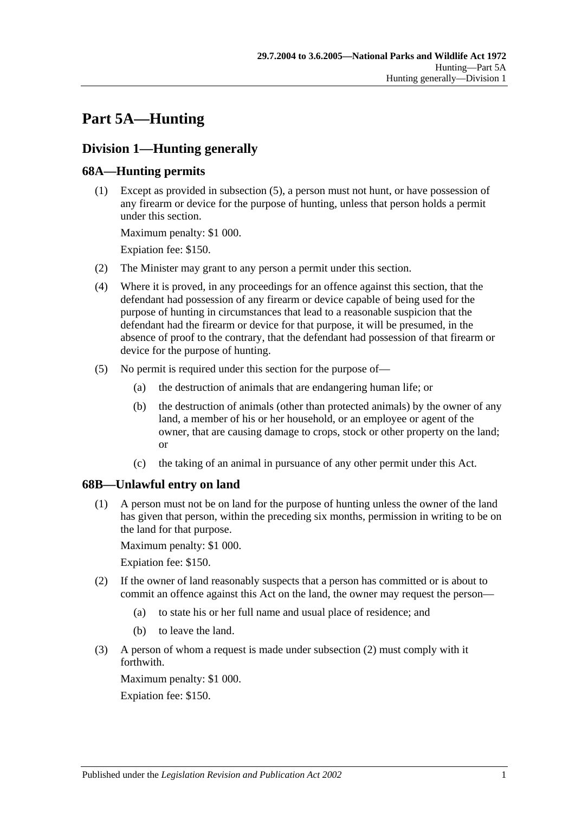# **Part 5A—Hunting**

# **Division 1—Hunting generally**

# <span id="page-72-3"></span>**68A—Hunting permits**

(1) Except as provided in [subsection](#page-72-0) (5), a person must not hunt, or have possession of any firearm or device for the purpose of hunting, unless that person holds a permit under this section.

Maximum penalty: \$1 000.

Expiation fee: \$150.

- (2) The Minister may grant to any person a permit under this section.
- (4) Where it is proved, in any proceedings for an offence against this section, that the defendant had possession of any firearm or device capable of being used for the purpose of hunting in circumstances that lead to a reasonable suspicion that the defendant had the firearm or device for that purpose, it will be presumed, in the absence of proof to the contrary, that the defendant had possession of that firearm or device for the purpose of hunting.
- <span id="page-72-0"></span>(5) No permit is required under this section for the purpose of—
	- (a) the destruction of animals that are endangering human life; or
	- (b) the destruction of animals (other than protected animals) by the owner of any land, a member of his or her household, or an employee or agent of the owner, that are causing damage to crops, stock or other property on the land; or
	- (c) the taking of an animal in pursuance of any other permit under this Act.

# <span id="page-72-2"></span>**68B—Unlawful entry on land**

(1) A person must not be on land for the purpose of hunting unless the owner of the land has given that person, within the preceding six months, permission in writing to be on the land for that purpose.

Maximum penalty: \$1 000.

Expiation fee: \$150.

- <span id="page-72-1"></span>(2) If the owner of land reasonably suspects that a person has committed or is about to commit an offence against this Act on the land, the owner may request the person—
	- (a) to state his or her full name and usual place of residence; and
	- (b) to leave the land.
- (3) A person of whom a request is made under [subsection](#page-72-1) (2) must comply with it forthwith.

Maximum penalty: \$1 000. Expiation fee: \$150.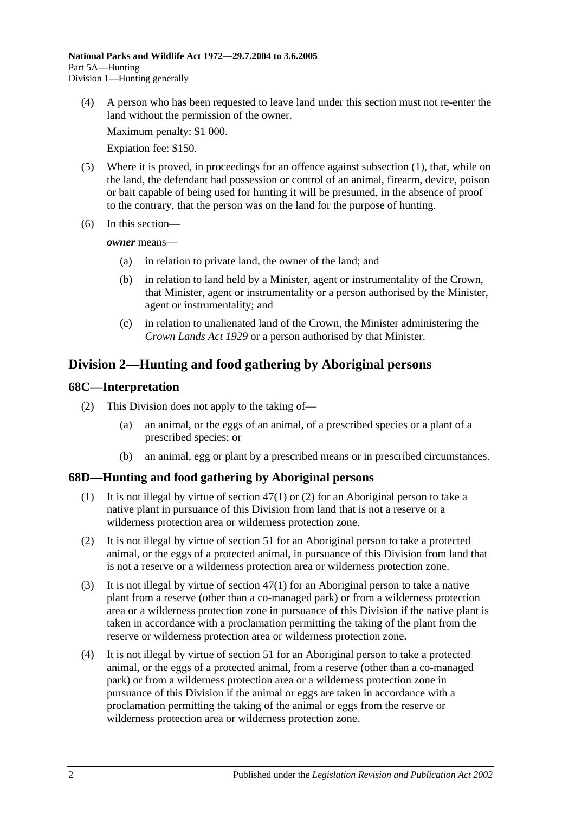(4) A person who has been requested to leave land under this section must not re-enter the land without the permission of the owner.

Maximum penalty: \$1 000.

Expiation fee: \$150.

- (5) Where it is proved, in proceedings for an offence against [subsection](#page-72-2) (1), that, while on the land, the defendant had possession or control of an animal, firearm, device, poison or bait capable of being used for hunting it will be presumed, in the absence of proof to the contrary, that the person was on the land for the purpose of hunting.
- (6) In this section—

*owner* means—

- (a) in relation to private land, the owner of the land; and
- (b) in relation to land held by a Minister, agent or instrumentality of the Crown, that Minister, agent or instrumentality or a person authorised by the Minister, agent or instrumentality; and
- (c) in relation to unalienated land of the Crown, the Minister administering the *[Crown Lands Act](http://www.legislation.sa.gov.au/index.aspx?action=legref&type=act&legtitle=Crown%20Lands%20Act%201929) 1929* or a person authorised by that Minister.

# **Division 2—Hunting and food gathering by Aboriginal persons**

## **68C—Interpretation**

- (2) This Division does not apply to the taking of—
	- (a) an animal, or the eggs of an animal, of a prescribed species or a plant of a prescribed species; or
	- (b) an animal, egg or plant by a prescribed means or in prescribed circumstances.

# **68D—Hunting and food gathering by Aboriginal persons**

- (1) It is not illegal by virtue of [section](#page-50-0) 47(1) or [\(2\)](#page-50-1) for an Aboriginal person to take a native plant in pursuance of this Division from land that is not a reserve or a wilderness protection area or wilderness protection zone.
- (2) It is not illegal by virtue of [section](#page-54-0) 51 for an Aboriginal person to take a protected animal, or the eggs of a protected animal, in pursuance of this Division from land that is not a reserve or a wilderness protection area or wilderness protection zone.
- <span id="page-73-0"></span>(3) It is not illegal by virtue of [section](#page-50-0) 47(1) for an Aboriginal person to take a native plant from a reserve (other than a co-managed park) or from a wilderness protection area or a wilderness protection zone in pursuance of this Division if the native plant is taken in accordance with a proclamation permitting the taking of the plant from the reserve or wilderness protection area or wilderness protection zone.
- <span id="page-73-1"></span>(4) It is not illegal by virtue of [section](#page-54-0) 51 for an Aboriginal person to take a protected animal, or the eggs of a protected animal, from a reserve (other than a co-managed park) or from a wilderness protection area or a wilderness protection zone in pursuance of this Division if the animal or eggs are taken in accordance with a proclamation permitting the taking of the animal or eggs from the reserve or wilderness protection area or wilderness protection zone.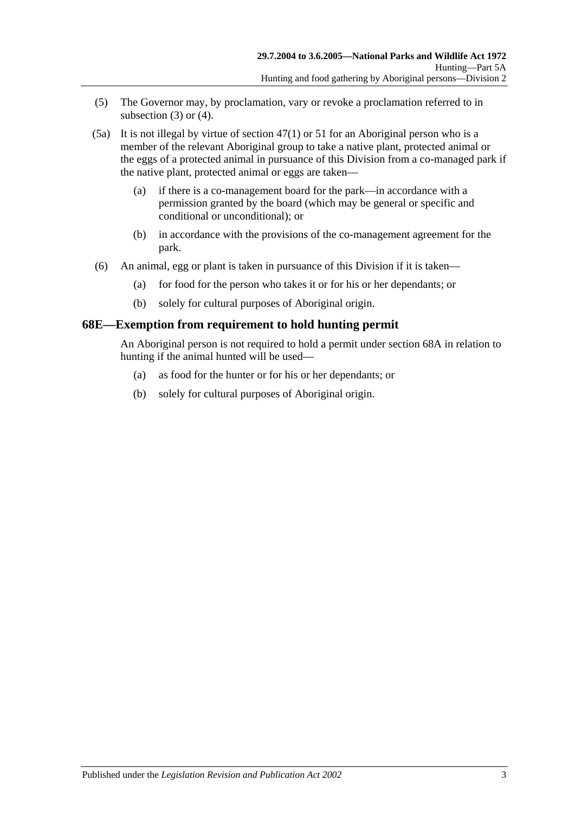- (5) The Governor may, by proclamation, vary or revoke a proclamation referred to in [subsection](#page-73-0)  $(3)$  or  $(4)$ .
- (5a) It is not illegal by virtue of [section](#page-50-0) 47(1) or [51](#page-54-0) for an Aboriginal person who is a member of the relevant Aboriginal group to take a native plant, protected animal or the eggs of a protected animal in pursuance of this Division from a co-managed park if the native plant, protected animal or eggs are taken—
	- (a) if there is a co-management board for the park—in accordance with a permission granted by the board (which may be general or specific and conditional or unconditional); or
	- (b) in accordance with the provisions of the co-management agreement for the park.
- (6) An animal, egg or plant is taken in pursuance of this Division if it is taken—
	- (a) for food for the person who takes it or for his or her dependants; or
	- (b) solely for cultural purposes of Aboriginal origin.

## **68E—Exemption from requirement to hold hunting permit**

An Aboriginal person is not required to hold a permit under [section](#page-72-3) 68A in relation to hunting if the animal hunted will be used—

- (a) as food for the hunter or for his or her dependants; or
- (b) solely for cultural purposes of Aboriginal origin.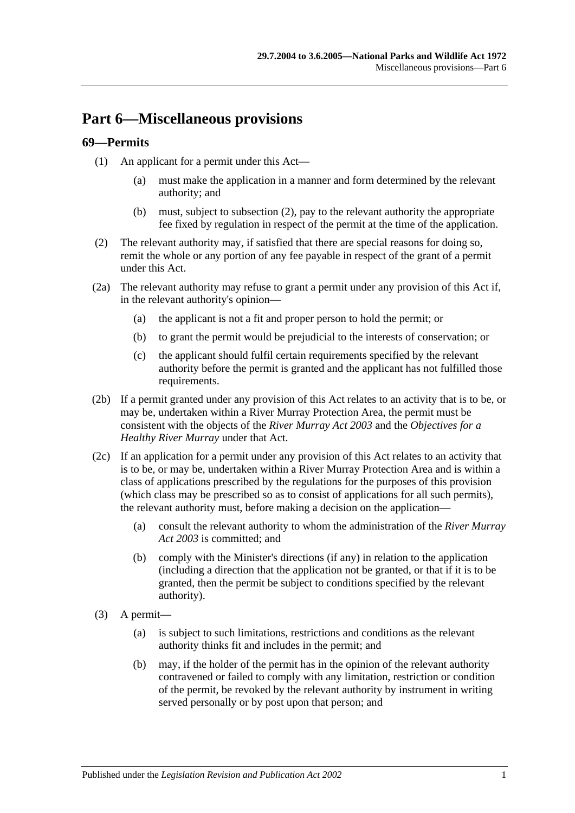# **Part 6—Miscellaneous provisions**

## **69—Permits**

- (1) An applicant for a permit under this Act—
	- (a) must make the application in a manner and form determined by the relevant authority; and
	- (b) must, subject to [subsection](#page-76-0) (2), pay to the relevant authority the appropriate fee fixed by regulation in respect of the permit at the time of the application.
- <span id="page-76-0"></span>(2) The relevant authority may, if satisfied that there are special reasons for doing so, remit the whole or any portion of any fee payable in respect of the grant of a permit under this Act.
- (2a) The relevant authority may refuse to grant a permit under any provision of this Act if, in the relevant authority's opinion—
	- (a) the applicant is not a fit and proper person to hold the permit; or
	- (b) to grant the permit would be prejudicial to the interests of conservation; or
	- (c) the applicant should fulfil certain requirements specified by the relevant authority before the permit is granted and the applicant has not fulfilled those requirements.
- (2b) If a permit granted under any provision of this Act relates to an activity that is to be, or may be, undertaken within a River Murray Protection Area, the permit must be consistent with the objects of the *[River Murray Act](http://www.legislation.sa.gov.au/index.aspx?action=legref&type=act&legtitle=River%20Murray%20Act%202003) 2003* and the *Objectives for a Healthy River Murray* under that Act.
- (2c) If an application for a permit under any provision of this Act relates to an activity that is to be, or may be, undertaken within a River Murray Protection Area and is within a class of applications prescribed by the regulations for the purposes of this provision (which class may be prescribed so as to consist of applications for all such permits), the relevant authority must, before making a decision on the application—
	- (a) consult the relevant authority to whom the administration of the *[River Murray](http://www.legislation.sa.gov.au/index.aspx?action=legref&type=act&legtitle=River%20Murray%20Act%202003)  Act [2003](http://www.legislation.sa.gov.au/index.aspx?action=legref&type=act&legtitle=River%20Murray%20Act%202003)* is committed; and
	- (b) comply with the Minister's directions (if any) in relation to the application (including a direction that the application not be granted, or that if it is to be granted, then the permit be subject to conditions specified by the relevant authority).
- (3) A permit—
	- (a) is subject to such limitations, restrictions and conditions as the relevant authority thinks fit and includes in the permit; and
	- (b) may, if the holder of the permit has in the opinion of the relevant authority contravened or failed to comply with any limitation, restriction or condition of the permit, be revoked by the relevant authority by instrument in writing served personally or by post upon that person; and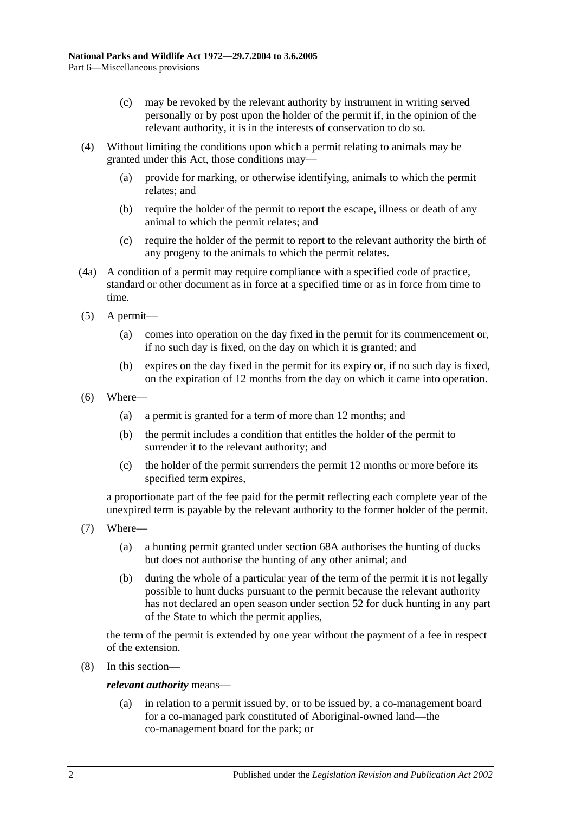- (c) may be revoked by the relevant authority by instrument in writing served personally or by post upon the holder of the permit if, in the opinion of the relevant authority, it is in the interests of conservation to do so.
- (4) Without limiting the conditions upon which a permit relating to animals may be granted under this Act, those conditions may—
	- (a) provide for marking, or otherwise identifying, animals to which the permit relates; and
	- (b) require the holder of the permit to report the escape, illness or death of any animal to which the permit relates; and
	- (c) require the holder of the permit to report to the relevant authority the birth of any progeny to the animals to which the permit relates.
- (4a) A condition of a permit may require compliance with a specified code of practice, standard or other document as in force at a specified time or as in force from time to time.
- (5) A permit—
	- (a) comes into operation on the day fixed in the permit for its commencement or, if no such day is fixed, on the day on which it is granted; and
	- (b) expires on the day fixed in the permit for its expiry or, if no such day is fixed, on the expiration of 12 months from the day on which it came into operation.
- (6) Where—
	- (a) a permit is granted for a term of more than 12 months; and
	- (b) the permit includes a condition that entitles the holder of the permit to surrender it to the relevant authority; and
	- (c) the holder of the permit surrenders the permit 12 months or more before its specified term expires,

a proportionate part of the fee paid for the permit reflecting each complete year of the unexpired term is payable by the relevant authority to the former holder of the permit.

- (7) Where—
	- (a) a hunting permit granted under [section](#page-72-3) 68A authorises the hunting of ducks but does not authorise the hunting of any other animal; and
	- (b) during the whole of a particular year of the term of the permit it is not legally possible to hunt ducks pursuant to the permit because the relevant authority has not declared an open season under [section](#page-55-0) 52 for duck hunting in any part of the State to which the permit applies,

the term of the permit is extended by one year without the payment of a fee in respect of the extension.

(8) In this section—

*relevant authority* means—

(a) in relation to a permit issued by, or to be issued by, a co-management board for a co-managed park constituted of Aboriginal-owned land—the co-management board for the park; or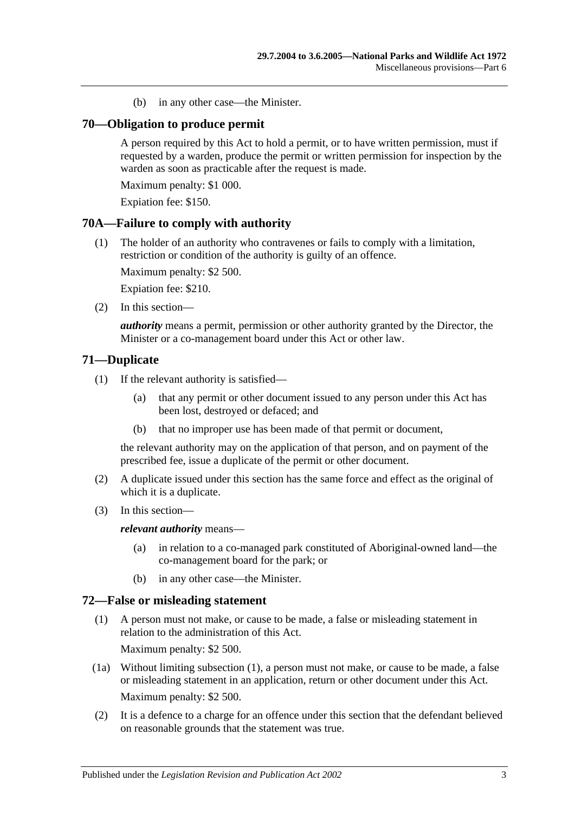(b) in any other case—the Minister.

#### **70—Obligation to produce permit**

A person required by this Act to hold a permit, or to have written permission, must if requested by a warden, produce the permit or written permission for inspection by the warden as soon as practicable after the request is made.

Maximum penalty: \$1 000.

Expiation fee: \$150.

#### **70A—Failure to comply with authority**

(1) The holder of an authority who contravenes or fails to comply with a limitation, restriction or condition of the authority is guilty of an offence.

Maximum penalty: \$2 500.

Expiation fee: \$210.

(2) In this section—

*authority* means a permit, permission or other authority granted by the Director, the Minister or a co-management board under this Act or other law.

#### **71—Duplicate**

- (1) If the relevant authority is satisfied—
	- (a) that any permit or other document issued to any person under this Act has been lost, destroyed or defaced; and
	- (b) that no improper use has been made of that permit or document,

the relevant authority may on the application of that person, and on payment of the prescribed fee, issue a duplicate of the permit or other document.

- (2) A duplicate issued under this section has the same force and effect as the original of which it is a duplicate.
- (3) In this section—

*relevant authority* means—

- (a) in relation to a co-managed park constituted of Aboriginal-owned land—the co-management board for the park; or
- (b) in any other case—the Minister.

# <span id="page-78-0"></span>**72—False or misleading statement**

- (1) A person must not make, or cause to be made, a false or misleading statement in relation to the administration of this Act. Maximum penalty: \$2 500.
- (1a) Without limiting [subsection](#page-78-0) (1), a person must not make, or cause to be made, a false or misleading statement in an application, return or other document under this Act. Maximum penalty: \$2 500.
- (2) It is a defence to a charge for an offence under this section that the defendant believed on reasonable grounds that the statement was true.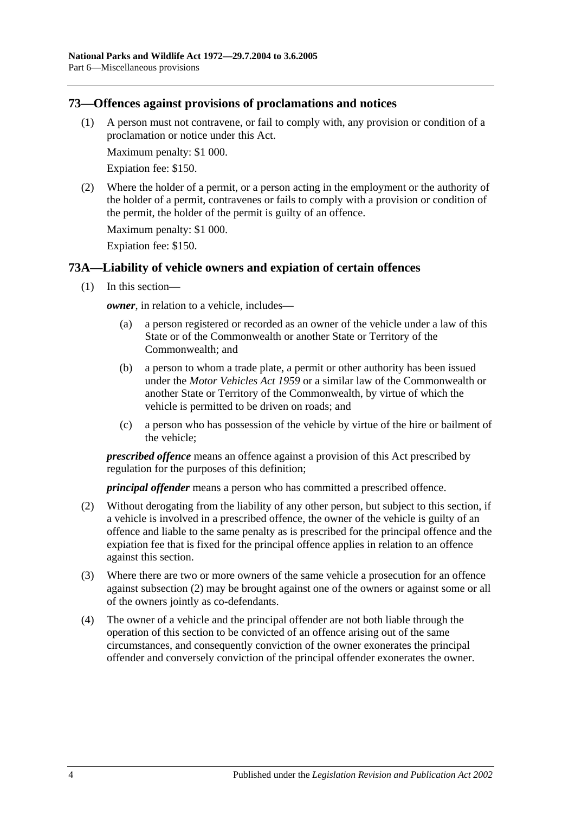### **73—Offences against provisions of proclamations and notices**

(1) A person must not contravene, or fail to comply with, any provision or condition of a proclamation or notice under this Act.

Maximum penalty: \$1 000.

Expiation fee: \$150.

(2) Where the holder of a permit, or a person acting in the employment or the authority of the holder of a permit, contravenes or fails to comply with a provision or condition of the permit, the holder of the permit is guilty of an offence.

Maximum penalty: \$1 000.

Expiation fee: \$150.

## **73A—Liability of vehicle owners and expiation of certain offences**

(1) In this section—

*owner*, in relation to a vehicle, includes—

- (a) a person registered or recorded as an owner of the vehicle under a law of this State or of the Commonwealth or another State or Territory of the Commonwealth; and
- (b) a person to whom a trade plate, a permit or other authority has been issued under the *Motor Vehicles Act 1959* or a similar law of the Commonwealth or another State or Territory of the Commonwealth, by virtue of which the vehicle is permitted to be driven on roads; and
- (c) a person who has possession of the vehicle by virtue of the hire or bailment of the vehicle;

*prescribed offence* means an offence against a provision of this Act prescribed by regulation for the purposes of this definition;

*principal offender* means a person who has committed a prescribed offence.

- <span id="page-79-0"></span>(2) Without derogating from the liability of any other person, but subject to this section, if a vehicle is involved in a prescribed offence, the owner of the vehicle is guilty of an offence and liable to the same penalty as is prescribed for the principal offence and the expiation fee that is fixed for the principal offence applies in relation to an offence against this section.
- (3) Where there are two or more owners of the same vehicle a prosecution for an offence against [subsection](#page-79-0) (2) may be brought against one of the owners or against some or all of the owners jointly as co-defendants.
- (4) The owner of a vehicle and the principal offender are not both liable through the operation of this section to be convicted of an offence arising out of the same circumstances, and consequently conviction of the owner exonerates the principal offender and conversely conviction of the principal offender exonerates the owner.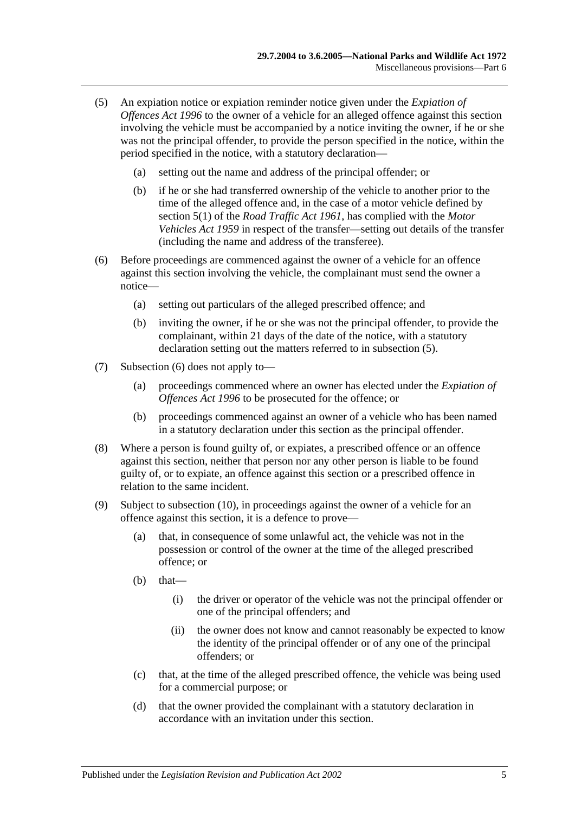- <span id="page-80-0"></span>(5) An expiation notice or expiation reminder notice given under the *[Expiation of](http://www.legislation.sa.gov.au/index.aspx?action=legref&type=act&legtitle=Expiation%20of%20Offences%20Act%201996)  [Offences Act](http://www.legislation.sa.gov.au/index.aspx?action=legref&type=act&legtitle=Expiation%20of%20Offences%20Act%201996) 1996* to the owner of a vehicle for an alleged offence against this section involving the vehicle must be accompanied by a notice inviting the owner, if he or she was not the principal offender, to provide the person specified in the notice, within the period specified in the notice, with a statutory declaration—
	- (a) setting out the name and address of the principal offender; or
	- (b) if he or she had transferred ownership of the vehicle to another prior to the time of the alleged offence and, in the case of a motor vehicle defined by section 5(1) of the *[Road Traffic Act](http://www.legislation.sa.gov.au/index.aspx?action=legref&type=act&legtitle=Road%20Traffic%20Act%201961) 1961*, has complied with the *[Motor](http://www.legislation.sa.gov.au/index.aspx?action=legref&type=act&legtitle=Motor%20Vehicles%20Act%201959)  [Vehicles Act](http://www.legislation.sa.gov.au/index.aspx?action=legref&type=act&legtitle=Motor%20Vehicles%20Act%201959) 1959* in respect of the transfer—setting out details of the transfer (including the name and address of the transferee).
- <span id="page-80-1"></span>(6) Before proceedings are commenced against the owner of a vehicle for an offence against this section involving the vehicle, the complainant must send the owner a notice—
	- (a) setting out particulars of the alleged prescribed offence; and
	- (b) inviting the owner, if he or she was not the principal offender, to provide the complainant, within 21 days of the date of the notice, with a statutory declaration setting out the matters referred to in [subsection](#page-80-0) (5).
- (7) [Subsection](#page-80-1) (6) does not apply to—
	- (a) proceedings commenced where an owner has elected under the *[Expiation of](http://www.legislation.sa.gov.au/index.aspx?action=legref&type=act&legtitle=Expiation%20of%20Offences%20Act%201996)  [Offences Act](http://www.legislation.sa.gov.au/index.aspx?action=legref&type=act&legtitle=Expiation%20of%20Offences%20Act%201996) 1996* to be prosecuted for the offence; or
	- (b) proceedings commenced against an owner of a vehicle who has been named in a statutory declaration under this section as the principal offender.
- (8) Where a person is found guilty of, or expiates, a prescribed offence or an offence against this section, neither that person nor any other person is liable to be found guilty of, or to expiate, an offence against this section or a prescribed offence in relation to the same incident.
- <span id="page-80-2"></span>(9) Subject to [subsection](#page-81-0) (10), in proceedings against the owner of a vehicle for an offence against this section, it is a defence to prove—
	- (a) that, in consequence of some unlawful act, the vehicle was not in the possession or control of the owner at the time of the alleged prescribed offence; or
	- $(b)$  that—
		- (i) the driver or operator of the vehicle was not the principal offender or one of the principal offenders; and
		- (ii) the owner does not know and cannot reasonably be expected to know the identity of the principal offender or of any one of the principal offenders; or
	- (c) that, at the time of the alleged prescribed offence, the vehicle was being used for a commercial purpose; or
	- (d) that the owner provided the complainant with a statutory declaration in accordance with an invitation under this section.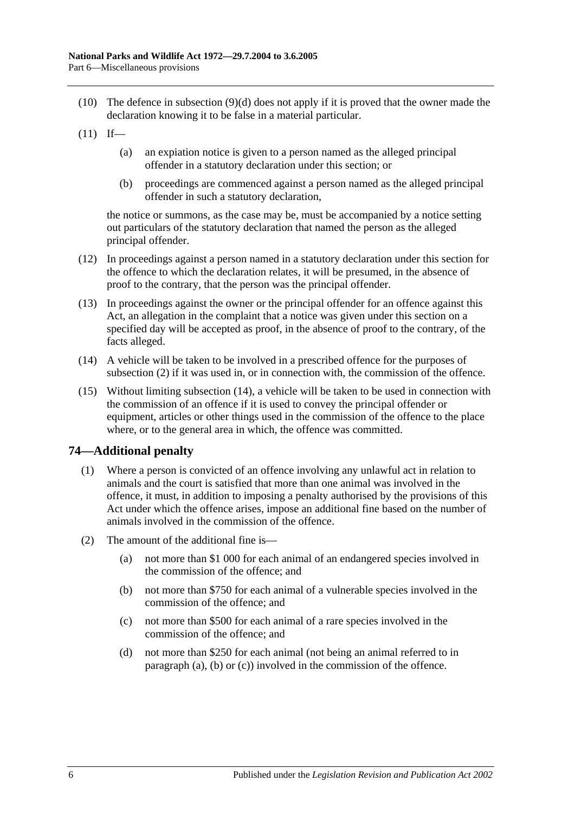- <span id="page-81-0"></span>(10) The defence in [subsection](#page-80-2) (9)(d) does not apply if it is proved that the owner made the declaration knowing it to be false in a material particular.
- $(11)$  If—
	- (a) an expiation notice is given to a person named as the alleged principal offender in a statutory declaration under this section; or
	- (b) proceedings are commenced against a person named as the alleged principal offender in such a statutory declaration,

the notice or summons, as the case may be, must be accompanied by a notice setting out particulars of the statutory declaration that named the person as the alleged principal offender.

- (12) In proceedings against a person named in a statutory declaration under this section for the offence to which the declaration relates, it will be presumed, in the absence of proof to the contrary, that the person was the principal offender.
- (13) In proceedings against the owner or the principal offender for an offence against this Act, an allegation in the complaint that a notice was given under this section on a specified day will be accepted as proof, in the absence of proof to the contrary, of the facts alleged.
- <span id="page-81-1"></span>(14) A vehicle will be taken to be involved in a prescribed offence for the purposes of [subsection](#page-79-0) (2) if it was used in, or in connection with, the commission of the offence.
- (15) Without limiting [subsection](#page-81-1) (14), a vehicle will be taken to be used in connection with the commission of an offence if it is used to convey the principal offender or equipment, articles or other things used in the commission of the offence to the place where, or to the general area in which, the offence was committed.

## **74—Additional penalty**

- (1) Where a person is convicted of an offence involving any unlawful act in relation to animals and the court is satisfied that more than one animal was involved in the offence, it must, in addition to imposing a penalty authorised by the provisions of this Act under which the offence arises, impose an additional fine based on the number of animals involved in the commission of the offence.
- <span id="page-81-4"></span><span id="page-81-3"></span><span id="page-81-2"></span>(2) The amount of the additional fine is—
	- (a) not more than \$1 000 for each animal of an endangered species involved in the commission of the offence; and
	- (b) not more than \$750 for each animal of a vulnerable species involved in the commission of the offence; and
	- (c) not more than \$500 for each animal of a rare species involved in the commission of the offence; and
	- (d) not more than \$250 for each animal (not being an animal referred to in [paragraph](#page-81-2) (a), [\(b\)](#page-81-3) or [\(c\)\)](#page-81-4) involved in the commission of the offence.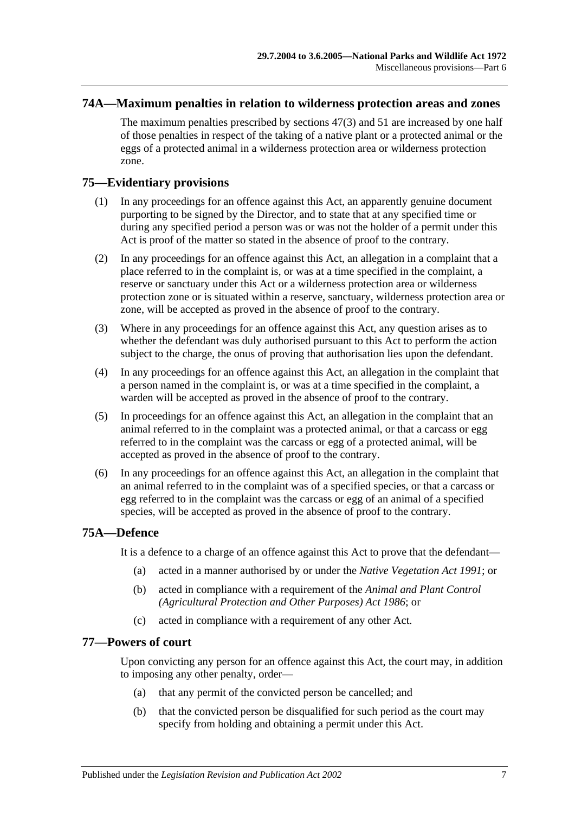#### **74A—Maximum penalties in relation to wilderness protection areas and zones**

The maximum penalties prescribed by [sections](#page-50-2) 47(3) and [51](#page-54-0) are increased by one half of those penalties in respect of the taking of a native plant or a protected animal or the eggs of a protected animal in a wilderness protection area or wilderness protection zone.

## **75—Evidentiary provisions**

- (1) In any proceedings for an offence against this Act, an apparently genuine document purporting to be signed by the Director, and to state that at any specified time or during any specified period a person was or was not the holder of a permit under this Act is proof of the matter so stated in the absence of proof to the contrary.
- (2) In any proceedings for an offence against this Act, an allegation in a complaint that a place referred to in the complaint is, or was at a time specified in the complaint, a reserve or sanctuary under this Act or a wilderness protection area or wilderness protection zone or is situated within a reserve, sanctuary, wilderness protection area or zone, will be accepted as proved in the absence of proof to the contrary.
- (3) Where in any proceedings for an offence against this Act, any question arises as to whether the defendant was duly authorised pursuant to this Act to perform the action subject to the charge, the onus of proving that authorisation lies upon the defendant.
- (4) In any proceedings for an offence against this Act, an allegation in the complaint that a person named in the complaint is, or was at a time specified in the complaint, a warden will be accepted as proved in the absence of proof to the contrary.
- (5) In proceedings for an offence against this Act, an allegation in the complaint that an animal referred to in the complaint was a protected animal, or that a carcass or egg referred to in the complaint was the carcass or egg of a protected animal, will be accepted as proved in the absence of proof to the contrary.
- (6) In any proceedings for an offence against this Act, an allegation in the complaint that an animal referred to in the complaint was of a specified species, or that a carcass or egg referred to in the complaint was the carcass or egg of an animal of a specified species, will be accepted as proved in the absence of proof to the contrary.

## **75A—Defence**

It is a defence to a charge of an offence against this Act to prove that the defendant—

- (a) acted in a manner authorised by or under the *[Native Vegetation Act](http://www.legislation.sa.gov.au/index.aspx?action=legref&type=act&legtitle=Native%20Vegetation%20Act%201991) 1991*; or
- (b) acted in compliance with a requirement of the *Animal and [Plant Control](http://www.legislation.sa.gov.au/index.aspx?action=legref&type=act&legtitle=Animal%20and%20Plant%20Control%20(Agricultural%20Protection%20and%20Other%20Purposes)%20Act%201986)  [\(Agricultural Protection and Other Purposes\) Act](http://www.legislation.sa.gov.au/index.aspx?action=legref&type=act&legtitle=Animal%20and%20Plant%20Control%20(Agricultural%20Protection%20and%20Other%20Purposes)%20Act%201986) 1986*; or
- (c) acted in compliance with a requirement of any other Act.

#### **77—Powers of court**

Upon convicting any person for an offence against this Act, the court may, in addition to imposing any other penalty, order—

- (a) that any permit of the convicted person be cancelled; and
- (b) that the convicted person be disqualified for such period as the court may specify from holding and obtaining a permit under this Act.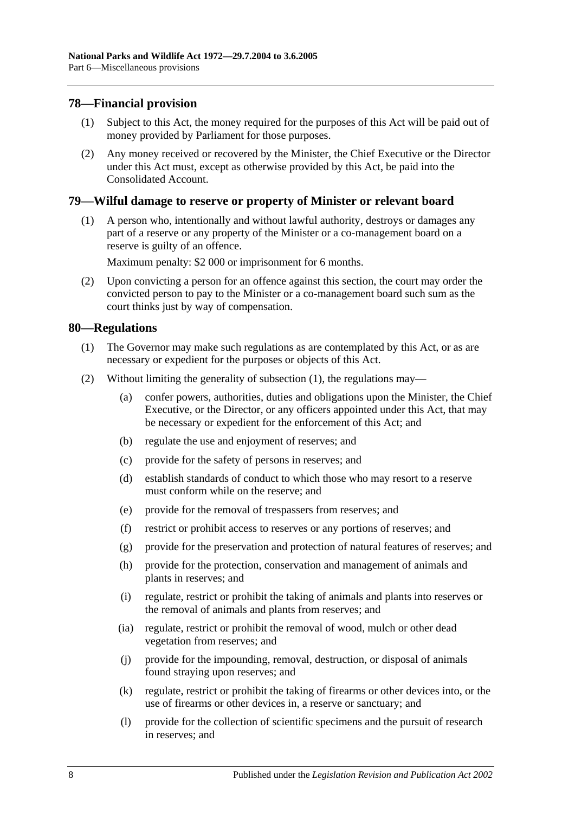### **78—Financial provision**

- (1) Subject to this Act, the money required for the purposes of this Act will be paid out of money provided by Parliament for those purposes.
- (2) Any money received or recovered by the Minister, the Chief Executive or the Director under this Act must, except as otherwise provided by this Act, be paid into the Consolidated Account.

#### **79—Wilful damage to reserve or property of Minister or relevant board**

(1) A person who, intentionally and without lawful authority, destroys or damages any part of a reserve or any property of the Minister or a co-management board on a reserve is guilty of an offence.

Maximum penalty: \$2 000 or imprisonment for 6 months.

(2) Upon convicting a person for an offence against this section, the court may order the convicted person to pay to the Minister or a co-management board such sum as the court thinks just by way of compensation.

#### <span id="page-83-0"></span>**80—Regulations**

- (1) The Governor may make such regulations as are contemplated by this Act, or as are necessary or expedient for the purposes or objects of this Act.
- (2) Without limiting the generality of [subsection](#page-83-0) (1), the regulations may—
	- (a) confer powers, authorities, duties and obligations upon the Minister, the Chief Executive, or the Director, or any officers appointed under this Act, that may be necessary or expedient for the enforcement of this Act; and
	- (b) regulate the use and enjoyment of reserves; and
	- (c) provide for the safety of persons in reserves; and
	- (d) establish standards of conduct to which those who may resort to a reserve must conform while on the reserve; and
	- (e) provide for the removal of trespassers from reserves; and
	- (f) restrict or prohibit access to reserves or any portions of reserves; and
	- (g) provide for the preservation and protection of natural features of reserves; and
	- (h) provide for the protection, conservation and management of animals and plants in reserves; and
	- (i) regulate, restrict or prohibit the taking of animals and plants into reserves or the removal of animals and plants from reserves; and
	- (ia) regulate, restrict or prohibit the removal of wood, mulch or other dead vegetation from reserves; and
	- (j) provide for the impounding, removal, destruction, or disposal of animals found straying upon reserves; and
	- (k) regulate, restrict or prohibit the taking of firearms or other devices into, or the use of firearms or other devices in, a reserve or sanctuary; and
	- (l) provide for the collection of scientific specimens and the pursuit of research in reserves; and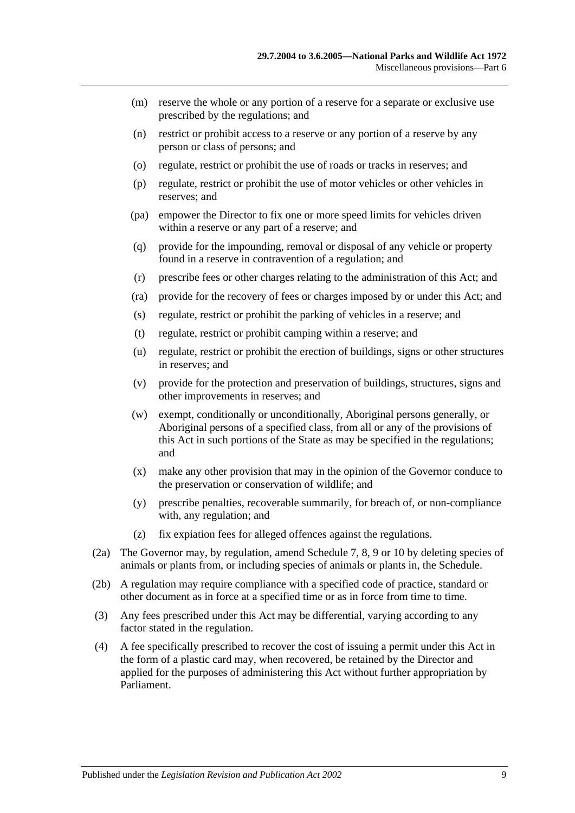- (m) reserve the whole or any portion of a reserve for a separate or exclusive use prescribed by the regulations; and
- (n) restrict or prohibit access to a reserve or any portion of a reserve by any person or class of persons; and
- (o) regulate, restrict or prohibit the use of roads or tracks in reserves; and
- (p) regulate, restrict or prohibit the use of motor vehicles or other vehicles in reserves; and
- (pa) empower the Director to fix one or more speed limits for vehicles driven within a reserve or any part of a reserve; and
- (q) provide for the impounding, removal or disposal of any vehicle or property found in a reserve in contravention of a regulation; and
- (r) prescribe fees or other charges relating to the administration of this Act; and
- (ra) provide for the recovery of fees or charges imposed by or under this Act; and
- (s) regulate, restrict or prohibit the parking of vehicles in a reserve; and
- (t) regulate, restrict or prohibit camping within a reserve; and
- (u) regulate, restrict or prohibit the erection of buildings, signs or other structures in reserves; and
- (v) provide for the protection and preservation of buildings, structures, signs and other improvements in reserves; and
- (w) exempt, conditionally or unconditionally, Aboriginal persons generally, or Aboriginal persons of a specified class, from all or any of the provisions of this Act in such portions of the State as may be specified in the regulations; and
- (x) make any other provision that may in the opinion of the Governor conduce to the preservation or conservation of wildlife; and
- (y) prescribe penalties, recoverable summarily, for breach of, or non-compliance with, any regulation; and
- (z) fix expiation fees for alleged offences against the regulations.
- (2a) The Governor may, by regulation, amend [Schedule 7,](#page-93-0) [8,](#page-101-0) [9](#page-111-0) or [10](#page-130-0) by deleting species of animals or plants from, or including species of animals or plants in, the Schedule.
- (2b) A regulation may require compliance with a specified code of practice, standard or other document as in force at a specified time or as in force from time to time.
- (3) Any fees prescribed under this Act may be differential, varying according to any factor stated in the regulation.
- (4) A fee specifically prescribed to recover the cost of issuing a permit under this Act in the form of a plastic card may, when recovered, be retained by the Director and applied for the purposes of administering this Act without further appropriation by Parliament.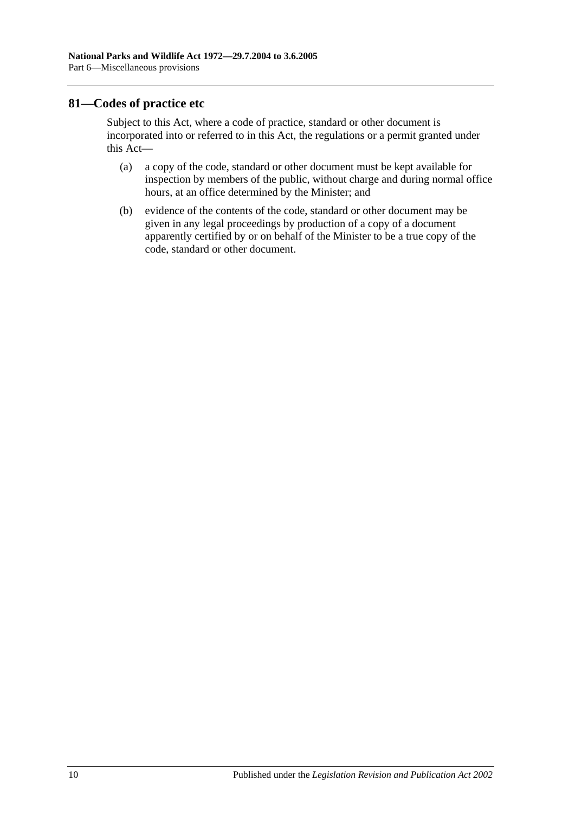### **81—Codes of practice etc**

Subject to this Act, where a code of practice, standard or other document is incorporated into or referred to in this Act, the regulations or a permit granted under this Act—

- (a) a copy of the code, standard or other document must be kept available for inspection by members of the public, without charge and during normal office hours, at an office determined by the Minister; and
- (b) evidence of the contents of the code, standard or other document may be given in any legal proceedings by production of a copy of a document apparently certified by or on behalf of the Minister to be a true copy of the code, standard or other document.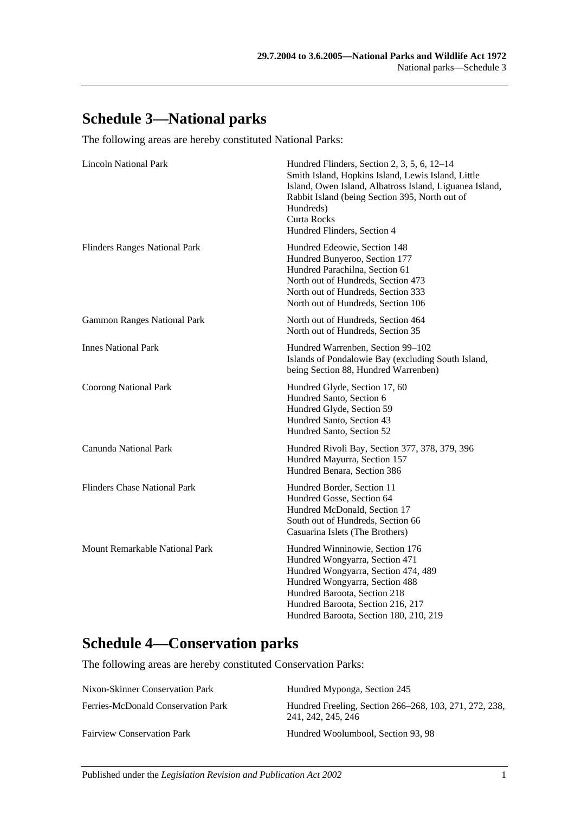# **Schedule 3—National parks**

The following areas are hereby constituted National Parks:

| <b>Lincoln National Park</b>         | Hundred Flinders, Section 2, 3, 5, 6, 12–14<br>Smith Island, Hopkins Island, Lewis Island, Little<br>Island, Owen Island, Albatross Island, Liguanea Island,<br>Rabbit Island (being Section 395, North out of<br>Hundreds)<br>Curta Rocks<br>Hundred Flinders, Section 4 |
|--------------------------------------|---------------------------------------------------------------------------------------------------------------------------------------------------------------------------------------------------------------------------------------------------------------------------|
| <b>Flinders Ranges National Park</b> | Hundred Edeowie, Section 148<br>Hundred Bunyeroo, Section 177<br>Hundred Parachilna, Section 61<br>North out of Hundreds, Section 473<br>North out of Hundreds, Section 333<br>North out of Hundreds, Section 106                                                         |
| <b>Gammon Ranges National Park</b>   | North out of Hundreds, Section 464<br>North out of Hundreds, Section 35                                                                                                                                                                                                   |
| <b>Innes National Park</b>           | Hundred Warrenben, Section 99-102<br>Islands of Pondalowie Bay (excluding South Island,<br>being Section 88, Hundred Warrenben)                                                                                                                                           |
| <b>Coorong National Park</b>         | Hundred Glyde, Section 17, 60<br>Hundred Santo, Section 6<br>Hundred Glyde, Section 59<br>Hundred Santo, Section 43<br>Hundred Santo, Section 52                                                                                                                          |
| Canunda National Park                | Hundred Rivoli Bay, Section 377, 378, 379, 396<br>Hundred Mayurra, Section 157<br>Hundred Benara, Section 386                                                                                                                                                             |
| <b>Flinders Chase National Park</b>  | Hundred Border, Section 11<br>Hundred Gosse, Section 64<br>Hundred McDonald, Section 17<br>South out of Hundreds, Section 66<br>Casuarina Islets (The Brothers)                                                                                                           |
| Mount Remarkable National Park       | Hundred Winninowie, Section 176<br>Hundred Wongyarra, Section 471<br>Hundred Wongyarra, Section 474, 489<br>Hundred Wongyarra, Section 488<br>Hundred Baroota, Section 218<br>Hundred Baroota, Section 216, 217<br>Hundred Baroota, Section 180, 210, 219                 |

# **Schedule 4—Conservation parks**

The following areas are hereby constituted Conservation Parks:

| Nixon-Skinner Conservation Park    | Hundred Myponga, Section 245                                                 |
|------------------------------------|------------------------------------------------------------------------------|
| Ferries-McDonald Conservation Park | Hundred Freeling, Section 266–268, 103, 271, 272, 238,<br>241, 242, 245, 246 |
| <b>Fairview Conservation Park</b>  | Hundred Woolumbool, Section 93, 98                                           |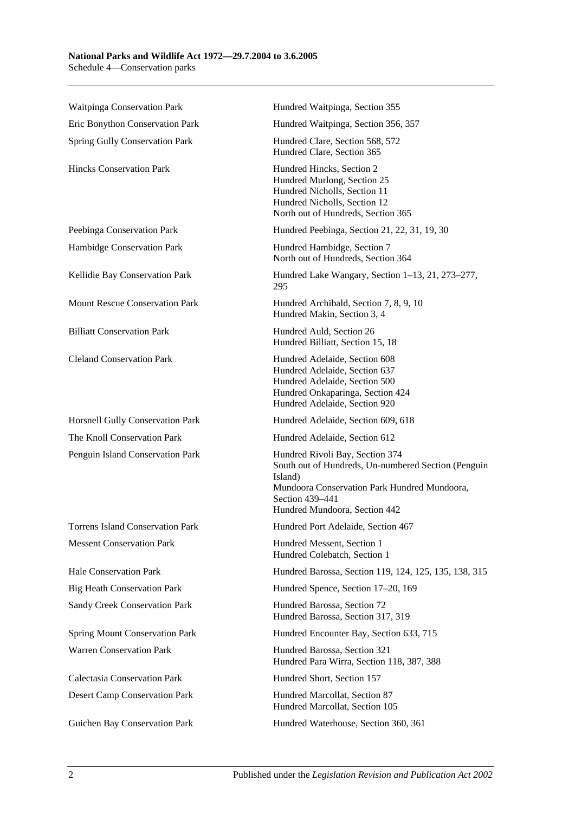#### **National Parks and Wildlife Act 1972—29.7.2004 to 3.6.2005** Schedule 4—Conservation parks

Waitpinga Conservation Park **Hundred Waitpinga, Section 355** Eric Bonython Conservation Park Hundred Waitpinga, Section 356, 357 Spring Gully Conservation Park Hundred Clare, Section 568, 572 Hundred Clare, Section 365 Hincks Conservation Park Hundred Hincks, Section 2 Hundred Murlong, Section 25 Hundred Nicholls, Section 11 Hundred Nicholls, Section 12 North out of Hundreds, Section 365 Peebinga Conservation Park Hundred Peebinga, Section 21, 22, 31, 19, 30 Hambidge Conservation Park Hundred Hambidge, Section 7 North out of Hundreds, Section 364 Kellidie Bay Conservation Park Hundred Lake Wangary, Section 1–13, 21, 273–277, 295 Mount Rescue Conservation Park Hundred Archibald, Section 7, 8, 9, 10 Hundred Makin, Section 3, 4 Billiatt Conservation Park Hundred Auld, Section 26 Hundred Billiatt, Section 15, 18 Cleland Conservation Park Hundred Adelaide, Section 608 Hundred Adelaide, Section 637 Hundred Adelaide, Section 500 Hundred Onkaparinga, Section 424 Hundred Adelaide, Section 920 Horsnell Gully Conservation Park Hundred Adelaide, Section 609, 618 The Knoll Conservation Park Hundred Adelaide, Section 612 Penguin Island Conservation Park Hundred Rivoli Bay, Section 374 South out of Hundreds, Un-numbered Section (Penguin Island) Mundoora Conservation Park Hundred Mundoora, Section 439–441 Hundred Mundoora, Section 442 Torrens Island Conservation Park Hundred Port Adelaide, Section 467 Messent Conservation Park Hundred Messent, Section 1 Hundred Colebatch, Section 1 Hale Conservation Park Hundred Barossa, Section 119, 124, 125, 135, 138, 315 Big Heath Conservation Park Hundred Spence, Section 17–20, 169 Sandy Creek Conservation Park Hundred Barossa, Section 72 Hundred Barossa, Section 317, 319 Spring Mount Conservation Park Hundred Encounter Bay, Section 633, 715 Warren Conservation Park Hundred Barossa, Section 321 Hundred Para Wirra, Section 118, 387, 388 Calectasia Conservation Park Hundred Short, Section 157 Desert Camp Conservation Park Hundred Marcollat, Section 87 Hundred Marcollat, Section 105 Guichen Bay Conservation Park Hundred Waterhouse, Section 360, 361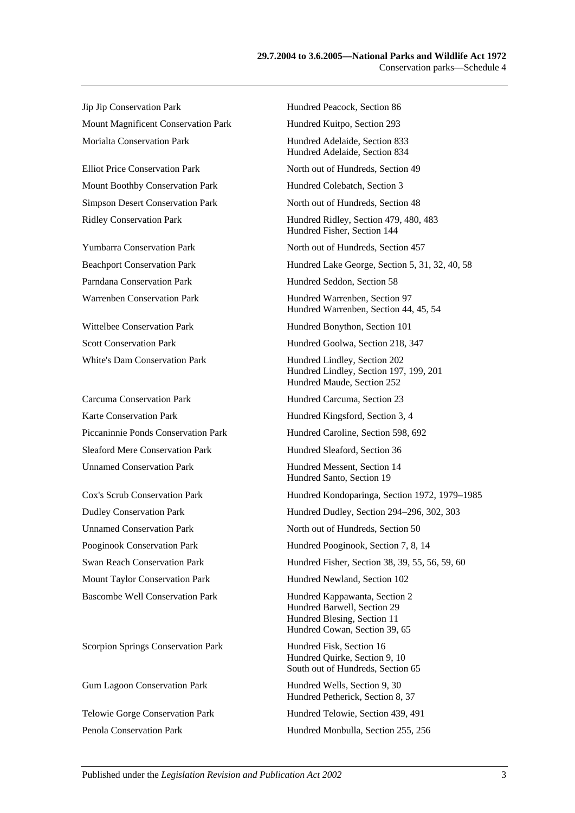Jip Jip Conservation Park Hundred Peacock, Section 86 Mount Magnificent Conservation Park Hundred Kuitpo, Section 293 Morialta Conservation Park **Hundred Adelaide, Section 833** 

Mount Boothby Conservation Park Hundred Colebatch, Section 3

Carcuma Conservation Park Hundred Carcuma, Section 23 Karte Conservation Park Hundred Kingsford, Section 3, 4 Sleaford Mere Conservation Park Hundred Sleaford, Section 36 Unnamed Conservation Park Hundred Messent, Section 14

Scorpion Springs Conservation Park Hundred Fisk, Section 16

Hundred Adelaide, Section 834 Elliot Price Conservation Park North out of Hundreds, Section 49 Simpson Desert Conservation Park North out of Hundreds, Section 48 Ridley Conservation Park Hundred Ridley, Section 479, 480, 483 Hundred Fisher, Section 144 Yumbarra Conservation Park North out of Hundreds, Section 457 Beachport Conservation Park Hundred Lake George, Section 5, 31, 32, 40, 58 Parndana Conservation Park Hundred Seddon, Section 58 Warrenben Conservation Park Hundred Warrenben, Section 97 Hundred Warrenben, Section 44, 45, 54 Wittelbee Conservation Park Hundred Bonython, Section 101 Scott Conservation Park Hundred Goolwa, Section 218, 347 White's Dam Conservation Park Hundred Lindley, Section 202 Hundred Lindley, Section 197, 199, 201 Hundred Maude, Section 252 Piccaninnie Ponds Conservation Park Hundred Caroline, Section 598, 692 Hundred Santo, Section 19 Cox's Scrub Conservation Park Hundred Kondoparinga, Section 1972, 1979–1985 Dudley Conservation Park Hundred Dudley, Section 294–296, 302, 303 Unnamed Conservation Park North out of Hundreds, Section 50 Pooginook Conservation Park Hundred Pooginook, Section 7, 8, 14 Swan Reach Conservation Park Hundred Fisher, Section 38, 39, 55, 56, 59, 60 Mount Taylor Conservation Park Hundred Newland, Section 102 Bascombe Well Conservation Park Hundred Kappawanta, Section 2 Hundred Barwell, Section 29 Hundred Blesing, Section 11 Hundred Cowan, Section 39, 65 Hundred Quirke, Section 9, 10 South out of Hundreds, Section 65 Gum Lagoon Conservation Park Hundred Wells, Section 9, 30 Hundred Petherick, Section 8, 37 Telowie Gorge Conservation Park Hundred Telowie, Section 439, 491 Penola Conservation Park Hundred Monbulla, Section 255, 256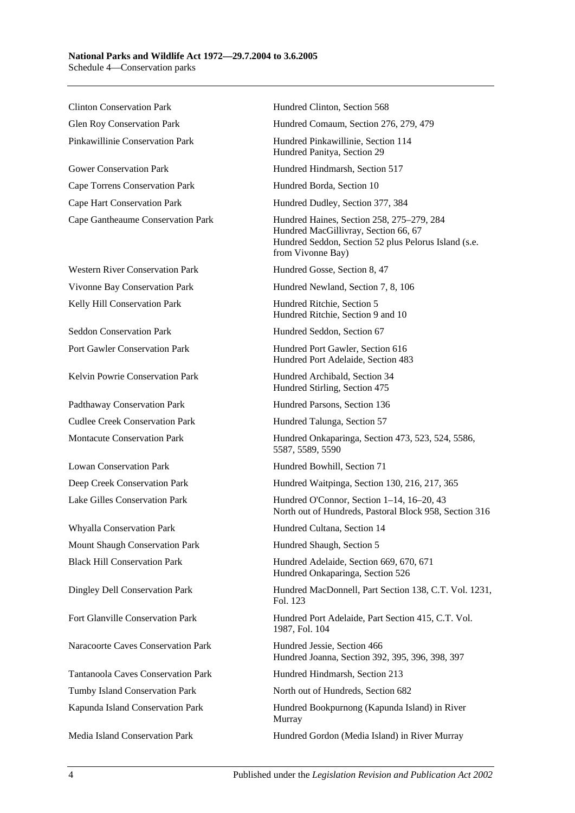Clinton Conservation Park Hundred Clinton, Section 568

Gower Conservation Park Hundred Hindmarsh, Section 517 Cape Torrens Conservation Park Hundred Borda, Section 10 Cape Hart Conservation Park Hundred Dudley, Section 377, 384

Western River Conservation Park Hundred Gosse, Section 8, 47 Kelly Hill Conservation Park **Hundred Ritchie, Section 5** 

Seddon Conservation Park Hundred Seddon, Section 67

Kelvin Powrie Conservation Park Hundred Archibald, Section 34

Padthaway Conservation Park Hundred Parsons, Section 136 Cudlee Creek Conservation Park Hundred Talunga, Section 57

Lowan Conservation Park Hundred Bowhill, Section 71

Whyalla Conservation Park Hundred Cultana, Section 14 Mount Shaugh Conservation Park Hundred Shaugh, Section 5

Naracoorte Caves Conservation Park Hundred Jessie, Section 466

Tumby Island Conservation Park North out of Hundreds, Section 682

Glen Roy Conservation Park Hundred Comaum, Section 276, 279, 479

Pinkawillinie Conservation Park Hundred Pinkawillinie, Section 114 Hundred Panitya, Section 29

Cape Gantheaume Conservation Park Hundred Haines, Section 258, 275–279, 284 Hundred MacGillivray, Section 66, 67 Hundred Seddon, Section 52 plus Pelorus Island (s.e. from Vivonne Bay)

Vivonne Bay Conservation Park Hundred Newland, Section 7, 8, 106

Hundred Ritchie, Section 9 and 10

Port Gawler Conservation Park Hundred Port Gawler, Section 616 Hundred Port Adelaide, Section 483

Hundred Stirling, Section 475

Montacute Conservation Park Hundred Onkaparinga, Section 473, 523, 524, 5586, 5587, 5589, 5590

Deep Creek Conservation Park Hundred Waitpinga, Section 130, 216, 217, 365

Lake Gilles Conservation Park Hundred O'Connor, Section 1–14, 16–20, 43 North out of Hundreds, Pastoral Block 958, Section 316

Black Hill Conservation Park Hundred Adelaide, Section 669, 670, 671 Hundred Onkaparinga, Section 526

Dingley Dell Conservation Park Hundred MacDonnell, Part Section 138, C.T. Vol. 1231, Fol. 123

Fort Glanville Conservation Park Hundred Port Adelaide, Part Section 415, C.T. Vol. 1987, Fol. 104

Hundred Joanna, Section 392, 395, 396, 398, 397

Tantanoola Caves Conservation Park Hundred Hindmarsh, Section 213

Kapunda Island Conservation Park Hundred Bookpurnong (Kapunda Island) in River Murray

Media Island Conservation Park Hundred Gordon (Media Island) in River Murray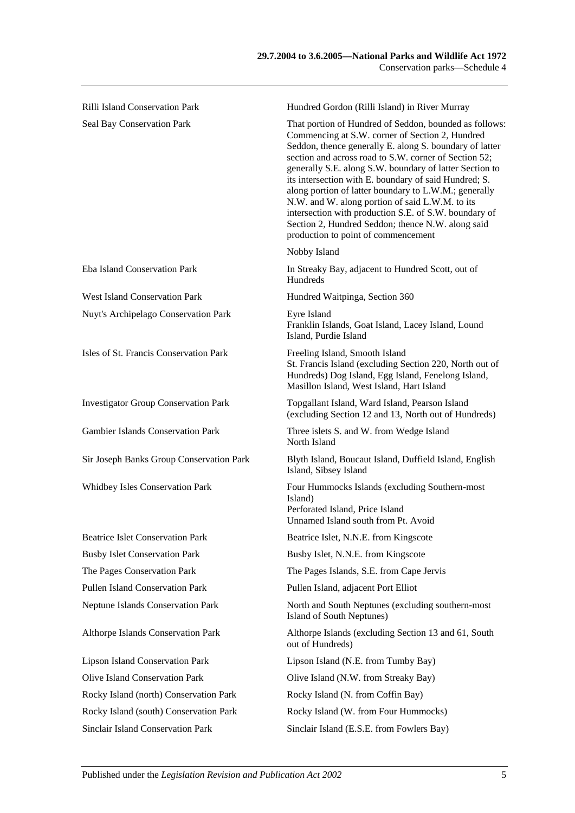| <b>Rilli Island Conservation Park</b>       | Hundred Gordon (Rilli Island) in River Murray                                                                                                                                                                                                                                                                                                                                                                                                                                                                                                                                                                      |
|---------------------------------------------|--------------------------------------------------------------------------------------------------------------------------------------------------------------------------------------------------------------------------------------------------------------------------------------------------------------------------------------------------------------------------------------------------------------------------------------------------------------------------------------------------------------------------------------------------------------------------------------------------------------------|
| Seal Bay Conservation Park                  | That portion of Hundred of Seddon, bounded as follows:<br>Commencing at S.W. corner of Section 2, Hundred<br>Seddon, thence generally E. along S. boundary of latter<br>section and across road to S.W. corner of Section 52;<br>generally S.E. along S.W. boundary of latter Section to<br>its intersection with E. boundary of said Hundred; S.<br>along portion of latter boundary to L.W.M.; generally<br>N.W. and W. along portion of said L.W.M. to its<br>intersection with production S.E. of S.W. boundary of<br>Section 2, Hundred Seddon; thence N.W. along said<br>production to point of commencement |
|                                             | Nobby Island                                                                                                                                                                                                                                                                                                                                                                                                                                                                                                                                                                                                       |
| Eba Island Conservation Park                | In Streaky Bay, adjacent to Hundred Scott, out of<br>Hundreds                                                                                                                                                                                                                                                                                                                                                                                                                                                                                                                                                      |
| <b>West Island Conservation Park</b>        | Hundred Waitpinga, Section 360                                                                                                                                                                                                                                                                                                                                                                                                                                                                                                                                                                                     |
| Nuyt's Archipelago Conservation Park        | Eyre Island<br>Franklin Islands, Goat Island, Lacey Island, Lound<br>Island, Purdie Island                                                                                                                                                                                                                                                                                                                                                                                                                                                                                                                         |
| Isles of St. Francis Conservation Park      | Freeling Island, Smooth Island<br>St. Francis Island (excluding Section 220, North out of<br>Hundreds) Dog Island, Egg Island, Fenelong Island,<br>Masillon Island, West Island, Hart Island                                                                                                                                                                                                                                                                                                                                                                                                                       |
| <b>Investigator Group Conservation Park</b> | Topgallant Island, Ward Island, Pearson Island<br>(excluding Section 12 and 13, North out of Hundreds)                                                                                                                                                                                                                                                                                                                                                                                                                                                                                                             |
| <b>Gambier Islands Conservation Park</b>    | Three islets S. and W. from Wedge Island<br>North Island                                                                                                                                                                                                                                                                                                                                                                                                                                                                                                                                                           |
| Sir Joseph Banks Group Conservation Park    | Blyth Island, Boucaut Island, Duffield Island, English<br>Island, Sibsey Island                                                                                                                                                                                                                                                                                                                                                                                                                                                                                                                                    |
| <b>Whidbey Isles Conservation Park</b>      | Four Hummocks Islands (excluding Southern-most<br>Island)<br>Perforated Island, Price Island<br>Unnamed Island south from Pt. Avoid                                                                                                                                                                                                                                                                                                                                                                                                                                                                                |
| <b>Beatrice Islet Conservation Park</b>     | Beatrice Islet, N.N.E. from Kingscote                                                                                                                                                                                                                                                                                                                                                                                                                                                                                                                                                                              |
| <b>Busby Islet Conservation Park</b>        | Busby Islet, N.N.E. from Kingscote                                                                                                                                                                                                                                                                                                                                                                                                                                                                                                                                                                                 |
| The Pages Conservation Park                 | The Pages Islands, S.E. from Cape Jervis                                                                                                                                                                                                                                                                                                                                                                                                                                                                                                                                                                           |
| Pullen Island Conservation Park             | Pullen Island, adjacent Port Elliot                                                                                                                                                                                                                                                                                                                                                                                                                                                                                                                                                                                |
| Neptune Islands Conservation Park           | North and South Neptunes (excluding southern-most<br>Island of South Neptunes)                                                                                                                                                                                                                                                                                                                                                                                                                                                                                                                                     |
| Althorpe Islands Conservation Park          | Althorpe Islands (excluding Section 13 and 61, South<br>out of Hundreds)                                                                                                                                                                                                                                                                                                                                                                                                                                                                                                                                           |
| <b>Lipson Island Conservation Park</b>      | Lipson Island (N.E. from Tumby Bay)                                                                                                                                                                                                                                                                                                                                                                                                                                                                                                                                                                                |
| Olive Island Conservation Park              | Olive Island (N.W. from Streaky Bay)                                                                                                                                                                                                                                                                                                                                                                                                                                                                                                                                                                               |
| Rocky Island (north) Conservation Park      | Rocky Island (N. from Coffin Bay)                                                                                                                                                                                                                                                                                                                                                                                                                                                                                                                                                                                  |
| Rocky Island (south) Conservation Park      | Rocky Island (W. from Four Hummocks)                                                                                                                                                                                                                                                                                                                                                                                                                                                                                                                                                                               |

Sinclair Island Conservation Park Sinclair Island (E.S.E. from Fowlers Bay)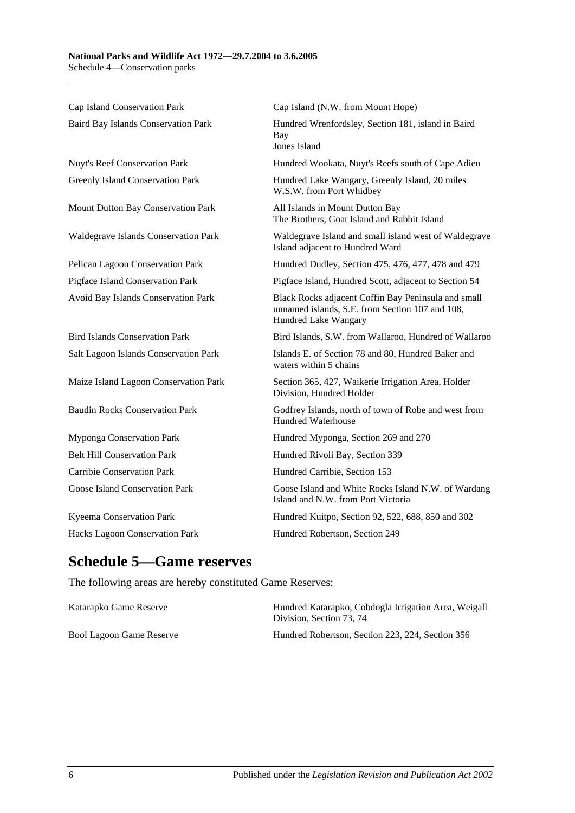Cap Island Conservation Park Cap Island (N.W. from Mount Hope) Baird Bay Islands Conservation Park Hundred Wrenfordsley, Section 181, island in Baird Bay Jones Island Nuyt's Reef Conservation Park Hundred Wookata, Nuyt's Reefs south of Cape Adieu Greenly Island Conservation Park Hundred Lake Wangary, Greenly Island, 20 miles W.S.W. from Port Whidbey Mount Dutton Bay Conservation Park All Islands in Mount Dutton Bay The Brothers, Goat Island and Rabbit Island Waldegrave Islands Conservation Park Waldegrave Island and small island west of Waldegrave Island adjacent to Hundred Ward Pelican Lagoon Conservation Park Hundred Dudley, Section 475, 476, 477, 478 and 479 Pigface Island Conservation Park Pigface Island, Hundred Scott, adjacent to Section 54 Avoid Bay Islands Conservation Park Black Rocks adjacent Coffin Bay Peninsula and small unnamed islands, S.E. from Section 107 and 108, Hundred Lake Wangary Bird Islands Conservation Park Bird Islands, S.W. from Wallaroo, Hundred of Wallaroo Salt Lagoon Islands Conservation Park Islands E. of Section 78 and 80, Hundred Baker and waters within 5 chains Maize Island Lagoon Conservation Park Section 365, 427, Waikerie Irrigation Area, Holder Division, Hundred Holder Baudin Rocks Conservation Park Godfrey Islands, north of town of Robe and west from Hundred Waterhouse Myponga Conservation Park Hundred Myponga, Section 269 and 270 Belt Hill Conservation Park Hundred Rivoli Bay, Section 339 Carribie Conservation Park Hundred Carribie, Section 153 Goose Island Conservation Park Goose Island and White Rocks Island N.W. of Wardang Island and N.W. from Port Victoria Kyeema Conservation Park Hundred Kuitpo, Section 92, 522, 688, 850 and 302 Hacks Lagoon Conservation Park Hundred Robertson, Section 249

# **Schedule 5—Game reserves**

The following areas are hereby constituted Game Reserves:

| Katarapko Game Reserve   | Hundred Katarapko, Cobdogla Irrigation Area, Weigall<br>Division. Section 73, 74 |
|--------------------------|----------------------------------------------------------------------------------|
| Bool Lagoon Game Reserve | Hundred Robertson, Section 223, 224, Section 356                                 |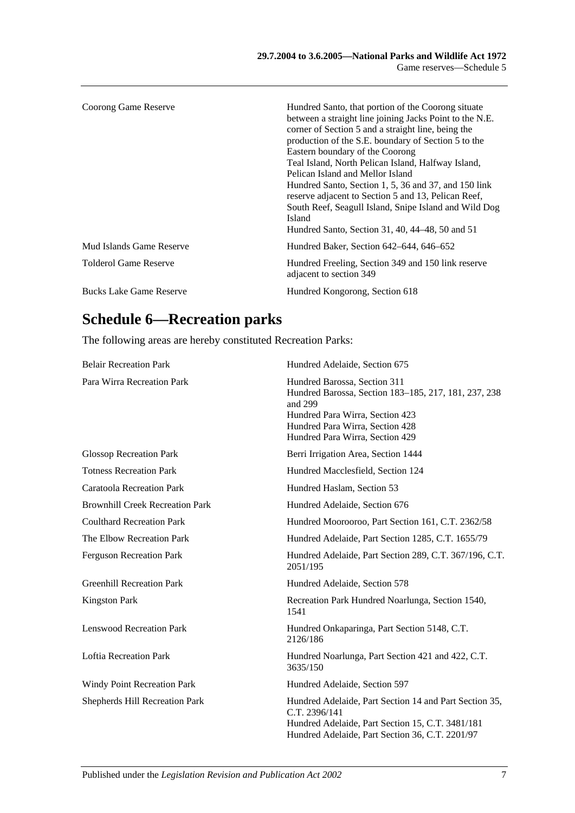| Coorong Game Reserve           | Hundred Santo, that portion of the Coorong situate<br>between a straight line joining Jacks Point to the N.E.<br>corner of Section 5 and a straight line, being the<br>production of the S.E. boundary of Section 5 to the<br>Eastern boundary of the Coorong<br>Teal Island, North Pelican Island, Halfway Island,<br>Pelican Island and Mellor Island<br>Hundred Santo, Section 1, 5, 36 and 37, and 150 link<br>reserve adjacent to Section 5 and 13, Pelican Reef,<br>South Reef, Seagull Island, Snipe Island and Wild Dog<br><b>Island</b><br>Hundred Santo, Section 31, 40, 44–48, 50 and 51 |
|--------------------------------|-----------------------------------------------------------------------------------------------------------------------------------------------------------------------------------------------------------------------------------------------------------------------------------------------------------------------------------------------------------------------------------------------------------------------------------------------------------------------------------------------------------------------------------------------------------------------------------------------------|
| Mud Islands Game Reserve       | Hundred Baker, Section 642–644, 646–652                                                                                                                                                                                                                                                                                                                                                                                                                                                                                                                                                             |
| Tolderol Game Reserve          | Hundred Freeling, Section 349 and 150 link reserve<br>adjacent to section 349                                                                                                                                                                                                                                                                                                                                                                                                                                                                                                                       |
| <b>Bucks Lake Game Reserve</b> | Hundred Kongorong, Section 618                                                                                                                                                                                                                                                                                                                                                                                                                                                                                                                                                                      |

# **Schedule 6—Recreation parks**

The following areas are hereby constituted Recreation Parks:

| <b>Belair Recreation Park</b>          | Hundred Adelaide, Section 675                                                                                                                                                                            |
|----------------------------------------|----------------------------------------------------------------------------------------------------------------------------------------------------------------------------------------------------------|
| Para Wirra Recreation Park             | Hundred Barossa, Section 311<br>Hundred Barossa, Section 183-185, 217, 181, 237, 238<br>and 299<br>Hundred Para Wirra, Section 423<br>Hundred Para Wirra, Section 428<br>Hundred Para Wirra, Section 429 |
| <b>Glossop Recreation Park</b>         | Berri Irrigation Area, Section 1444                                                                                                                                                                      |
| <b>Totness Recreation Park</b>         | Hundred Macclesfield, Section 124                                                                                                                                                                        |
| <b>Caratoola Recreation Park</b>       | Hundred Haslam, Section 53                                                                                                                                                                               |
| <b>Brownhill Creek Recreation Park</b> | Hundred Adelaide, Section 676                                                                                                                                                                            |
| <b>Coulthard Recreation Park</b>       | Hundred Moorooroo, Part Section 161, C.T. 2362/58                                                                                                                                                        |
| The Elbow Recreation Park              | Hundred Adelaide, Part Section 1285, C.T. 1655/79                                                                                                                                                        |
| <b>Ferguson Recreation Park</b>        | Hundred Adelaide, Part Section 289, C.T. 367/196, C.T.<br>2051/195                                                                                                                                       |
| <b>Greenhill Recreation Park</b>       | Hundred Adelaide, Section 578                                                                                                                                                                            |
| <b>Kingston Park</b>                   | Recreation Park Hundred Noarlunga, Section 1540,<br>1541                                                                                                                                                 |
| <b>Lenswood Recreation Park</b>        | Hundred Onkaparinga, Part Section 5148, C.T.<br>2126/186                                                                                                                                                 |
| <b>Loftia Recreation Park</b>          | Hundred Noarlunga, Part Section 421 and 422, C.T.<br>3635/150                                                                                                                                            |
| <b>Windy Point Recreation Park</b>     | Hundred Adelaide, Section 597                                                                                                                                                                            |
| Shepherds Hill Recreation Park         | Hundred Adelaide, Part Section 14 and Part Section 35,<br>C.T. 2396/141<br>Hundred Adelaide, Part Section 15, C.T. 3481/181<br>Hundred Adelaide, Part Section 36, C.T. 2201/97                           |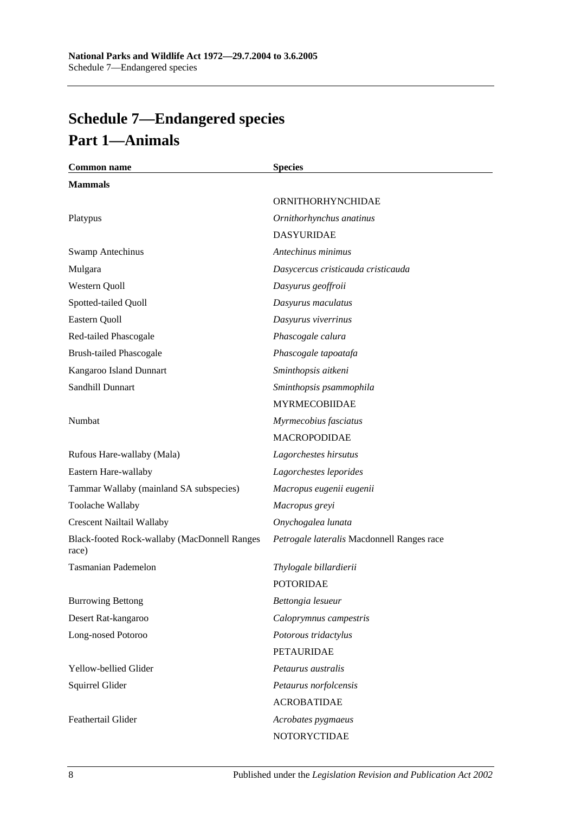# <span id="page-93-0"></span>**Schedule 7—Endangered species Part 1—Animals**

| <b>Common name</b>                                    | <b>Species</b>                             |
|-------------------------------------------------------|--------------------------------------------|
| <b>Mammals</b>                                        |                                            |
|                                                       | ORNITHORHYNCHIDAE                          |
| Platypus                                              | Ornithorhynchus anatinus                   |
|                                                       | <b>DASYURIDAE</b>                          |
| <b>Swamp Antechinus</b>                               | Antechinus minimus                         |
| Mulgara                                               | Dasycercus cristicauda cristicauda         |
| Western Quoll                                         | Dasyurus geoffroii                         |
| Spotted-tailed Quoll                                  | Dasyurus maculatus                         |
| Eastern Quoll                                         | Dasyurus viverrinus                        |
| Red-tailed Phascogale                                 | Phascogale calura                          |
| <b>Brush-tailed Phascogale</b>                        | Phascogale tapoatafa                       |
| Kangaroo Island Dunnart                               | Sminthopsis aitkeni                        |
| Sandhill Dunnart                                      | Sminthopsis psammophila                    |
|                                                       | <b>MYRMECOBIIDAE</b>                       |
| Numbat                                                | Myrmecobius fasciatus                      |
|                                                       | <b>MACROPODIDAE</b>                        |
| Rufous Hare-wallaby (Mala)                            | Lagorchestes hirsutus                      |
| Eastern Hare-wallaby                                  | Lagorchestes leporides                     |
| Tammar Wallaby (mainland SA subspecies)               | Macropus eugenii eugenii                   |
| Toolache Wallaby                                      | Macropus greyi                             |
| <b>Crescent Nailtail Wallaby</b>                      | Onychogalea lunata                         |
| Black-footed Rock-wallaby (MacDonnell Ranges<br>race) | Petrogale lateralis Macdonnell Ranges race |
| <b>Tasmanian Pademelon</b>                            | Thylogale billardierii                     |
|                                                       | <b>POTORIDAE</b>                           |
| <b>Burrowing Bettong</b>                              | Bettongia lesueur                          |
| Desert Rat-kangaroo                                   | Caloprymnus campestris                     |
| Long-nosed Potoroo                                    | Potorous tridactylus                       |
|                                                       | <b>PETAURIDAE</b>                          |
| Yellow-bellied Glider                                 | Petaurus australis                         |
| Squirrel Glider                                       | Petaurus norfolcensis                      |
|                                                       | <b>ACROBATIDAE</b>                         |
| Feathertail Glider                                    | Acrobates pygmaeus                         |
|                                                       | NOTORYCTIDAE                               |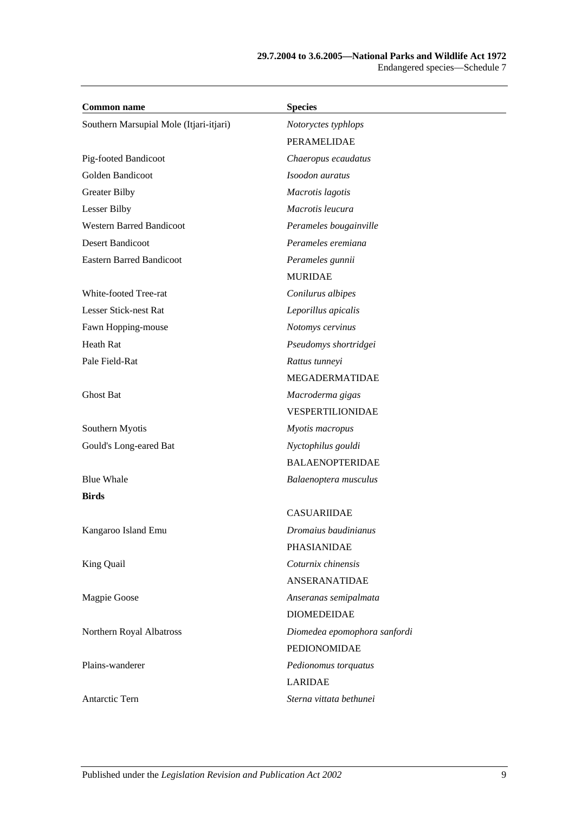| <b>Common name</b>                      | <b>Species</b>               |
|-----------------------------------------|------------------------------|
| Southern Marsupial Mole (Itjari-itjari) | Notoryctes typhlops          |
|                                         | PERAMELIDAE                  |
| Pig-footed Bandicoot                    | Chaeropus ecaudatus          |
| Golden Bandicoot                        | Isoodon auratus              |
| <b>Greater Bilby</b>                    | Macrotis lagotis             |
| Lesser Bilby                            | Macrotis leucura             |
| <b>Western Barred Bandicoot</b>         | Perameles bougainville       |
| Desert Bandicoot                        | Perameles eremiana           |
| <b>Eastern Barred Bandicoot</b>         | Perameles gunnii             |
|                                         | <b>MURIDAE</b>               |
| White-footed Tree-rat                   | Conilurus albipes            |
| Lesser Stick-nest Rat                   | Leporillus apicalis          |
| Fawn Hopping-mouse                      | Notomys cervinus             |
| Heath Rat                               | Pseudomys shortridgei        |
| Pale Field-Rat                          | Rattus tunneyi               |
|                                         | MEGADERMATIDAE               |
| Ghost Bat                               | Macroderma gigas             |
|                                         | VESPERTILIONIDAE             |
| Southern Myotis                         | Myotis macropus              |
| Gould's Long-eared Bat                  | Nyctophilus gouldi           |
|                                         | <b>BALAENOPTERIDAE</b>       |
| <b>Blue Whale</b>                       | Balaenoptera musculus        |
| <b>Birds</b>                            |                              |
|                                         | <b>CASUARIIDAE</b>           |
| Kangaroo Island Emu                     | Dromaius baudinianus         |
|                                         | PHASIANIDAE                  |
| King Quail                              | Coturnix chinensis           |
|                                         | ANSERANATIDAE                |
| Magpie Goose                            | Anseranas semipalmata        |
|                                         | <b>DIOMEDEIDAE</b>           |
| Northern Royal Albatross                | Diomedea epomophora sanfordi |
|                                         | PEDIONOMIDAE                 |
| Plains-wanderer                         | Pedionomus torquatus         |
|                                         | <b>LARIDAE</b>               |
| Antarctic Tern                          | Sterna vittata bethunei      |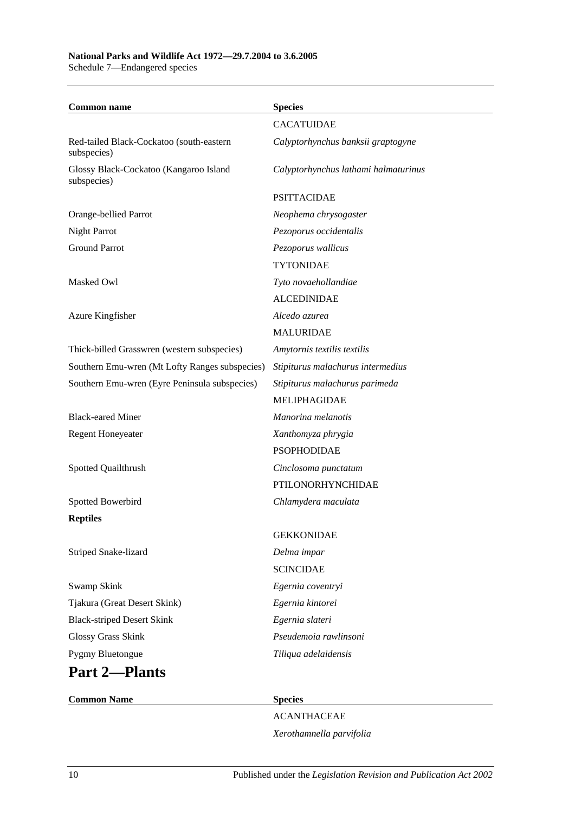# **National Parks and Wildlife Act 1972—29.7.2004 to 3.6.2005**

Schedule 7—Endangered species

| <b>Common name</b>                                      | <b>Species</b>                       |
|---------------------------------------------------------|--------------------------------------|
|                                                         | <b>CACATUIDAE</b>                    |
| Red-tailed Black-Cockatoo (south-eastern<br>subspecies) | Calyptorhynchus banksii graptogyne   |
| Glossy Black-Cockatoo (Kangaroo Island<br>subspecies)   | Calyptorhynchus lathami halmaturinus |
|                                                         | <b>PSITTACIDAE</b>                   |
| Orange-bellied Parrot                                   | Neophema chrysogaster                |
| <b>Night Parrot</b>                                     | Pezoporus occidentalis               |
| <b>Ground Parrot</b>                                    | Pezoporus wallicus                   |
|                                                         | <b>TYTONIDAE</b>                     |
| Masked Owl                                              | Tyto novaehollandiae                 |
|                                                         | <b>ALCEDINIDAE</b>                   |
| Azure Kingfisher                                        | Alcedo azurea                        |
|                                                         | <b>MALURIDAE</b>                     |
| Thick-billed Grasswren (western subspecies)             | Amytornis textilis textilis          |
| Southern Emu-wren (Mt Lofty Ranges subspecies)          | Stipiturus malachurus intermedius    |
| Southern Emu-wren (Eyre Peninsula subspecies)           | Stipiturus malachurus parimeda       |
|                                                         | <b>MELIPHAGIDAE</b>                  |
| <b>Black-eared Miner</b>                                | Manorina melanotis                   |
| <b>Regent Honeyeater</b>                                | Xanthomyza phrygia                   |
|                                                         | <b>PSOPHODIDAE</b>                   |
| Spotted Quailthrush                                     | Cinclosoma punctatum                 |
|                                                         | PTILONORHYNCHIDAE                    |
| Spotted Bowerbird                                       | Chlamydera maculata                  |
| <b>Reptiles</b>                                         |                                      |
|                                                         | <b>GEKKONIDAE</b>                    |
| Striped Snake-lizard                                    | Delma impar                          |
|                                                         | <b>SCINCIDAE</b>                     |
| Swamp Skink                                             | Egernia coventryi                    |
| Tjakura (Great Desert Skink)                            | Egernia kintorei                     |
| <b>Black-striped Desert Skink</b>                       | Egernia slateri                      |
| Glossy Grass Skink                                      | Pseudemoia rawlinsoni                |
| Pygmy Bluetongue                                        | Tiliqua adelaidensis                 |
| <b>Part 2-Plants</b>                                    |                                      |
| <b>Common Name</b>                                      | <b>Species</b>                       |

ACANTHACEAE *Xerothamnella parvifolia*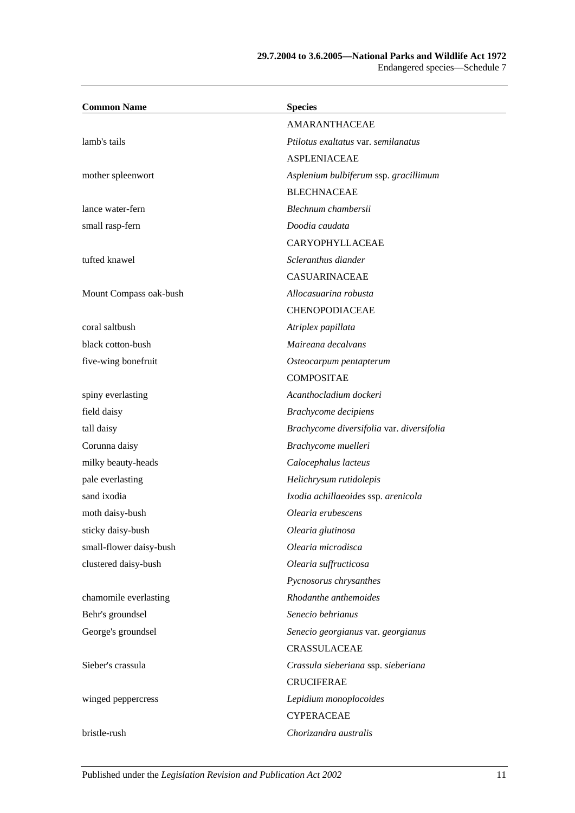#### **29.7.2004 to 3.6.2005—National Parks and Wildlife Act 1972** Endangered species—Schedule 7

| <b>Common Name</b>      | <b>Species</b>                            |
|-------------------------|-------------------------------------------|
|                         | <b>AMARANTHACEAE</b>                      |
| lamb's tails            | Ptilotus exaltatus var. semilanatus       |
|                         | <b>ASPLENIACEAE</b>                       |
| mother spleenwort       | Asplenium bulbiferum ssp. gracillimum     |
|                         | <b>BLECHNACEAE</b>                        |
| lance water-fern        | Blechnum chambersii                       |
| small rasp-fern         | Doodia caudata                            |
|                         | CARYOPHYLLACEAE                           |
| tufted knawel           | Scleranthus diander                       |
|                         | <b>CASUARINACEAE</b>                      |
| Mount Compass oak-bush  | Allocasuarina robusta                     |
|                         | <b>CHENOPODIACEAE</b>                     |
| coral saltbush          | Atriplex papillata                        |
| black cotton-bush       | Maireana decalvans                        |
| five-wing bonefruit     | Osteocarpum pentapterum                   |
|                         | <b>COMPOSITAE</b>                         |
| spiny everlasting       | Acanthocladium dockeri                    |
| field daisy             | Brachycome decipiens                      |
| tall daisy              | Brachycome diversifolia var. diversifolia |
| Corunna daisy           | Brachycome muelleri                       |
| milky beauty-heads      | Calocephalus lacteus                      |
| pale everlasting        | Helichrysum rutidolepis                   |
| sand ixodia             | Ixodia achillaeoides ssp. arenicola       |
| moth daisy-bush         | Olearia erubescens                        |
| sticky daisy-bush       | Olearia glutinosa                         |
| small-flower daisy-bush | Olearia microdisca                        |
| clustered daisy-bush    | Olearia suffructicosa                     |
|                         | Pycnosorus chrysanthes                    |
| chamomile everlasting   | Rhodanthe anthemoides                     |
| Behr's groundsel        | Senecio behrianus                         |
| George's groundsel      | Senecio georgianus var. georgianus        |
|                         | CRASSULACEAE                              |
| Sieber's crassula       | Crassula sieberiana ssp. sieberiana       |
|                         | <b>CRUCIFERAE</b>                         |
| winged peppercress      | Lepidium monoplocoides                    |
|                         | <b>CYPERACEAE</b>                         |
| bristle-rush            | Chorizandra australis                     |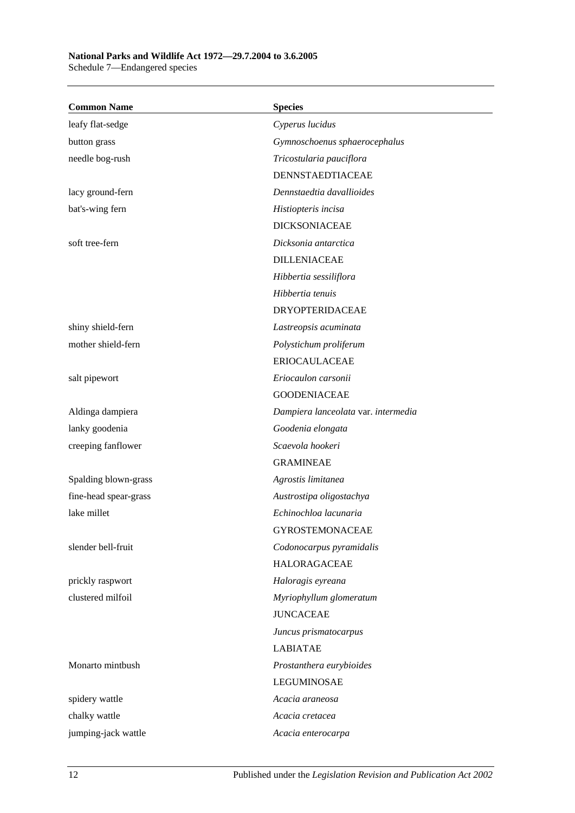# **National Parks and Wildlife Act 1972—29.7.2004 to 3.6.2005**

Schedule 7—Endangered species

| <b>Common Name</b>    | <b>Species</b>                      |
|-----------------------|-------------------------------------|
| leafy flat-sedge      | Cyperus lucidus                     |
| button grass          | Gymnoschoenus sphaerocephalus       |
| needle bog-rush       | Tricostularia pauciflora            |
|                       | DENNSTAEDTIACEAE                    |
| lacy ground-fern      | Dennstaedtia davallioides           |
| bat's-wing fern       | Histiopteris incisa                 |
|                       | <b>DICKSONIACEAE</b>                |
| soft tree-fern        | Dicksonia antarctica                |
|                       | <b>DILLENIACEAE</b>                 |
|                       | Hibbertia sessiliflora              |
|                       | Hibbertia tenuis                    |
|                       | <b>DRYOPTERIDACEAE</b>              |
| shiny shield-fern     | Lastreopsis acuminata               |
| mother shield-fern    | Polystichum proliferum              |
|                       | <b>ERIOCAULACEAE</b>                |
| salt pipewort         | Eriocaulon carsonii                 |
|                       | <b>GOODENIACEAE</b>                 |
| Aldinga dampiera      | Dampiera lanceolata var. intermedia |
| lanky goodenia        | Goodenia elongata                   |
| creeping fanflower    | Scaevola hookeri                    |
|                       | <b>GRAMINEAE</b>                    |
| Spalding blown-grass  | Agrostis limitanea                  |
| fine-head spear-grass | Austrostipa oligostachya            |
| lake millet           | Echinochloa lacunaria               |
|                       | <b>GYROSTEMONACEAE</b>              |
| slender bell-fruit    | Codonocarpus pyramidalis            |
|                       | <b>HALORAGACEAE</b>                 |
| prickly raspwort      | Haloragis eyreana                   |
| clustered milfoil     | Myriophyllum glomeratum             |
|                       | <b>JUNCACEAE</b>                    |
|                       | Juncus prismatocarpus               |
|                       | <b>LABIATAE</b>                     |
| Monarto mintbush      | Prostanthera eurybioides            |
|                       | <b>LEGUMINOSAE</b>                  |
| spidery wattle        | Acacia araneosa                     |
| chalky wattle         | Acacia cretacea                     |
| jumping-jack wattle   | Acacia enterocarpa                  |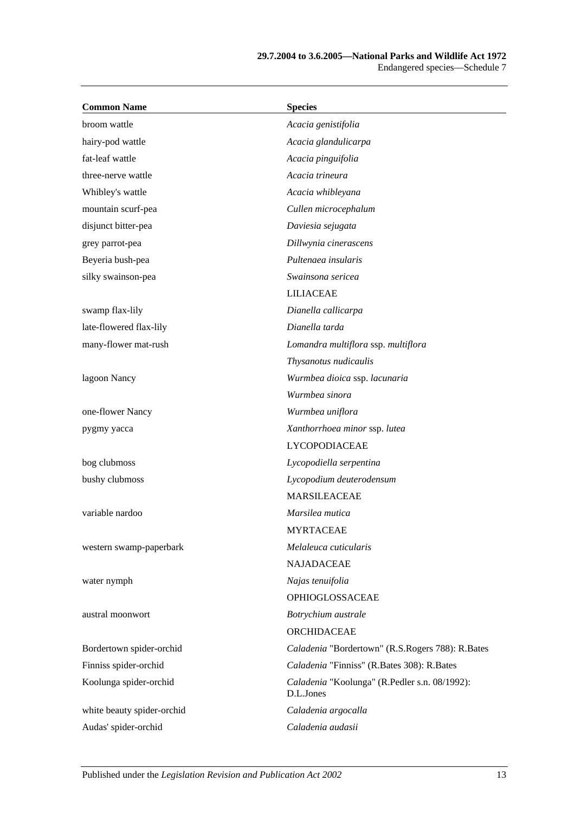| <b>Common Name</b>         | <b>Species</b>                                             |
|----------------------------|------------------------------------------------------------|
| broom wattle               | Acacia genistifolia                                        |
| hairy-pod wattle           | Acacia glandulicarpa                                       |
| fat-leaf wattle            | Acacia pinguifolia                                         |
| three-nerve wattle         | Acacia trineura                                            |
| Whibley's wattle           | Acacia whibleyana                                          |
| mountain scurf-pea         | Cullen microcephalum                                       |
| disjunct bitter-pea        | Daviesia sejugata                                          |
| grey parrot-pea            | Dillwynia cinerascens                                      |
| Beyeria bush-pea           | Pultenaea insularis                                        |
| silky swainson-pea         | Swainsona sericea                                          |
|                            | <b>LILIACEAE</b>                                           |
| swamp flax-lily            | Dianella callicarpa                                        |
| late-flowered flax-lily    | Dianella tarda                                             |
| many-flower mat-rush       | Lomandra multiflora ssp. multiflora                        |
|                            | Thysanotus nudicaulis                                      |
| lagoon Nancy               | Wurmbea dioica ssp. lacunaria                              |
|                            | Wurmbea sinora                                             |
| one-flower Nancy           | Wurmbea uniflora                                           |
| pygmy yacca                | Xanthorrhoea minor ssp. lutea                              |
|                            | <b>LYCOPODIACEAE</b>                                       |
| bog clubmoss               | Lycopodiella serpentina                                    |
| bushy clubmoss             | Lycopodium deuterodensum                                   |
|                            | <b>MARSILEACEAE</b>                                        |
| variable nardoo            | Marsilea mutica                                            |
|                            | <b>MYRTACEAE</b>                                           |
| western swamp-paperbark    | Melaleuca cuticularis                                      |
|                            | <b>NAJADACEAE</b>                                          |
| water nymph                | Najas tenuifolia                                           |
|                            | OPHIOGLOSSACEAE                                            |
| austral moonwort           | Botrychium australe                                        |
|                            | ORCHIDACEAE                                                |
| Bordertown spider-orchid   | Caladenia "Bordertown" (R.S.Rogers 788): R.Bates           |
| Finniss spider-orchid      | Caladenia "Finniss" (R.Bates 308): R.Bates                 |
| Koolunga spider-orchid     | Caladenia "Koolunga" (R.Pedler s.n. 08/1992):<br>D.L.Jones |
| white beauty spider-orchid | Caladenia argocalla                                        |
| Audas' spider-orchid       | Caladenia audasii                                          |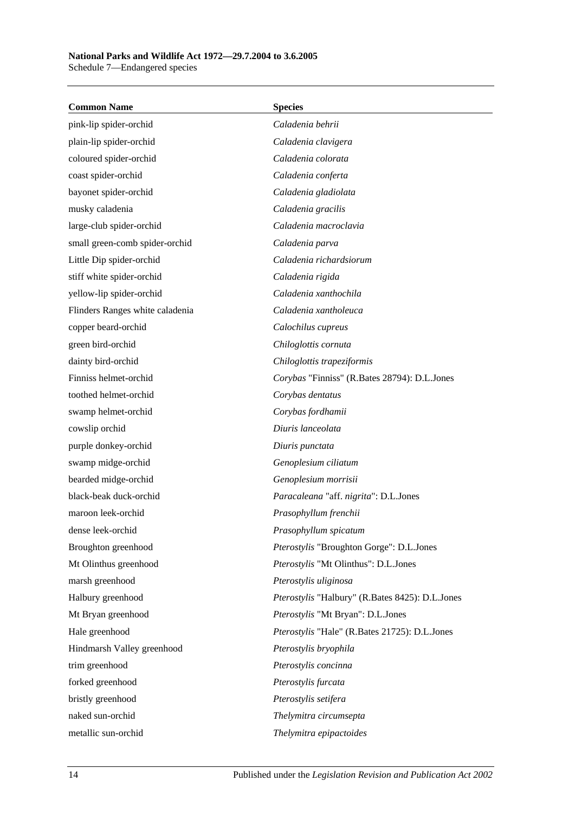**Common Name Species** pink-lip spider-orchid *Caladenia behrii* plain-lip spider-orchid *Caladenia clavigera* coloured spider-orchid *Caladenia colorata* coast spider-orchid *Caladenia conferta* bayonet spider-orchid *Caladenia gladiolata* musky caladenia *Caladenia gracilis* large-club spider-orchid *Caladenia macroclavia* small green-comb spider-orchid *Caladenia parva* Little Dip spider-orchid *Caladenia richardsiorum* stiff white spider-orchid *Caladenia rigida* yellow-lip spider-orchid *Caladenia xanthochila* Flinders Ranges white caladenia *Caladenia xantholeuca* copper beard-orchid *Calochilus cupreus* green bird-orchid *Chiloglottis cornuta* dainty bird-orchid *Chiloglottis trapeziformis* Finniss helmet-orchid *Corybas* "Finniss" (R.Bates 28794): D.L.Jones toothed helmet-orchid *Corybas dentatus* swamp helmet-orchid *Corybas fordhamii* cowslip orchid *Diuris lanceolata* purple donkey-orchid *Diuris punctata* swamp midge-orchid *Genoplesium ciliatum* bearded midge-orchid *Genoplesium morrisii* black-beak duck-orchid *Paracaleana* "aff. *nigrita*": D.L.Jones maroon leek-orchid *Prasophyllum frenchii* dense leek-orchid *Prasophyllum spicatum* Broughton greenhood *Pterostylis* "Broughton Gorge": D.L.Jones Mt Olinthus greenhood *Pterostylis* "Mt Olinthus": D.L.Jones marsh greenhood *Pterostylis uliginosa* Halbury greenhood *Pterostylis* "Halbury" (R.Bates 8425): D.L.Jones Mt Bryan greenhood *Pterostylis* "Mt Bryan": D.L.Jones Hale greenhood *Pterostylis* "Hale" (R.Bates 21725): D.L.Jones Hindmarsh Valley greenhood *Pterostylis bryophila* trim greenhood *Pterostylis concinna* forked greenhood *Pterostylis furcata* bristly greenhood *Pterostylis setifera* naked sun-orchid *Thelymitra circumsepta* metallic sun-orchid *Thelymitra epipactoides*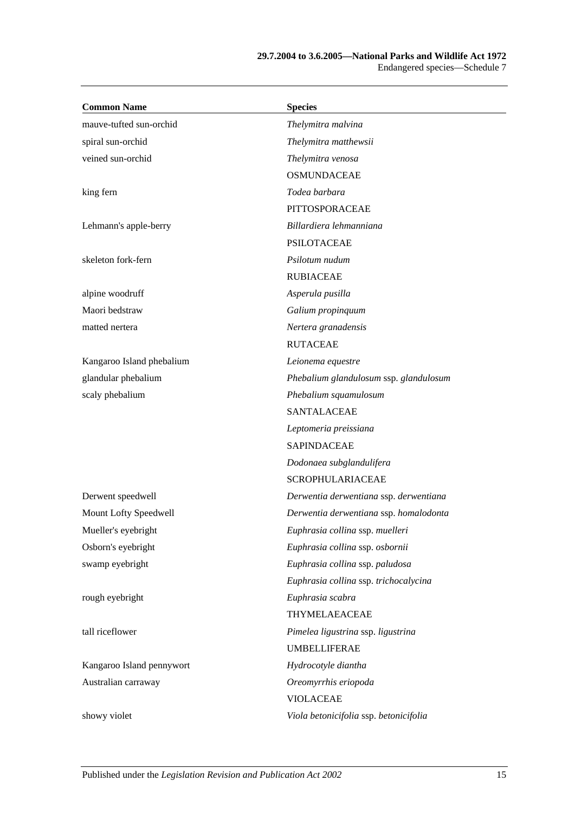| <b>Common Name</b>        | <b>Species</b>                         |
|---------------------------|----------------------------------------|
| mauve-tufted sun-orchid   | Thelymitra malvina                     |
| spiral sun-orchid         | Thelymitra matthewsii                  |
| veined sun-orchid         | Thelymitra venosa                      |
|                           | <b>OSMUNDACEAE</b>                     |
| king fern                 | Todea barbara                          |
|                           | PITTOSPORACEAE                         |
| Lehmann's apple-berry     | Billardiera lehmanniana                |
|                           | <b>PSILOTACEAE</b>                     |
| skeleton fork-fern        | Psilotum nudum                         |
|                           | <b>RUBIACEAE</b>                       |
| alpine woodruff           | Asperula pusilla                       |
| Maori bedstraw            | Galium propinquum                      |
| matted nertera            | Nertera granadensis                    |
|                           | <b>RUTACEAE</b>                        |
| Kangaroo Island phebalium | Leionema equestre                      |
| glandular phebalium       | Phebalium glandulosum ssp. glandulosum |
| scaly phebalium           | Phebalium squamulosum                  |
|                           | <b>SANTALACEAE</b>                     |
|                           | Leptomeria preissiana                  |
|                           | <b>SAPINDACEAE</b>                     |
|                           | Dodonaea subglandulifera               |
|                           | <b>SCROPHULARIACEAE</b>                |
| Derwent speedwell         | Derwentia derwentiana ssp. derwentiana |
| Mount Lofty Speedwell     | Derwentia derwentiana ssp. homalodonta |
| Mueller's eyebright       | Euphrasia collina ssp. muelleri        |
| Osborn's eyebright        | Euphrasia collina ssp. osbornii        |
| swamp eyebright           | Euphrasia collina ssp. paludosa        |
|                           | Euphrasia collina ssp. trichocalycina  |
| rough eyebright           | Euphrasia scabra                       |
|                           | THYMELAEACEAE                          |
| tall riceflower           | Pimelea ligustrina ssp. ligustrina     |
|                           | <b>UMBELLIFERAE</b>                    |
| Kangaroo Island pennywort | Hydrocotyle diantha                    |
| Australian carraway       | Oreomyrrhis eriopoda                   |
|                           | <b>VIOLACEAE</b>                       |
| showy violet              | Viola betonicifolia ssp. betonicifolia |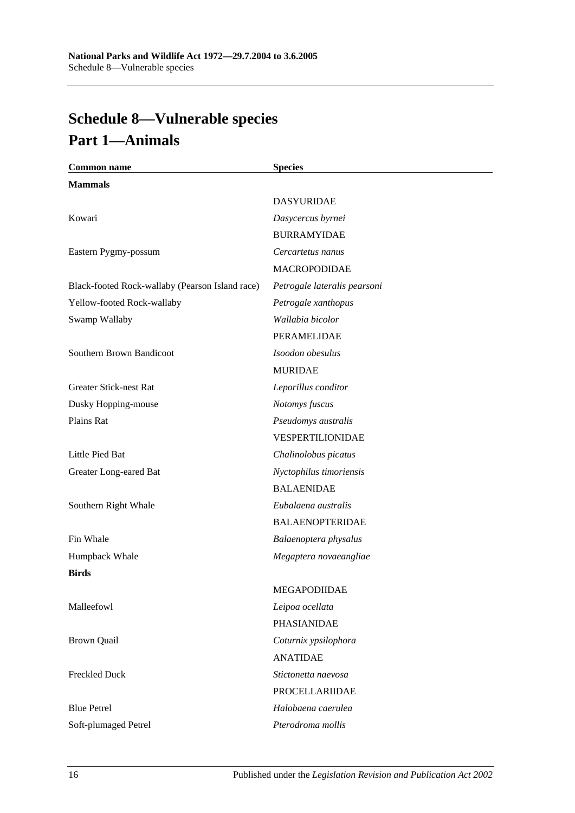# <span id="page-101-0"></span>**Schedule 8—Vulnerable species Part 1—Animals**

| <b>Common name</b>                              | <b>Species</b>               |
|-------------------------------------------------|------------------------------|
| <b>Mammals</b>                                  |                              |
|                                                 | <b>DASYURIDAE</b>            |
| Kowari                                          | Dasycercus byrnei            |
|                                                 | <b>BURRAMYIDAE</b>           |
| Eastern Pygmy-possum                            | Cercartetus nanus            |
|                                                 | <b>MACROPODIDAE</b>          |
| Black-footed Rock-wallaby (Pearson Island race) | Petrogale lateralis pearsoni |
| Yellow-footed Rock-wallaby                      | Petrogale xanthopus          |
| Swamp Wallaby                                   | Wallabia bicolor             |
|                                                 | PERAMELIDAE                  |
| Southern Brown Bandicoot                        | Isoodon obesulus             |
|                                                 | <b>MURIDAE</b>               |
| <b>Greater Stick-nest Rat</b>                   | Leporillus conditor          |
| Dusky Hopping-mouse                             | Notomys fuscus               |
| Plains Rat                                      | Pseudomys australis          |
|                                                 | VESPERTILIONIDAE             |
| Little Pied Bat                                 | Chalinolobus picatus         |
| Greater Long-eared Bat                          | Nyctophilus timoriensis      |
|                                                 | <b>BALAENIDAE</b>            |
| Southern Right Whale                            | Eubalaena australis          |
|                                                 | <b>BALAENOPTERIDAE</b>       |
| Fin Whale                                       | Balaenoptera physalus        |
| Humpback Whale                                  | Megaptera novaeangliae       |
| <b>Birds</b>                                    |                              |
|                                                 | MEGAPODIIDAE                 |
| Malleefowl                                      | Leipoa ocellata              |
|                                                 | PHASIANIDAE                  |
| <b>Brown Quail</b>                              | Coturnix ypsilophora         |
|                                                 | <b>ANATIDAE</b>              |
| <b>Freckled Duck</b>                            | Stictonetta naevosa          |
|                                                 | <b>PROCELLARIIDAE</b>        |
| <b>Blue Petrel</b>                              | Halobaena caerulea           |
| Soft-plumaged Petrel                            | Pterodroma mollis            |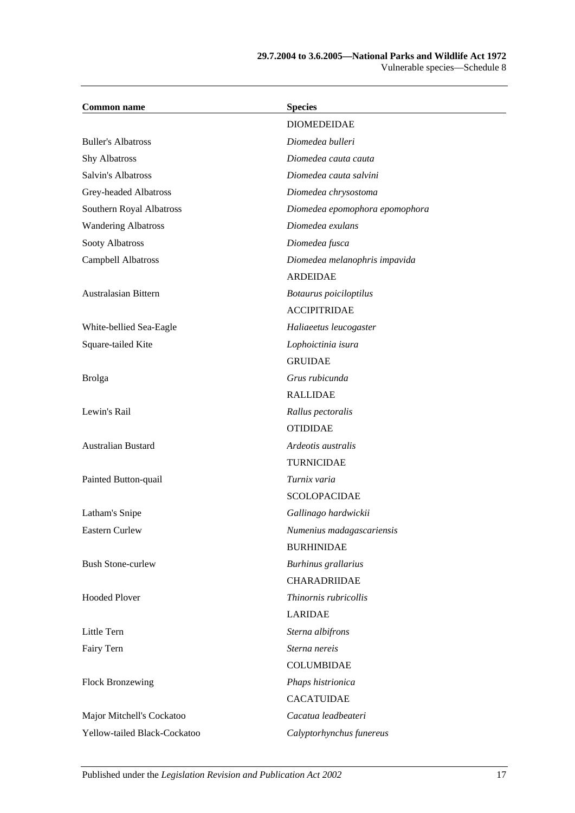#### **29.7.2004 to 3.6.2005—National Parks and Wildlife Act 1972** Vulnerable species—Schedule 8

| <b>Common name</b>           | <b>Species</b>                 |
|------------------------------|--------------------------------|
|                              | <b>DIOMEDEIDAE</b>             |
| <b>Buller's Albatross</b>    | Diomedea bulleri               |
| <b>Shy Albatross</b>         | Diomedea cauta cauta           |
| Salvin's Albatross           | Diomedea cauta salvini         |
| Grey-headed Albatross        | Diomedea chrysostoma           |
| Southern Royal Albatross     | Diomedea epomophora epomophora |
| <b>Wandering Albatross</b>   | Diomedea exulans               |
| Sooty Albatross              | Diomedea fusca                 |
| Campbell Albatross           | Diomedea melanophris impavida  |
|                              | <b>ARDEIDAE</b>                |
| Australasian Bittern         | Botaurus poiciloptilus         |
|                              | <b>ACCIPITRIDAE</b>            |
| White-bellied Sea-Eagle      | Haliaeetus leucogaster         |
| Square-tailed Kite           | Lophoictinia isura             |
|                              | <b>GRUIDAE</b>                 |
| <b>Brolga</b>                | Grus rubicunda                 |
|                              | <b>RALLIDAE</b>                |
| Lewin's Rail                 | Rallus pectoralis              |
|                              | <b>OTIDIDAE</b>                |
| Australian Bustard           | Ardeotis australis             |
|                              | <b>TURNICIDAE</b>              |
| Painted Button-quail         | Turnix varia                   |
|                              | <b>SCOLOPACIDAE</b>            |
| Latham's Snipe               | Gallinago hardwickii           |
| Eastern Curlew               | Numenius madagascariensis      |
|                              | <b>BURHINIDAE</b>              |
| <b>Bush Stone-curlew</b>     | Burhinus grallarius            |
|                              | CHARADRIIDAE                   |
| <b>Hooded Plover</b>         | Thinornis rubricollis          |
|                              | <b>LARIDAE</b>                 |
| Little Tern                  | Sterna albifrons               |
| Fairy Tern                   | Sterna nereis                  |
|                              | <b>COLUMBIDAE</b>              |
| Flock Bronzewing             | Phaps histrionica              |
|                              | <b>CACATUIDAE</b>              |
| Major Mitchell's Cockatoo    | Cacatua leadbeateri            |
| Yellow-tailed Black-Cockatoo | Calyptorhynchus funereus       |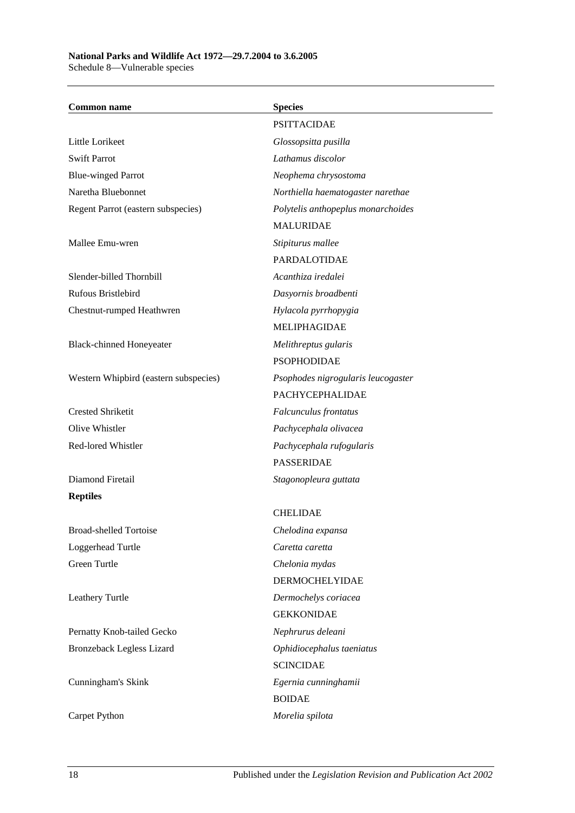#### **National Parks and Wildlife Act 1972—29.7.2004 to 3.6.2005** Schedule 8—Vulnerable species

| <b>Common name</b>                    | <b>Species</b>                     |
|---------------------------------------|------------------------------------|
|                                       | <b>PSITTACIDAE</b>                 |
| Little Lorikeet                       | Glossopsitta pusilla               |
| <b>Swift Parrot</b>                   | Lathamus discolor                  |
| <b>Blue-winged Parrot</b>             | Neophema chrysostoma               |
| Naretha Bluebonnet                    | Northiella haematogaster narethae  |
| Regent Parrot (eastern subspecies)    | Polytelis anthopeplus monarchoides |
|                                       | <b>MALURIDAE</b>                   |
| Mallee Emu-wren                       | Stipiturus mallee                  |
|                                       | PARDALOTIDAE                       |
| Slender-billed Thornbill              | Acanthiza iredalei                 |
| Rufous Bristlebird                    | Dasyornis broadbenti               |
| Chestnut-rumped Heathwren             | Hylacola pyrrhopygia               |
|                                       | MELIPHAGIDAE                       |
| <b>Black-chinned Honeyeater</b>       | Melithreptus gularis               |
|                                       | <b>PSOPHODIDAE</b>                 |
| Western Whipbird (eastern subspecies) | Psophodes nigrogularis leucogaster |
|                                       | <b>PACHYCEPHALIDAE</b>             |
| <b>Crested Shriketit</b>              | Falcunculus frontatus              |
| Olive Whistler                        | Pachycephala olivacea              |
| Red-lored Whistler                    | Pachycephala rufogularis           |
|                                       | <b>PASSERIDAE</b>                  |
| Diamond Firetail                      | Stagonopleura guttata              |
| <b>Reptiles</b>                       |                                    |
|                                       | <b>CHELIDAE</b>                    |
| Broad-shelled Tortoise                | Chelodina expansa                  |
| Loggerhead Turtle                     | Caretta caretta                    |
| Green Turtle                          | Chelonia mydas                     |
|                                       | <b>DERMOCHELYIDAE</b>              |
| Leathery Turtle                       | Dermochelys coriacea               |
|                                       | <b>GEKKONIDAE</b>                  |
| Pernatty Knob-tailed Gecko            | Nephrurus deleani                  |
| <b>Bronzeback Legless Lizard</b>      | Ophidiocephalus taeniatus          |
|                                       | <b>SCINCIDAE</b>                   |
| Cunningham's Skink                    | Egernia cunninghamii               |
|                                       | <b>BOIDAE</b>                      |
| Carpet Python                         | Morelia spilota                    |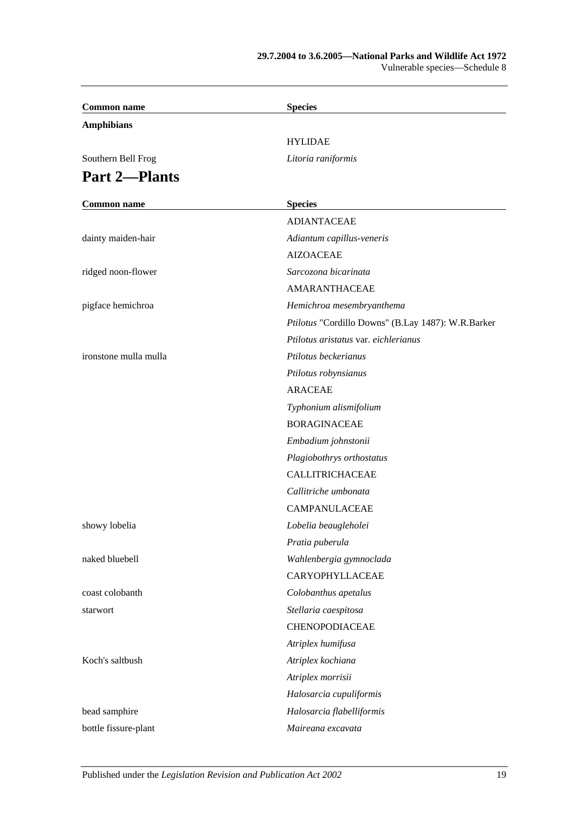#### **29.7.2004 to 3.6.2005—National Parks and Wildlife Act 1972** Vulnerable species—Schedule 8

| <b>Common name</b>    | <b>Species</b>                                     |
|-----------------------|----------------------------------------------------|
| <b>Amphibians</b>     |                                                    |
|                       | <b>HYLIDAE</b>                                     |
| Southern Bell Frog    | Litoria raniformis                                 |
| <b>Part 2-Plants</b>  |                                                    |
|                       |                                                    |
| <b>Common name</b>    | <b>Species</b>                                     |
|                       | <b>ADIANTACEAE</b>                                 |
| dainty maiden-hair    | Adiantum capillus-veneris                          |
|                       | <b>AIZOACEAE</b>                                   |
| ridged noon-flower    | Sarcozona bicarinata                               |
|                       | <b>AMARANTHACEAE</b>                               |
| pigface hemichroa     | Hemichroa mesembryanthema                          |
|                       | Ptilotus "Cordillo Downs" (B.Lay 1487): W.R.Barker |
|                       | Ptilotus aristatus var. eichlerianus               |
| ironstone mulla mulla | Ptilotus beckerianus                               |
|                       | Ptilotus robynsianus                               |
|                       | <b>ARACEAE</b>                                     |
|                       | Typhonium alismifolium                             |
|                       | <b>BORAGINACEAE</b>                                |
|                       | Embadium johnstonii                                |
|                       | Plagiobothrys orthostatus                          |
|                       | CALLITRICHACEAE                                    |
|                       | Callitriche umbonata                               |
|                       | <b>CAMPANULACEAE</b>                               |
| showy lobelia         | Lobelia beaugleholei                               |
|                       | Pratia puberula                                    |
| naked bluebell        | Wahlenbergia gymnoclada                            |
|                       | CARYOPHYLLACEAE                                    |
| coast colobanth       | Colobanthus apetalus                               |
| starwort              | Stellaria caespitosa                               |
|                       | <b>CHENOPODIACEAE</b>                              |
|                       | Atriplex humifusa                                  |
| Koch's saltbush       | Atriplex kochiana                                  |
|                       | Atriplex morrisii                                  |
|                       | Halosarcia cupuliformis                            |
| bead samphire         | Halosarcia flabelliformis                          |
| bottle fissure-plant  | Maireana excavata                                  |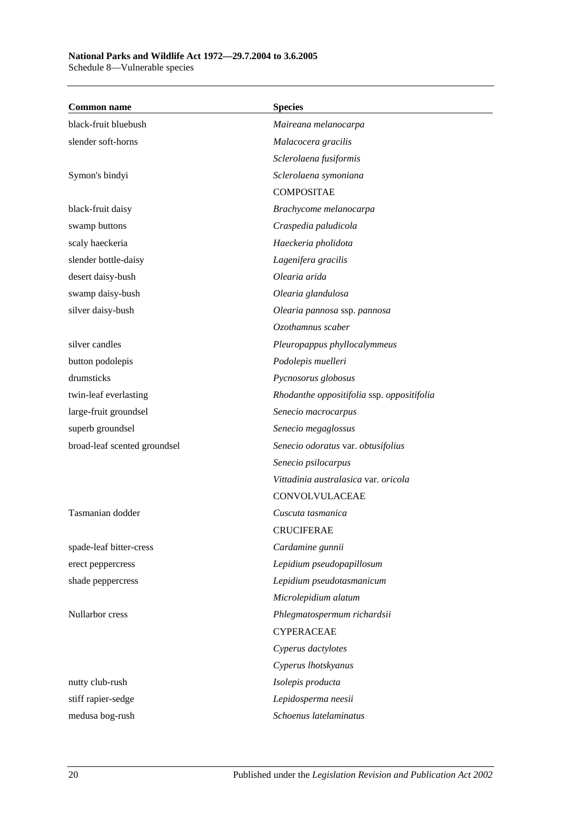# **National Parks and Wildlife Act 1972—29.7.2004 to 3.6.2005**

Schedule 8—Vulnerable species

| <b>Common name</b>           | <b>Species</b>                             |
|------------------------------|--------------------------------------------|
| black-fruit bluebush         | Maireana melanocarpa                       |
| slender soft-horns           | Malacocera gracilis                        |
|                              | Sclerolaena fusiformis                     |
| Symon's bindyi               | Sclerolaena symoniana                      |
|                              | <b>COMPOSITAE</b>                          |
| black-fruit daisy            | Brachycome melanocarpa                     |
| swamp buttons                | Craspedia paludicola                       |
| scaly haeckeria              | Haeckeria pholidota                        |
| slender bottle-daisy         | Lagenifera gracilis                        |
| desert daisy-bush            | Olearia arida                              |
| swamp daisy-bush             | Olearia glandulosa                         |
| silver daisy-bush            | Olearia pannosa ssp. pannosa               |
|                              | Ozothamnus scaber                          |
| silver candles               | Pleuropappus phyllocalymmeus               |
| button podolepis             | Podolepis muelleri                         |
| drumsticks                   | Pycnosorus globosus                        |
| twin-leaf everlasting        | Rhodanthe oppositifolia ssp. oppositifolia |
| large-fruit groundsel        | Senecio macrocarpus                        |
| superb groundsel             | Senecio megaglossus                        |
| broad-leaf scented groundsel | Senecio odoratus var. obtusifolius         |
|                              | Senecio psilocarpus                        |
|                              | Vittadinia australasica var. oricola       |
|                              | CONVOLVULACEAE                             |
| Tasmanian dodder             | Cuscuta tasmanica                          |
|                              | <b>CRUCIFERAE</b>                          |
| spade-leaf bitter-cress      | Cardamine gunnii                           |
| erect peppercress            | Lepidium pseudopapillosum                  |
| shade peppercress            | Lepidium pseudotasmanicum                  |
|                              | Microlepidium alatum                       |
| Nullarbor cress              | Phlegmatospermum richardsii                |
|                              | <b>CYPERACEAE</b>                          |
|                              | Cyperus dactylotes                         |
|                              | Cyperus lhotskyanus                        |
| nutty club-rush              | Isolepis producta                          |
| stiff rapier-sedge           | Lepidosperma neesii                        |
| medusa bog-rush              | Schoenus latelaminatus                     |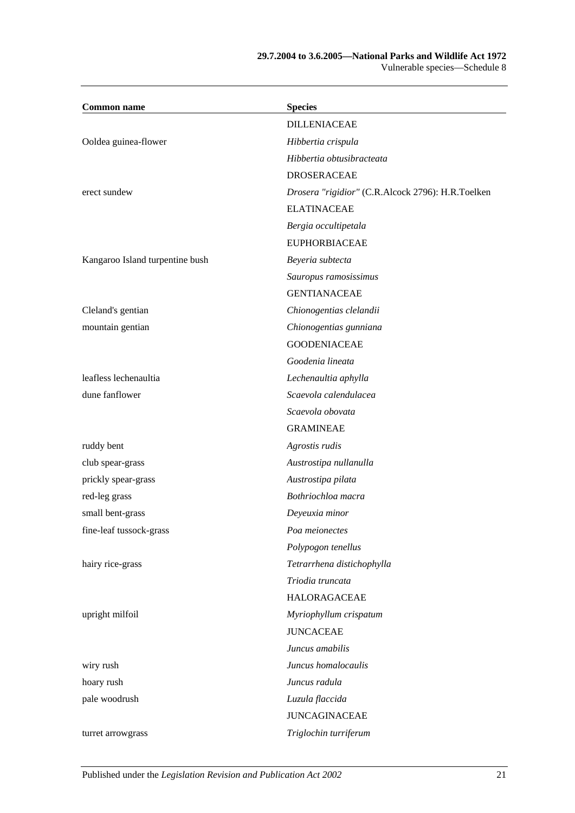#### **29.7.2004 to 3.6.2005—National Parks and Wildlife Act 1972** Vulnerable species—Schedule 8

| <b>Common name</b>              | <b>Species</b>                                    |
|---------------------------------|---------------------------------------------------|
|                                 | <b>DILLENIACEAE</b>                               |
| Ooldea guinea-flower            | Hibbertia crispula                                |
|                                 | Hibbertia obtusibracteata                         |
|                                 | <b>DROSERACEAE</b>                                |
| erect sundew                    | Drosera "rigidior" (C.R.Alcock 2796): H.R.Toelken |
|                                 | <b>ELATINACEAE</b>                                |
|                                 | Bergia occultipetala                              |
|                                 | <b>EUPHORBIACEAE</b>                              |
| Kangaroo Island turpentine bush | Beyeria subtecta                                  |
|                                 | Sauropus ramosissimus                             |
|                                 | <b>GENTIANACEAE</b>                               |
| Cleland's gentian               | Chionogentias clelandii                           |
| mountain gentian                | Chionogentias gunniana                            |
|                                 | <b>GOODENIACEAE</b>                               |
|                                 | Goodenia lineata                                  |
| leafless lechenaultia           | Lechenaultia aphylla                              |
| dune fanflower                  | Scaevola calendulacea                             |
|                                 | Scaevola obovata                                  |
|                                 | <b>GRAMINEAE</b>                                  |
| ruddy bent                      | Agrostis rudis                                    |
| club spear-grass                | Austrostipa nullanulla                            |
| prickly spear-grass             | Austrostipa pilata                                |
| red-leg grass                   | Bothriochloa macra                                |
| small bent-grass                | Deyeuxia minor                                    |
| fine-leaf tussock-grass         | Poa meionectes                                    |
|                                 | Polypogon tenellus                                |
| hairy rice-grass                | Tetrarrhena distichophylla                        |
|                                 | Triodia truncata                                  |
|                                 | HALORAGACEAE                                      |
| upright milfoil                 | Myriophyllum crispatum                            |
|                                 | <b>JUNCACEAE</b>                                  |
|                                 | Juncus amabilis                                   |
| wiry rush                       | Juncus homalocaulis                               |
| hoary rush                      | Juncus radula                                     |
| pale woodrush                   | Luzula flaccida                                   |
|                                 | <b>JUNCAGINACEAE</b>                              |
| turret arrowgrass               | Triglochin turriferum                             |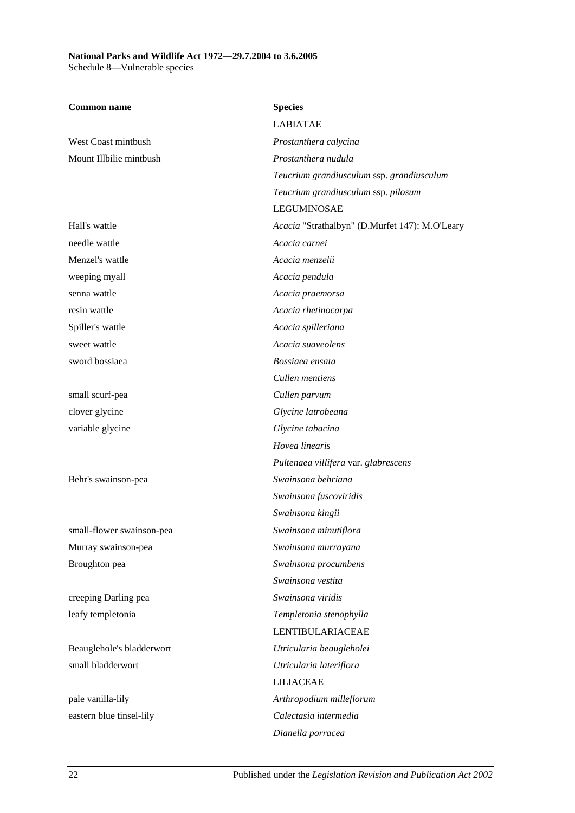#### **National Parks and Wildlife Act 1972—29.7.2004 to 3.6.2005** Schedule 8—Vulnerable species

**Common name Species** LABIATAE West Coast mintbush *Prostanthera calycina* Mount Illbilie mintbush *Prostanthera nudula Teucrium grandiusculum* ssp. *grandiusculum Teucrium grandiusculum* ssp. *pilosum* LEGUMINOSAE Hall's wattle *Acacia* "Strathalbyn" (D.Murfet 147): M.O'Leary needle wattle *Acacia carnei* Menzel's wattle *Acacia menzelii* weeping myall *Acacia pendula* senna wattle *Acacia praemorsa* resin wattle *Acacia rhetinocarpa* Spiller's wattle *Acacia spilleriana* sweet wattle *Acacia suaveolens* sword bossiaea *Bossiaea ensata Cullen mentiens* small scurf-pea *Cullen parvum* clover glycine *Glycine latrobeana* variable glycine *Glycine tabacina Hovea linearis Pultenaea villifera* var. *glabrescens* Behr's swainson-pea *Swainsona behriana Swainsona fuscoviridis Swainsona kingii* small-flower swainson-pea *Swainsona minutiflora* Murray swainson-pea *Swainsona murrayana* Broughton pea *Swainsona procumbens Swainsona vestita* creeping Darling pea *Swainsona viridis* leafy templetonia *Templetonia stenophylla* LENTIBULARIACEAE Beauglehole's bladderwort *Utricularia beaugleholei* small bladderwort *Utricularia lateriflora* LILIACEAE pale vanilla-lily *Arthropodium milleflorum* eastern blue tinsel-lily *Calectasia intermedia Dianella porracea*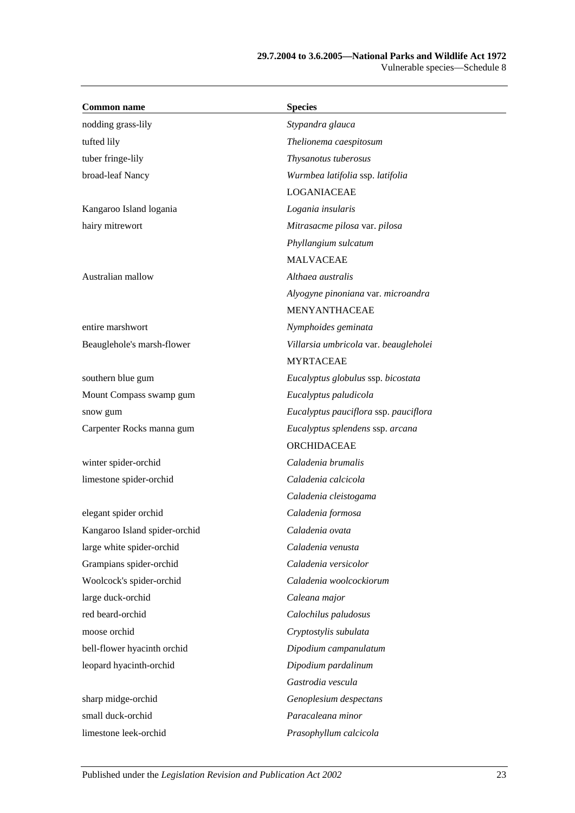#### **29.7.2004 to 3.6.2005—National Parks and Wildlife Act 1972** Vulnerable species—Schedule 8

| <b>Common name</b>            | <b>Species</b>                        |
|-------------------------------|---------------------------------------|
| nodding grass-lily            | Stypandra glauca                      |
| tufted lily                   | Thelionema caespitosum                |
| tuber fringe-lily             | Thysanotus tuberosus                  |
| broad-leaf Nancy              | Wurmbea latifolia ssp. latifolia      |
|                               | LOGANIACEAE                           |
| Kangaroo Island logania       | Logania insularis                     |
| hairy mitrewort               | Mitrasacme pilosa var. pilosa         |
|                               | Phyllangium sulcatum                  |
|                               | <b>MALVACEAE</b>                      |
| Australian mallow             | Althaea australis                     |
|                               | Alyogyne pinoniana var. microandra    |
|                               | MENYANTHACEAE                         |
| entire marshwort              | Nymphoides geminata                   |
| Beauglehole's marsh-flower    | Villarsia umbricola var. beaugleholei |
|                               | <b>MYRTACEAE</b>                      |
| southern blue gum             | Eucalyptus globulus ssp. bicostata    |
| Mount Compass swamp gum       | Eucalyptus paludicola                 |
| snow gum                      | Eucalyptus pauciflora ssp. pauciflora |
| Carpenter Rocks manna gum     | Eucalyptus splendens ssp. arcana      |
|                               | ORCHIDACEAE                           |
| winter spider-orchid          | Caladenia brumalis                    |
| limestone spider-orchid       | Caladenia calcicola                   |
|                               | Caladenia cleistogama                 |
| elegant spider orchid         | Caladenia formosa                     |
| Kangaroo Island spider-orchid | Caladenia ovata                       |
| large white spider-orchid     | Caladenia venusta                     |
| Grampians spider-orchid       | Caladenia versicolor                  |
| Woolcock's spider-orchid      | Caladenia woolcockiorum               |
| large duck-orchid             | Caleana major                         |
| red beard-orchid              | Calochilus paludosus                  |
| moose orchid                  | Cryptostylis subulata                 |
| bell-flower hyacinth orchid   | Dipodium campanulatum                 |
| leopard hyacinth-orchid       | Dipodium pardalinum                   |
|                               | Gastrodia vescula                     |
| sharp midge-orchid            | Genoplesium despectans                |
| small duck-orchid             | Paracaleana minor                     |
| limestone leek-orchid         | Prasophyllum calcicola                |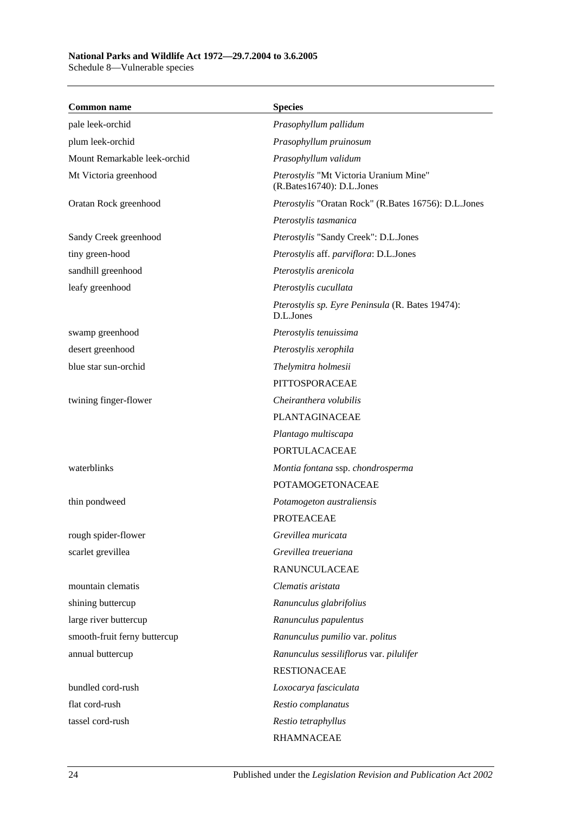Schedule 8—Vulnerable species

| <b>Common name</b>           | <b>Species</b>                                                      |
|------------------------------|---------------------------------------------------------------------|
| pale leek-orchid             | Prasophyllum pallidum                                               |
| plum leek-orchid             | Prasophyllum pruinosum                                              |
| Mount Remarkable leek-orchid | Prasophyllum validum                                                |
| Mt Victoria greenhood        | Pterostylis "Mt Victoria Uranium Mine"<br>(R.Bates16740): D.L.Jones |
| Oratan Rock greenhood        | Pterostylis "Oratan Rock" (R.Bates 16756): D.L.Jones                |
|                              | Pterostylis tasmanica                                               |
| Sandy Creek greenhood        | Pterostylis "Sandy Creek": D.L.Jones                                |
| tiny green-hood              | Pterostylis aff. parviflora: D.L.Jones                              |
| sandhill greenhood           | Pterostylis arenicola                                               |
| leafy greenhood              | Pterostylis cucullata                                               |
|                              | Pterostylis sp. Eyre Peninsula (R. Bates 19474):<br>D.L.Jones       |
| swamp greenhood              | Pterostylis tenuissima                                              |
| desert greenhood             | Pterostylis xerophila                                               |
| blue star sun-orchid         | Thelymitra holmesii                                                 |
|                              | PITTOSPORACEAE                                                      |
| twining finger-flower        | Cheiranthera volubilis                                              |
|                              | <b>PLANTAGINACEAE</b>                                               |
|                              | Plantago multiscapa                                                 |
|                              | PORTULACACEAE                                                       |
| waterblinks                  | Montia fontana ssp. chondrosperma                                   |
|                              | <b>POTAMOGETONACEAE</b>                                             |
| thin pondweed                | Potamogeton australiensis                                           |
|                              | <b>PROTEACEAE</b>                                                   |
| rough spider-flower          | Grevillea muricata                                                  |
| scarlet grevillea            | Grevillea treueriana                                                |
|                              | <b>RANUNCULACEAE</b>                                                |
| mountain clematis            | Clematis aristata                                                   |
| shining buttercup            | Ranunculus glabrifolius                                             |
| large river buttercup        | Ranunculus papulentus                                               |
| smooth-fruit ferny buttercup | Ranunculus pumilio var. politus                                     |
| annual buttercup             | Ranunculus sessiliflorus var. pilulifer                             |
|                              | <b>RESTIONACEAE</b>                                                 |
| bundled cord-rush            | Loxocarya fasciculata                                               |
| flat cord-rush               | Restio complanatus                                                  |
| tassel cord-rush             | Restio tetraphyllus                                                 |
|                              | <b>RHAMNACEAE</b>                                                   |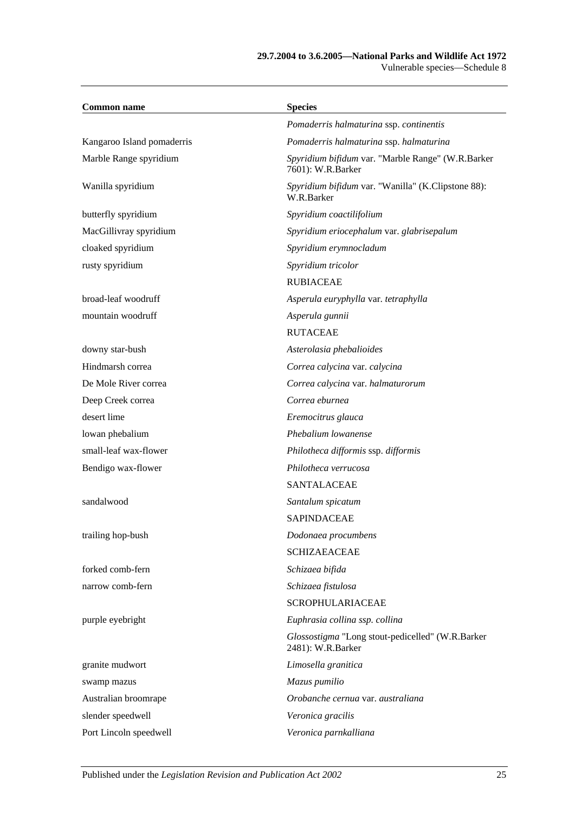#### **29.7.2004 to 3.6.2005—National Parks and Wildlife Act 1972** Vulnerable species—Schedule 8

| <b>Common name</b>         | <b>Species</b>                                                         |
|----------------------------|------------------------------------------------------------------------|
|                            | Pomaderris halmaturina ssp. continentis                                |
| Kangaroo Island pomaderris | Pomaderris halmaturina ssp. halmaturina                                |
| Marble Range spyridium     | Spyridium bifidum var. "Marble Range" (W.R.Barker<br>7601): W.R.Barker |
| Wanilla spyridium          | Spyridium bifidum var. "Wanilla" (K.Clipstone 88):<br>W.R.Barker       |
| butterfly spyridium        | Spyridium coactilifolium                                               |
| MacGillivray spyridium     | Spyridium eriocephalum var. glabrisepalum                              |
| cloaked spyridium          | Spyridium erymnocladum                                                 |
| rusty spyridium            | Spyridium tricolor                                                     |
|                            | <b>RUBIACEAE</b>                                                       |
| broad-leaf woodruff        | Asperula euryphylla var. tetraphylla                                   |
| mountain woodruff          | Asperula gunnii                                                        |
|                            | <b>RUTACEAE</b>                                                        |
| downy star-bush            | Asterolasia phebalioides                                               |
| Hindmarsh correa           | Correa calycina var. calycina                                          |
| De Mole River correa       | Correa calycina var. halmaturorum                                      |
| Deep Creek correa          | Correa eburnea                                                         |
| desert lime                | Eremocitrus glauca                                                     |
| lowan phebalium            | Phebalium lowanense                                                    |
| small-leaf wax-flower      | Philotheca difformis ssp. difformis                                    |
| Bendigo wax-flower         | Philotheca verrucosa                                                   |
|                            | <b>SANTALACEAE</b>                                                     |
| sandalwood                 | Santalum spicatum                                                      |
|                            | <b>SAPINDACEAE</b>                                                     |
| trailing hop-bush          | Dodonaea procumbens                                                    |
|                            | <b>SCHIZAEACEAE</b>                                                    |
| forked comb-fern           | Schizaea bifida                                                        |
| narrow comb-fern           | Schizaea fistulosa                                                     |
|                            | <b>SCROPHULARIACEAE</b>                                                |
| purple eyebright           | Euphrasia collina ssp. collina                                         |
|                            | Glossostigma "Long stout-pedicelled" (W.R.Barker<br>2481): W.R.Barker  |
| granite mudwort            | Limosella granitica                                                    |
| swamp mazus                | Mazus pumilio                                                          |
| Australian broomrape       | Orobanche cernua var. australiana                                      |
| slender speedwell          | Veronica gracilis                                                      |
| Port Lincoln speedwell     | Veronica parnkalliana                                                  |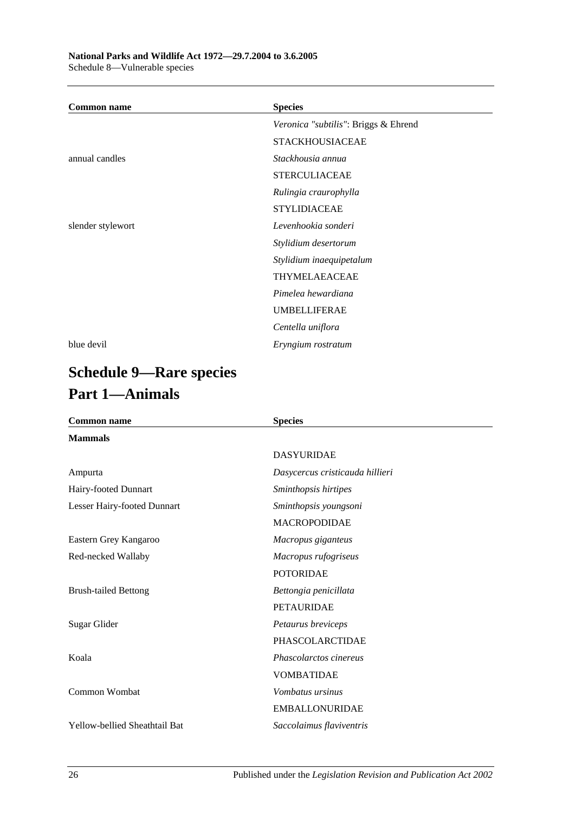| <b>Common name</b> | <b>Species</b>                       |
|--------------------|--------------------------------------|
|                    | Veronica "subtilis": Briggs & Ehrend |
|                    | <b>STACKHOUSIACEAE</b>               |
| annual candles     | Stackhousia annua                    |
|                    | <b>STERCULIACEAE</b>                 |
|                    | Rulingia craurophylla                |
|                    | <b>STYLIDIACEAE</b>                  |
| slender stylewort  | Levenhookia sonderi                  |
|                    | Stylidium desertorum                 |
|                    | Stylidium inaequipetalum             |
|                    | THYMELAEACEAE                        |
|                    | Pimelea hewardiana                   |
|                    | <b>UMBELLIFERAE</b>                  |
|                    | Centella uniflora                    |
| blue devil         | Eryngium rostratum                   |

# **Schedule 9—Rare species Part 1—Animals**

| <b>Common name</b>                   | <b>Species</b>                  |  |
|--------------------------------------|---------------------------------|--|
| <b>Mammals</b>                       |                                 |  |
|                                      | <b>DASYURIDAE</b>               |  |
| Ampurta                              | Dasycercus cristicauda hillieri |  |
| Hairy-footed Dunnart                 | Sminthopsis hirtipes            |  |
| Lesser Hairy-footed Dunnart          | Sminthopsis youngsoni           |  |
|                                      | <b>MACROPODIDAE</b>             |  |
| Eastern Grey Kangaroo                | Macropus giganteus              |  |
| Red-necked Wallaby                   | Macropus rufogriseus            |  |
|                                      | <b>POTORIDAE</b>                |  |
| <b>Brush-tailed Bettong</b>          | Bettongia penicillata           |  |
|                                      | <b>PETAURIDAE</b>               |  |
| Sugar Glider                         | Petaurus breviceps              |  |
|                                      | <b>PHASCOLARCTIDAE</b>          |  |
| Koala                                | Phascolarctos cinereus          |  |
|                                      | <b>VOMBATIDAE</b>               |  |
| Common Wombat                        | Vombatus ursinus                |  |
|                                      | <b>EMBALLONURIDAE</b>           |  |
| <b>Yellow-bellied Sheathtail Bat</b> | Saccolaimus flaviventris        |  |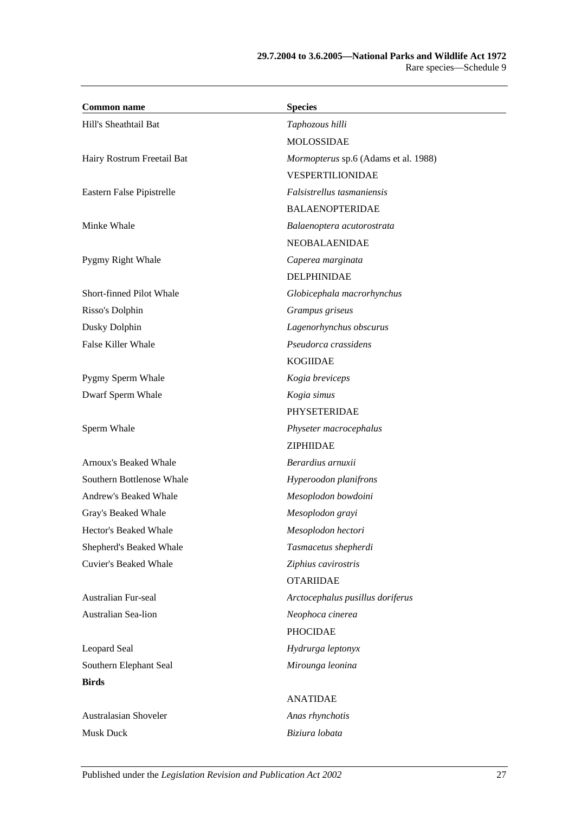| <b>Common name</b>           | <b>Species</b>                       |
|------------------------------|--------------------------------------|
| Hill's Sheathtail Bat        | Taphozous hilli                      |
|                              | <b>MOLOSSIDAE</b>                    |
| Hairy Rostrum Freetail Bat   | Mormopterus sp.6 (Adams et al. 1988) |
|                              | VESPERTILIONIDAE                     |
| Eastern False Pipistrelle    | Falsistrellus tasmaniensis           |
|                              | <b>BALAENOPTERIDAE</b>               |
| Minke Whale                  | Balaenoptera acutorostrata           |
|                              | NEOBALAENIDAE                        |
| Pygmy Right Whale            | Caperea marginata                    |
|                              | <b>DELPHINIDAE</b>                   |
| Short-finned Pilot Whale     | Globicephala macrorhynchus           |
| Risso's Dolphin              | Grampus griseus                      |
| Dusky Dolphin                | Lagenorhynchus obscurus              |
| <b>False Killer Whale</b>    | Pseudorca crassidens                 |
|                              | <b>KOGIIDAE</b>                      |
| Pygmy Sperm Whale            | Kogia breviceps                      |
| Dwarf Sperm Whale            | Kogia simus                          |
|                              | PHYSETERIDAE                         |
| Sperm Whale                  | Physeter macrocephalus               |
|                              | ZIPHIIDAE                            |
| Arnoux's Beaked Whale        | Berardius arnuxii                    |
| Southern Bottlenose Whale    | Hyperoodon planifrons                |
| Andrew's Beaked Whale        | Mesoplodon bowdoini                  |
| Gray's Beaked Whale          | Mesoplodon grayi                     |
| Hector's Beaked Whale        | Mesoplodon hectori                   |
| Shepherd's Beaked Whale      | Tasmacetus shepherdi                 |
| <b>Cuvier's Beaked Whale</b> | Ziphius cavirostris                  |
|                              | <b>OTARIIDAE</b>                     |
| Australian Fur-seal          | Arctocephalus pusillus doriferus     |
| Australian Sea-lion          | Neophoca cinerea                     |
|                              | <b>PHOCIDAE</b>                      |
| Leopard Seal                 | Hydrurga leptonyx                    |
| Southern Elephant Seal       | Mirounga leonina                     |
| <b>Birds</b>                 |                                      |
|                              | <b>ANATIDAE</b>                      |
| Australasian Shoveler        | Anas rhynchotis                      |
| <b>Musk Duck</b>             | Biziura lobata                       |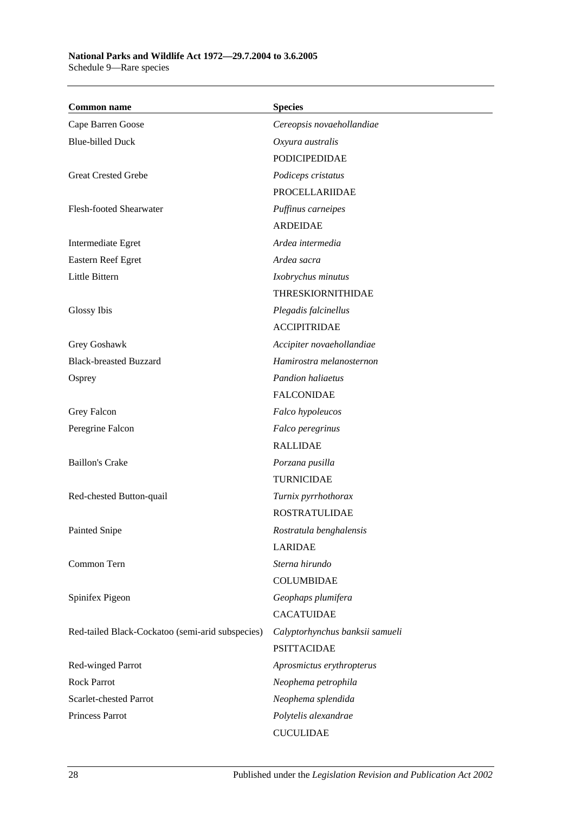| <b>Common name</b>                               | <b>Species</b>                  |
|--------------------------------------------------|---------------------------------|
| Cape Barren Goose                                | Cereopsis novaehollandiae       |
| <b>Blue-billed Duck</b>                          | Oxyura australis                |
|                                                  | <b>PODICIPEDIDAE</b>            |
| <b>Great Crested Grebe</b>                       | Podiceps cristatus              |
|                                                  | <b>PROCELLARIIDAE</b>           |
| Flesh-footed Shearwater                          | Puffinus carneipes              |
|                                                  | <b>ARDEIDAE</b>                 |
| Intermediate Egret                               | Ardea intermedia                |
| Eastern Reef Egret                               | Ardea sacra                     |
| Little Bittern                                   | Ixobrychus minutus              |
|                                                  | <b>THRESKIORNITHIDAE</b>        |
| Glossy Ibis                                      | Plegadis falcinellus            |
|                                                  | <b>ACCIPITRIDAE</b>             |
| Grey Goshawk                                     | Accipiter novaehollandiae       |
| <b>Black-breasted Buzzard</b>                    | Hamirostra melanosternon        |
| Osprey                                           | <b>Pandion haliaetus</b>        |
|                                                  | <b>FALCONIDAE</b>               |
| Grey Falcon                                      | Falco hypoleucos                |
| Peregrine Falcon                                 | Falco peregrinus                |
|                                                  | <b>RALLIDAE</b>                 |
| <b>Baillon's Crake</b>                           | Porzana pusilla                 |
|                                                  | <b>TURNICIDAE</b>               |
| Red-chested Button-quail                         | Turnix pyrrhothorax             |
|                                                  | <b>ROSTRATULIDAE</b>            |
| Painted Snipe                                    | Rostratula benghalensis         |
|                                                  | LARIDAE                         |
| Common Tern                                      | Sterna hirundo                  |
|                                                  | <b>COLUMBIDAE</b>               |
| Spinifex Pigeon                                  | Geophaps plumifera              |
|                                                  | <b>CACATUIDAE</b>               |
| Red-tailed Black-Cockatoo (semi-arid subspecies) | Calyptorhynchus banksii samueli |
|                                                  | <b>PSITTACIDAE</b>              |
| Red-winged Parrot                                | Aprosmictus erythropterus       |
| <b>Rock Parrot</b>                               | Neophema petrophila             |
| Scarlet-chested Parrot                           | Neophema splendida              |
| Princess Parrot                                  | Polytelis alexandrae            |
|                                                  | <b>CUCULIDAE</b>                |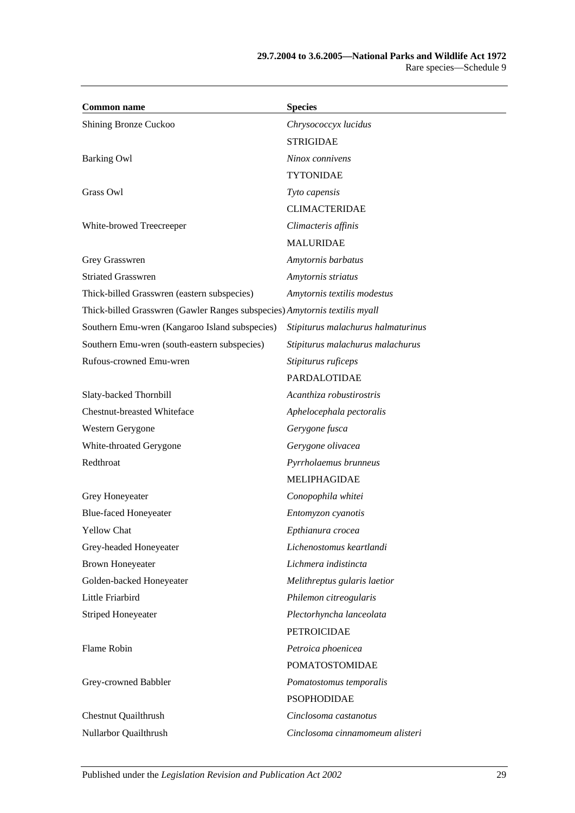| <b>Common name</b>                                                         | <b>Species</b>                     |
|----------------------------------------------------------------------------|------------------------------------|
| Shining Bronze Cuckoo                                                      | Chrysococcyx lucidus               |
|                                                                            | <b>STRIGIDAE</b>                   |
| <b>Barking Owl</b>                                                         | Ninox connivens                    |
|                                                                            | <b>TYTONIDAE</b>                   |
| Grass Owl                                                                  | Tyto capensis                      |
|                                                                            | <b>CLIMACTERIDAE</b>               |
| White-browed Treecreeper                                                   | Climacteris affinis                |
|                                                                            | <b>MALURIDAE</b>                   |
| Grey Grasswren                                                             | Amytornis barbatus                 |
| <b>Striated Grasswren</b>                                                  | Amytornis striatus                 |
| Thick-billed Grasswren (eastern subspecies)                                | Amytornis textilis modestus        |
| Thick-billed Grasswren (Gawler Ranges subspecies) Amytornis textilis myall |                                    |
| Southern Emu-wren (Kangaroo Island subspecies)                             | Stipiturus malachurus halmaturinus |
| Southern Emu-wren (south-eastern subspecies)                               | Stipiturus malachurus malachurus   |
| Rufous-crowned Emu-wren                                                    | Stipiturus ruficeps                |
|                                                                            | PARDALOTIDAE                       |
| Slaty-backed Thornbill                                                     | Acanthiza robustirostris           |
| <b>Chestnut-breasted Whiteface</b>                                         | Aphelocephala pectoralis           |
| Western Gerygone                                                           | Gerygone fusca                     |
| White-throated Gerygone                                                    | Gerygone olivacea                  |
| Redthroat                                                                  | Pyrrholaemus brunneus              |
|                                                                            | MELIPHAGIDAE                       |
| Grey Honeyeater                                                            | Conopophila whitei                 |
| <b>Blue-faced Honeyeater</b>                                               | Entomyzon cyanotis                 |
| <b>Yellow Chat</b>                                                         | Epthianura crocea                  |
| Grey-headed Honeyeater                                                     | Lichenostomus keartlandi           |
| <b>Brown Honeyeater</b>                                                    | Lichmera indistincta               |
| Golden-backed Honeyeater                                                   | Melithreptus gularis laetior       |
| Little Friarbird                                                           | Philemon citreogularis             |
| <b>Striped Honeyeater</b>                                                  | Plectorhyncha lanceolata           |
|                                                                            | <b>PETROICIDAE</b>                 |
| Flame Robin                                                                | Petroica phoenicea                 |
|                                                                            | <b>POMATOSTOMIDAE</b>              |
| Grey-crowned Babbler                                                       | Pomatostomus temporalis            |
|                                                                            | <b>PSOPHODIDAE</b>                 |
| <b>Chestnut Quailthrush</b>                                                | Cinclosoma castanotus              |
| Nullarbor Quailthrush                                                      | Cinclosoma cinnamomeum alisteri    |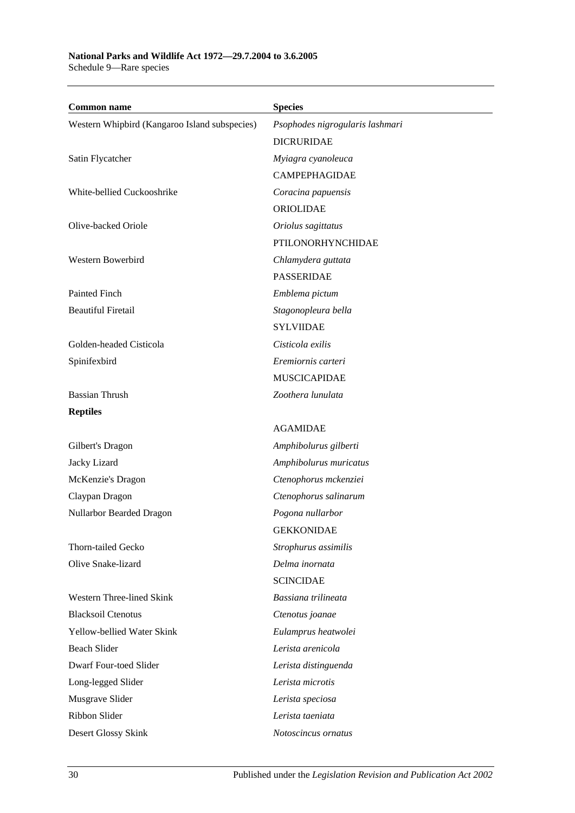**Common name Species** Western Whipbird (Kangaroo Island subspecies) *Psophodes nigrogularis lashmari* DICRURIDAE Satin Flycatcher *Myiagra cyanoleuca* CAMPEPHAGIDAE White-bellied Cuckooshrike *Coracina papuensis* ORIOLIDAE Olive-backed Oriole *Oriolus sagittatus* PTILONORHYNCHIDAE Western Bowerbird *Chlamydera guttata* PASSERIDAE Painted Finch *Emblema pictum* Beautiful Firetail *Stagonopleura bella* SYLVIIDAE Golden-headed Cisticola *Cisticola exilis* Spinifexbird *Eremiornis carteri* MUSCICAPIDAE Bassian Thrush *Zoothera lunulata* **Reptiles** AGAMIDAE Gilbert's Dragon *Amphibolurus gilberti* Jacky Lizard *Amphibolurus muricatus* McKenzie's Dragon *Ctenophorus mckenziei* Claypan Dragon *Ctenophorus salinarum* Nullarbor Bearded Dragon *Pogona nullarbor* GEKKONIDAE Thorn-tailed Gecko *Strophurus assimilis* Olive Snake-lizard *Delma inornata* SCINCIDAE Western Three-lined Skink *Bassiana trilineata* Blacksoil Ctenotus *Ctenotus joanae* Yellow-bellied Water Skink *Eulamprus heatwolei* Beach Slider *Lerista arenicola* Dwarf Four-toed Slider *Lerista distinguenda* Long-legged Slider *Lerista microtis* Musgrave Slider *Lerista speciosa* Ribbon Slider *Lerista taeniata* Desert Glossy Skink *Notoscincus ornatus*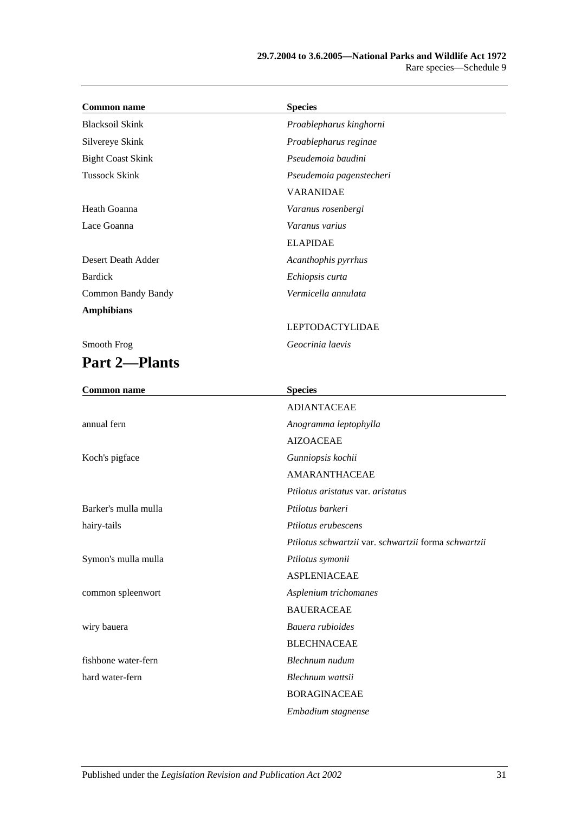| <b>Common name</b>        | <b>Species</b>                                       |
|---------------------------|------------------------------------------------------|
| <b>Blacksoil Skink</b>    | Proablepharus kinghorni                              |
| Silvereye Skink           | Proablepharus reginae                                |
| <b>Bight Coast Skink</b>  | Pseudemoia baudini                                   |
| <b>Tussock Skink</b>      | Pseudemoia pagenstecheri                             |
|                           | <b>VARANIDAE</b>                                     |
| Heath Goanna              | Varanus rosenbergi                                   |
| Lace Goanna               | Varanus varius                                       |
|                           | <b>ELAPIDAE</b>                                      |
| Desert Death Adder        | Acanthophis pyrrhus                                  |
| <b>Bardick</b>            | Echiopsis curta                                      |
| <b>Common Bandy Bandy</b> | Vermicella annulata                                  |
| <b>Amphibians</b>         |                                                      |
|                           | <b>LEPTODACTYLIDAE</b>                               |
| Smooth Frog               | Geocrinia laevis                                     |
| <b>Part 2-Plants</b>      |                                                      |
| <b>Common name</b>        | <b>Species</b>                                       |
|                           | <b>ADIANTACEAE</b>                                   |
| annual fern               | Anogramma leptophylla                                |
|                           | <b>AIZOACEAE</b>                                     |
| Koch's pigface            | Gunniopsis kochii                                    |
|                           | <b>AMARANTHACEAE</b>                                 |
|                           | Ptilotus aristatus var. aristatus                    |
| Barker's mulla mulla      | Ptilotus barkeri                                     |
| hairy-tails               | Ptilotus erubescens                                  |
|                           | Ptilotus schwartzii var. schwartzii forma schwartzii |
| Symon's mulla mulla       | Ptilotus symonii                                     |
|                           | <b>ASPLENIACEAE</b>                                  |
| common spleenwort         | Asplenium trichomanes                                |
|                           | <b>BAUERACEAE</b>                                    |
| wiry bauera               | Bauera rubioides                                     |
|                           | <b>BLECHNACEAE</b>                                   |
| fishbone water-fern       | Blechnum nudum                                       |
| hard water-fern           | Blechnum wattsii                                     |
|                           | <b>BORAGINACEAE</b>                                  |
|                           | Embadium stagnense                                   |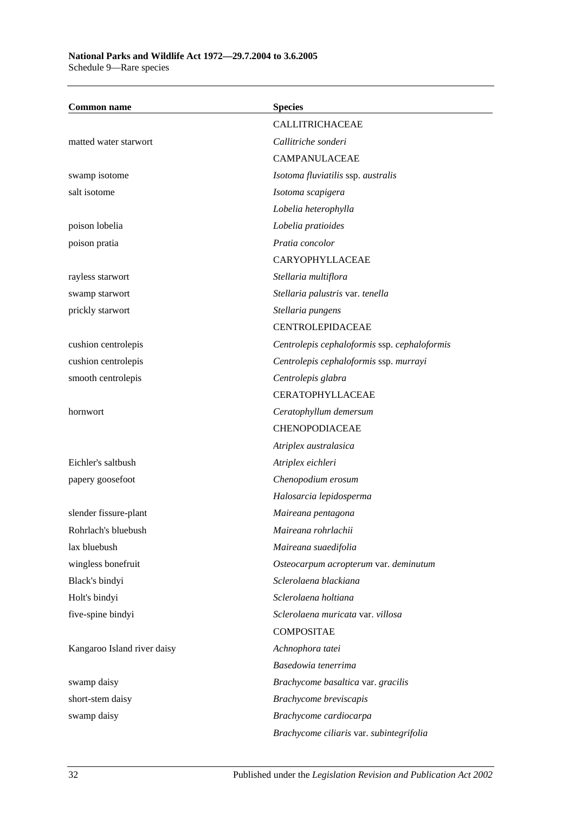Schedule 9—Rare species

| <b>Common name</b>          | <b>Species</b>                               |
|-----------------------------|----------------------------------------------|
|                             | CALLITRICHACEAE                              |
| matted water starwort       | Callitriche sonderi                          |
|                             | <b>CAMPANULACEAE</b>                         |
| swamp isotome               | Isotoma fluviatilis ssp. australis           |
| salt isotome                | Isotoma scapigera                            |
|                             | Lobelia heterophylla                         |
| poison lobelia              | Lobelia pratioides                           |
| poison pratia               | Pratia concolor                              |
|                             | CARYOPHYLLACEAE                              |
| rayless starwort            | Stellaria multiflora                         |
| swamp starwort              | Stellaria palustris var. tenella             |
| prickly starwort            | Stellaria pungens                            |
|                             | <b>CENTROLEPIDACEAE</b>                      |
| cushion centrolepis         | Centrolepis cephaloformis ssp. cephaloformis |
| cushion centrolepis         | Centrolepis cephaloformis ssp. murrayi       |
| smooth centrolepis          | Centrolepis glabra                           |
|                             | <b>CERATOPHYLLACEAE</b>                      |
| hornwort                    | Ceratophyllum demersum                       |
|                             | CHENOPODIACEAE                               |
|                             | Atriplex australasica                        |
| Eichler's saltbush          | Atriplex eichleri                            |
| papery goosefoot            | Chenopodium erosum                           |
|                             | Halosarcia lepidosperma                      |
| slender fissure-plant       | Maireana pentagona                           |
| Rohrlach's bluebush         | Maireana rohrlachii                          |
| lax bluebush                | Maireana suaedifolia                         |
| wingless bonefruit          | Osteocarpum acropterum var. deminutum        |
| Black's bindyi              | Sclerolaena blackiana                        |
| Holt's bindyi               | Sclerolaena holtiana                         |
| five-spine bindyi           | Sclerolaena muricata var. villosa            |
|                             | <b>COMPOSITAE</b>                            |
| Kangaroo Island river daisy | Achnophora tatei                             |
|                             | Basedowia tenerrima                          |
| swamp daisy                 | Brachycome basaltica var. gracilis           |
| short-stem daisy            | Brachycome breviscapis                       |
| swamp daisy                 | Brachycome cardiocarpa                       |
|                             | Brachycome ciliaris var. subintegrifolia     |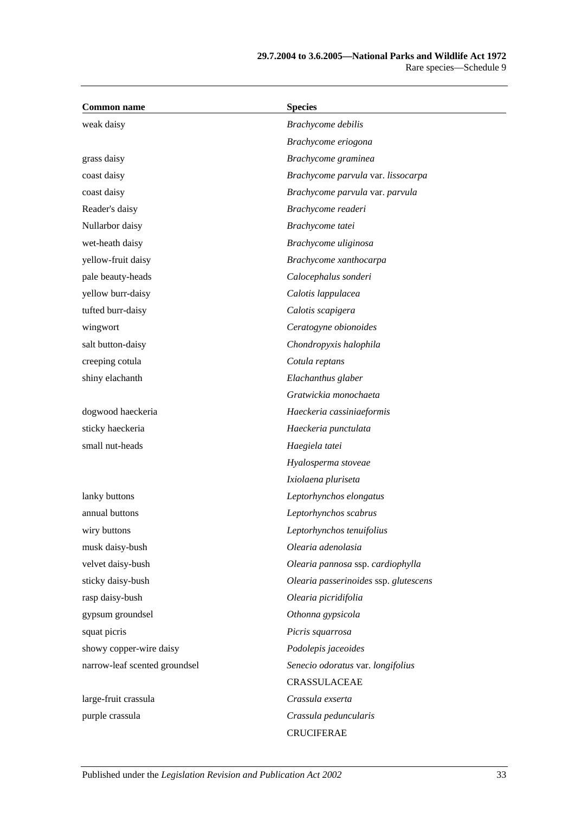| <b>Common name</b>            | <b>Species</b>                        |
|-------------------------------|---------------------------------------|
| weak daisy                    | Brachycome debilis                    |
|                               | Brachycome eriogona                   |
| grass daisy                   | Brachycome graminea                   |
| coast daisy                   | Brachycome parvula var. lissocarpa    |
| coast daisy                   | Brachycome parvula var. parvula       |
| Reader's daisy                | Brachycome readeri                    |
| Nullarbor daisy               | Brachycome tatei                      |
| wet-heath daisy               | Brachycome uliginosa                  |
| yellow-fruit daisy            | Brachycome xanthocarpa                |
| pale beauty-heads             | Calocephalus sonderi                  |
| yellow burr-daisy             | Calotis lappulacea                    |
| tufted burr-daisy             | Calotis scapigera                     |
| wingwort                      | Ceratogyne obionoides                 |
| salt button-daisy             | Chondropyxis halophila                |
| creeping cotula               | Cotula reptans                        |
| shiny elachanth               | Elachanthus glaber                    |
|                               | Gratwickia monochaeta                 |
| dogwood haeckeria             | Haeckeria cassiniaeformis             |
| sticky haeckeria              | Haeckeria punctulata                  |
| small nut-heads               | Haegiela tatei                        |
|                               | Hyalosperma stoveae                   |
|                               | Ixiolaena pluriseta                   |
| lanky buttons                 | Leptorhynchos elongatus               |
| annual buttons                | Leptorhynchos scabrus                 |
| wiry buttons                  | Leptorhynchos tenuifolius             |
| musk daisy-bush               | Olearia adenolasia                    |
| velvet daisy-bush             | Olearia pannosa ssp. cardiophylla     |
| sticky daisy-bush             | Olearia passerinoides ssp. glutescens |
| rasp daisy-bush               | Olearia picridifolia                  |
| gypsum groundsel              | Othonna gypsicola                     |
| squat picris                  | Picris squarrosa                      |
| showy copper-wire daisy       | Podolepis jaceoides                   |
| narrow-leaf scented groundsel | Senecio odoratus var. longifolius     |
|                               | CRASSULACEAE                          |
| large-fruit crassula          | Crassula exserta                      |
| purple crassula               | Crassula peduncularis                 |
|                               | <b>CRUCIFERAE</b>                     |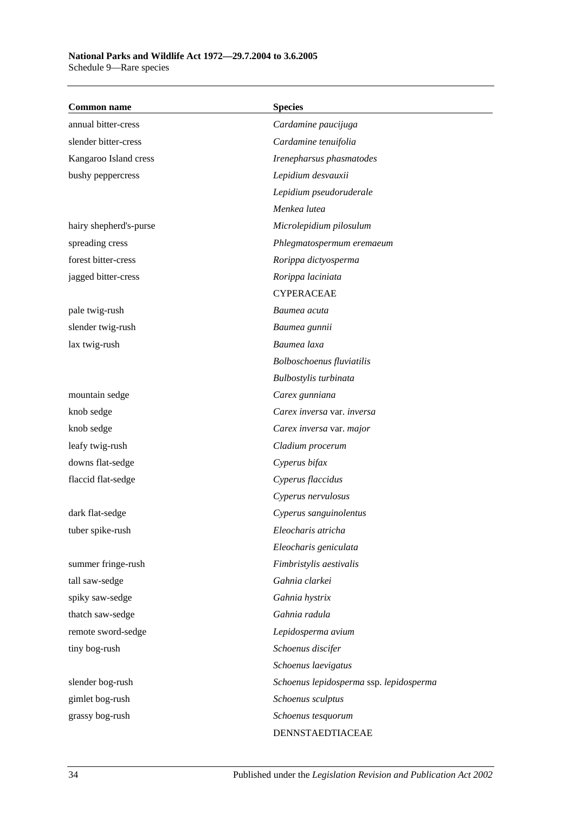| <b>Common name</b>     | <b>Species</b>                          |
|------------------------|-----------------------------------------|
| annual bitter-cress    | Cardamine paucijuga                     |
| slender bitter-cress   | Cardamine tenuifolia                    |
| Kangaroo Island cress  | Irenepharsus phasmatodes                |
| bushy peppercress      | Lepidium desvauxii                      |
|                        | Lepidium pseudoruderale                 |
|                        | Menkea lutea                            |
| hairy shepherd's-purse | Microlepidium pilosulum                 |
| spreading cress        | Phlegmatospermum eremaeum               |
| forest bitter-cress    | Rorippa dictyosperma                    |
| jagged bitter-cress    | Rorippa laciniata                       |
|                        | <b>CYPERACEAE</b>                       |
| pale twig-rush         | Baumea acuta                            |
| slender twig-rush      | Baumea gunnii                           |
| lax twig-rush          | Baumea laxa                             |
|                        | Bolboschoenus fluviatilis               |
|                        | Bulbostylis turbinata                   |
| mountain sedge         | Carex gunniana                          |
| knob sedge             | Carex inversa var. inversa              |
| knob sedge             | Carex inversa var. major                |
| leafy twig-rush        | Cladium procerum                        |
| downs flat-sedge       | Cyperus bifax                           |
| flaccid flat-sedge     | Cyperus flaccidus                       |
|                        | Cyperus nervulosus                      |
| dark flat-sedge        | Cyperus sanguinolentus                  |
| tuber spike-rush       | Eleocharis atricha                      |
|                        | Eleocharis geniculata                   |
| summer fringe-rush     | Fimbristylis aestivalis                 |
| tall saw-sedge         | Gahnia clarkei                          |
| spiky saw-sedge        | Gahnia hystrix                          |
| thatch saw-sedge       | Gahnia radula                           |
| remote sword-sedge     | Lepidosperma avium                      |
| tiny bog-rush          | Schoenus discifer                       |
|                        | Schoenus laevigatus                     |
| slender bog-rush       | Schoenus lepidosperma ssp. lepidosperma |
| gimlet bog-rush        | Schoenus sculptus                       |
| grassy bog-rush        | Schoenus tesquorum                      |
|                        | DENNSTAEDTIACEAE                        |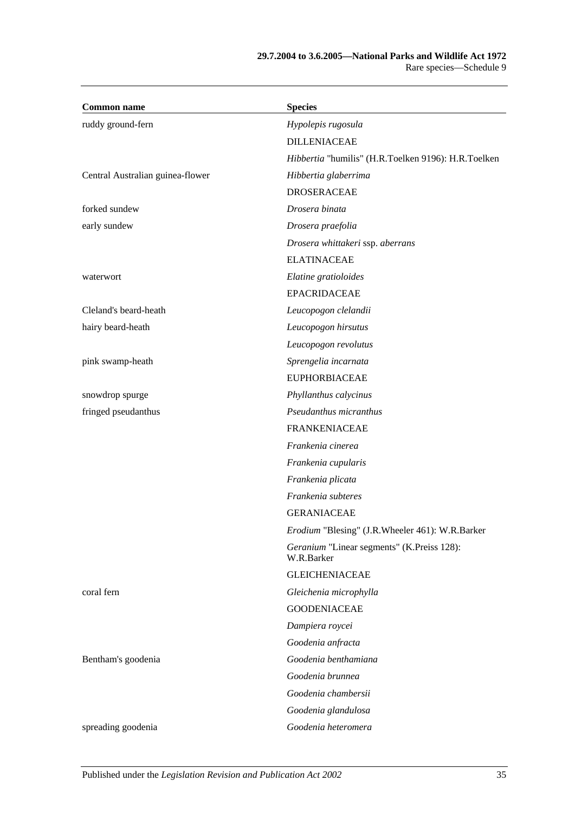| <b>Common name</b>               | <b>Species</b>                                           |
|----------------------------------|----------------------------------------------------------|
| ruddy ground-fern                | Hypolepis rugosula                                       |
|                                  | <b>DILLENIACEAE</b>                                      |
|                                  | Hibbertia "humilis" (H.R.Toelken 9196): H.R.Toelken      |
| Central Australian guinea-flower | Hibbertia glaberrima                                     |
|                                  | <b>DROSERACEAE</b>                                       |
| forked sundew                    | Drosera binata                                           |
| early sundew                     | Drosera praefolia                                        |
|                                  | Drosera whittakeri ssp. aberrans                         |
|                                  | <b>ELATINACEAE</b>                                       |
| waterwort                        | Elatine gratioloides                                     |
|                                  | <b>EPACRIDACEAE</b>                                      |
| Cleland's beard-heath            | Leucopogon clelandii                                     |
| hairy beard-heath                | Leucopogon hirsutus                                      |
|                                  | Leucopogon revolutus                                     |
| pink swamp-heath                 | Sprengelia incarnata                                     |
|                                  | <b>EUPHORBIACEAE</b>                                     |
| snowdrop spurge                  | Phyllanthus calycinus                                    |
| fringed pseudanthus              | Pseudanthus micranthus                                   |
|                                  | <b>FRANKENIACEAE</b>                                     |
|                                  | Frankenia cinerea                                        |
|                                  | Frankenia cupularis                                      |
|                                  | Frankenia plicata                                        |
|                                  | Frankenia subteres                                       |
|                                  | <b>GERANIACEAE</b>                                       |
|                                  | Erodium "Blesing" (J.R.Wheeler 461): W.R.Barker          |
|                                  | Geranium "Linear segments" (K.Preiss 128):<br>W.R.Barker |
|                                  | <b>GLEICHENIACEAE</b>                                    |
| coral fern                       | Gleichenia microphylla                                   |
|                                  | <b>GOODENIACEAE</b>                                      |
|                                  | Dampiera roycei                                          |
|                                  | Goodenia anfracta                                        |
| Bentham's goodenia               | Goodenia benthamiana                                     |
|                                  | Goodenia brunnea                                         |
|                                  | Goodenia chambersii                                      |
|                                  | Goodenia glandulosa                                      |
| spreading goodenia               | Goodenia heteromera                                      |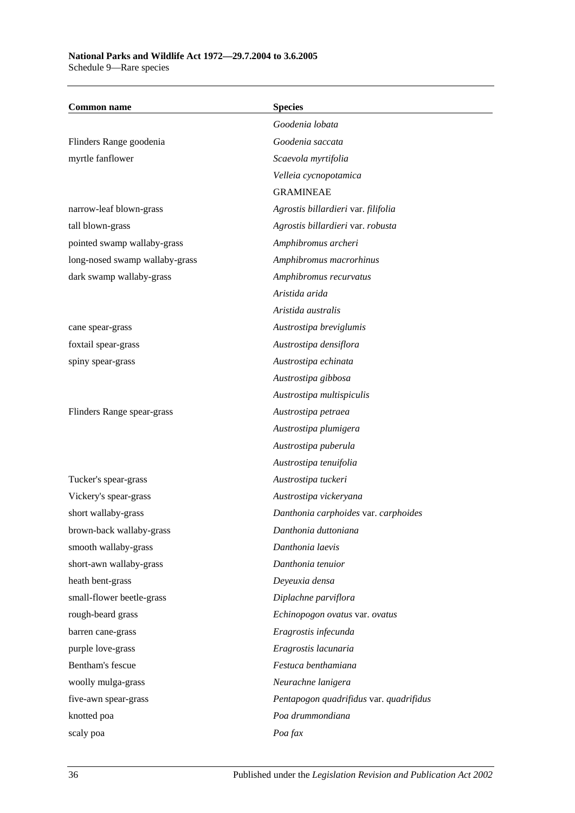| <b>Common name</b>             | <b>Species</b>                          |
|--------------------------------|-----------------------------------------|
|                                | Goodenia lobata                         |
| Flinders Range goodenia        | Goodenia saccata                        |
| myrtle fanflower               | Scaevola myrtifolia                     |
|                                | Velleia cycnopotamica                   |
|                                | <b>GRAMINEAE</b>                        |
| narrow-leaf blown-grass        | Agrostis billardieri var. filifolia     |
| tall blown-grass               | Agrostis billardieri var. robusta       |
| pointed swamp wallaby-grass    | Amphibromus archeri                     |
| long-nosed swamp wallaby-grass | Amphibromus macrorhinus                 |
| dark swamp wallaby-grass       | Amphibromus recurvatus                  |
|                                | Aristida arida                          |
|                                | Aristida australis                      |
| cane spear-grass               | Austrostipa breviglumis                 |
| foxtail spear-grass            | Austrostipa densiflora                  |
| spiny spear-grass              | Austrostipa echinata                    |
|                                | Austrostipa gibbosa                     |
|                                | Austrostipa multispiculis               |
| Flinders Range spear-grass     | Austrostipa petraea                     |
|                                | Austrostipa plumigera                   |
|                                | Austrostipa puberula                    |
|                                | Austrostipa tenuifolia                  |
| Tucker's spear-grass           | Austrostipa tuckeri                     |
| Vickery's spear-grass          | Austrostipa vickeryana                  |
| short wallaby-grass            | Danthonia carphoides var. carphoides    |
| brown-back wallaby-grass       | Danthonia duttoniana                    |
| smooth wallaby-grass           | Danthonia laevis                        |
| short-awn wallaby-grass        | Danthonia tenuior                       |
| heath bent-grass               | Deyeuxia densa                          |
| small-flower beetle-grass      | Diplachne parviflora                    |
| rough-beard grass              | Echinopogon ovatus var. ovatus          |
| barren cane-grass              | Eragrostis infecunda                    |
| purple love-grass              | Eragrostis lacunaria                    |
| Bentham's fescue               | Festuca benthamiana                     |
| woolly mulga-grass             | Neurachne lanigera                      |
| five-awn spear-grass           | Pentapogon quadrifidus var. quadrifidus |
| knotted poa                    | Poa drummondiana                        |
| scaly poa                      | Poa fax                                 |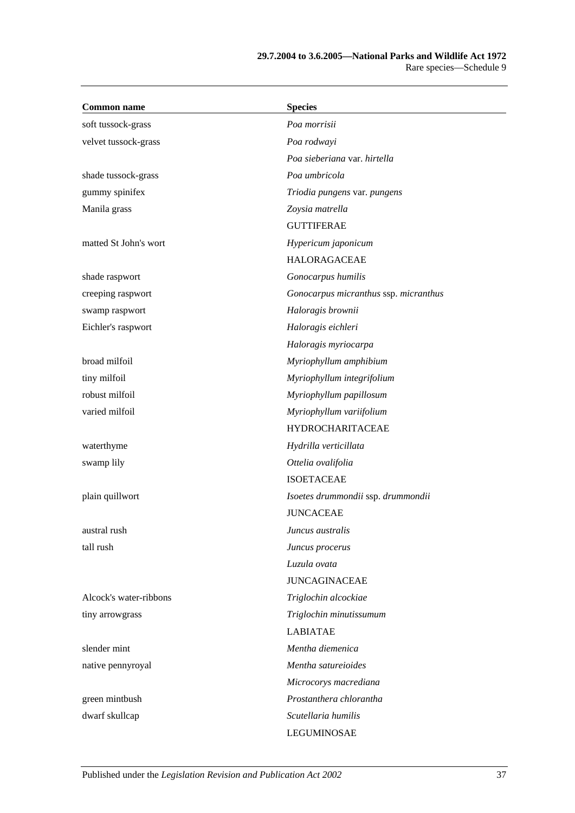| <b>Common name</b>     | <b>Species</b>                        |
|------------------------|---------------------------------------|
| soft tussock-grass     | Poa morrisii                          |
| velvet tussock-grass   | Poa rodwayi                           |
|                        | Poa sieberiana var. hirtella          |
| shade tussock-grass    | Poa umbricola                         |
| gummy spinifex         | Triodia pungens var. pungens          |
| Manila grass           | Zoysia matrella                       |
|                        | <b>GUTTIFERAE</b>                     |
| matted St John's wort  | Hypericum japonicum                   |
|                        | <b>HALORAGACEAE</b>                   |
| shade raspwort         | Gonocarpus humilis                    |
| creeping raspwort      | Gonocarpus micranthus ssp. micranthus |
| swamp raspwort         | Haloragis brownii                     |
| Eichler's raspwort     | Haloragis eichleri                    |
|                        | Haloragis myriocarpa                  |
| broad milfoil          | Myriophyllum amphibium                |
| tiny milfoil           | Myriophyllum integrifolium            |
| robust milfoil         | Myriophyllum papillosum               |
| varied milfoil         | Myriophyllum variifolium              |
|                        | <b>HYDROCHARITACEAE</b>               |
| waterthyme             | Hydrilla verticillata                 |
| swamp lily             | Ottelia ovalifolia                    |
|                        | <b>ISOETACEAE</b>                     |
| plain quillwort        | Isoetes drummondii ssp. drummondii    |
|                        | <b>JUNCACEAE</b>                      |
| austral rush           | Juncus australis                      |
| tall rush              | Juncus procerus                       |
|                        | Luzula ovata                          |
|                        | <b>JUNCAGINACEAE</b>                  |
| Alcock's water-ribbons | Triglochin alcockiae                  |
| tiny arrowgrass        | Triglochin minutissumum               |
|                        | <b>LABIATAE</b>                       |
| slender mint           | Mentha diemenica                      |
| native pennyroyal      | Mentha satureioides                   |
|                        | Microcorys macrediana                 |
| green mintbush         | Prostanthera chlorantha               |
| dwarf skullcap         | Scutellaria humilis                   |
|                        | LEGUMINOSAE                           |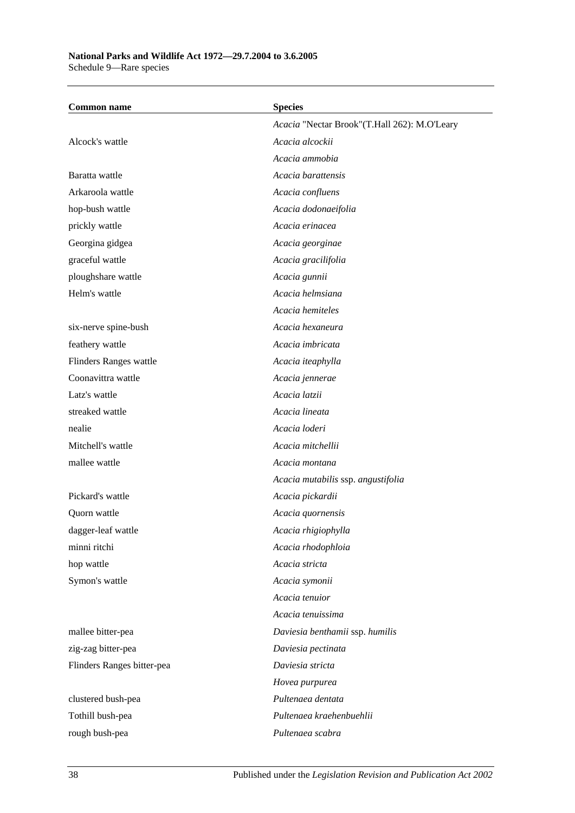Schedule 9—Rare species

| <b>Common name</b>         | <b>Species</b>                               |
|----------------------------|----------------------------------------------|
|                            | Acacia "Nectar Brook"(T.Hall 262): M.O'Leary |
| Alcock's wattle            | Acacia alcockii                              |
|                            | Acacia ammobia                               |
| Baratta wattle             | Acacia barattensis                           |
| Arkaroola wattle           | Acacia confluens                             |
| hop-bush wattle            | Acacia dodonaeifolia                         |
| prickly wattle             | Acacia erinacea                              |
| Georgina gidgea            | Acacia georginae                             |
| graceful wattle            | Acacia gracilifolia                          |
| ploughshare wattle         | Acacia gunnii                                |
| Helm's wattle              | Acacia helmsiana                             |
|                            | Acacia hemiteles                             |
| six-nerve spine-bush       | Acacia hexaneura                             |
| feathery wattle            | Acacia imbricata                             |
| Flinders Ranges wattle     | Acacia iteaphylla                            |
| Coonavittra wattle         | Acacia jennerae                              |
| Latz's wattle              | Acacia latzii                                |
| streaked wattle            | Acacia lineata                               |
| nealie                     | Acacia loderi                                |
| Mitchell's wattle          | Acacia mitchellii                            |
| mallee wattle              | Acacia montana                               |
|                            | Acacia mutabilis ssp. angustifolia           |
| Pickard's wattle           | Acacia pickardii                             |
| Quorn wattle               | Acacia quornensis                            |
| dagger-leaf wattle         | Acacia rhigiophylla                          |
| minni ritchi               | Acacia rhodophloia                           |
| hop wattle                 | Acacia stricta                               |
| Symon's wattle             | Acacia symonii                               |
|                            | Acacia tenuior                               |
|                            | Acacia tenuissima                            |
| mallee bitter-pea          | Daviesia benthamii ssp. humilis              |
| zig-zag bitter-pea         | Daviesia pectinata                           |
| Flinders Ranges bitter-pea | Daviesia stricta                             |
|                            | Hovea purpurea                               |
| clustered bush-pea         | Pultenaea dentata                            |
| Tothill bush-pea           | Pultenaea kraehenbuehlii                     |
| rough bush-pea             | Pultenaea scabra                             |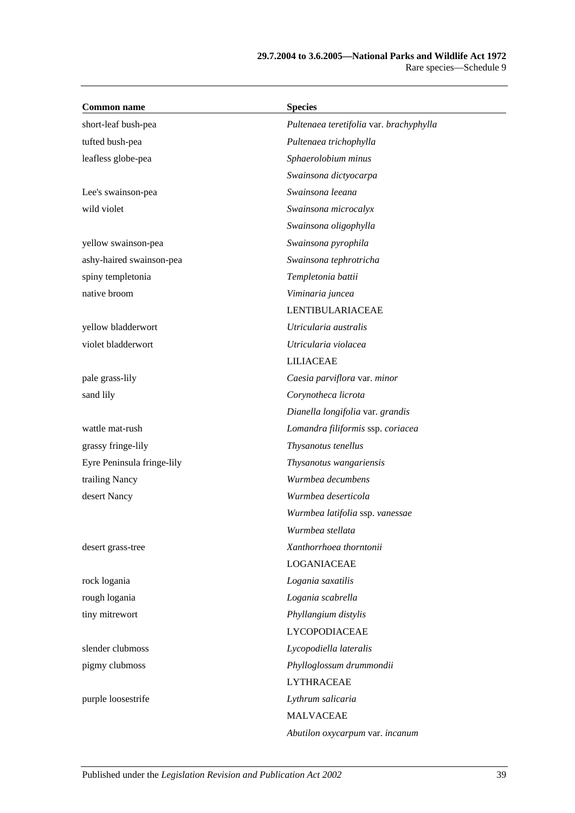| <b>Common name</b>         | <b>Species</b>                          |
|----------------------------|-----------------------------------------|
| short-leaf bush-pea        | Pultenaea teretifolia var. brachyphylla |
| tufted bush-pea            | Pultenaea trichophylla                  |
| leafless globe-pea         | Sphaerolobium minus                     |
|                            | Swainsona dictyocarpa                   |
| Lee's swainson-pea         | Swainsona leeana                        |
| wild violet                | Swainsona microcalyx                    |
|                            | Swainsona oligophylla                   |
| yellow swainson-pea        | Swainsona pyrophila                     |
| ashy-haired swainson-pea   | Swainsona tephrotricha                  |
| spiny templetonia          | Templetonia battii                      |
| native broom               | Viminaria juncea                        |
|                            | LENTIBULARIACEAE                        |
| yellow bladderwort         | Utricularia australis                   |
| violet bladderwort         | Utricularia violacea                    |
|                            | <b>LILIACEAE</b>                        |
| pale grass-lily            | Caesia parviflora var. minor            |
| sand lily                  | Corynotheca licrota                     |
|                            | Dianella longifolia var. grandis        |
| wattle mat-rush            | Lomandra filiformis ssp. coriacea       |
| grassy fringe-lily         | Thysanotus tenellus                     |
| Eyre Peninsula fringe-lily | Thysanotus wangariensis                 |
| trailing Nancy             | Wurmbea decumbens                       |
| desert Nancy               | Wurmbea deserticola                     |
|                            | Wurmbea latifolia ssp. vanessae         |
|                            | Wurmbea stellata                        |
| desert grass-tree          | Xanthorrhoea thorntonii                 |
|                            | LOGANIACEAE                             |
| rock logania               | Logania saxatilis                       |
| rough logania              | Logania scabrella                       |
| tiny mitrewort             | Phyllangium distylis                    |
|                            | <b>LYCOPODIACEAE</b>                    |
| slender clubmoss           | Lycopodiella lateralis                  |
| pigmy clubmoss             | Phylloglossum drummondii                |
|                            | <b>LYTHRACEAE</b>                       |
| purple loosestrife         | Lythrum salicaria                       |
|                            | <b>MALVACEAE</b>                        |
|                            | Abutilon oxycarpum var. incanum         |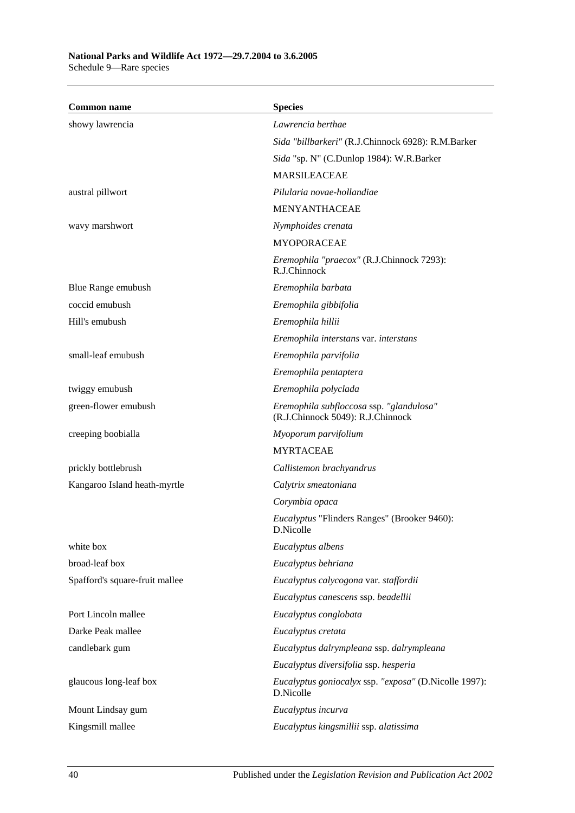| <b>Common name</b>             | <b>Species</b>                                                                |
|--------------------------------|-------------------------------------------------------------------------------|
| showy lawrencia                | Lawrencia berthae                                                             |
|                                | Sida "billbarkeri" (R.J.Chinnock 6928): R.M.Barker                            |
|                                | Sida "sp. N" (C.Dunlop 1984): W.R.Barker                                      |
|                                | <b>MARSILEACEAE</b>                                                           |
| austral pillwort               | Pilularia novae-hollandiae                                                    |
|                                | <b>MENYANTHACEAE</b>                                                          |
| wavy marshwort                 | Nymphoides crenata                                                            |
|                                | <b>MYOPORACEAE</b>                                                            |
|                                | Eremophila "praecox" (R.J.Chinnock 7293):<br>R.J.Chinnock                     |
| Blue Range emubush             | Eremophila barbata                                                            |
| coccid emubush                 | Eremophila gibbifolia                                                         |
| Hill's emubush                 | Eremophila hillii                                                             |
|                                | Eremophila interstans var. interstans                                         |
| small-leaf emubush             | Eremophila parvifolia                                                         |
|                                | Eremophila pentaptera                                                         |
| twiggy emubush                 | Eremophila polyclada                                                          |
| green-flower emubush           | Eremophila subfloccosa ssp. "glandulosa"<br>(R.J.Chinnock 5049): R.J.Chinnock |
| creeping boobialla             | Myoporum parvifolium                                                          |
|                                | <b>MYRTACEAE</b>                                                              |
| prickly bottlebrush            | Callistemon brachyandrus                                                      |
| Kangaroo Island heath-myrtle   | Calytrix smeatoniana                                                          |
|                                | Corymbia opaca                                                                |
|                                | <i>Eucalyptus</i> "Flinders Ranges" (Brooker 9460):<br>D.Nicolle              |
| white box                      | Eucalyptus albens                                                             |
| broad-leaf box                 | Eucalyptus behriana                                                           |
| Spafford's square-fruit mallee | Eucalyptus calycogona var. staffordii                                         |
|                                | Eucalyptus canescens ssp. beadellii                                           |
| Port Lincoln mallee            | Eucalyptus conglobata                                                         |
| Darke Peak mallee              | Eucalyptus cretata                                                            |
| candlebark gum                 | Eucalyptus dalrympleana ssp. dalrympleana                                     |
|                                | Eucalyptus diversifolia ssp. hesperia                                         |
| glaucous long-leaf box         | Eucalyptus goniocalyx ssp. "exposa" (D.Nicolle 1997):<br>D.Nicolle            |
| Mount Lindsay gum              | Eucalyptus incurva                                                            |
| Kingsmill mallee               | Eucalyptus kingsmillii ssp. alatissima                                        |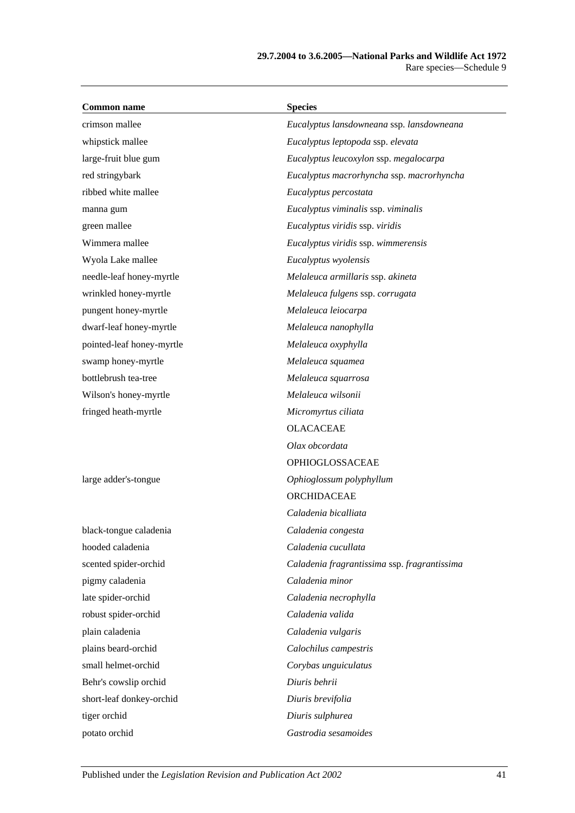| <b>Common name</b>        | <b>Species</b>                               |
|---------------------------|----------------------------------------------|
| crimson mallee            | Eucalyptus lansdowneana ssp. lansdowneana    |
| whipstick mallee          | Eucalyptus leptopoda ssp. elevata            |
| large-fruit blue gum      | Eucalyptus leucoxylon ssp. megalocarpa       |
| red stringybark           | Eucalyptus macrorhyncha ssp. macrorhyncha    |
| ribbed white mallee       | Eucalyptus percostata                        |
| manna gum                 | Eucalyptus viminalis ssp. viminalis          |
| green mallee              | Eucalyptus viridis ssp. viridis              |
| Wimmera mallee            | Eucalyptus viridis ssp. wimmerensis          |
| Wyola Lake mallee         | Eucalyptus wyolensis                         |
| needle-leaf honey-myrtle  | Melaleuca armillaris ssp. akineta            |
| wrinkled honey-myrtle     | Melaleuca fulgens ssp. corrugata             |
| pungent honey-myrtle      | Melaleuca leiocarpa                          |
| dwarf-leaf honey-myrtle   | Melaleuca nanophylla                         |
| pointed-leaf honey-myrtle | Melaleuca oxyphylla                          |
| swamp honey-myrtle        | Melaleuca squamea                            |
| bottlebrush tea-tree      | Melaleuca squarrosa                          |
| Wilson's honey-myrtle     | Melaleuca wilsonii                           |
| fringed heath-myrtle      | Micromyrtus ciliata                          |
|                           | <b>OLACACEAE</b>                             |
|                           | Olax obcordata                               |
|                           | OPHIOGLOSSACEAE                              |
| large adder's-tongue      | Ophioglossum polyphyllum                     |
|                           | ORCHIDACEAE                                  |
|                           | Caladenia bicalliata                         |
| black-tongue caladenia    | Caladenia congesta                           |
| hooded caladenia          | Caladenia cucullata                          |
| scented spider-orchid     | Caladenia fragrantissima ssp. fragrantissima |
| pigmy caladenia           | Caladenia minor                              |
| late spider-orchid        | Caladenia necrophylla                        |
| robust spider-orchid      | Caladenia valida                             |
| plain caladenia           | Caladenia vulgaris                           |
| plains beard-orchid       | Calochilus campestris                        |
| small helmet-orchid       | Corybas unguiculatus                         |
| Behr's cowslip orchid     | Diuris behrii                                |
| short-leaf donkey-orchid  | Diuris brevifolia                            |
| tiger orchid              | Diuris sulphurea                             |
| potato orchid             | Gastrodia sesamoides                         |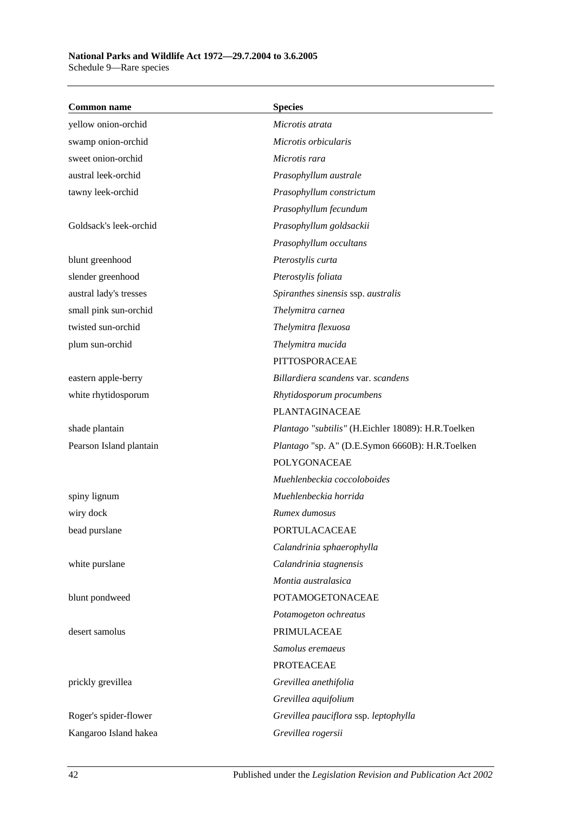| <b>Common name</b>      | <b>Species</b>                                     |
|-------------------------|----------------------------------------------------|
| yellow onion-orchid     | Microtis atrata                                    |
| swamp onion-orchid      | Microtis orbicularis                               |
| sweet onion-orchid      | Microtis rara                                      |
| austral leek-orchid     | Prasophyllum australe                              |
| tawny leek-orchid       | Prasophyllum constrictum                           |
|                         | Prasophyllum fecundum                              |
| Goldsack's leek-orchid  | Prasophyllum goldsackii                            |
|                         | Prasophyllum occultans                             |
| blunt greenhood         | Pterostylis curta                                  |
| slender greenhood       | Pterostylis foliata                                |
| austral lady's tresses  | Spiranthes sinensis ssp. australis                 |
| small pink sun-orchid   | Thelymitra carnea                                  |
| twisted sun-orchid      | Thelymitra flexuosa                                |
| plum sun-orchid         | Thelymitra mucida                                  |
|                         | PITTOSPORACEAE                                     |
| eastern apple-berry     | Billardiera scandens var. scandens                 |
| white rhytidosporum     | Rhytidosporum procumbens                           |
|                         | PLANTAGINACEAE                                     |
| shade plantain          | Plantago "subtilis" (H.Eichler 18089): H.R.Toelken |
| Pearson Island plantain | Plantago "sp. A" (D.E.Symon 6660B): H.R.Toelken    |
|                         | POLYGONACEAE                                       |
|                         | Muehlenbeckia coccoloboides                        |
| spiny lignum            | Muehlenbeckia horrida                              |
| wiry dock               | Rumex dumosus                                      |
| bead purslane           | PORTULACACEAE                                      |
|                         | Calandrinia sphaerophylla                          |
| white purslane          | Calandrinia stagnensis                             |
|                         | Montia australasica                                |
| blunt pondweed          | POTAMOGETONACEAE                                   |
|                         | Potamogeton ochreatus                              |
| desert samolus          | PRIMULACEAE                                        |
|                         | Samolus eremaeus                                   |
|                         | <b>PROTEACEAE</b>                                  |
| prickly grevillea       | Grevillea anethifolia                              |
|                         | Grevillea aquifolium                               |
| Roger's spider-flower   | Grevillea pauciflora ssp. leptophylla              |
| Kangaroo Island hakea   | Grevillea rogersii                                 |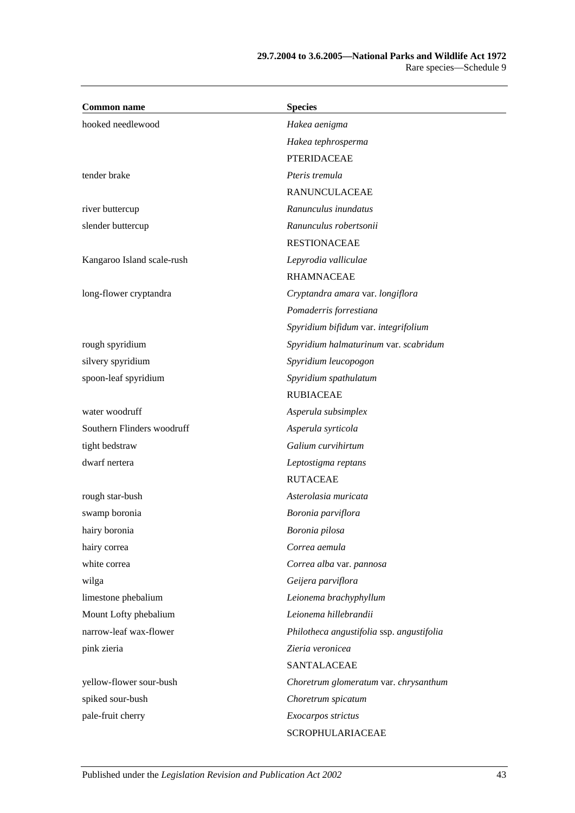| <b>Common name</b>         | <b>Species</b>                            |
|----------------------------|-------------------------------------------|
| hooked needlewood          | Hakea aenigma                             |
|                            | Hakea tephrosperma                        |
|                            | <b>PTERIDACEAE</b>                        |
| tender brake               | Pteris tremula                            |
|                            | <b>RANUNCULACEAE</b>                      |
| river buttercup            | Ranunculus inundatus                      |
| slender buttercup          | Ranunculus robertsonii                    |
|                            | <b>RESTIONACEAE</b>                       |
| Kangaroo Island scale-rush | Lepyrodia valliculae                      |
|                            | <b>RHAMNACEAE</b>                         |
| long-flower cryptandra     | Cryptandra amara var. longiflora          |
|                            | Pomaderris forrestiana                    |
|                            | Spyridium bifidum var. integrifolium      |
| rough spyridium            | Spyridium halmaturinum var. scabridum     |
| silvery spyridium          | Spyridium leucopogon                      |
| spoon-leaf spyridium       | Spyridium spathulatum                     |
|                            | <b>RUBIACEAE</b>                          |
| water woodruff             | Asperula subsimplex                       |
| Southern Flinders woodruff | Asperula syrticola                        |
| tight bedstraw             | Galium curvihirtum                        |
| dwarf nertera              | Leptostigma reptans                       |
|                            | <b>RUTACEAE</b>                           |
| rough star-bush            | Asterolasia muricata                      |
| swamp boronia              | Boronia parviflora                        |
| hairy boronia              | Boronia pilosa                            |
| hairy correa               | Correa aemula                             |
| white correa               | Correa alba var. pannosa                  |
| wilga                      | Geijera parviflora                        |
| limestone phebalium        | Leionema brachyphyllum                    |
| Mount Lofty phebalium      | Leionema hillebrandii                     |
| narrow-leaf wax-flower     | Philotheca angustifolia ssp. angustifolia |
| pink zieria                | Zieria veronicea                          |
|                            | <b>SANTALACEAE</b>                        |
| yellow-flower sour-bush    | Choretrum glomeratum var. chrysanthum     |
| spiked sour-bush           | Choretrum spicatum                        |
| pale-fruit cherry          | Exocarpos strictus                        |
|                            | SCROPHULARIACEAE                          |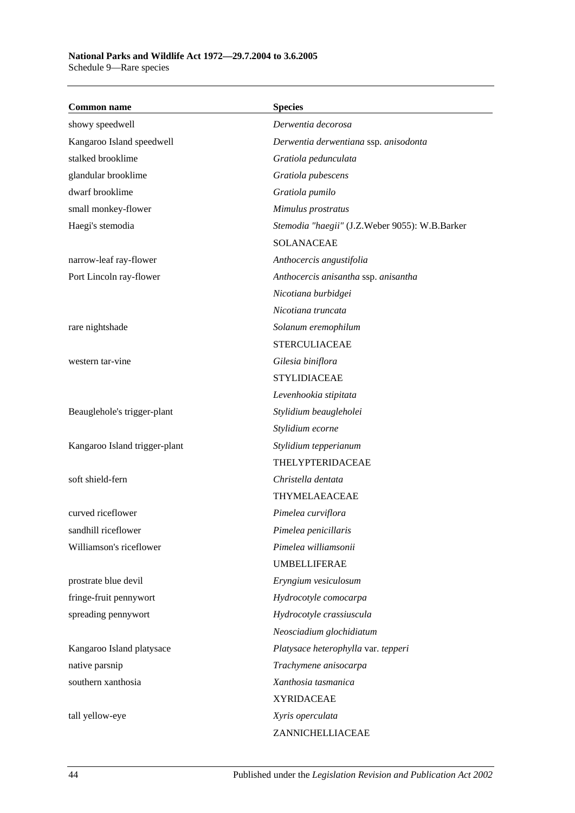Schedule 9—Rare species

| <b>Common name</b>            | <b>Species</b>                                 |
|-------------------------------|------------------------------------------------|
| showy speedwell               | Derwentia decorosa                             |
| Kangaroo Island speedwell     | Derwentia derwentiana ssp. anisodonta          |
| stalked brooklime             | Gratiola pedunculata                           |
| glandular brooklime           | Gratiola pubescens                             |
| dwarf brooklime               | Gratiola pumilo                                |
| small monkey-flower           | Mimulus prostratus                             |
| Haegi's stemodia              | Stemodia "haegii" (J.Z.Weber 9055): W.B.Barker |
|                               | <b>SOLANACEAE</b>                              |
| narrow-leaf ray-flower        | Anthocercis angustifolia                       |
| Port Lincoln ray-flower       | Anthocercis anisantha ssp. anisantha           |
|                               | Nicotiana burbidgei                            |
|                               | Nicotiana truncata                             |
| rare nightshade               | Solanum eremophilum                            |
|                               | <b>STERCULIACEAE</b>                           |
| western tar-vine              | Gilesia biniflora                              |
|                               | <b>STYLIDIACEAE</b>                            |
|                               | Levenhookia stipitata                          |
| Beauglehole's trigger-plant   | Stylidium beaugleholei                         |
|                               | Stylidium ecorne                               |
| Kangaroo Island trigger-plant | Stylidium tepperianum                          |
|                               | <b>THELYPTERIDACEAE</b>                        |
| soft shield-fern              | Christella dentata                             |
|                               | <b>THYMELAEACEAE</b>                           |
| curved riceflower             | Pimelea curviflora                             |
| sandhill riceflower           | Pimelea penicillaris                           |
| Williamson's riceflower       | Pimelea williamsonii                           |
|                               | <b>UMBELLIFERAE</b>                            |
| prostrate blue devil          | Eryngium vesiculosum                           |
| fringe-fruit pennywort        | Hydrocotyle comocarpa                          |
| spreading pennywort           | Hydrocotyle crassiuscula                       |
|                               | Neosciadium glochidiatum                       |
| Kangaroo Island platysace     | Platysace heterophylla var. tepperi            |
| native parsnip                | Trachymene anisocarpa                          |
| southern xanthosia            | Xanthosia tasmanica                            |
|                               | <b>XYRIDACEAE</b>                              |
| tall yellow-eye               | Xyris operculata                               |
|                               | ZANNICHELLIACEAE                               |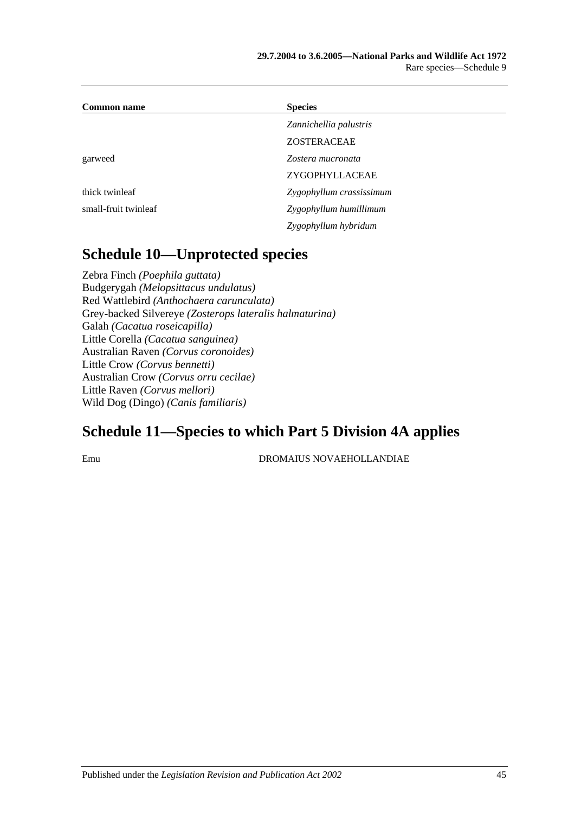| <b>Common name</b>   | <b>Species</b>           |  |
|----------------------|--------------------------|--|
|                      | Zannichellia palustris   |  |
|                      | <b>ZOSTERACEAE</b>       |  |
| garweed              | Zostera mucronata        |  |
|                      | ZYGOPHYLLACEAE           |  |
| thick twinleaf       | Zygophyllum crassissimum |  |
| small-fruit twinleaf | Zygophyllum humillimum   |  |
|                      | Zygophyllum hybridum     |  |

### **Schedule 10—Unprotected species**

Zebra Finch *(Poephila guttata)* Budgerygah *(Melopsittacus undulatus)* Red Wattlebird *(Anthochaera carunculata)* Grey-backed Silvereye *(Zosterops lateralis halmaturina)* Galah *(Cacatua roseicapilla)* Little Corella *(Cacatua sanguinea)* Australian Raven *(Corvus coronoides)* Little Crow *(Corvus bennetti)* Australian Crow *(Corvus orru cecilae)* Little Raven *(Corvus mellori)* Wild Dog (Dingo) *(Canis familiaris)*

## **Schedule 11—Species to which [Part 5 Division 4A](#page-60-0) applies**

Emu DROMAIUS NOVAEHOLLANDIAE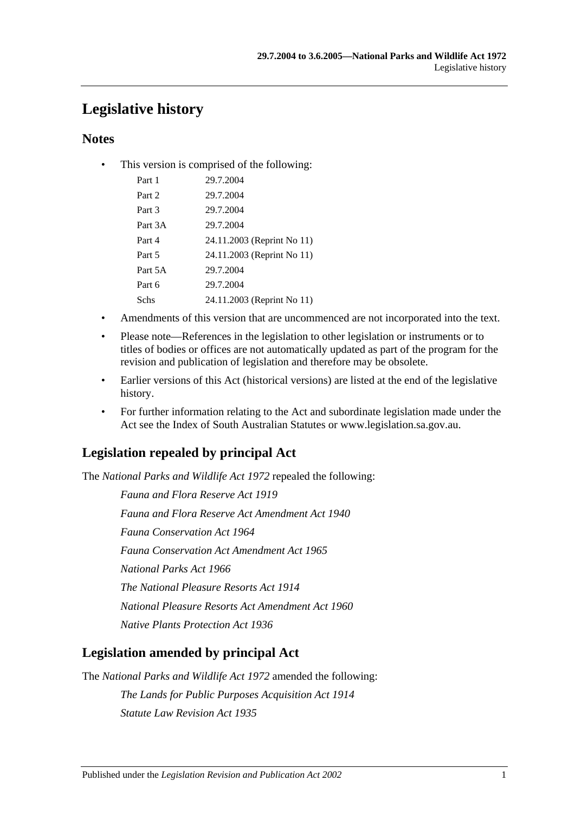## **Legislative history**

### **Notes**

• This version is comprised of the following:

| Part 1  | 29.7.2004                  |
|---------|----------------------------|
| Part 2  | 29.7.2004                  |
| Part 3  | 29.7.2004                  |
| Part 3A | 29.7.2004                  |
| Part 4  | 24.11.2003 (Reprint No 11) |
| Part 5  | 24.11.2003 (Reprint No 11) |
| Part 5A | 29.7.2004                  |
| Part 6  | 29.7.2004                  |
| Schs    | 24.11.2003 (Reprint No 11) |
|         |                            |

- Amendments of this version that are uncommenced are not incorporated into the text.
- Please note—References in the legislation to other legislation or instruments or to titles of bodies or offices are not automatically updated as part of the program for the revision and publication of legislation and therefore may be obsolete.
- Earlier versions of this Act (historical versions) are listed at the end of the legislative history.
- For further information relating to the Act and subordinate legislation made under the Act see the Index of South Australian Statutes or www.legislation.sa.gov.au.

### **Legislation repealed by principal Act**

The *National Parks and Wildlife Act 1972* repealed the following:

*Fauna and Flora Reserve Act 1919 Fauna and Flora Reserve Act Amendment Act 1940 Fauna Conservation Act 1964 Fauna Conservation Act Amendment Act 1965 National Parks Act 1966 The National Pleasure Resorts Act 1914 National Pleasure Resorts Act Amendment Act 1960 Native Plants Protection Act 1936*

### **Legislation amended by principal Act**

The *National Parks and Wildlife Act 1972* amended the following:

*The Lands for Public Purposes Acquisition Act 1914 Statute Law Revision Act 1935*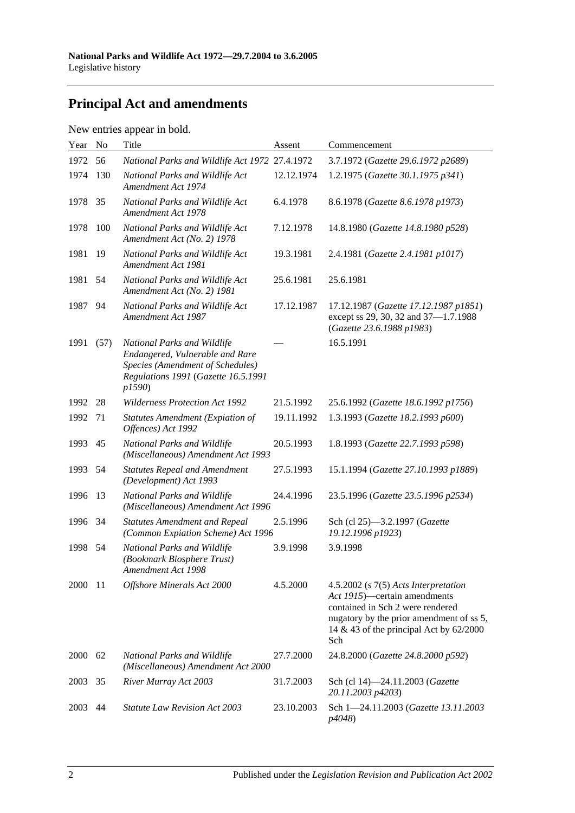# **Principal Act and amendments**

| New entries appear in bold. |  |  |
|-----------------------------|--|--|
|                             |  |  |

| Year | N <sub>o</sub> | Title                                                                                                                                              | Assent     | Commencement                                                                                                                                                                                                 |
|------|----------------|----------------------------------------------------------------------------------------------------------------------------------------------------|------------|--------------------------------------------------------------------------------------------------------------------------------------------------------------------------------------------------------------|
| 1972 | 56             | National Parks and Wildlife Act 1972 27.4.1972                                                                                                     |            | 3.7.1972 (Gazette 29.6.1972 p2689)                                                                                                                                                                           |
| 1974 | 130            | National Parks and Wildlife Act<br>Amendment Act 1974                                                                                              | 12.12.1974 | 1.2.1975 (Gazette 30.1.1975 p341)                                                                                                                                                                            |
| 1978 | 35             | National Parks and Wildlife Act<br>Amendment Act 1978                                                                                              | 6.4.1978   | 8.6.1978 (Gazette 8.6.1978 p1973)                                                                                                                                                                            |
| 1978 | 100            | National Parks and Wildlife Act<br>Amendment Act (No. 2) 1978                                                                                      | 7.12.1978  | 14.8.1980 (Gazette 14.8.1980 p528)                                                                                                                                                                           |
| 1981 | 19             | National Parks and Wildlife Act<br>Amendment Act 1981                                                                                              | 19.3.1981  | 2.4.1981 (Gazette 2.4.1981 p1017)                                                                                                                                                                            |
| 1981 | 54             | National Parks and Wildlife Act<br>Amendment Act (No. 2) 1981                                                                                      | 25.6.1981  | 25.6.1981                                                                                                                                                                                                    |
| 1987 | 94             | National Parks and Wildlife Act<br>Amendment Act 1987                                                                                              | 17.12.1987 | 17.12.1987 (Gazette 17.12.1987 p1851)<br>except ss 29, 30, 32 and 37-1.7.1988<br>(Gazette 23.6.1988 p1983)                                                                                                   |
| 1991 | (57)           | National Parks and Wildlife<br>Endangered, Vulnerable and Rare<br>Species (Amendment of Schedules)<br>Regulations 1991 (Gazette 16.5.1991<br>p1590 |            | 16.5.1991                                                                                                                                                                                                    |
| 1992 | 28             | <b>Wilderness Protection Act 1992</b>                                                                                                              | 21.5.1992  | 25.6.1992 (Gazette 18.6.1992 p1756)                                                                                                                                                                          |
| 1992 | 71             | <b>Statutes Amendment (Expiation of</b><br>Offences) Act 1992                                                                                      | 19.11.1992 | 1.3.1993 (Gazette 18.2.1993 p600)                                                                                                                                                                            |
| 1993 | 45             | National Parks and Wildlife<br>(Miscellaneous) Amendment Act 1993                                                                                  | 20.5.1993  | 1.8.1993 (Gazette 22.7.1993 p598)                                                                                                                                                                            |
| 1993 | 54             | <b>Statutes Repeal and Amendment</b><br>(Development) Act 1993                                                                                     | 27.5.1993  | 15.1.1994 (Gazette 27.10.1993 p1889)                                                                                                                                                                         |
| 1996 | 13             | National Parks and Wildlife<br>(Miscellaneous) Amendment Act 1996                                                                                  | 24.4.1996  | 23.5.1996 (Gazette 23.5.1996 p2534)                                                                                                                                                                          |
| 1996 | 34             | <b>Statutes Amendment and Repeal</b><br>(Common Expiation Scheme) Act 1996                                                                         | 2.5.1996   | Sch (cl 25)-3.2.1997 (Gazette<br>19.12.1996 p1923)                                                                                                                                                           |
| 1998 | 54             | National Parks and Wildlife<br>(Bookmark Biosphere Trust)<br>Amendment Act 1998                                                                    | 3.9.1998   | 3.9.1998                                                                                                                                                                                                     |
| 2000 | -11            | Offshore Minerals Act 2000                                                                                                                         | 4.5.2000   | $4.5.2002$ (s $7(5)$ Acts Interpretation<br>Act 1915)—certain amendments<br>contained in Sch 2 were rendered<br>nugatory by the prior amendment of ss 5,<br>14 & 43 of the principal Act by $62/2000$<br>Sch |
| 2000 | 62             | National Parks and Wildlife<br>(Miscellaneous) Amendment Act 2000                                                                                  | 27.7.2000  | 24.8.2000 (Gazette 24.8.2000 p592)                                                                                                                                                                           |
| 2003 | 35             | River Murray Act 2003                                                                                                                              | 31.7.2003  | Sch (cl 14)-24.11.2003 (Gazette<br>20.11.2003 p4203)                                                                                                                                                         |
| 2003 | 44             | <b>Statute Law Revision Act 2003</b>                                                                                                               | 23.10.2003 | Sch 1-24.11.2003 (Gazette 13.11.2003<br>p4048)                                                                                                                                                               |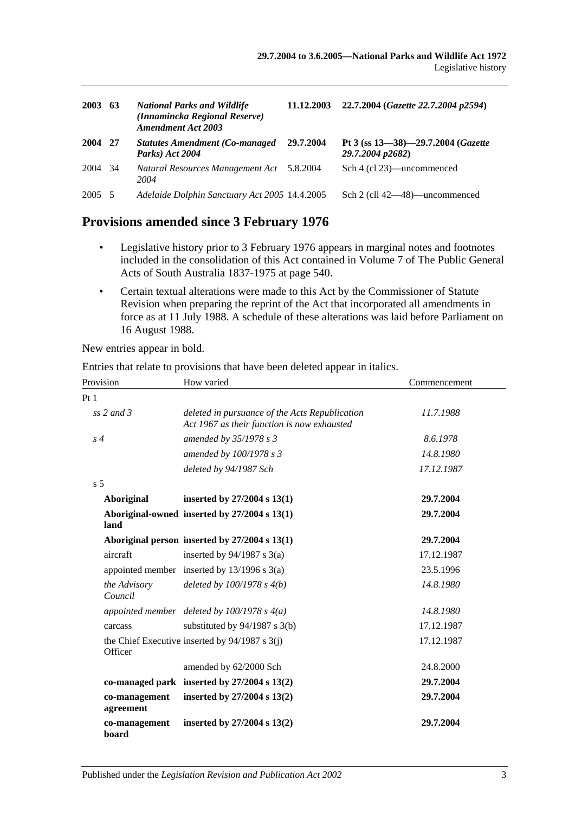| 2003    | 63   | <b>National Parks and Wildlife</b><br>(Innamincka Regional Reserve)<br><b>Amendment Act 2003</b> | 11.12.2003 | 22.7.2004 (Gazette 22.7.2004 p2594)                    |
|---------|------|--------------------------------------------------------------------------------------------------|------------|--------------------------------------------------------|
| 2004    | - 27 | <b>Statutes Amendment (Co-managed)</b><br>Parks) Act 2004                                        | 29.7.2004  | Pt 3 (ss 13-38)-29.7.2004 (Gazette<br>29.7.2004 p2682) |
| 2004 34 |      | Natural Resources Management Act 5.8.2004<br>2004                                                |            | Sch 4 (cl 23)—uncommenced                              |
| 2005 5  |      | Adelaide Dolphin Sanctuary Act 2005 14.4.2005                                                    |            | Sch 2 (cll 42—48)—uncommenced                          |

### **Provisions amended since 3 February 1976**

- Legislative history prior to 3 February 1976 appears in marginal notes and footnotes included in the consolidation of this Act contained in Volume 7 of The Public General Acts of South Australia 1837-1975 at page 540.
- Certain textual alterations were made to this Act by the Commissioner of Statute Revision when preparing the reprint of the Act that incorporated all amendments in force as at 11 July 1988. A schedule of these alterations was laid before Parliament on 16 August 1988.

New entries appear in bold.

Entries that relate to provisions that have been deleted appear in italics.

| Provision                  | How varied                                                                                    | Commencement |
|----------------------------|-----------------------------------------------------------------------------------------------|--------------|
| Pt <sub>1</sub>            |                                                                                               |              |
| ss $2$ and $3$             | deleted in pursuance of the Acts Republication<br>Act 1967 as their function is now exhausted | 11.7.1988    |
| $s\,4$                     | amended by 35/1978 s 3                                                                        | 8.6.1978     |
|                            | amended by 100/1978 s 3                                                                       | 14.8.1980    |
|                            | deleted by 94/1987 Sch                                                                        | 17.12.1987   |
| s <sub>5</sub>             |                                                                                               |              |
| Aboriginal                 | inserted by $27/2004$ s $13(1)$                                                               | 29.7.2004    |
| land                       | Aboriginal-owned inserted by 27/2004 s 13(1)                                                  | 29.7.2004    |
|                            | Aboriginal person inserted by 27/2004 s 13(1)                                                 | 29.7.2004    |
| aircraft                   | inserted by $94/1987$ s 3(a)                                                                  | 17.12.1987   |
|                            | appointed member inserted by $13/1996$ s $3(a)$                                               | 23.5.1996    |
| the Advisory<br>Council    | deleted by $100/1978 s 4(b)$                                                                  | 14.8.1980    |
|                            | appointed member deleted by $100/1978$ s $4(a)$                                               | 14.8.1980    |
| carcass                    | substituted by $94/1987$ s 3(b)                                                               | 17.12.1987   |
| Officer                    | the Chief Executive inserted by $94/1987$ s 3(j)                                              | 17.12.1987   |
|                            | amended by 62/2000 Sch                                                                        | 24.8.2000    |
|                            | co-managed park inserted by $27/2004$ s $13(2)$                                               | 29.7.2004    |
| co-management<br>agreement | inserted by $27/2004$ s $13(2)$                                                               | 29.7.2004    |
| co-management<br>board     | inserted by $27/2004$ s $13(2)$                                                               | 29.7.2004    |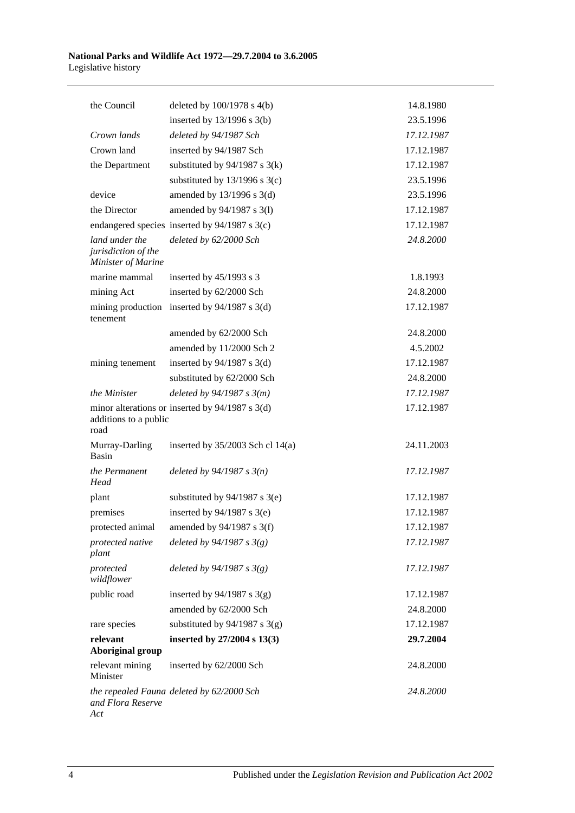| the Council                                                 | deleted by $100/1978$ s $4(b)$                    | 14.8.1980  |
|-------------------------------------------------------------|---------------------------------------------------|------------|
|                                                             | inserted by $13/1996$ s $3(b)$                    | 23.5.1996  |
| Crown lands                                                 | deleted by 94/1987 Sch                            | 17.12.1987 |
| Crown land                                                  | inserted by 94/1987 Sch                           | 17.12.1987 |
| the Department                                              | substituted by $94/1987$ s $3(k)$                 | 17.12.1987 |
|                                                             | substituted by $13/1996$ s $3(c)$                 | 23.5.1996  |
| device                                                      | amended by 13/1996 s 3(d)                         | 23.5.1996  |
| the Director                                                | amended by 94/1987 s 3(1)                         | 17.12.1987 |
|                                                             | endangered species inserted by 94/1987 s 3(c)     | 17.12.1987 |
| land under the<br>jurisdiction of the<br>Minister of Marine | deleted by 62/2000 Sch                            | 24.8.2000  |
| marine mammal                                               | inserted by $45/1993$ s 3                         | 1.8.1993   |
| mining Act                                                  | inserted by 62/2000 Sch                           | 24.8.2000  |
| mining production<br>tenement                               | inserted by $94/1987$ s 3(d)                      | 17.12.1987 |
|                                                             | amended by 62/2000 Sch                            | 24.8.2000  |
|                                                             | amended by 11/2000 Sch 2                          | 4.5.2002   |
| mining tenement                                             | inserted by $94/1987$ s 3(d)                      | 17.12.1987 |
|                                                             | substituted by 62/2000 Sch                        | 24.8.2000  |
| the Minister                                                | deleted by $94/1987 s 3(m)$                       | 17.12.1987 |
| additions to a public<br>road                               | minor alterations or inserted by $94/1987$ s 3(d) | 17.12.1987 |
| Murray-Darling<br><b>Basin</b>                              | inserted by $35/2003$ Sch cl 14(a)                | 24.11.2003 |
| the Permanent<br>Head                                       | deleted by $94/1987 s 3(n)$                       | 17.12.1987 |
| plant                                                       | substituted by $94/1987$ s 3(e)                   | 17.12.1987 |
| premises                                                    | inserted by $94/1987$ s 3(e)                      | 17.12.1987 |
|                                                             | protected animal amended by 94/1987 s 3(f)        | 17.12.1987 |
| protected native<br>plant                                   | deleted by $94/1987 s 3(g)$                       | 17.12.1987 |
| protected<br>wildflower                                     | deleted by $94/1987 s 3(g)$                       | 17.12.1987 |
| public road                                                 | inserted by $94/1987$ s 3(g)                      | 17.12.1987 |
|                                                             | amended by 62/2000 Sch                            | 24.8.2000  |
| rare species                                                | substituted by $94/1987$ s 3(g)                   | 17.12.1987 |
| relevant<br><b>Aboriginal group</b>                         | inserted by 27/2004 s 13(3)                       | 29.7.2004  |
| relevant mining<br>Minister                                 | inserted by 62/2000 Sch                           | 24.8.2000  |
| and Flora Reserve<br>Act                                    | the repealed Fauna deleted by 62/2000 Sch         | 24.8.2000  |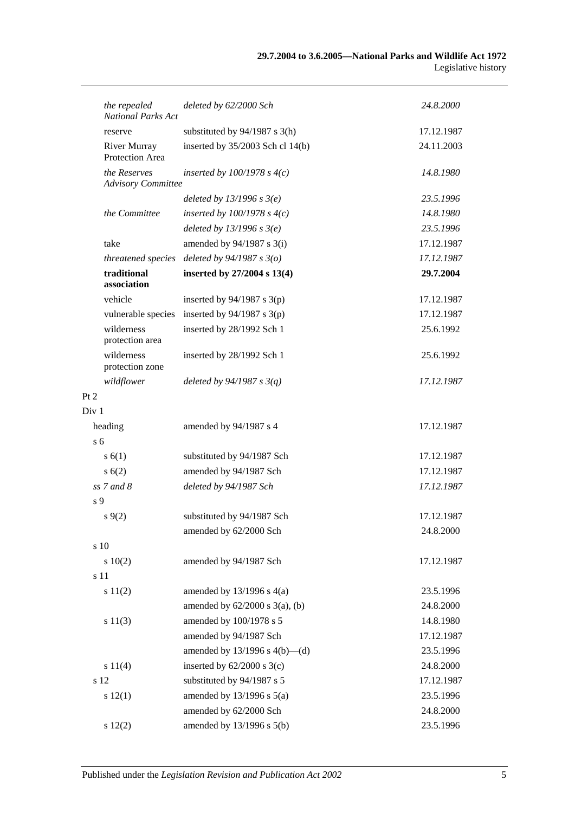| the repealed<br><b>National Parks Act</b> | deleted by 62/2000 Sch              | 24.8.2000  |
|-------------------------------------------|-------------------------------------|------------|
| reserve                                   | substituted by $94/1987$ s 3(h)     | 17.12.1987 |
| <b>River Murray</b><br>Protection Area    | inserted by 35/2003 Sch cl 14(b)    | 24.11.2003 |
| the Reserves<br><b>Advisory Committee</b> | inserted by $100/1978$ s $4(c)$     | 14.8.1980  |
|                                           | deleted by $13/1996$ s $3(e)$       | 23.5.1996  |
| the Committee                             | inserted by $100/1978$ s $4(c)$     | 14.8.1980  |
|                                           | deleted by $13/1996 s 3(e)$         | 23.5.1996  |
| take                                      | amended by $94/1987$ s 3(i)         | 17.12.1987 |
| threatened species                        | deleted by $94/1987 s 3(o)$         | 17.12.1987 |
| traditional<br>association                | inserted by 27/2004 s 13(4)         | 29.7.2004  |
| vehicle                                   | inserted by $94/1987$ s $3(p)$      | 17.12.1987 |
| vulnerable species                        | inserted by $94/1987$ s 3(p)        | 17.12.1987 |
| wilderness<br>protection area             | inserted by 28/1992 Sch 1           | 25.6.1992  |
| wilderness<br>protection zone             | inserted by 28/1992 Sch 1           | 25.6.1992  |
| wildflower                                | deleted by $94/1987 s 3(q)$         | 17.12.1987 |
| Pt 2                                      |                                     |            |
| Div 1                                     |                                     |            |
| heading                                   | amended by 94/1987 s 4              | 17.12.1987 |
| s <sub>6</sub>                            |                                     |            |
| s(6(1))                                   | substituted by 94/1987 Sch          | 17.12.1987 |
| s(6(2))                                   | amended by 94/1987 Sch              | 17.12.1987 |
| $ss$ 7 and 8                              | deleted by 94/1987 Sch              | 17.12.1987 |
| s <sub>9</sub>                            |                                     |            |
| $s\,9(2)$                                 | substituted by 94/1987 Sch          | 17.12.1987 |
|                                           | amended by 62/2000 Sch              | 24.8.2000  |
| s 10                                      |                                     |            |
| 10(2)                                     | amended by 94/1987 Sch              | 17.12.1987 |
| s 11                                      |                                     |            |
| s 11(2)                                   | amended by $13/1996$ s $4(a)$       | 23.5.1996  |
|                                           | amended by $62/2000$ s $3(a)$ , (b) | 24.8.2000  |
| s 11(3)                                   | amended by 100/1978 s 5             | 14.8.1980  |
|                                           | amended by 94/1987 Sch              | 17.12.1987 |
|                                           | amended by $13/1996$ s $4(b)$ —(d)  | 23.5.1996  |
| s 11(4)                                   | inserted by $62/2000$ s 3(c)        | 24.8.2000  |
| s 12                                      | substituted by 94/1987 s 5          | 17.12.1987 |
| s 12(1)                                   | amended by $13/1996$ s $5(a)$       | 23.5.1996  |
|                                           | amended by 62/2000 Sch              | 24.8.2000  |
| s 12(2)                                   | amended by 13/1996 s 5(b)           | 23.5.1996  |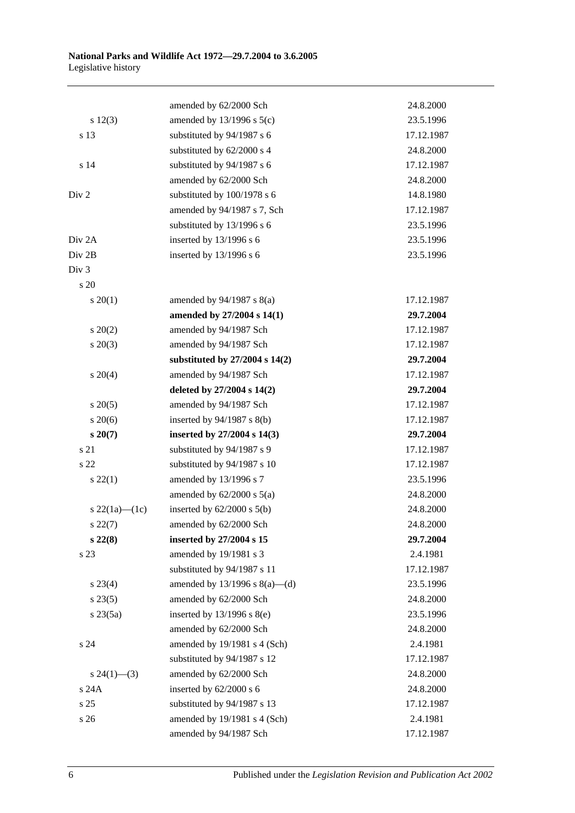|                    | amended by 62/2000 Sch             | 24.8.2000  |
|--------------------|------------------------------------|------------|
| s 12(3)            | amended by $13/1996$ s $5(c)$      | 23.5.1996  |
| s 13               | substituted by 94/1987 s 6         | 17.12.1987 |
|                    | substituted by 62/2000 s 4         | 24.8.2000  |
| s 14               | substituted by 94/1987 s 6         | 17.12.1987 |
|                    | amended by 62/2000 Sch             | 24.8.2000  |
| Div 2              | substituted by 100/1978 s 6        | 14.8.1980  |
|                    | amended by 94/1987 s 7, Sch        | 17.12.1987 |
|                    | substituted by 13/1996 s 6         | 23.5.1996  |
| Div <sub>2</sub> A | inserted by 13/1996 s 6            | 23.5.1996  |
| Div 2B             | inserted by 13/1996 s 6            | 23.5.1996  |
| Div <sub>3</sub>   |                                    |            |
| s 20               |                                    |            |
| $s \ 20(1)$        | amended by $94/1987$ s $8(a)$      | 17.12.1987 |
|                    | amended by 27/2004 s 14(1)         | 29.7.2004  |
| $s \ 20(2)$        | amended by 94/1987 Sch             | 17.12.1987 |
| $s\ 20(3)$         | amended by 94/1987 Sch             | 17.12.1987 |
|                    | substituted by 27/2004 s 14(2)     | 29.7.2004  |
| $s \ 20(4)$        | amended by 94/1987 Sch             | 17.12.1987 |
|                    | deleted by 27/2004 s 14(2)         | 29.7.2004  |
| $s \, 20(5)$       | amended by 94/1987 Sch             | 17.12.1987 |
| $s\,20(6)$         | inserted by $94/1987$ s $8(b)$     | 17.12.1987 |
| $s\,20(7)$         | inserted by 27/2004 s 14(3)        | 29.7.2004  |
| s 21               | substituted by 94/1987 s 9         | 17.12.1987 |
| s 22               | substituted by 94/1987 s 10        | 17.12.1987 |
| $s\,22(1)$         | amended by 13/1996 s 7             | 23.5.1996  |
|                    | amended by $62/2000$ s $5(a)$      | 24.8.2000  |
| s 22(1a)—(1c)      | inserted by $62/2000$ s $5(b)$     | 24.8.2000  |
| $s\ 22(7)$         | amended by 62/2000 Sch             | 24.8.2000  |
| $s\,22(8)$         | inserted by 27/2004 s 15           | 29.7.2004  |
| s 23               | amended by 19/1981 s 3             | 2.4.1981   |
|                    | substituted by 94/1987 s 11        | 17.12.1987 |
| $s\,23(4)$         | amended by $13/1996$ s $8(a)$ —(d) | 23.5.1996  |
| $s\,23(5)$         | amended by 62/2000 Sch             | 24.8.2000  |
| $s\,23(5a)$        | inserted by $13/1996$ s $8(e)$     | 23.5.1996  |
|                    | amended by 62/2000 Sch             | 24.8.2000  |
| s 24               | amended by 19/1981 s 4 (Sch)       | 2.4.1981   |
|                    | substituted by 94/1987 s 12        | 17.12.1987 |
| $s\,24(1)$ —(3)    | amended by 62/2000 Sch             | 24.8.2000  |
| s 24A              | inserted by $62/2000$ s 6          | 24.8.2000  |
| s <sub>25</sub>    | substituted by 94/1987 s 13        | 17.12.1987 |
| s 26               | amended by 19/1981 s 4 (Sch)       | 2.4.1981   |
|                    | amended by 94/1987 Sch             | 17.12.1987 |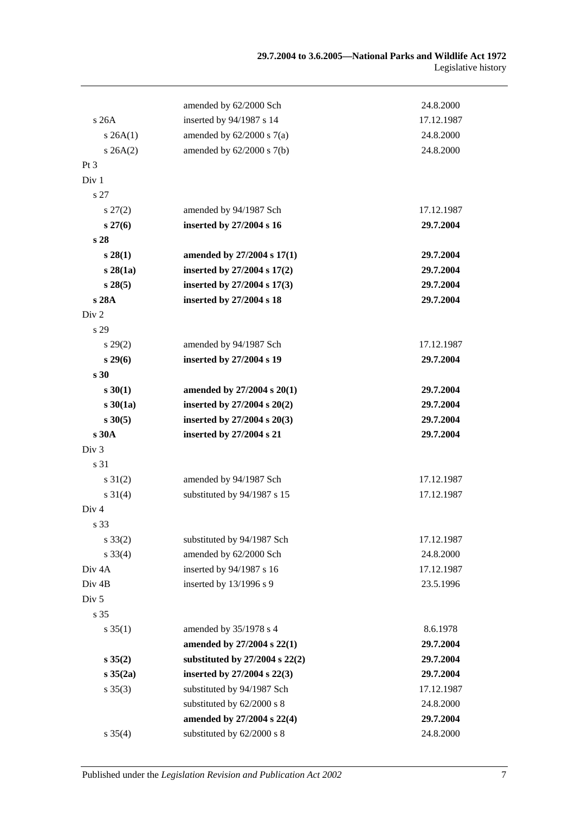|                   | amended by 62/2000 Sch             | 24.8.2000  |
|-------------------|------------------------------------|------------|
| s 26A             | inserted by 94/1987 s 14           | 17.12.1987 |
| s 26A(1)          | amended by $62/2000$ s $7(a)$      | 24.8.2000  |
| $s \, 26A(2)$     | amended by $62/2000$ s $7(b)$      | 24.8.2000  |
| $Pt\,3$           |                                    |            |
| Div 1             |                                    |            |
| s 27              |                                    |            |
| $s\,27(2)$        | amended by 94/1987 Sch             | 17.12.1987 |
| $s\,27(6)$        | inserted by 27/2004 s 16           | 29.7.2004  |
| s 28              |                                    |            |
| s 28(1)           | amended by 27/2004 s 17(1)         | 29.7.2004  |
| s28(1a)           | inserted by 27/2004 s 17(2)        | 29.7.2004  |
| s 28(5)           | inserted by 27/2004 s 17(3)        | 29.7.2004  |
| s 28A             | inserted by 27/2004 s 18           | 29.7.2004  |
| Div <sub>2</sub>  |                                    |            |
| s 29              |                                    |            |
| $s\,29(2)$        | amended by 94/1987 Sch             | 17.12.1987 |
| $s\,29(6)$        | inserted by 27/2004 s 19           | 29.7.2004  |
| s <sub>30</sub>   |                                    |            |
| $s \, 30(1)$      | amended by 27/2004 s 20(1)         | 29.7.2004  |
| s30(1a)           | inserted by 27/2004 s 20(2)        | 29.7.2004  |
| $s \, 30(5)$      | inserted by 27/2004 s 20(3)        | 29.7.2004  |
| s 30A             | inserted by 27/2004 s 21           | 29.7.2004  |
| Div <sub>3</sub>  |                                    |            |
| s 31              |                                    |            |
| $s \, 31(2)$      | amended by 94/1987 Sch             | 17.12.1987 |
| $s \ 31(4)$       | substituted by 94/1987 s 15        | 17.12.1987 |
| Div 4             |                                    |            |
| s 33              |                                    |            |
| $s \, 33(2)$      | substituted by 94/1987 Sch         | 17.12.1987 |
| $s \, 33(4)$      | amended by 62/2000 Sch             | 24.8.2000  |
| Div <sub>4A</sub> | inserted by 94/1987 s 16           | 17.12.1987 |
| Div <sub>4B</sub> | inserted by 13/1996 s 9            | 23.5.1996  |
| Div <sub>5</sub>  |                                    |            |
| s 35              |                                    |            |
| $s \, 35(1)$      | amended by 35/1978 s 4             | 8.6.1978   |
|                   | amended by 27/2004 s 22(1)         | 29.7.2004  |
| $s \, 35(2)$      | substituted by $27/2004$ s $22(2)$ | 29.7.2004  |
| $s \, 35(2a)$     | inserted by 27/2004 s 22(3)        | 29.7.2004  |
| $s \, 35(3)$      | substituted by 94/1987 Sch         | 17.12.1987 |
|                   | substituted by 62/2000 s 8         | 24.8.2000  |
|                   | amended by 27/2004 s 22(4)         | 29.7.2004  |
| $s \, 35(4)$      | substituted by 62/2000 s 8         | 24.8.2000  |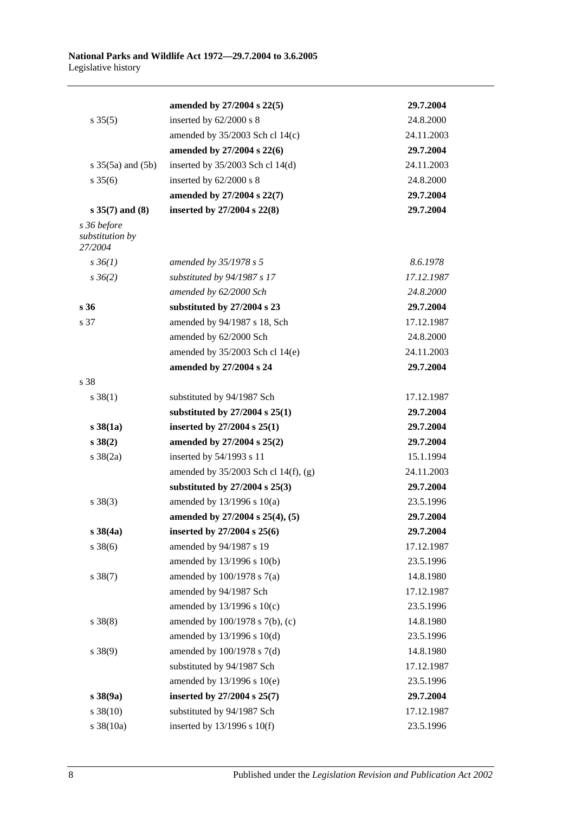|                                           | amended by 27/2004 s 22(5)             | 29.7.2004  |
|-------------------------------------------|----------------------------------------|------------|
| $s \, 35(5)$                              | inserted by 62/2000 s 8                | 24.8.2000  |
|                                           | amended by 35/2003 Sch cl 14(c)        | 24.11.2003 |
|                                           | amended by 27/2004 s 22(6)             | 29.7.2004  |
| $s \; 35(5a)$ and $(5b)$                  | inserted by $35/2003$ Sch cl 14(d)     | 24.11.2003 |
| $s \; 35(6)$                              | inserted by 62/2000 s 8                | 24.8.2000  |
|                                           | amended by 27/2004 s 22(7)             | 29.7.2004  |
| $s 35(7)$ and $(8)$                       | inserted by 27/2004 s 22(8)            | 29.7.2004  |
| s 36 before<br>substitution by<br>27/2004 |                                        |            |
| $s \, 36(1)$                              | amended by 35/1978 s 5                 | 8.6.1978   |
| $s \, 36(2)$                              | substituted by 94/1987 s 17            | 17.12.1987 |
|                                           | amended by 62/2000 Sch                 | 24.8.2000  |
| s <sub>36</sub>                           | substituted by 27/2004 s 23            | 29.7.2004  |
| s 37                                      | amended by 94/1987 s 18, Sch           | 17.12.1987 |
|                                           | amended by 62/2000 Sch                 | 24.8.2000  |
|                                           | amended by 35/2003 Sch cl 14(e)        | 24.11.2003 |
|                                           | amended by 27/2004 s 24                | 29.7.2004  |
| s 38                                      |                                        |            |
| $s \, 38(1)$                              | substituted by 94/1987 Sch             | 17.12.1987 |
|                                           | substituted by $27/2004$ s $25(1)$     | 29.7.2004  |
| $s\,38(1a)$                               | inserted by $27/2004$ s $25(1)$        | 29.7.2004  |
| s 38(2)                                   | amended by 27/2004 s 25(2)             | 29.7.2004  |
| $s \frac{38(2a)}{2}$                      | inserted by 54/1993 s 11               | 15.1.1994  |
|                                           | amended by $35/2003$ Sch cl 14(f), (g) | 24.11.2003 |
|                                           | substituted by $27/2004$ s $25(3)$     | 29.7.2004  |
| $s \ 38(3)$                               | amended by $13/1996$ s $10(a)$         | 23.5.1996  |
|                                           | amended by 27/2004 s 25(4), (5)        | 29.7.2004  |
| s 38(4a)                                  | inserted by 27/2004 s 25(6)            | 29.7.2004  |
| $s \ 38(6)$                               | amended by 94/1987 s 19                | 17.12.1987 |
|                                           | amended by 13/1996 s 10(b)             | 23.5.1996  |
| $s \, 38(7)$                              | amended by 100/1978 s 7(a)             | 14.8.1980  |
|                                           | amended by 94/1987 Sch                 | 17.12.1987 |
|                                           | amended by 13/1996 s 10(c)             | 23.5.1996  |
| $s \ 38(8)$                               | amended by 100/1978 s 7(b), (c)        | 14.8.1980  |
|                                           | amended by 13/1996 s 10(d)             | 23.5.1996  |
| $s \ 38(9)$                               | amended by 100/1978 s 7(d)             | 14.8.1980  |
|                                           | substituted by 94/1987 Sch             | 17.12.1987 |
|                                           | amended by 13/1996 s 10(e)             | 23.5.1996  |
| $s \, 38(9a)$                             | inserted by 27/2004 s 25(7)            | 29.7.2004  |
| $s \ 38(10)$                              | substituted by 94/1987 Sch             | 17.12.1987 |
| s 38(10a)                                 | inserted by $13/1996$ s $10(f)$        | 23.5.1996  |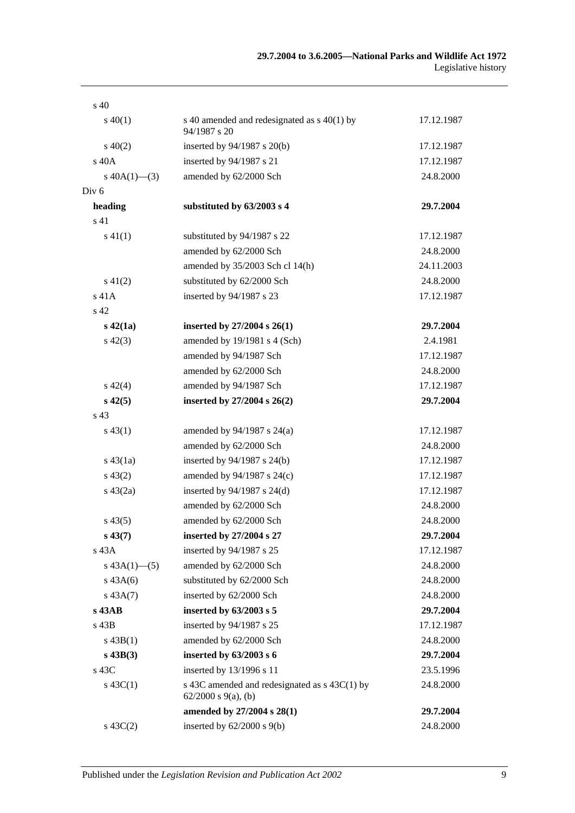| $\mathrm{s}$ 40 |                                                                             |            |
|-----------------|-----------------------------------------------------------------------------|------------|
| $s\ 40(1)$      | s 40 amended and redesignated as $s$ 40(1) by<br>94/1987 s 20               | 17.12.1987 |
| $s\ 40(2)$      | inserted by $94/1987$ s $20(b)$                                             | 17.12.1987 |
| s 40A           | inserted by 94/1987 s 21                                                    | 17.12.1987 |
| s $40A(1)$ —(3) | amended by 62/2000 Sch                                                      | 24.8.2000  |
| Div 6           |                                                                             |            |
| heading         | substituted by 63/2003 s 4                                                  | 29.7.2004  |
| s 41            |                                                                             |            |
| $s\ 41(1)$      | substituted by 94/1987 s 22                                                 | 17.12.1987 |
|                 | amended by 62/2000 Sch                                                      | 24.8.2000  |
|                 | amended by 35/2003 Sch cl 14(h)                                             | 24.11.2003 |
| $s\ 41(2)$      | substituted by 62/2000 Sch                                                  | 24.8.2000  |
| $s$ 41 $A$      | inserted by 94/1987 s 23                                                    | 17.12.1987 |
| s <sub>42</sub> |                                                                             |            |
| $s\ 42(1a)$     | inserted by $27/2004$ s $26(1)$                                             | 29.7.2004  |
| $s\ 42(3)$      | amended by 19/1981 s 4 (Sch)                                                | 2.4.1981   |
|                 | amended by 94/1987 Sch                                                      | 17.12.1987 |
|                 | amended by 62/2000 Sch                                                      | 24.8.2000  |
| $s\ 42(4)$      | amended by 94/1987 Sch                                                      | 17.12.1987 |
| $s\,42(5)$      | inserted by 27/2004 s 26(2)                                                 | 29.7.2004  |
| s 43            |                                                                             |            |
| $s\,43(1)$      | amended by 94/1987 s 24(a)                                                  | 17.12.1987 |
|                 | amended by 62/2000 Sch                                                      | 24.8.2000  |
| $s\,43(1a)$     | inserted by 94/1987 s 24(b)                                                 | 17.12.1987 |
| $s\,43(2)$      | amended by 94/1987 s 24(c)                                                  | 17.12.1987 |
| $s\ 43(2a)$     | inserted by 94/1987 s 24(d)                                                 | 17.12.1987 |
|                 | amended by 62/2000 Sch                                                      | 24.8.2000  |
| $s\,43(5)$      | amended by 62/2000 Sch                                                      | 24.8.2000  |
| $s\,43(7)$      | inserted by 27/2004 s 27                                                    | 29.7.2004  |
| $s$ 43 $A$      | inserted by 94/1987 s 25                                                    | 17.12.1987 |
| s $43A(1)$ —(5) | amended by 62/2000 Sch                                                      | 24.8.2000  |
| $s\,43A(6)$     | substituted by 62/2000 Sch                                                  | 24.8.2000  |
| $s\,43A(7)$     | inserted by 62/2000 Sch                                                     | 24.8.2000  |
| s 43AB          | inserted by $63/2003$ s 5                                                   | 29.7.2004  |
| s 43B           | inserted by 94/1987 s 25                                                    | 17.12.1987 |
| $s\,43B(1)$     | amended by 62/2000 Sch                                                      | 24.8.2000  |
| $s$ 43B(3)      | inserted by 63/2003 s 6                                                     | 29.7.2004  |
| s 43C           | inserted by 13/1996 s 11                                                    | 23.5.1996  |
| s $43C(1)$      | s 43C amended and redesignated as $s$ 43C(1) by<br>$62/2000$ s $9(a)$ , (b) | 24.8.2000  |
|                 | amended by 27/2004 s 28(1)                                                  | 29.7.2004  |
| $s\,43C(2)$     | inserted by 62/2000 s 9(b)                                                  | 24.8.2000  |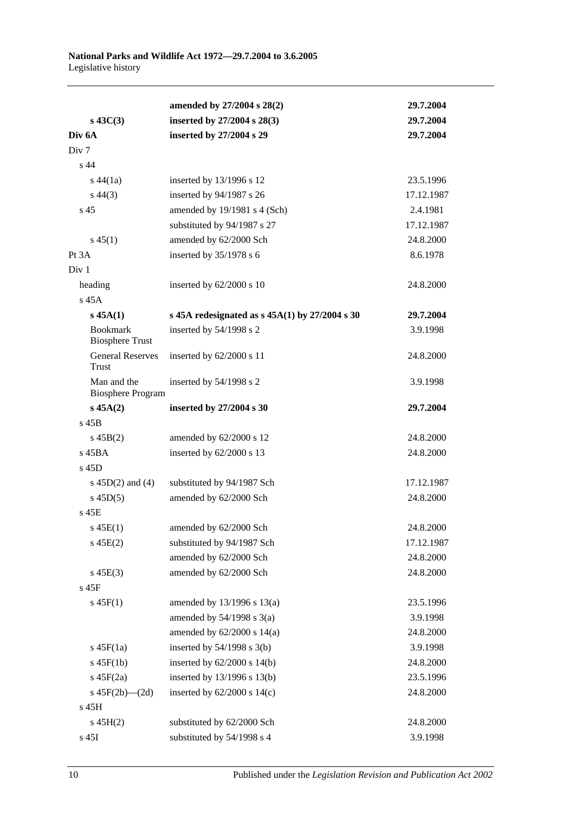|                                         | amended by 27/2004 s 28(2)                       | 29.7.2004  |
|-----------------------------------------|--------------------------------------------------|------------|
| $s\ 43C(3)$                             | inserted by 27/2004 s 28(3)                      | 29.7.2004  |
| Div <sub>6</sub> A                      | inserted by 27/2004 s 29                         | 29.7.2004  |
| Div <sub>7</sub>                        |                                                  |            |
| s <sub>44</sub>                         |                                                  |            |
| $s\,44(1a)$                             | inserted by 13/1996 s 12                         | 23.5.1996  |
| $s\,44(3)$                              | inserted by 94/1987 s 26                         | 17.12.1987 |
| s <sub>45</sub>                         | amended by 19/1981 s 4 (Sch)                     | 2.4.1981   |
|                                         | substituted by 94/1987 s 27                      | 17.12.1987 |
| $s\,45(1)$                              | amended by 62/2000 Sch                           | 24.8.2000  |
| Pt 3A                                   | inserted by 35/1978 s 6                          | 8.6.1978   |
| Div <sub>1</sub>                        |                                                  |            |
| heading                                 | inserted by $62/2000$ s 10                       | 24.8.2000  |
| s 45A                                   |                                                  |            |
| $s$ 45A $(1)$                           | s 45A redesignated as $s$ 45A(1) by 27/2004 s 30 | 29.7.2004  |
| <b>Bookmark</b>                         | inserted by 54/1998 s 2                          | 3.9.1998   |
| <b>Biosphere Trust</b>                  |                                                  |            |
| <b>General Reserves</b><br>Trust        | inserted by 62/2000 s 11                         | 24.8.2000  |
| Man and the<br><b>Biosphere Program</b> | inserted by 54/1998 s 2                          | 3.9.1998   |
| $s\,45A(2)$                             | inserted by 27/2004 s 30                         | 29.7.2004  |
| $s$ 45B                                 |                                                  |            |
| $s\,45B(2)$                             | amended by 62/2000 s 12                          | 24.8.2000  |
| s 45BA                                  | inserted by 62/2000 s 13                         | 24.8.2000  |
| s 45D                                   |                                                  |            |
| s $45D(2)$ and $(4)$                    | substituted by 94/1987 Sch                       | 17.12.1987 |
| $s\ 45D(5)$                             | amended by 62/2000 Sch                           | 24.8.2000  |
| s 45E                                   |                                                  |            |
| $s\,45E(1)$                             | amended by 62/2000 Sch                           | 24.8.2000  |
| $s\,45E(2)$                             | substituted by 94/1987 Sch                       | 17.12.1987 |
|                                         | amended by 62/2000 Sch                           | 24.8.2000  |
| $s\,45E(3)$                             | amended by 62/2000 Sch                           | 24.8.2000  |
| s 45F                                   |                                                  |            |
| $s\,45F(1)$                             | amended by 13/1996 s 13(a)                       | 23.5.1996  |
|                                         | amended by $54/1998$ s $3(a)$                    | 3.9.1998   |
|                                         | amended by $62/2000$ s $14(a)$                   | 24.8.2000  |
| $s\ 45F(1a)$                            | inserted by $54/1998$ s $3(b)$                   | 3.9.1998   |
| $s$ 45F(1b)                             | inserted by $62/2000$ s $14(b)$                  | 24.8.2000  |
| $s\ 45F(2a)$                            | inserted by 13/1996 s 13(b)                      | 23.5.1996  |
| s $45F(2b)$ - $(2d)$                    | inserted by $62/2000$ s $14(c)$                  | 24.8.2000  |
| s 45H                                   |                                                  |            |
| $s\,45H(2)$                             | substituted by 62/2000 Sch                       | 24.8.2000  |
| s 45I                                   | substituted by 54/1998 s 4                       | 3.9.1998   |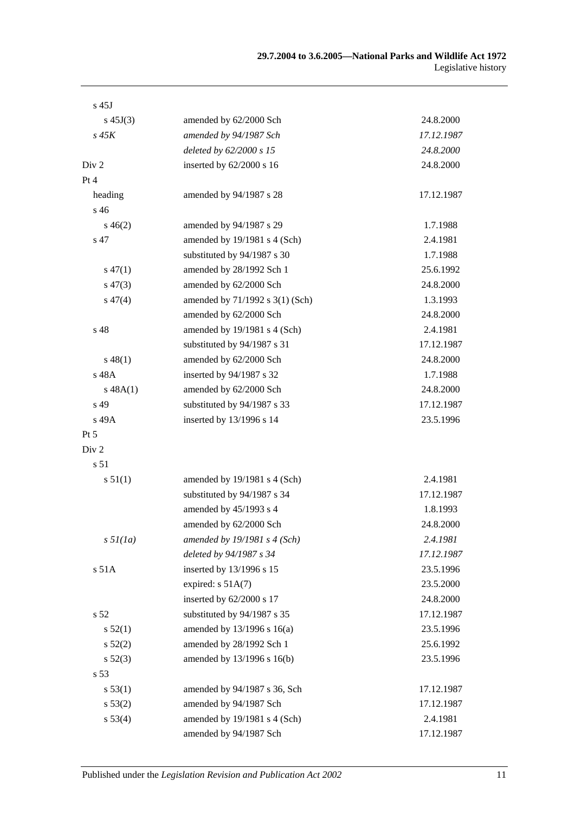| $s$ 45J           |                                 |            |
|-------------------|---------------------------------|------------|
| s $45J(3)$        | amended by 62/2000 Sch          | 24.8.2000  |
| $s\,45K$          | amended by 94/1987 Sch          | 17.12.1987 |
|                   | deleted by 62/2000 s 15         | 24.8.2000  |
| Div 2             | inserted by 62/2000 s 16        | 24.8.2000  |
| Pt 4              |                                 |            |
| heading           | amended by 94/1987 s 28         | 17.12.1987 |
| s 46              |                                 |            |
| $s\,46(2)$        | amended by 94/1987 s 29         | 1.7.1988   |
| s 47              | amended by 19/1981 s 4 (Sch)    | 2.4.1981   |
|                   | substituted by 94/1987 s 30     | 1.7.1988   |
| $s\,47(1)$        | amended by 28/1992 Sch 1        | 25.6.1992  |
| $s\,47(3)$        | amended by 62/2000 Sch          | 24.8.2000  |
| $s\,47(4)$        | amended by 71/1992 s 3(1) (Sch) | 1.3.1993   |
|                   | amended by 62/2000 Sch          | 24.8.2000  |
| s 48              | amended by 19/1981 s 4 (Sch)    | 2.4.1981   |
|                   | substituted by 94/1987 s 31     | 17.12.1987 |
| $s\,48(1)$        | amended by 62/2000 Sch          | 24.8.2000  |
| s 48A             | inserted by 94/1987 s 32        | 1.7.1988   |
| s 48A(1)          | amended by 62/2000 Sch          | 24.8.2000  |
| s 49              | substituted by 94/1987 s 33     | 17.12.1987 |
| s 49A             | inserted by 13/1996 s 14        | 23.5.1996  |
| $Pt\,5$           |                                 |            |
| Div 2             |                                 |            |
| s 51              |                                 |            |
| s 51(1)           | amended by $19/1981$ s 4 (Sch)  | 2.4.1981   |
|                   | substituted by 94/1987 s 34     | 17.12.1987 |
|                   | amended by 45/1993 s 4          | 1.8.1993   |
|                   | amended by 62/2000 Sch          | 24.8.2000  |
| $s \frac{5l}{la}$ | amended by $19/1981$ s 4 (Sch)  | 2.4.1981   |
|                   | deleted by 94/1987 s 34         | 17.12.1987 |
| s 51A             | inserted by 13/1996 s 15        | 23.5.1996  |
|                   | expired: $s$ 51A(7)             | 23.5.2000  |
|                   | inserted by 62/2000 s 17        | 24.8.2000  |
| s 52              | substituted by 94/1987 s 35     | 17.12.1987 |
| s 52(1)           | amended by 13/1996 s 16(a)      | 23.5.1996  |
| $s\,52(2)$        | amended by 28/1992 Sch 1        | 25.6.1992  |
| $s\,52(3)$        | amended by 13/1996 s 16(b)      | 23.5.1996  |
| s 53              |                                 |            |
| s 53(1)           | amended by 94/1987 s 36, Sch    | 17.12.1987 |
| s 53(2)           | amended by 94/1987 Sch          | 17.12.1987 |
| s 53(4)           | amended by 19/1981 s 4 (Sch)    | 2.4.1981   |
|                   | amended by 94/1987 Sch          | 17.12.1987 |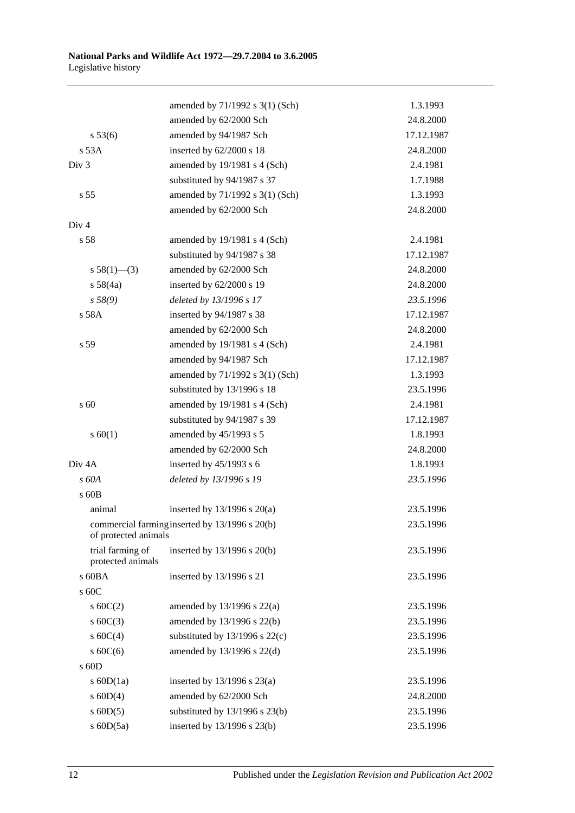|                                                                        | amended by 71/1992 s 3(1) (Sch)    | 1.3.1993   |
|------------------------------------------------------------------------|------------------------------------|------------|
|                                                                        | amended by 62/2000 Sch             | 24.8.2000  |
| s 53(6)                                                                | amended by 94/1987 Sch             | 17.12.1987 |
| s 53A                                                                  | inserted by 62/2000 s 18           | 24.8.2000  |
| Div <sub>3</sub>                                                       | amended by 19/1981 s 4 (Sch)       | 2.4.1981   |
|                                                                        | substituted by 94/1987 s 37        | 1.7.1988   |
| s <sub>55</sub>                                                        | amended by 71/1992 s 3(1) (Sch)    | 1.3.1993   |
|                                                                        | amended by 62/2000 Sch             | 24.8.2000  |
| Div <sub>4</sub>                                                       |                                    |            |
| s 58                                                                   | amended by 19/1981 s 4 (Sch)       | 2.4.1981   |
|                                                                        | substituted by 94/1987 s 38        | 17.12.1987 |
| $s 58(1)$ (3)                                                          | amended by 62/2000 Sch             | 24.8.2000  |
| s 58(4a)                                                               | inserted by 62/2000 s 19           | 24.8.2000  |
| s 58(9)                                                                | deleted by 13/1996 s 17            | 23.5.1996  |
| s 58A                                                                  | inserted by 94/1987 s 38           | 17.12.1987 |
|                                                                        | amended by 62/2000 Sch             | 24.8.2000  |
| s 59                                                                   | amended by 19/1981 s 4 (Sch)       | 2.4.1981   |
|                                                                        | amended by 94/1987 Sch             | 17.12.1987 |
|                                                                        | amended by 71/1992 s 3(1) (Sch)    | 1.3.1993   |
|                                                                        | substituted by 13/1996 s 18        | 23.5.1996  |
| s 60                                                                   | amended by 19/1981 s 4 (Sch)       | 2.4.1981   |
|                                                                        | substituted by 94/1987 s 39        | 17.12.1987 |
| s 60(1)                                                                | amended by 45/1993 s 5             | 1.8.1993   |
|                                                                        | amended by 62/2000 Sch             | 24.8.2000  |
| Div <sub>4</sub> A                                                     | inserted by $45/1993$ s 6          | 1.8.1993   |
| s 60A                                                                  | deleted by 13/1996 s 19            | 23.5.1996  |
| s 60B                                                                  |                                    |            |
| animal                                                                 | inserted by $13/1996$ s $20(a)$    | 23.5.1996  |
| commercial farming inserted by 13/1996 s 20(b)<br>of protected animals |                                    | 23.5.1996  |
| trial farming of<br>protected animals                                  | inserted by $13/1996$ s $20(b)$    | 23.5.1996  |
| $s$ 60BA                                                               | inserted by 13/1996 s 21           | 23.5.1996  |
| s 60C                                                                  |                                    |            |
| s $60C(2)$                                                             | amended by $13/1996$ s $22(a)$     | 23.5.1996  |
| s $60C(3)$                                                             | amended by 13/1996 s 22(b)         | 23.5.1996  |
| s $60C(4)$                                                             | substituted by $13/1996$ s $22(c)$ | 23.5.1996  |
| s $60C(6)$                                                             | amended by 13/1996 s 22(d)         | 23.5.1996  |
| $s$ 60D                                                                |                                    |            |
| s $60D(1a)$                                                            | inserted by $13/1996$ s $23(a)$    | 23.5.1996  |
| $s$ 60D(4)                                                             | amended by 62/2000 Sch             | 24.8.2000  |
| $s$ 60D(5)                                                             | substituted by $13/1996$ s $23(b)$ | 23.5.1996  |
| s 60D(5a)                                                              | inserted by 13/1996 s 23(b)        | 23.5.1996  |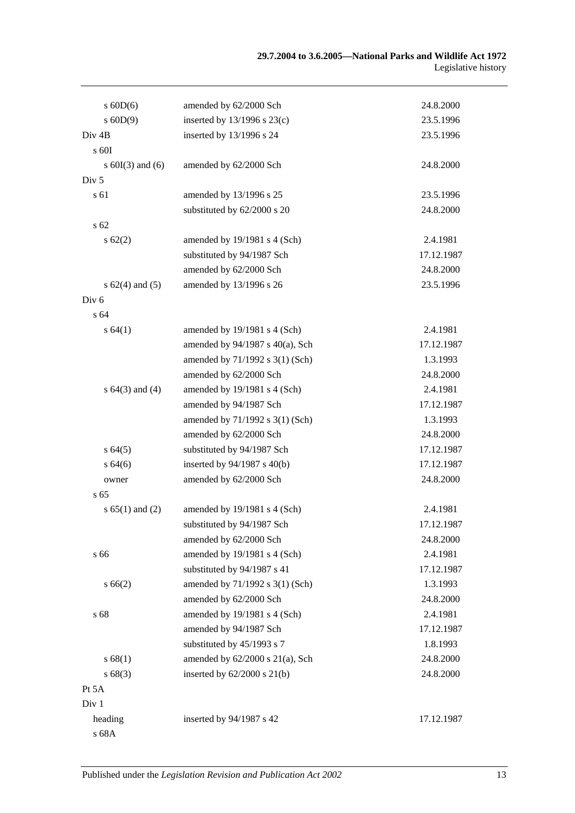| $s$ 60D(6)           | amended by 62/2000 Sch               | 24.8.2000  |
|----------------------|--------------------------------------|------------|
| $s$ 60D(9)           | inserted by $13/1996$ s $23(c)$      | 23.5.1996  |
| Div <sub>4B</sub>    | inserted by 13/1996 s 24             | 23.5.1996  |
| $\rm s$ 60I          |                                      |            |
| s $60I(3)$ and $(6)$ | amended by 62/2000 Sch               | 24.8.2000  |
| Div <sub>5</sub>     |                                      |            |
| s 61                 | amended by 13/1996 s 25              | 23.5.1996  |
|                      | substituted by 62/2000 s 20          | 24.8.2000  |
| s <sub>62</sub>      |                                      |            |
| $s \, 62(2)$         | amended by 19/1981 s 4 (Sch)         | 2.4.1981   |
|                      | substituted by 94/1987 Sch           | 17.12.1987 |
|                      | amended by 62/2000 Sch               | 24.8.2000  |
| s $62(4)$ and $(5)$  | amended by 13/1996 s 26              | 23.5.1996  |
| Div <sub>6</sub>     |                                      |            |
| s 64                 |                                      |            |
| s 64(1)              | amended by 19/1981 s 4 (Sch)         | 2.4.1981   |
|                      | amended by $94/1987$ s $40(a)$ , Sch | 17.12.1987 |
|                      | amended by 71/1992 s 3(1) (Sch)      | 1.3.1993   |
|                      | amended by 62/2000 Sch               | 24.8.2000  |
| s $64(3)$ and $(4)$  | amended by 19/1981 s 4 (Sch)         | 2.4.1981   |
|                      | amended by 94/1987 Sch               | 17.12.1987 |
|                      | amended by 71/1992 s 3(1) (Sch)      | 1.3.1993   |
|                      | amended by 62/2000 Sch               | 24.8.2000  |
| s64(5)               | substituted by 94/1987 Sch           | 17.12.1987 |
| s64(6)               | inserted by 94/1987 s 40(b)          | 17.12.1987 |
| owner                | amended by 62/2000 Sch               | 24.8.2000  |
| s <sub>65</sub>      |                                      |            |
| s $65(1)$ and $(2)$  | amended by 19/1981 s 4 (Sch)         | 2.4.1981   |
|                      | substituted by 94/1987 Sch           | 17.12.1987 |
|                      | amended by 62/2000 Sch               | 24.8.2000  |
| s 66                 | amended by 19/1981 s 4 (Sch)         | 2.4.1981   |
|                      | substituted by 94/1987 s 41          | 17.12.1987 |
| s 66(2)              | amended by 71/1992 s 3(1) (Sch)      | 1.3.1993   |
|                      | amended by 62/2000 Sch               | 24.8.2000  |
| s 68                 | amended by 19/1981 s 4 (Sch)         | 2.4.1981   |
|                      | amended by 94/1987 Sch               | 17.12.1987 |
|                      | substituted by 45/1993 s 7           | 1.8.1993   |
| s 68(1)              | amended by $62/2000$ s $21(a)$ , Sch | 24.8.2000  |
| s68(3)               | inserted by $62/2000$ s $21(b)$      | 24.8.2000  |
| Pt 5A                |                                      |            |
| Div 1                |                                      |            |
| heading              | inserted by 94/1987 s 42             | 17.12.1987 |
| s 68A                |                                      |            |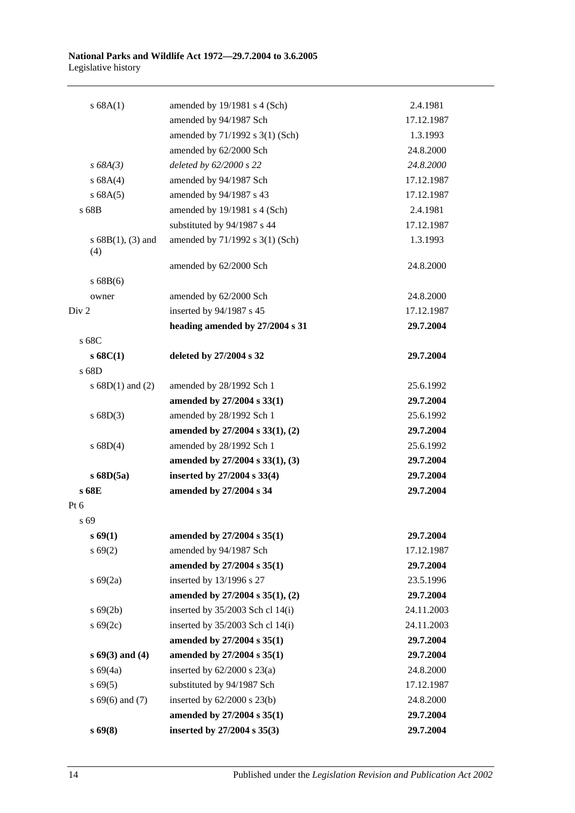| s 68A(1)                    | amended by 19/1981 s 4 (Sch)       | 2.4.1981   |
|-----------------------------|------------------------------------|------------|
|                             | amended by 94/1987 Sch             | 17.12.1987 |
|                             | amended by 71/1992 s 3(1) (Sch)    | 1.3.1993   |
|                             | amended by 62/2000 Sch             | 24.8.2000  |
| $s\,68A(3)$                 | deleted by 62/2000 s 22            | 24.8.2000  |
| s 68A(4)                    | amended by 94/1987 Sch             | 17.12.1987 |
| s 68A(5)                    | amended by 94/1987 s 43            | 17.12.1987 |
| s 68B                       | amended by 19/1981 s 4 (Sch)       | 2.4.1981   |
|                             | substituted by 94/1987 s 44        | 17.12.1987 |
| s $68B(1)$ , (3) and<br>(4) | amended by 71/1992 s 3(1) (Sch)    | 1.3.1993   |
|                             | amended by 62/2000 Sch             | 24.8.2000  |
| s 68B(6)                    |                                    |            |
| owner                       | amended by 62/2000 Sch             | 24.8.2000  |
| Div 2                       | inserted by 94/1987 s 45           | 17.12.1987 |
|                             | heading amended by 27/2004 s 31    | 29.7.2004  |
| s 68C                       |                                    |            |
| s68C(1)                     | deleted by 27/2004 s 32            | 29.7.2004  |
| s 68D                       |                                    |            |
| s $68D(1)$ and $(2)$        | amended by 28/1992 Sch 1           | 25.6.1992  |
|                             | amended by 27/2004 s 33(1)         | 29.7.2004  |
| s 68D(3)                    | amended by 28/1992 Sch 1           | 25.6.1992  |
|                             | amended by 27/2004 s 33(1), (2)    | 29.7.2004  |
| s 68D(4)                    | amended by 28/1992 Sch 1           | 25.6.1992  |
|                             | amended by 27/2004 s 33(1), (3)    | 29.7.2004  |
| $s$ 68D(5a)                 | inserted by 27/2004 s 33(4)        | 29.7.2004  |
| s 68E                       | amended by 27/2004 s 34            | 29.7.2004  |
| Pt 6                        |                                    |            |
| s 69                        |                                    |            |
| s 69(1)                     | amended by 27/2004 s 35(1)         | 29.7.2004  |
| s 69(2)                     | amended by 94/1987 Sch             | 17.12.1987 |
|                             | amended by 27/2004 s 35(1)         | 29.7.2004  |
| $s\ 69(2a)$                 | inserted by 13/1996 s 27           | 23.5.1996  |
|                             | amended by 27/2004 s 35(1), (2)    | 29.7.2004  |
| $s\,69(2b)$                 | inserted by 35/2003 Sch cl 14(i)   | 24.11.2003 |
| $s\,69(2c)$                 | inserted by $35/2003$ Sch cl 14(i) | 24.11.2003 |
|                             | amended by 27/2004 s 35(1)         | 29.7.2004  |
| $s\,69(3)$ and (4)          | amended by 27/2004 s 35(1)         | 29.7.2004  |
| s 69(4a)                    | inserted by $62/2000$ s $23(a)$    | 24.8.2000  |
| $s\,69(5)$                  | substituted by 94/1987 Sch         | 17.12.1987 |
| $s\,69(6)$ and (7)          | inserted by $62/2000$ s $23(b)$    | 24.8.2000  |
|                             | amended by 27/2004 s 35(1)         | 29.7.2004  |
| s69(8)                      | inserted by 27/2004 s 35(3)        | 29.7.2004  |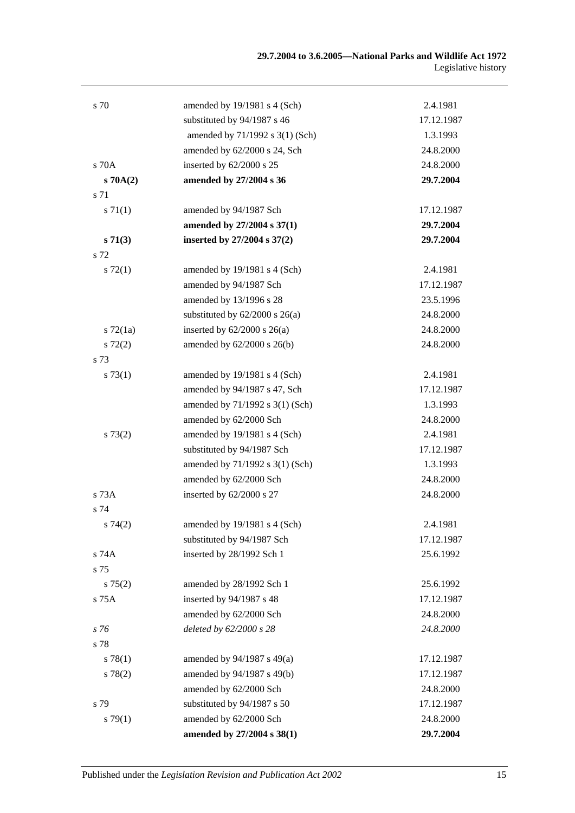| s 70          | amended by 19/1981 s 4 (Sch)       | 2.4.1981   |
|---------------|------------------------------------|------------|
|               | substituted by 94/1987 s 46        | 17.12.1987 |
|               | amended by 71/1992 s 3(1) (Sch)    | 1.3.1993   |
|               | amended by 62/2000 s 24, Sch       | 24.8.2000  |
| $s$ 70 $A$    | inserted by 62/2000 s 25           | 24.8.2000  |
| $s \, 70A(2)$ | amended by 27/2004 s 36            | 29.7.2004  |
| s 71          |                                    |            |
| s 71(1)       | amended by 94/1987 Sch             | 17.12.1987 |
|               | amended by 27/2004 s 37(1)         | 29.7.2004  |
| s71(3)        | inserted by 27/2004 s 37(2)        | 29.7.2004  |
| s 72          |                                    |            |
| $s \, 72(1)$  | amended by 19/1981 s 4 (Sch)       | 2.4.1981   |
|               | amended by 94/1987 Sch             | 17.12.1987 |
|               | amended by 13/1996 s 28            | 23.5.1996  |
|               | substituted by $62/2000$ s $26(a)$ | 24.8.2000  |
| $s \, 72(1a)$ | inserted by $62/2000$ s $26(a)$    | 24.8.2000  |
| $s\ 72(2)$    | amended by 62/2000 s 26(b)         | 24.8.2000  |
| s 73          |                                    |            |
| s 73(1)       | amended by 19/1981 s 4 (Sch)       | 2.4.1981   |
|               | amended by 94/1987 s 47, Sch       | 17.12.1987 |
|               | amended by 71/1992 s 3(1) (Sch)    | 1.3.1993   |
|               | amended by 62/2000 Sch             | 24.8.2000  |
| s 73(2)       | amended by 19/1981 s 4 (Sch)       | 2.4.1981   |
|               | substituted by 94/1987 Sch         | 17.12.1987 |
|               | amended by 71/1992 s 3(1) (Sch)    | 1.3.1993   |
|               | amended by 62/2000 Sch             | 24.8.2000  |
| $s$ 73 $A$    | inserted by 62/2000 s 27           | 24.8.2000  |
| s 74          |                                    |            |
| s74(2)        | amended by $19/1981$ s 4 (Sch)     | 2.4.1981   |
|               | substituted by 94/1987 Sch         | 17.12.1987 |
| s 74A         | inserted by 28/1992 Sch 1          | 25.6.1992  |
| s 75          |                                    |            |
| $s \, 75(2)$  | amended by 28/1992 Sch 1           | 25.6.1992  |
| s 75A         | inserted by 94/1987 s 48           | 17.12.1987 |
|               | amended by 62/2000 Sch             | 24.8.2000  |
| s 76          | deleted by 62/2000 s 28            | 24.8.2000  |
| s 78          |                                    |            |
| s 78(1)       | amended by 94/1987 s 49(a)         | 17.12.1987 |
| s 78(2)       | amended by 94/1987 s 49(b)         | 17.12.1987 |
|               | amended by 62/2000 Sch             | 24.8.2000  |
| s 79          | substituted by 94/1987 s 50        | 17.12.1987 |
| s79(1)        | amended by 62/2000 Sch             | 24.8.2000  |
|               | amended by 27/2004 s 38(1)         | 29.7.2004  |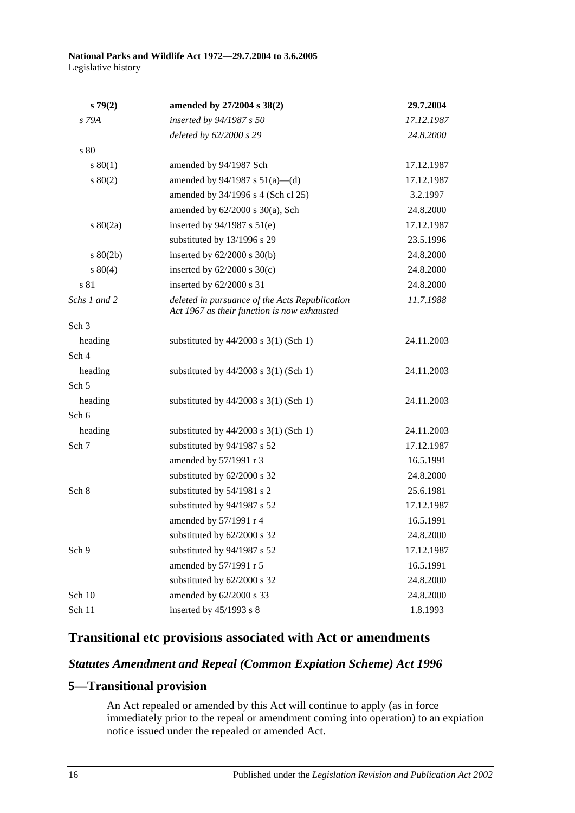| s79(2)           | amended by 27/2004 s 38(2)                                                                    | 29.7.2004  |
|------------------|-----------------------------------------------------------------------------------------------|------------|
| $S$ 79A          | inserted by 94/1987 s 50                                                                      | 17.12.1987 |
|                  | deleted by 62/2000 s 29                                                                       | 24.8.2000  |
| s 80             |                                                                                               |            |
| s 80(1)          | amended by 94/1987 Sch                                                                        | 17.12.1987 |
| $s\ 80(2)$       | amended by $94/1987$ s $51(a)$ —(d)                                                           | 17.12.1987 |
|                  | amended by 34/1996 s 4 (Sch cl 25)                                                            | 3.2.1997   |
|                  | amended by $62/2000$ s $30(a)$ , Sch                                                          | 24.8.2000  |
| 80(2a)           | inserted by $94/1987$ s $51(e)$                                                               | 17.12.1987 |
|                  | substituted by 13/1996 s 29                                                                   | 23.5.1996  |
| $s\ 80(2b)$      | inserted by $62/2000$ s $30(b)$                                                               | 24.8.2000  |
| $s\ 80(4)$       | inserted by $62/2000$ s $30(c)$                                                               | 24.8.2000  |
| s 81             | inserted by 62/2000 s 31                                                                      | 24.8.2000  |
| Schs 1 and 2     | deleted in pursuance of the Acts Republication<br>Act 1967 as their function is now exhausted | 11.7.1988  |
| Sch <sub>3</sub> |                                                                                               |            |
| heading          | substituted by $44/2003$ s 3(1) (Sch 1)                                                       | 24.11.2003 |
| Sch <sub>4</sub> |                                                                                               |            |
| heading          | substituted by $44/2003$ s 3(1) (Sch 1)                                                       | 24.11.2003 |
| Sch <sub>5</sub> |                                                                                               |            |
| heading          | substituted by $44/2003$ s 3(1) (Sch 1)                                                       | 24.11.2003 |
| Sch 6            |                                                                                               |            |
| heading          | substituted by $44/2003$ s 3(1) (Sch 1)                                                       | 24.11.2003 |
| Sch 7            | substituted by 94/1987 s 52                                                                   | 17.12.1987 |
|                  | amended by 57/1991 r 3                                                                        | 16.5.1991  |
|                  | substituted by 62/2000 s 32                                                                   | 24.8.2000  |
| Sch 8            | substituted by 54/1981 s 2                                                                    | 25.6.1981  |
|                  | substituted by 94/1987 s 52                                                                   | 17.12.1987 |
|                  | amended by 57/1991 r 4                                                                        | 16.5.1991  |
|                  | substituted by 62/2000 s 32                                                                   | 24.8.2000  |
| Sch 9            | substituted by 94/1987 s 52                                                                   | 17.12.1987 |
|                  | amended by 57/1991 r 5                                                                        | 16.5.1991  |
|                  | substituted by 62/2000 s 32                                                                   | 24.8.2000  |
| Sch 10           | amended by 62/2000 s 33                                                                       | 24.8.2000  |
| Sch 11           | inserted by 45/1993 s 8                                                                       | 1.8.1993   |

## **Transitional etc provisions associated with Act or amendments**

## *Statutes Amendment and Repeal (Common Expiation Scheme) Act 1996*

## **5—Transitional provision**

An Act repealed or amended by this Act will continue to apply (as in force immediately prior to the repeal or amendment coming into operation) to an expiation notice issued under the repealed or amended Act.